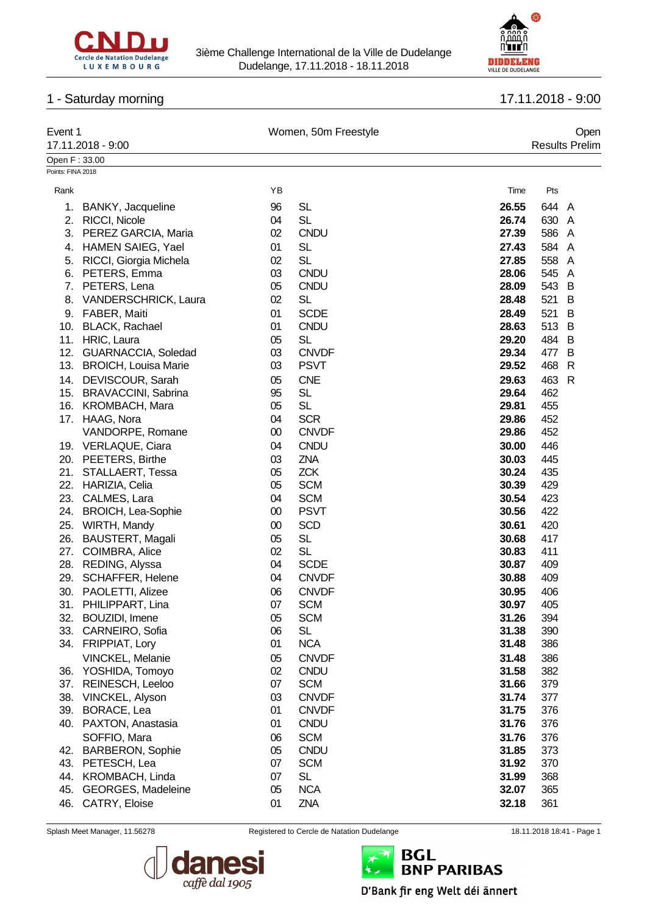



# 1 - Saturday morning 17.11.2018 - 9:00

| Event 1           |                             |        | Women, 50m Freestyle |       | Open                  |
|-------------------|-----------------------------|--------|----------------------|-------|-----------------------|
|                   | 17.11.2018 - 9:00           |        |                      |       | <b>Results Prelim</b> |
| Open F: 33.00     |                             |        |                      |       |                       |
| Points: FINA 2018 |                             |        |                      |       |                       |
| Rank              |                             | ΥB     |                      | Time  | Pts                   |
| 1.                | BANKY, Jacqueline           | 96     | <b>SL</b>            | 26.55 | 644 A                 |
| 2.                | <b>RICCI, Nicole</b>        | 04     | <b>SL</b>            | 26.74 | 630<br>A              |
| 3.                | PEREZ GARCIA, Maria         | 02     | <b>CNDU</b>          | 27.39 | 586<br>A              |
|                   | 4. HAMEN SAIEG, Yael        | 01     | <b>SL</b>            | 27.43 | 584<br>A              |
|                   | 5. RICCI, Giorgia Michela   | 02     | <b>SL</b>            | 27.85 | 558<br>A              |
|                   | 6. PETERS, Emma             | 03     | <b>CNDU</b>          | 28.06 | 545 A                 |
| 7.                | PETERS, Lena                | 05     | <b>CNDU</b>          | 28.09 | 543 B                 |
| 8.                | <b>VANDERSCHRICK, Laura</b> | 02     | <b>SL</b>            | 28.48 | 521<br>B              |
|                   | 9. FABER, Maiti             | 01     | <b>SCDE</b>          | 28.49 | 521<br>B              |
|                   | 10. BLACK, Rachael          | 01     | <b>CNDU</b>          | 28.63 | 513<br>B              |
|                   | 11. HRIC, Laura             | 05     | <b>SL</b>            | 29.20 | 484 B                 |
|                   | 12. GUARNACCIA, Soledad     | 03     | <b>CNVDF</b>         | 29.34 | 477<br>B              |
|                   | 13. BROICH, Louisa Marie    | 03     | <b>PSVT</b>          | 29.52 | 468<br>$\mathsf{R}$   |
|                   | 14. DEVISCOUR, Sarah        | 05     | <b>CNE</b>           | 29.63 | 463<br>$\mathsf{R}$   |
|                   | 15. BRAVACCINI, Sabrina     | 95     | <b>SL</b>            | 29.64 | 462                   |
|                   | 16. KROMBACH, Mara          | 05     | <b>SL</b>            | 29.81 | 455                   |
|                   | 17. HAAG, Nora              | 04     | <b>SCR</b>           | 29.86 | 452                   |
|                   | VANDORPE, Romane            | $00\,$ | <b>CNVDF</b>         | 29.86 | 452                   |
|                   | 19. VERLAQUE, Ciara         | 04     | <b>CNDU</b>          | 30.00 | 446                   |
|                   | 20. PEETERS, Birthe         | 03     | ZNA                  | 30.03 | 445                   |
| 21.               | STALLAERT, Tessa            | 05     | <b>ZCK</b>           | 30.24 | 435                   |
| 22.               | HARIZIA, Celia              | 05     | <b>SCM</b>           | 30.39 | 429                   |
| 23.               | CALMES, Lara                | 04     | <b>SCM</b>           | 30.54 | 423                   |
| 24.               | <b>BROICH, Lea-Sophie</b>   | $00\,$ | <b>PSVT</b>          | 30.56 | 422                   |
| 25.               | WIRTH, Mandy                | 00     | <b>SCD</b>           | 30.61 | 420                   |
| 26.               | <b>BAUSTERT, Magali</b>     | 05     | <b>SL</b>            | 30.68 | 417                   |
| 27.               | COIMBRA, Alice              | 02     | <b>SL</b>            | 30.83 | 411                   |
|                   | 28. REDING, Alyssa          | 04     | <b>SCDE</b>          | 30.87 | 409                   |
| 29.               | <b>SCHAFFER, Helene</b>     | 04     | <b>CNVDF</b>         | 30.88 | 409                   |
|                   | 30. PAOLETTI, Alizee        | 06     | <b>CNVDF</b>         | 30.95 | 406                   |
|                   | 31. PHILIPPART, Lina        | 07     | <b>SCM</b>           | 30.97 | 405                   |
| 32.               | BOUZIDI, Imene              | 05     | <b>SCM</b>           | 31.26 | 394                   |
| 33.               | CARNEIRO, Sofia             | 06     | <b>SL</b>            | 31.38 | 390                   |
|                   | 34. FRIPPIAT, Lory          | 01     | <b>NCA</b>           | 31.48 | 386                   |
|                   | VINCKEL, Melanie            | 05     | <b>CNVDF</b>         | 31.48 | 386                   |
| 36.               | YOSHIDA, Tomoyo             | 02     | <b>CNDU</b>          | 31.58 | 382                   |
|                   | 37. REINESCH, Leeloo        | 07     | <b>SCM</b>           | 31.66 | 379                   |
|                   | 38. VINCKEL, Alyson         | 03     | <b>CNVDF</b>         | 31.74 | 377                   |
|                   | 39. BORACE, Lea             | 01     | <b>CNVDF</b>         | 31.75 | 376                   |
|                   | 40. PAXTON, Anastasia       | 01     | <b>CNDU</b>          | 31.76 | 376                   |
|                   | SOFFIO, Mara                | 06     | <b>SCM</b>           | 31.76 | 376                   |
|                   | 42. BARBERON, Sophie        | 05     | <b>CNDU</b>          | 31.85 | 373                   |
|                   | 43. PETESCH, Lea            | 07     | <b>SCM</b>           | 31.92 | 370                   |
| 44.               | KROMBACH, Linda             | 07     | <b>SL</b>            | 31.99 | 368                   |
| 45.               | GEORGES, Madeleine          | 05     | <b>NCA</b>           | 32.07 | 365                   |
|                   | 46. CATRY, Eloise           | 01     | ZNA                  | 32.18 | 361                   |



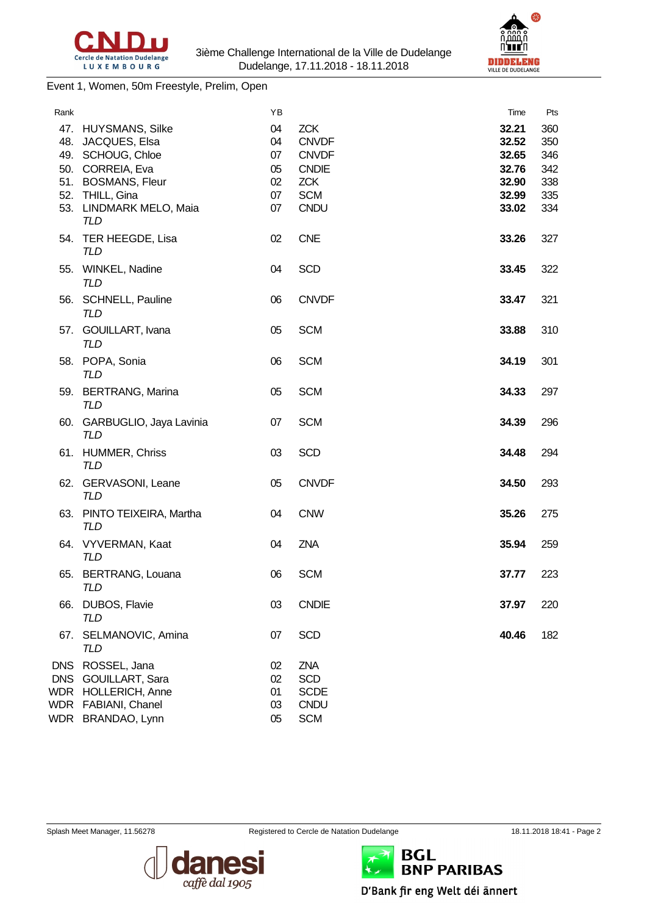



Event 1, Women, 50m Freestyle, Prelim, Open

| Rank                                   |                                                                                                          | ΥB                         |                                                               | Time                             | Pts                      |
|----------------------------------------|----------------------------------------------------------------------------------------------------------|----------------------------|---------------------------------------------------------------|----------------------------------|--------------------------|
|                                        | 47. HUYSMANS, Silke<br>48. JACQUES, Elsa<br>49. SCHOUG, Chloe                                            | 04<br>04<br>07             | <b>ZCK</b><br><b>CNVDF</b><br><b>CNVDF</b>                    | 32.21<br>32.52<br>32.65          | 360<br>350<br>346        |
|                                        | 50. CORREIA, Eva<br>51. BOSMANS, Fleur<br>52. THILL, Gina<br>53. LINDMARK MELO, Maia                     | 05<br>02<br>07<br>07       | <b>CNDIE</b><br><b>ZCK</b><br><b>SCM</b><br><b>CNDU</b>       | 32.76<br>32.90<br>32.99<br>33.02 | 342<br>338<br>335<br>334 |
|                                        | <b>TLD</b><br>54. TER HEEGDE, Lisa                                                                       | 02                         | <b>CNE</b>                                                    | 33.26                            | 327                      |
|                                        | <b>TLD</b><br>55. WINKEL, Nadine<br><b>TLD</b>                                                           | 04                         | <b>SCD</b>                                                    | 33.45                            | 322                      |
|                                        | 56. SCHNELL, Pauline<br><b>TLD</b>                                                                       | 06                         | <b>CNVDF</b>                                                  | 33.47                            | 321                      |
|                                        | 57. GOUILLART, Ivana<br><b>TLD</b>                                                                       | 05                         | <b>SCM</b>                                                    | 33.88                            | 310                      |
|                                        | 58. POPA, Sonia<br><b>TLD</b>                                                                            | 06                         | <b>SCM</b>                                                    | 34.19                            | 301                      |
|                                        | 59. BERTRANG, Marina<br>TLD                                                                              | 05                         | <b>SCM</b>                                                    | 34.33                            | 297                      |
|                                        | 60. GARBUGLIO, Jaya Lavinia<br><b>TLD</b>                                                                | 07                         | <b>SCM</b>                                                    | 34.39                            | 296                      |
|                                        | 61. HUMMER, Chriss<br><b>TLD</b>                                                                         | 03                         | <b>SCD</b>                                                    | 34.48                            | 294                      |
|                                        | 62. GERVASONI, Leane<br>TLD                                                                              | 05                         | <b>CNVDF</b>                                                  | 34.50                            | 293                      |
|                                        | 63. PINTO TEIXEIRA, Martha<br><b>TLD</b>                                                                 | 04                         | <b>CNW</b>                                                    | 35.26                            | 275                      |
|                                        | 64. VYVERMAN, Kaat<br>TLD                                                                                | 04                         | ZNA                                                           | 35.94                            | 259                      |
| 65.                                    | <b>BERTRANG, Louana</b><br><b>TLD</b>                                                                    | 06                         | <b>SCM</b>                                                    | 37.77                            | 223                      |
|                                        | 66. DUBOS, Flavie<br><b>TLD</b>                                                                          | 03                         | <b>CNDIE</b>                                                  | 37.97                            | 220                      |
| 67.                                    | SELMANOVIC, Amina<br>TLD                                                                                 | 07                         | <b>SCD</b>                                                    | 40.46                            | 182                      |
| <b>DNS</b><br><b>DNS</b><br>WDR<br>WDR | ROSSEL, Jana<br><b>GOUILLART, Sara</b><br><b>HOLLERICH, Anne</b><br>FABIANI, Chanel<br>WDR BRANDAO, Lynn | 02<br>02<br>01<br>03<br>05 | ZNA<br><b>SCD</b><br><b>SCDE</b><br><b>CNDU</b><br><b>SCM</b> |                                  |                          |

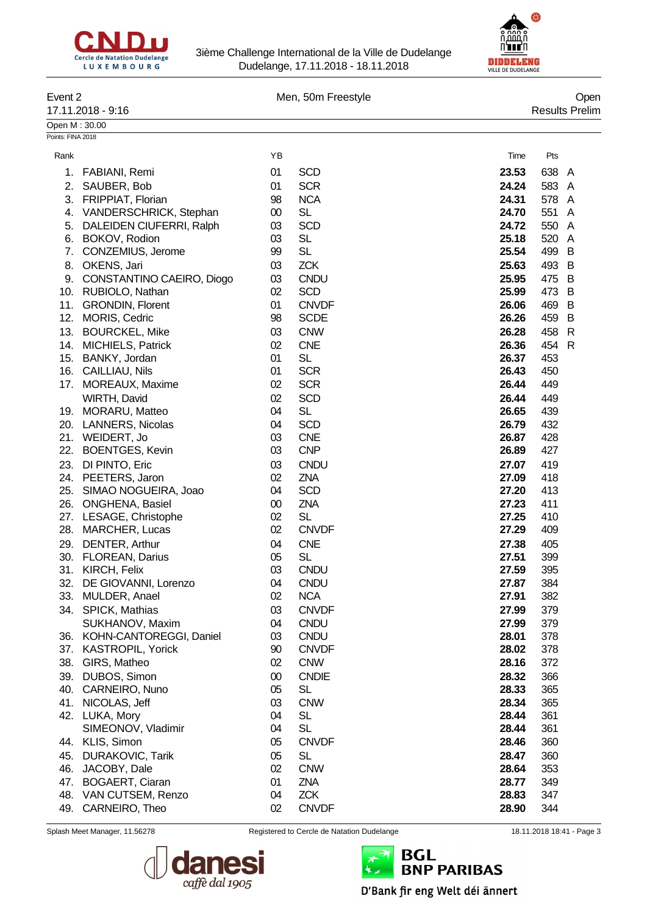



| Event 2           | 17.11.2018 - 9:16            |        | Men, 50m Freestyle |       | Open<br><b>Results Prelim</b> |
|-------------------|------------------------------|--------|--------------------|-------|-------------------------------|
| Open M: 30.00     |                              |        |                    |       |                               |
| Points: FINA 2018 |                              |        |                    |       |                               |
|                   |                              |        |                    |       |                               |
| Rank              |                              | YB     |                    | Time  | Pts                           |
| 1.                | FABIANI, Remi                | 01     | <b>SCD</b>         | 23.53 | 638<br>A                      |
| 2.                | SAUBER, Bob                  | 01     | <b>SCR</b>         | 24.24 | 583<br>A                      |
|                   | 3. FRIPPIAT, Florian         | 98     | <b>NCA</b>         | 24.31 | 578<br>A                      |
| 4.                | VANDERSCHRICK, Stephan       | $00\,$ | <b>SL</b>          | 24.70 | 551<br>A                      |
| 5.                | DALEIDEN CIUFERRI, Ralph     | 03     | <b>SCD</b>         | 24.72 | 550<br>$\mathsf{A}$           |
| 6.                | BOKOV, Rodion                | 03     | <b>SL</b>          | 25.18 | 520<br>A                      |
| 7.                | CONZEMIUS, Jerome            | 99     | <b>SL</b>          | 25.54 | 499<br>B                      |
| 8.                | OKENS, Jari                  | 03     | <b>ZCK</b>         | 25.63 | 493<br>B                      |
|                   | 9. CONSTANTINO CAEIRO, Diogo | 03     | <b>CNDU</b>        | 25.95 | 475<br>B                      |
|                   | 10. RUBIOLO, Nathan          | 02     | <b>SCD</b>         | 25.99 | 473<br>B                      |
| 11.               | <b>GRONDIN, Florent</b>      | 01     | <b>CNVDF</b>       | 26.06 | 469<br>B                      |
| 12.               | <b>MORIS, Cedric</b>         | 98     | <b>SCDE</b>        | 26.26 | 459<br>B                      |
| 13.               | <b>BOURCKEL, Mike</b>        | 03     | <b>CNW</b>         | 26.28 | 458<br>R                      |
|                   | 14. MICHIELS, Patrick        | 02     | <b>CNE</b>         | 26.36 | 454<br>$\mathsf{R}$           |
|                   | 15. BANKY, Jordan            | 01     | <b>SL</b>          | 26.37 | 453                           |
|                   | 16. CAILLIAU, Nils           | 01     | <b>SCR</b>         | 26.43 | 450                           |
|                   | 17. MOREAUX, Maxime          | 02     | <b>SCR</b>         | 26.44 | 449                           |
|                   | WIRTH, David                 | 02     | <b>SCD</b>         | 26.44 | 449                           |
|                   | 19. MORARU, Matteo           | 04     | <b>SL</b>          | 26.65 | 439                           |
| 20.               | <b>LANNERS, Nicolas</b>      | 04     | <b>SCD</b>         | 26.79 | 432                           |
| 21.               | WEIDERT, Jo                  | 03     | <b>CNE</b>         | 26.87 | 428                           |
| 22.               | <b>BOENTGES, Kevin</b>       | 03     | <b>CNP</b>         | 26.89 | 427                           |
| 23.               | DI PINTO, Eric               | 03     | <b>CNDU</b>        | 27.07 | 419                           |
|                   | 24. PEETERS, Jaron           | 02     | <b>ZNA</b>         | 27.09 | 418                           |
| 25.               | SIMAO NOGUEIRA, Joao         | 04     | <b>SCD</b>         | 27.20 | 413                           |
| 26.               | <b>ONGHENA, Basiel</b>       | $00\,$ | ZNA                | 27.23 | 411                           |
|                   | 27. LESAGE, Christophe       | 02     | <b>SL</b>          | 27.25 | 410                           |
| 28.               | <b>MARCHER, Lucas</b>        | 02     | <b>CNVDF</b>       | 27.29 | 409                           |
|                   | 29. DENTER, Arthur           | 04     | <b>CNE</b>         | 27.38 | 405                           |
| 30.               | <b>FLOREAN, Darius</b>       | 05     | <b>SL</b>          | 27.51 | 399                           |
| 31.               | KIRCH, Felix                 | 03     | <b>CNDU</b>        | 27.59 | 395                           |
| 32.               | DE GIOVANNI, Lorenzo         | 04     | <b>CNDU</b>        | 27.87 | 384                           |
| 33.               | MULDER, Anael                | 02     | <b>NCA</b>         | 27.91 | 382                           |
|                   | 34. SPICK, Mathias           | 03     | <b>CNVDF</b>       | 27.99 | 379                           |
|                   | SUKHANOV, Maxim              | 04     | <b>CNDU</b>        | 27.99 | 379                           |
|                   | 36. KOHN-CANTOREGGI, Daniel  | 03     | <b>CNDU</b>        | 28.01 | 378                           |
|                   | 37. KASTROPIL, Yorick        | 90     | <b>CNVDF</b>       | 28.02 | 378                           |
|                   | 38. GIRS, Matheo             | 02     | <b>CNW</b>         | 28.16 | 372                           |
| 39.               | DUBOS, Simon                 | $00\,$ | <b>CNDIE</b>       | 28.32 | 366                           |
| 40.               | CARNEIRO, Nuno               | 05     | <b>SL</b>          | 28.33 | 365                           |
| 41.               | NICOLAS, Jeff                | 03     | <b>CNW</b>         | 28.34 | 365                           |
|                   | 42. LUKA, Mory               | 04     | <b>SL</b>          | 28.44 | 361                           |
|                   | SIMEONOV, Vladimir           | 04     | <b>SL</b>          | 28.44 | 361                           |
|                   | 44. KLIS, Simon              | 05     | <b>CNVDF</b>       | 28.46 | 360                           |
| 45.               | DURAKOVIC, Tarik             | 05     | <b>SL</b>          | 28.47 | 360                           |
| 46.               | JACOBY, Dale                 | 02     | <b>CNW</b>         | 28.64 | 353                           |
| 47.               | <b>BOGAERT, Ciaran</b>       | 01     | ZNA                | 28.77 | 349                           |
| 48.               | VAN CUTSEM, Renzo            | 04     | <b>ZCK</b>         | 28.83 | 347                           |
| 49.               | CARNEIRO, Theo               | 02     | <b>CNVDF</b>       | 28.90 | 344                           |



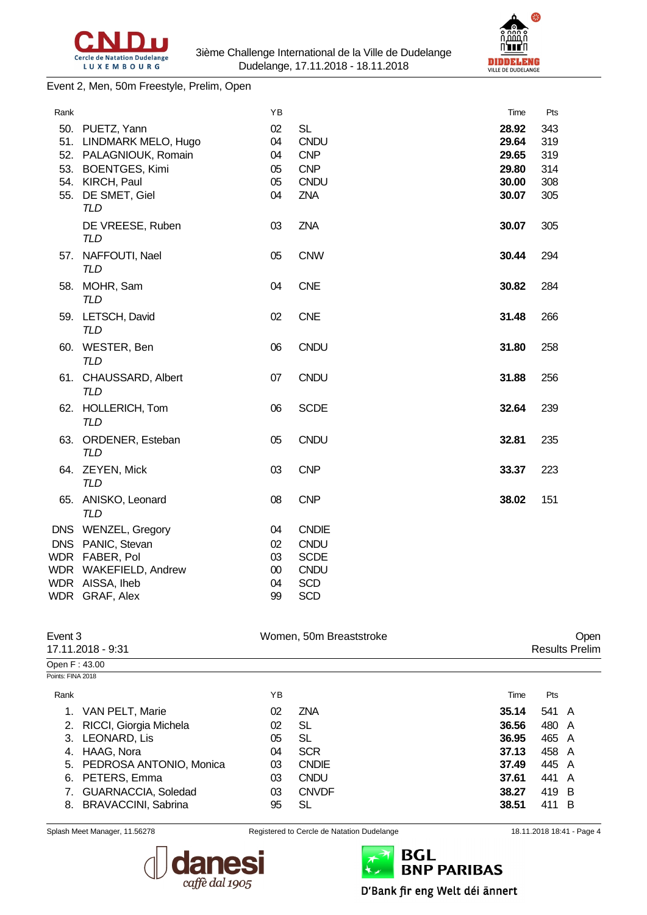



#### Event 2, Men, 50m Freestyle, Prelim, Open

| Rank |                                        | ΥB       |                           | Time           | Pts        |
|------|----------------------------------------|----------|---------------------------|----------------|------------|
| 51.  | 50. PUETZ, Yann<br>LINDMARK MELO, Hugo | 02<br>04 | <b>SL</b><br><b>CNDU</b>  | 28.92<br>29.64 | 343<br>319 |
| 52.  | PALAGNIOUK, Romain                     | 04       | <b>CNP</b>                | 29.65          | 319        |
|      | 53. BOENTGES, Kimi<br>54. KIRCH, Paul  | 05<br>05 | <b>CNP</b><br><b>CNDU</b> | 29.80<br>30.00 | 314<br>308 |
| 55.  | DE SMET, Giel<br><b>TLD</b>            | 04       | <b>ZNA</b>                | 30.07          | 305        |
|      | DE VREESE, Ruben<br><b>TLD</b>         | 03       | <b>ZNA</b>                | 30.07          | 305        |
| 57.  | NAFFOUTI, Nael<br><b>TLD</b>           | 05       | <b>CNW</b>                | 30.44          | 294        |
|      | 58. MOHR, Sam<br><b>TLD</b>            | 04       | <b>CNE</b>                | 30.82          | 284        |
|      | 59. LETSCH, David<br><b>TLD</b>        | 02       | <b>CNE</b>                | 31.48          | 266        |
|      | 60. WESTER, Ben<br><b>TLD</b>          | 06       | <b>CNDU</b>               | 31.80          | 258        |
|      | 61. CHAUSSARD, Albert<br><b>TLD</b>    | 07       | <b>CNDU</b>               | 31.88          | 256        |
|      | 62. HOLLERICH, Tom<br><b>TLD</b>       | 06       | <b>SCDE</b>               | 32.64          | 239        |
|      | 63. ORDENER, Esteban<br><b>TLD</b>     | 05       | CNDU                      | 32.81          | 235        |
|      | 64. ZEYEN, Mick<br><b>TLD</b>          | 03       | <b>CNP</b>                | 33.37          | 223        |
|      | 65. ANISKO, Leonard<br><b>TLD</b>      | 08       | <b>CNP</b>                | 38.02          | 151        |
|      | DNS WENZEL, Gregory                    | 04       | <b>CNDIE</b>              |                |            |
|      | DNS PANIC, Stevan                      | 02       | <b>CNDU</b>               |                |            |
|      | WDR FABER, Pol                         | 03       | <b>SCDE</b>               |                |            |
|      | WDR WAKEFIELD, Andrew                  | $00\,$   | <b>CNDU</b>               |                |            |
|      | WDR AISSA, Iheb                        | 04       | <b>SCD</b>                |                |            |
|      | WDR GRAF, Alex                         | 99       | <b>SCD</b>                |                |            |

| Event 3           | 17.11.2018 - 9:31          |    | Women, 50m Breaststroke |       |       | Open<br><b>Results Prelim</b> |
|-------------------|----------------------------|----|-------------------------|-------|-------|-------------------------------|
| Open F: 43.00     |                            |    |                         |       |       |                               |
| Points: FINA 2018 |                            |    |                         |       |       |                               |
| Rank              |                            | ΥB |                         | Time  | Pts   |                               |
|                   | VAN PELT, Marie            | 02 | <b>ZNA</b>              | 35.14 | 541 A |                               |
| 2.                | RICCI, Giorgia Michela     | 02 | SL                      | 36.56 | 480 A |                               |
|                   | 3. LEONARD, Lis            | 05 | SL                      | 36.95 | 465 A |                               |
| 4.                | HAAG, Nora                 | 04 | <b>SCR</b>              | 37.13 | 458 A |                               |
| 5.                | PEDROSA ANTONIO, Monica    | 03 | <b>CNDIE</b>            | 37.49 | 445 A |                               |
| 6.                | PETERS, Emma               | 03 | <b>CNDU</b>             | 37.61 | 441 A |                               |
|                   | GUARNACCIA, Soledad        | 03 | <b>CNVDF</b>            | 38.27 | 419 B |                               |
| 8.                | <b>BRAVACCINI, Sabrina</b> | 95 | SL                      | 38.51 | 411 B |                               |
|                   |                            |    |                         |       |       |                               |





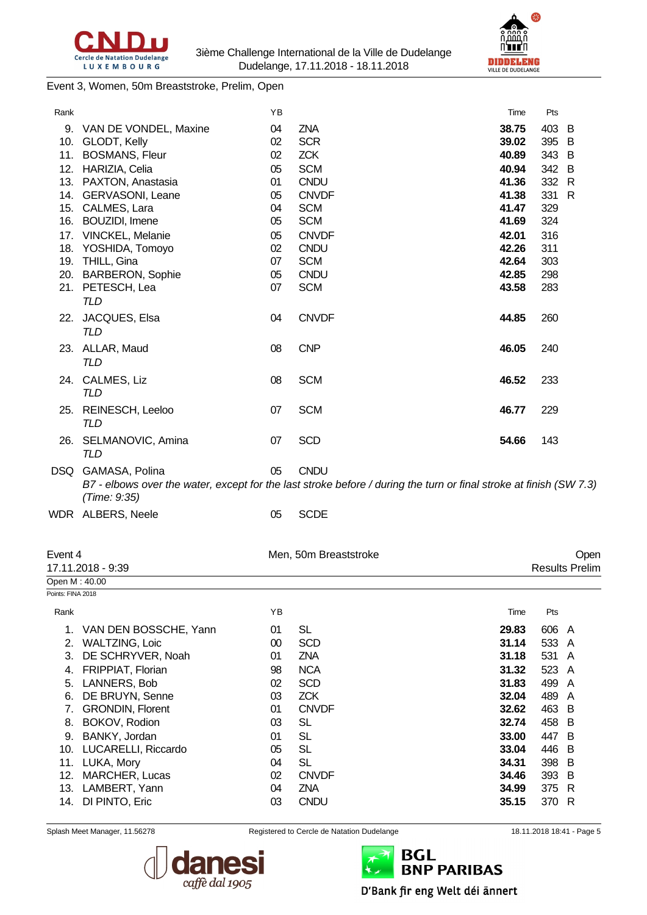



Event 3, Women, 50m Breaststroke, Prelim, Open

| Rank |                       | YB |                                                                                                                    | Time  | Pts |              |
|------|-----------------------|----|--------------------------------------------------------------------------------------------------------------------|-------|-----|--------------|
| 9.   | VAN DE VONDEL, Maxine | 04 | ZNA                                                                                                                | 38.75 | 403 | B            |
| 10.  | GLODT, Kelly          | 02 | <b>SCR</b>                                                                                                         | 39.02 | 395 | B            |
| 11.  | <b>BOSMANS, Fleur</b> | 02 | <b>ZCK</b>                                                                                                         | 40.89 | 343 | B            |
|      | 12. HARIZIA, Celia    | 05 | <b>SCM</b>                                                                                                         | 40.94 | 342 | B            |
| 13.  | PAXTON, Anastasia     | 01 | <b>CNDU</b>                                                                                                        | 41.36 | 332 | R            |
|      | 14. GERVASONI, Leane  | 05 | <b>CNVDF</b>                                                                                                       | 41.38 | 331 | $\mathsf{R}$ |
|      | 15. CALMES, Lara      | 04 | <b>SCM</b>                                                                                                         | 41.47 | 329 |              |
| 16.  | <b>BOUZIDI, Imene</b> | 05 | <b>SCM</b>                                                                                                         | 41.69 | 324 |              |
|      | 17. VINCKEL, Melanie  | 05 | <b>CNVDF</b>                                                                                                       | 42.01 | 316 |              |
| 18.  | YOSHIDA, Tomoyo       | 02 | <b>CNDU</b>                                                                                                        | 42.26 | 311 |              |
| 19.  | THILL, Gina           | 07 | <b>SCM</b>                                                                                                         | 42.64 | 303 |              |
|      | 20. BARBERON, Sophie  | 05 | <b>CNDU</b>                                                                                                        | 42.85 | 298 |              |
|      | 21. PETESCH, Lea      | 07 | <b>SCM</b>                                                                                                         | 43.58 | 283 |              |
|      | <b>TLD</b>            |    |                                                                                                                    |       |     |              |
| 22.  | JACQUES, Elsa         | 04 | <b>CNVDF</b>                                                                                                       | 44.85 | 260 |              |
|      | <b>TLD</b>            |    |                                                                                                                    |       |     |              |
|      | 23. ALLAR, Maud       | 08 | <b>CNP</b>                                                                                                         | 46.05 | 240 |              |
|      | TLD                   |    |                                                                                                                    |       |     |              |
|      | 24. CALMES, Liz       | 08 | <b>SCM</b>                                                                                                         | 46.52 | 233 |              |
|      | TLD                   |    |                                                                                                                    |       |     |              |
|      |                       |    |                                                                                                                    |       |     |              |
|      | 25. REINESCH, Leeloo  | 07 | <b>SCM</b>                                                                                                         | 46.77 | 229 |              |
|      | TLD                   |    |                                                                                                                    |       |     |              |
|      | 26. SELMANOVIC, Amina | 07 | <b>SCD</b>                                                                                                         | 54.66 | 143 |              |
|      | TLD                   |    |                                                                                                                    |       |     |              |
|      | DSQ GAMASA, Polina    | 05 | <b>CNDU</b>                                                                                                        |       |     |              |
|      |                       |    | B7 - elbows over the water, except for the last stroke before / during the turn or final stroke at finish (SW 7.3) |       |     |              |
|      | (Time: 9:35)          |    |                                                                                                                    |       |     |              |
|      | WDR ALBERS, Neele     | 05 | <b>SCDE</b>                                                                                                        |       |     |              |
|      |                       |    |                                                                                                                    |       |     |              |

| Event 4           | 17.11.2018 - 9:39        |    | Men, 50m Breaststroke |       |       | Open<br><b>Results Prelim</b> |
|-------------------|--------------------------|----|-----------------------|-------|-------|-------------------------------|
| Open M: 40.00     |                          |    |                       |       |       |                               |
| Points: FINA 2018 |                          |    |                       |       |       |                               |
| Rank              |                          | ΥB |                       | Time  | Pts   |                               |
|                   | VAN DEN BOSSCHE, Yann    | 01 | SL                    | 29.83 | 606 A |                               |
| 2.                | WALTZING, Loic           | 00 | <b>SCD</b>            | 31.14 | 533 A |                               |
| 3.                | DE SCHRYVER, Noah        | 01 | <b>ZNA</b>            | 31.18 | 531 A |                               |
| 4.                | <b>FRIPPIAT, Florian</b> | 98 | <b>NCA</b>            | 31.32 | 523 A |                               |
| 5.                | LANNERS, Bob             | 02 | <b>SCD</b>            | 31.83 | 499   | A                             |
| 6.                | DE BRUYN, Senne          | 03 | <b>ZCK</b>            | 32.04 | 489   | A                             |
|                   | <b>GRONDIN, Florent</b>  | 01 | <b>CNVDF</b>          | 32.62 | 463 B |                               |
| 8.                | BOKOV, Rodion            | 03 | SL                    | 32.74 | 458 B |                               |
| 9.                | BANKY, Jordan            | 01 | SL                    | 33.00 | 447 B |                               |
| 10.               | LUCARELLI, Riccardo      | 05 | SL                    | 33.04 | 446 B |                               |
| 11.               | LUKA, Mory               | 04 | SL                    | 34.31 | 398 B |                               |
| 12.               | MARCHER, Lucas           | 02 | <b>CNVDF</b>          | 34.46 | 393 B |                               |
| 13.               | LAMBERT, Yann            | 04 | <b>ZNA</b>            | 34.99 | 375 R |                               |
| 14.               | DI PINTO, Eric           | 03 | <b>CNDU</b>           | 35.15 | 370   | R                             |



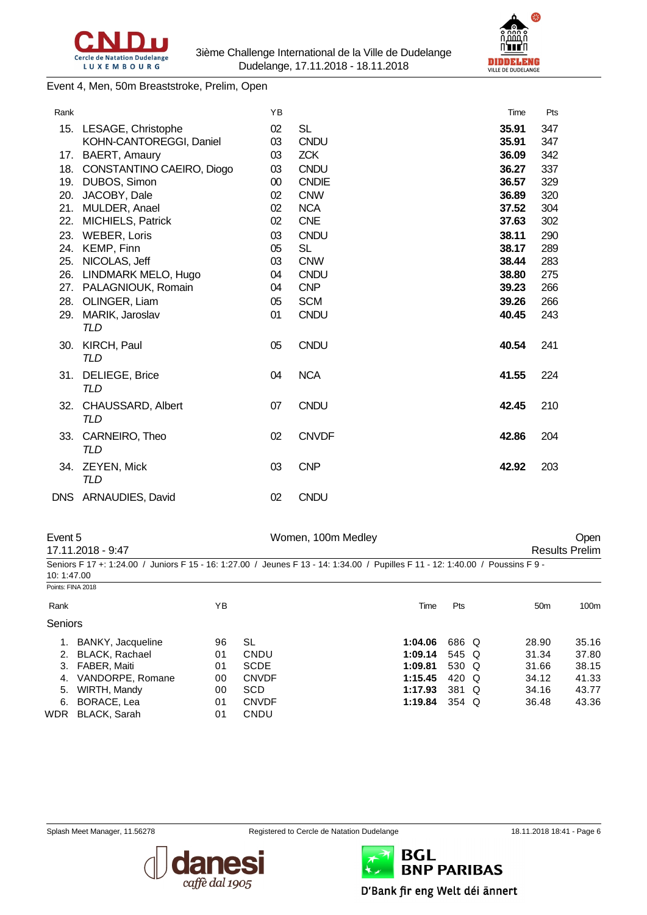



Event 4, Men, 50m Breaststroke, Prelim, Open

| Rank |                                 | YB |              | Time  | Pts |
|------|---------------------------------|----|--------------|-------|-----|
| 15.  | LESAGE, Christophe              | 02 | <b>SL</b>    | 35.91 | 347 |
|      | KOHN-CANTOREGGI, Daniel         | 03 | <b>CNDU</b>  | 35.91 | 347 |
| 17.  | BAERT, Amaury                   | 03 | <b>ZCK</b>   | 36.09 | 342 |
| 18.  | CONSTANTINO CAEIRO, Diogo       | 03 | <b>CNDU</b>  | 36.27 | 337 |
| 19.  | DUBOS, Simon                    | 00 | <b>CNDIE</b> | 36.57 | 329 |
| 20.  | JACOBY, Dale                    | 02 | <b>CNW</b>   | 36.89 | 320 |
| 21.  | MULDER, Anael                   | 02 | <b>NCA</b>   | 37.52 | 304 |
| 22.  | <b>MICHIELS, Patrick</b>        | 02 | <b>CNE</b>   | 37.63 | 302 |
| 23.  | <b>WEBER, Loris</b>             | 03 | <b>CNDU</b>  | 38.11 | 290 |
| 24.  | KEMP, Finn                      | 05 | SL           | 38.17 | 289 |
| 25.  | NICOLAS, Jeff                   | 03 | <b>CNW</b>   | 38.44 | 283 |
| 26.  | LINDMARK MELO, Hugo             | 04 | <b>CNDU</b>  | 38.80 | 275 |
| 27.  | PALAGNIOUK, Romain              | 04 | <b>CNP</b>   | 39.23 | 266 |
| 28.  | OLINGER, Liam                   | 05 | <b>SCM</b>   | 39.26 | 266 |
| 29.  | MARIK, Jaroslav<br>TLD          | 01 | <b>CNDU</b>  | 40.45 | 243 |
| 30.  | KIRCH, Paul<br><b>TLD</b>       | 05 | <b>CNDU</b>  | 40.54 | 241 |
| 31.  | DELIEGE, Brice<br>TLD           | 04 | <b>NCA</b>   | 41.55 | 224 |
| 32.  | CHAUSSARD, Albert<br><b>TLD</b> | 07 | <b>CNDU</b>  | 42.45 | 210 |
| 33.  | CARNEIRO, Theo<br>TLD           | 02 | <b>CNVDF</b> | 42.86 | 204 |
| 34.  | ZEYEN, Mick<br><b>TLD</b>       | 03 | <b>CNP</b>   | 42.92 | 203 |
| DNS  | <b>ARNAUDIES, David</b>         | 02 | <b>CNDU</b>  |       |     |

| Event 5           | 17.11.2018 - 9:47     |    |              | Women, 100m Medley                                                                                                              |       |                 | <b>Open</b><br><b>Results Prelim</b> |
|-------------------|-----------------------|----|--------------|---------------------------------------------------------------------------------------------------------------------------------|-------|-----------------|--------------------------------------|
| 10:1:47.00        |                       |    |              | Seniors F 17 +: 1:24.00 / Juniors F 15 - 16: 1:27.00 / Jeunes F 13 - 14: 1:34.00 / Pupilles F 11 - 12: 1:40.00 / Poussins F 9 - |       |                 |                                      |
| Points: FINA 2018 |                       |    |              |                                                                                                                                 |       |                 |                                      |
| Rank              |                       | ΥB |              | Time                                                                                                                            | Pts   | 50 <sub>m</sub> | 100m                                 |
| <b>Seniors</b>    |                       |    |              |                                                                                                                                 |       |                 |                                      |
| 1.                | BANKY, Jacqueline     | 96 | SL           | 1:04.06                                                                                                                         | 686 Q | 28.90           | 35.16                                |
| 2.                | <b>BLACK, Rachael</b> | 01 | CNDU         | 1:09.14                                                                                                                         | 545 Q | 31.34           | 37.80                                |
| 3.                | <b>FABER, Maiti</b>   | 01 | <b>SCDE</b>  | 1:09.81                                                                                                                         | 530 Q | 31.66           | 38.15                                |
| 4.                | VANDORPE, Romane      | 00 | <b>CNVDF</b> | 1:15.45                                                                                                                         | 420 Q | 34.12           | 41.33                                |
| 5.                | WIRTH, Mandy          | 00 | <b>SCD</b>   | 1:17.93                                                                                                                         | 381 Q | 34.16           | 43.77                                |
| 6.                | BORACE, Lea           | 01 | <b>CNVDF</b> | 1:19.84                                                                                                                         | 354 Q | 36.48           | 43.36                                |
| <b>WDR</b>        | <b>BLACK, Sarah</b>   | 01 | CNDU         |                                                                                                                                 |       |                 |                                      |



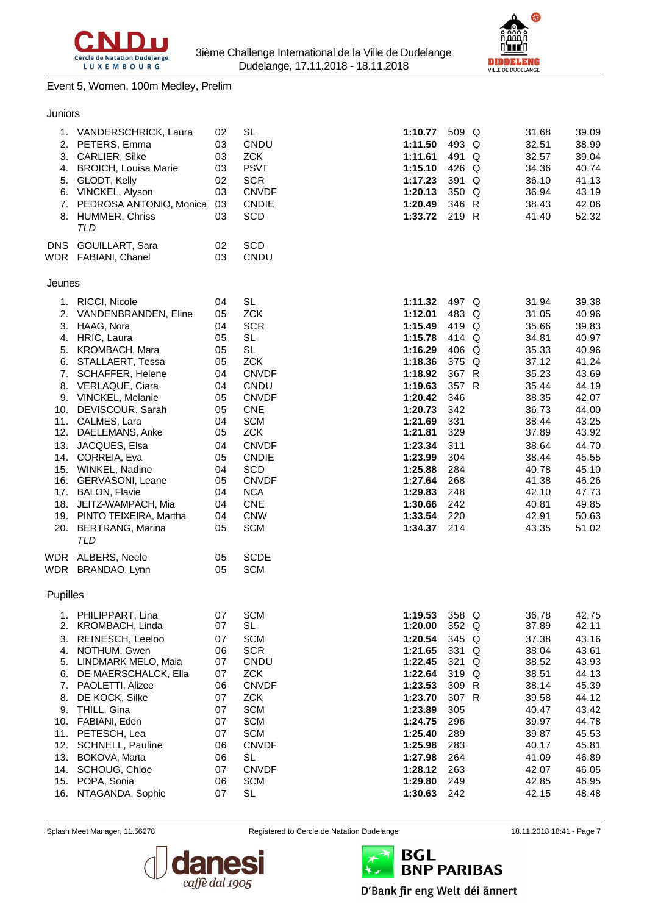



#### Event 5, Women, 100m Medley, Prelim

| Juniors |
|---------|
|         |
|         |

| 2.<br>4.<br>5.                                                                                      | 1. VANDERSCHRICK, Laura<br>PETERS, Emma<br>3. CARLIER, Silke<br><b>BROICH, Louisa Marie</b><br>GLODT, Kelly<br>6. VINCKEL, Alyson<br>7. PEDROSA ANTONIO, Monica<br>8. HUMMER, Chriss<br><b>TLD</b>                                                                                                                                                                                                                                                                                                            | 02<br>03<br>03<br>03<br>02<br>03<br>03<br>03                                                                                     | <b>SL</b><br>CNDU<br><b>ZCK</b><br><b>PSVT</b><br><b>SCR</b><br><b>CNVDF</b><br><b>CNDIE</b><br><b>SCD</b>                                                                                                                                                                                                  | 1:10.77<br>1:11.50<br>1:11.61<br>1:15.10<br>1:17.23<br>1:20.13<br>1:20.49<br>1:33.72                                                                                                                                     | 509 Q<br>493 Q<br>491 Q<br>426 Q<br>391 Q<br>350 Q<br>346 R<br>219 R                                                                                     | 31.68<br>32.51<br>32.57<br>34.36<br>36.10<br>36.94<br>38.43<br>41.40                                                                                                             | 39.09<br>38.99<br>39.04<br>40.74<br>41.13<br>43.19<br>42.06<br>52.32                                                                                                             |
|-----------------------------------------------------------------------------------------------------|---------------------------------------------------------------------------------------------------------------------------------------------------------------------------------------------------------------------------------------------------------------------------------------------------------------------------------------------------------------------------------------------------------------------------------------------------------------------------------------------------------------|----------------------------------------------------------------------------------------------------------------------------------|-------------------------------------------------------------------------------------------------------------------------------------------------------------------------------------------------------------------------------------------------------------------------------------------------------------|--------------------------------------------------------------------------------------------------------------------------------------------------------------------------------------------------------------------------|----------------------------------------------------------------------------------------------------------------------------------------------------------|----------------------------------------------------------------------------------------------------------------------------------------------------------------------------------|----------------------------------------------------------------------------------------------------------------------------------------------------------------------------------|
| DNS                                                                                                 | GOUILLART, Sara<br>WDR FABIANI, Chanel                                                                                                                                                                                                                                                                                                                                                                                                                                                                        | 02<br>03                                                                                                                         | SCD<br>CNDU                                                                                                                                                                                                                                                                                                 |                                                                                                                                                                                                                          |                                                                                                                                                          |                                                                                                                                                                                  |                                                                                                                                                                                  |
| Jeunes                                                                                              |                                                                                                                                                                                                                                                                                                                                                                                                                                                                                                               |                                                                                                                                  |                                                                                                                                                                                                                                                                                                             |                                                                                                                                                                                                                          |                                                                                                                                                          |                                                                                                                                                                                  |                                                                                                                                                                                  |
| 1.<br>10.<br>12.<br>17.                                                                             | RICCI, Nicole<br>2. VANDENBRANDEN, Eline<br>3. HAAG, Nora<br>4. HRIC, Laura<br>5. KROMBACH, Mara<br>6. STALLAERT, Tessa<br>7. SCHAFFER, Helene<br>8. VERLAQUE, Ciara<br>9. VINCKEL, Melanie<br>DEVISCOUR, Sarah<br>11. CALMES, Lara<br>DAELEMANS, Anke<br>13. JACQUES, Elsa<br>14. CORREIA, Eva<br>15. WINKEL, Nadine<br>16. GERVASONI, Leane<br><b>BALON, Flavie</b><br>18. JEITZ-WAMPACH, Mia<br>19. PINTO TEIXEIRA, Martha<br>20. BERTRANG, Marina<br><b>TLD</b><br>WDR ALBERS, Neele<br>WDR BRANDAO, Lynn | 04<br>05<br>04<br>05<br>05<br>05<br>04<br>04<br>05<br>05<br>04<br>05<br>04<br>05<br>04<br>05<br>04<br>04<br>04<br>05<br>05<br>05 | <b>SL</b><br><b>ZCK</b><br><b>SCR</b><br><b>SL</b><br><b>SL</b><br><b>ZCK</b><br><b>CNVDF</b><br>CNDU<br><b>CNVDF</b><br><b>CNE</b><br><b>SCM</b><br><b>ZCK</b><br><b>CNVDF</b><br><b>CNDIE</b><br>SCD<br><b>CNVDF</b><br><b>NCA</b><br><b>CNE</b><br><b>CNW</b><br><b>SCM</b><br><b>SCDE</b><br><b>SCM</b> | 1:11.32<br>1:12.01<br>1:15.49<br>1:15.78<br>1:16.29<br>1:18.36<br>1:18.92<br>1:19.63<br>1:20.42<br>1:20.73<br>1:21.69<br>1:21.81<br>1:23.34<br>1:23.99<br>1:25.88<br>1:27.64<br>1:29.83<br>1:30.66<br>1:33.54<br>1:34.37 | 497 Q<br>483 Q<br>419 Q<br>414 Q<br>406 Q<br>375 Q<br>367 R<br>357 R<br>346<br>342<br>331<br>329<br>311<br>304<br>284<br>268<br>248<br>242<br>220<br>214 | 31.94<br>31.05<br>35.66<br>34.81<br>35.33<br>37.12<br>35.23<br>35.44<br>38.35<br>36.73<br>38.44<br>37.89<br>38.64<br>38.44<br>40.78<br>41.38<br>42.10<br>40.81<br>42.91<br>43.35 | 39.38<br>40.96<br>39.83<br>40.97<br>40.96<br>41.24<br>43.69<br>44.19<br>42.07<br>44.00<br>43.25<br>43.92<br>44.70<br>45.55<br>45.10<br>46.26<br>47.73<br>49.85<br>50.63<br>51.02 |
| Pupilles                                                                                            |                                                                                                                                                                                                                                                                                                                                                                                                                                                                                                               |                                                                                                                                  |                                                                                                                                                                                                                                                                                                             |                                                                                                                                                                                                                          |                                                                                                                                                          |                                                                                                                                                                                  |                                                                                                                                                                                  |
| 1.<br>2.<br>3.<br>4.<br>5.<br>6.<br>7.<br>8.<br>9.<br>10.<br>11.<br>12.<br>13.<br>14.<br>15.<br>16. | PHILIPPART, Lina<br>KROMBACH, Linda<br>REINESCH, Leeloo<br>NOTHUM, Gwen<br>LINDMARK MELO, Maia<br>DE MAERSCHALCK, Ella<br>PAOLETTI, Alizee<br>DE KOCK, Silke<br>THILL, Gina<br>FABIANI, Eden<br>PETESCH, Lea<br>SCHNELL, Pauline<br>BOKOVA, Marta<br>SCHOUG, Chloe<br>POPA, Sonia<br>NTAGANDA, Sophie                                                                                                                                                                                                         | 07<br>07<br>07<br>06<br>07<br>07<br>06<br>07<br>07<br>07<br>07<br>06<br>06<br>07<br>06<br>07                                     | <b>SCM</b><br>SL<br><b>SCM</b><br><b>SCR</b><br>CNDU<br><b>ZCK</b><br><b>CNVDF</b><br><b>ZCK</b><br><b>SCM</b><br><b>SCM</b><br><b>SCM</b><br><b>CNVDF</b><br><b>SL</b><br><b>CNVDF</b><br><b>SCM</b><br><b>SL</b>                                                                                          | 1:19.53<br>1:20.00<br>1:20.54<br>1:21.65<br>1:22.45<br>1:22.64<br>1:23.53<br>1:23.70<br>1:23.89<br>1:24.75<br>1:25.40<br>1:25.98<br>1:27.98<br>1:28.12<br>1:29.80<br>1:30.63                                             | 358 Q<br>352 Q<br>345 Q<br>331 Q<br>321 Q<br>319 Q<br>309 R<br>307 R<br>305<br>296<br>289<br>283<br>264<br>263<br>249<br>242                             | 36.78<br>37.89<br>37.38<br>38.04<br>38.52<br>38.51<br>38.14<br>39.58<br>40.47<br>39.97<br>39.87<br>40.17<br>41.09<br>42.07<br>42.85<br>42.15                                     | 42.75<br>42.11<br>43.16<br>43.61<br>43.93<br>44.13<br>45.39<br>44.12<br>43.42<br>44.78<br>45.53<br>45.81<br>46.89<br>46.05<br>46.95<br>48.48                                     |



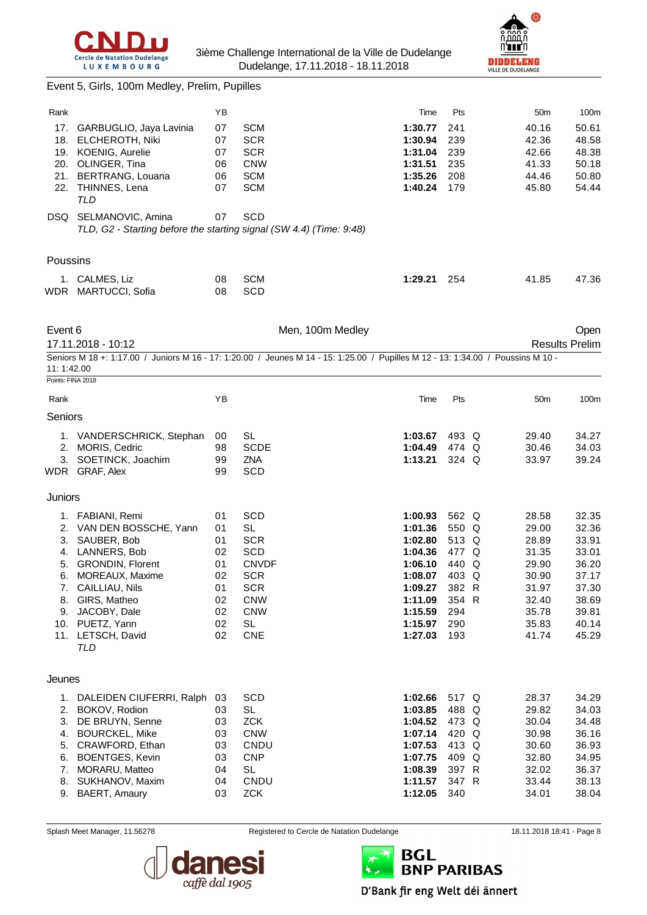



| Event 5, Girls, 100m Medley, Prelim, Pupilles |  |  |  |  |
|-----------------------------------------------|--|--|--|--|
|-----------------------------------------------|--|--|--|--|

| Rank              |                                                                     | ΥB       |                                                                                                                                  | Time               | Pts            | 50 <sub>m</sub> | 100m                          |
|-------------------|---------------------------------------------------------------------|----------|----------------------------------------------------------------------------------------------------------------------------------|--------------------|----------------|-----------------|-------------------------------|
| 17.               | GARBUGLIO, Jaya Lavinia                                             | 07       | <b>SCM</b>                                                                                                                       | 1:30.77            | 241            | 40.16           | 50.61                         |
|                   | 18. ELCHEROTH, Niki                                                 | 07       | <b>SCR</b>                                                                                                                       | 1:30.94            | 239            | 42.36           | 48.58                         |
|                   | 19. KOENIG, Aurelie                                                 | 07       | <b>SCR</b>                                                                                                                       | 1:31.04            | 239            | 42.66           | 48.38                         |
|                   | 20. OLINGER, Tina                                                   | 06       | <b>CNW</b>                                                                                                                       | 1:31.51            | 235            | 41.33           | 50.18                         |
|                   | 21. BERTRANG, Louana                                                | 06<br>07 | <b>SCM</b><br><b>SCM</b>                                                                                                         | 1:35.26<br>1:40.24 | 208<br>179     | 44.46<br>45.80  | 50.80<br>54.44                |
|                   | 22. THINNES, Lena<br><b>TLD</b>                                     |          |                                                                                                                                  |                    |                |                 |                               |
|                   | DSQ SELMANOVIC, Amina                                               | 07       | <b>SCD</b>                                                                                                                       |                    |                |                 |                               |
|                   | TLD, G2 - Starting before the starting signal (SW 4.4) (Time: 9:48) |          |                                                                                                                                  |                    |                |                 |                               |
| Poussins          |                                                                     |          |                                                                                                                                  |                    |                |                 |                               |
|                   | 1. CALMES, Liz                                                      | 08       | <b>SCM</b>                                                                                                                       | 1:29.21            | 254            | 41.85           | 47.36                         |
|                   | WDR MARTUCCI, Sofia                                                 | 08       | SCD                                                                                                                              |                    |                |                 |                               |
|                   |                                                                     |          |                                                                                                                                  |                    |                |                 |                               |
| Event 6           | 17.11.2018 - 10:12                                                  |          | Men, 100m Medley                                                                                                                 |                    |                |                 | Open<br><b>Results Prelim</b> |
|                   |                                                                     |          | Seniors M 18 +: 1:17.00 / Juniors M 16 - 17: 1:20.00 / Jeunes M 14 - 15: 1:25.00 / Pupilles M 12 - 13: 1:34.00 / Poussins M 10 - |                    |                |                 |                               |
| 11:1:42.00        |                                                                     |          |                                                                                                                                  |                    |                |                 |                               |
| Points: FINA 2018 |                                                                     |          |                                                                                                                                  |                    |                |                 |                               |
| Rank              |                                                                     | YB       |                                                                                                                                  | Time               | Pts            | 50 <sub>m</sub> | 100m                          |
| Seniors           |                                                                     |          |                                                                                                                                  |                    |                |                 |                               |
|                   | 1. VANDERSCHRICK, Stephan                                           | 00       | SL                                                                                                                               | 1:03.67            | 493 Q          | 29.40           | 34.27                         |
|                   | 2. MORIS, Cedric                                                    | 98       | <b>SCDE</b>                                                                                                                      | 1:04.49            | 474 Q          | 30.46           | 34.03                         |
|                   | 3. SOETINCK, Joachim                                                | 99       | <b>ZNA</b>                                                                                                                       | 1:13.21            | 324 Q          | 33.97           | 39.24                         |
|                   | WDR GRAF, Alex                                                      | 99       | <b>SCD</b>                                                                                                                       |                    |                |                 |                               |
| Juniors           |                                                                     |          |                                                                                                                                  |                    |                |                 |                               |
|                   | 1. FABIANI, Remi                                                    | 01       | SCD                                                                                                                              | 1:00.93            | 562 Q          | 28.58           | 32.35                         |
|                   | 2. VAN DEN BOSSCHE, Yann                                            | 01       | <b>SL</b>                                                                                                                        | 1:01.36            | 550 Q          | 29.00           | 32.36                         |
|                   | 3. SAUBER, Bob                                                      | 01       | <b>SCR</b>                                                                                                                       | 1:02.80            | 513 Q          | 28.89           | 33.91                         |
|                   | 4. LANNERS, Bob                                                     | 02       | <b>SCD</b>                                                                                                                       | 1:04.36            | 477 Q          | 31.35           | 33.01                         |
|                   | 5. GRONDIN, Florent<br>6. MOREAUX, Maxime                           | 01<br>02 | <b>CNVDF</b><br><b>SCR</b>                                                                                                       | 1:06.10<br>1:08.07 | 440 Q<br>403 Q | 29.90<br>30.90  | 36.20<br>37.17                |
|                   | 7. CAILLIAU, Nils                                                   | 01       | <b>SCR</b>                                                                                                                       | 1:09.27            | 382 R          | 31.97           | 37.30                         |
|                   | 8. GIRS, Matheo                                                     | 02       | <b>CNW</b>                                                                                                                       | 1:11.09            | 354 R          | 32.40           | 38.69                         |
|                   | 9. JACOBY, Dale                                                     | 02       | <b>CNW</b>                                                                                                                       | 1:15.59            | 294            | 35.78           | 39.81                         |
|                   | 10. PUETZ, Yann                                                     | 02       | <b>SL</b>                                                                                                                        | 1:15.97            | 290            | 35.83           | 40.14                         |
|                   | 11. LETSCH, David<br>TLD                                            | 02       | CNE                                                                                                                              | 1:27.03            | 193            | 41.74           | 45.29                         |
| Jeunes            |                                                                     |          |                                                                                                                                  |                    |                |                 |                               |
|                   |                                                                     |          |                                                                                                                                  |                    |                |                 |                               |
|                   | 1. DALEIDEN CIUFERRI, Ralph<br>2. BOKOV, Rodion                     | 03<br>03 | <b>SCD</b><br><b>SL</b>                                                                                                          | 1:02.66<br>1:03.85 | 517 Q<br>488 Q | 28.37           | 34.29                         |
|                   | 3. DE BRUYN, Senne                                                  | 03       | <b>ZCK</b>                                                                                                                       | 1:04.52            | 473 Q          | 29.82<br>30.04  | 34.03<br>34.48                |
|                   | 4. BOURCKEL, Mike                                                   | 03       | <b>CNW</b>                                                                                                                       | 1:07.14            | 420 Q          | 30.98           | 36.16                         |
|                   | 5. CRAWFORD, Ethan                                                  | 03       | CNDU                                                                                                                             | 1:07.53            | 413 Q          | 30.60           | 36.93                         |
|                   | 6. BOENTGES, Kevin                                                  | 03       | <b>CNP</b>                                                                                                                       | 1:07.75            | 409 Q          | 32.80           | 34.95                         |
|                   | 7. MORARU, Matteo                                                   | 04       | <b>SL</b>                                                                                                                        | 1:08.39            | 397 R          | 32.02           | 36.37                         |
|                   | 8. SUKHANOV, Maxim                                                  | 04       | CNDU                                                                                                                             | 1:11.57            | 347 R          | 33.44           | 38.13                         |
|                   | 9. BAERT, Amaury                                                    | 03       | <b>ZCK</b>                                                                                                                       | 1:12.05            | 340            | 34.01           | 38.04                         |



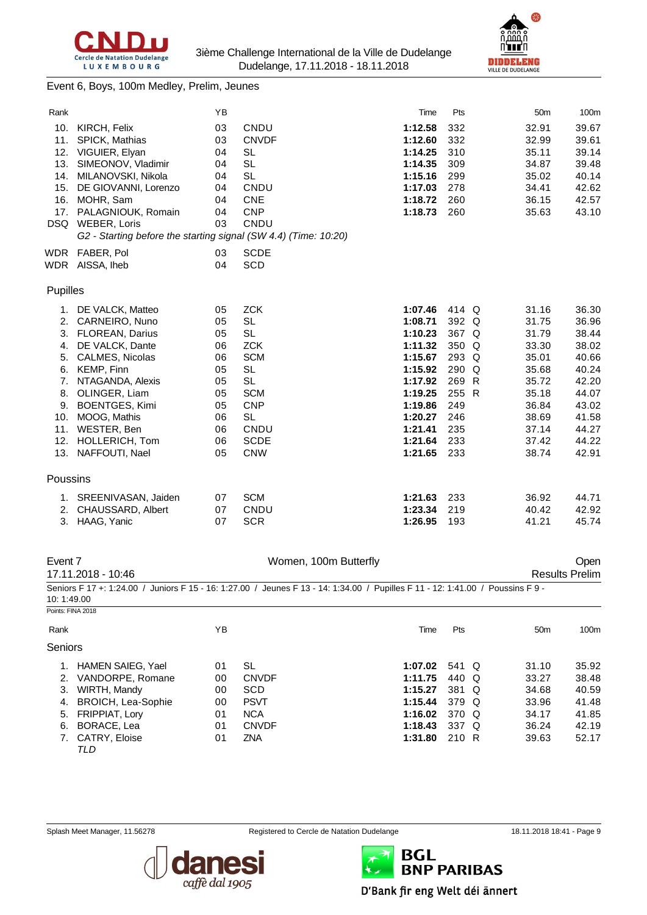



#### Event 6, Boys, 100m Medley, Prelim, Jeunes

| Rank       |                                                                 | YB |              | Time    | Pts     | 50 <sub>m</sub> | 100m  |
|------------|-----------------------------------------------------------------|----|--------------|---------|---------|-----------------|-------|
| 10.        | KIRCH, Felix                                                    | 03 | CNDU         | 1:12.58 | 332     | 32.91           | 39.67 |
| 11.        | SPICK, Mathias                                                  | 03 | <b>CNVDF</b> | 1:12.60 | 332     | 32.99           | 39.61 |
| 12.        | VIGUIER, Elyan                                                  | 04 | <b>SL</b>    | 1:14.25 | 310     | 35.11           | 39.14 |
| 13.        | SIMEONOV, Vladimir                                              | 04 | <b>SL</b>    | 1:14.35 | 309     | 34.87           | 39.48 |
| 14.        | MILANOVSKI, Nikola                                              | 04 | <b>SL</b>    | 1:15.16 | 299     | 35.02           | 40.14 |
| 15.        | DE GIOVANNI, Lorenzo                                            | 04 | CNDU         | 1:17.03 | 278     | 34.41           | 42.62 |
| 16.        | MOHR, Sam                                                       | 04 | <b>CNE</b>   | 1:18.72 | 260     | 36.15           | 42.57 |
| 17.        | PALAGNIOUK, Romain                                              | 04 | <b>CNP</b>   | 1:18.73 | 260     | 35.63           | 43.10 |
| DSQ        | WEBER, Loris                                                    | 03 | CNDU         |         |         |                 |       |
|            | G2 - Starting before the starting signal (SW 4.4) (Time: 10:20) |    |              |         |         |                 |       |
| <b>WDR</b> | FABER, Pol                                                      | 03 | <b>SCDE</b>  |         |         |                 |       |
| WDR        | AISSA, Iheb                                                     | 04 | <b>SCD</b>   |         |         |                 |       |
|            |                                                                 |    |              |         |         |                 |       |
| Pupilles   |                                                                 |    |              |         |         |                 |       |
|            | 1. DE VALCK, Matteo                                             | 05 | <b>ZCK</b>   | 1:07.46 | 414 Q   | 31.16           | 36.30 |
|            | 2. CARNEIRO, Nuno                                               | 05 | <b>SL</b>    | 1:08.71 | 392 Q   | 31.75           | 36.96 |
|            | 3. FLOREAN, Darius                                              | 05 | <b>SL</b>    | 1:10.23 | 367 Q   | 31.79           | 38.44 |
| 4.         | DE VALCK, Dante                                                 | 06 | <b>ZCK</b>   | 1:11.32 | 350 Q   | 33.30           | 38.02 |
| 5.         | <b>CALMES, Nicolas</b>                                          | 06 | <b>SCM</b>   | 1:15.67 | 293 Q   | 35.01           | 40.66 |
| 6.         | KEMP, Finn                                                      | 05 | <b>SL</b>    | 1:15.92 | $290$ Q | 35.68           | 40.24 |
| 7.         | NTAGANDA, Alexis                                                | 05 | <b>SL</b>    | 1:17.92 | 269 R   | 35.72           | 42.20 |
| 8.         | OLINGER, Liam                                                   | 05 | <b>SCM</b>   | 1:19.25 | 255 R   | 35.18           | 44.07 |
| 9.         | <b>BOENTGES, Kimi</b>                                           | 05 | <b>CNP</b>   | 1:19.86 | 249     | 36.84           | 43.02 |
| 10.        | MOOG, Mathis                                                    | 06 | <b>SL</b>    | 1:20.27 | 246     | 38.69           | 41.58 |
| 11.        | WESTER, Ben                                                     | 06 | CNDU         | 1:21.41 | 235     | 37.14           | 44.27 |
| 12.        | HOLLERICH, Tom                                                  | 06 | <b>SCDE</b>  | 1:21.64 | 233     | 37.42           | 44.22 |
| 13.        | NAFFOUTI, Nael                                                  | 05 | <b>CNW</b>   | 1:21.65 | 233     | 38.74           | 42.91 |
|            |                                                                 |    |              |         |         |                 |       |
| Poussins   |                                                                 |    |              |         |         |                 |       |
|            | 1. SREENIVASAN, Jaiden                                          | 07 | <b>SCM</b>   | 1:21.63 | 233     | 36.92           | 44.71 |
| 2.         | <b>CHAUSSARD, Albert</b>                                        | 07 | CNDU         | 1:23.34 | 219     | 40.42           | 42.92 |
| 3.         | HAAG, Yanic                                                     | 07 | <b>SCR</b>   | 1:26.95 | 193     | 41.21           | 45.74 |
|            |                                                                 |    |              |         |         |                 |       |

#### Event 7 Communication of the UV Women, 100m Butterfly Communication of the UV Open

17.11.2018 - 10:46 Results Prelim Seniors F 17 +: 1:24.00 / Juniors F 15 - 16: 1:27.00 / Jeunes F 13 - 14: 1:34.00 / Pupilles F 11 - 12: 1:41.00 / Poussins F 9 - 10: 1:49.00

|         | Points: FINA 2018       |    |              |         |       |                 |       |
|---------|-------------------------|----|--------------|---------|-------|-----------------|-------|
| Rank    |                         | ΥB |              | Time    | Pts   | 50 <sub>m</sub> | 100m  |
| Seniors |                         |    |              |         |       |                 |       |
|         | HAMEN SAIEG, Yael       | 01 | SL           | 1:07.02 | 541 Q | 31.10           | 35.92 |
|         | 2. VANDORPE, Romane     | 00 | <b>CNVDF</b> | 1:11.75 | 440 Q | 33.27           | 38.48 |
| 3.      | WIRTH, Mandy            | 00 | <b>SCD</b>   | 1:15.27 | 381 Q | 34.68           | 40.59 |
|         | 4. BROICH, Lea-Sophie   | 00 | <b>PSVT</b>  | 1:15.44 | 379 Q | 33.96           | 41.48 |
|         | 5. FRIPPIAT, Lory       | 01 | <b>NCA</b>   | 1:16.02 | 370 Q | 34.17           | 41.85 |
| 6.      | BORACE, Lea             | 01 | <b>CNVDF</b> | 1:18.43 | 337 Q | 36.24           | 42.19 |
|         | 7. CATRY, Eloise<br>TLD | 01 | ZNA          | 1:31.80 | 210 R | 39.63           | 52.17 |





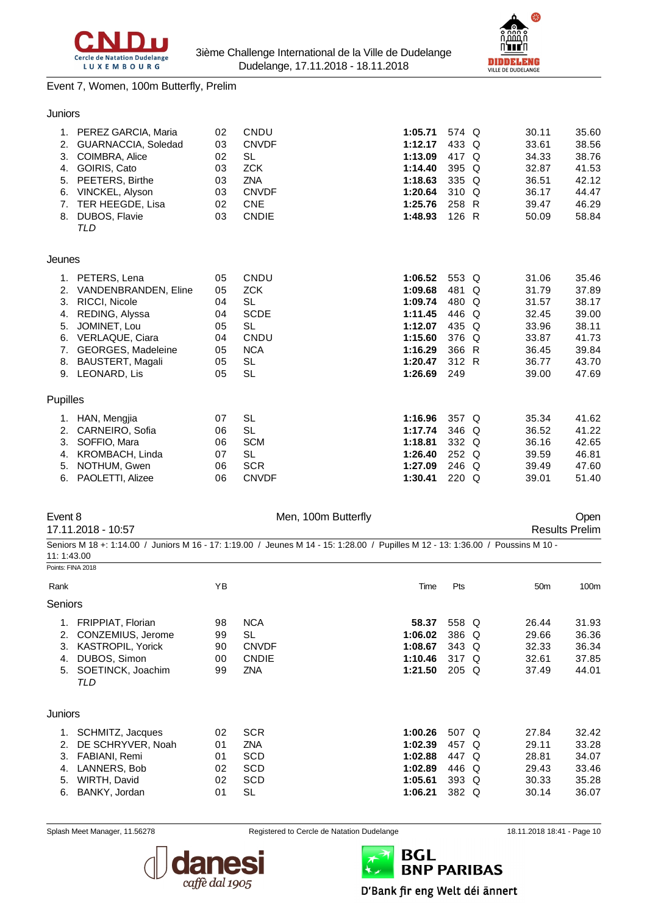



#### Event 7, Women, 100m Butterfly, Prelim

#### Juniors

|          | 1. PEREZ GARCIA, Maria    | 02 | CNDU         | 1:05.71 | 574 Q   | 30.11 | 35.60 |
|----------|---------------------------|----|--------------|---------|---------|-------|-------|
| 2.       | GUARNACCIA, Soledad       | 03 | <b>CNVDF</b> | 1:12.17 | 433 Q   | 33.61 | 38.56 |
| 3.       | COIMBRA, Alice            | 02 | SL           | 1:13.09 | 417 Q   | 34.33 | 38.76 |
| 4.       | GOIRIS, Cato              | 03 | <b>ZCK</b>   | 1:14.40 | 395 Q   | 32.87 | 41.53 |
| 5.       | PEETERS, Birthe           | 03 | <b>ZNA</b>   | 1:18.63 | 335 Q   | 36.51 | 42.12 |
| 6.       | VINCKEL, Alyson           | 03 | <b>CNVDF</b> | 1:20.64 | 310 Q   | 36.17 | 44.47 |
| 7.       | TER HEEGDE, Lisa          | 02 | <b>CNE</b>   | 1:25.76 | 258 R   | 39.47 | 46.29 |
| 8.       | DUBOS, Flavie             | 03 | <b>CNDIE</b> | 1:48.93 | 126 R   | 50.09 | 58.84 |
|          | <b>TLD</b>                |    |              |         |         |       |       |
|          |                           |    |              |         |         |       |       |
| Jeunes   |                           |    |              |         |         |       |       |
|          | 1. PETERS, Lena           | 05 | CNDU         | 1:06.52 | 553 Q   | 31.06 | 35.46 |
| 2.       | VANDENBRANDEN, Eline      | 05 | <b>ZCK</b>   | 1:09.68 | 481 Q   | 31.79 | 37.89 |
| 3.       | RICCI, Nicole             | 04 | <b>SL</b>    | 1:09.74 | 480 Q   | 31.57 | 38.17 |
| 4.       | REDING, Alyssa            | 04 | <b>SCDE</b>  | 1:11.45 | 446 Q   | 32.45 | 39.00 |
| 5.       | JOMINET, Lou              | 05 | <b>SL</b>    | 1:12.07 | 435 Q   | 33.96 | 38.11 |
| 6.       | VERLAQUE, Ciara           | 04 | CNDU         | 1:15.60 | 376 Q   | 33.87 | 41.73 |
| 7.       | <b>GEORGES, Madeleine</b> | 05 | <b>NCA</b>   | 1:16.29 | 366 R   | 36.45 | 39.84 |
| 8.       | <b>BAUSTERT, Magali</b>   | 05 | SL           | 1:20.47 | 312 R   | 36.77 | 43.70 |
| 9.       | LEONARD, Lis              | 05 | <b>SL</b>    | 1:26.69 | 249     | 39.00 | 47.69 |
|          |                           |    |              |         |         |       |       |
| Pupilles |                           |    |              |         |         |       |       |
| 1.       | HAN, Mengjia              | 07 | <b>SL</b>    | 1:16.96 | 357 Q   | 35.34 | 41.62 |
| 2.       | CARNEIRO, Sofia           | 06 | <b>SL</b>    | 1:17.74 | 346 Q   | 36.52 | 41.22 |
| 3.       | SOFFIO, Mara              | 06 | <b>SCM</b>   | 1:18.81 | 332 Q   | 36.16 | 42.65 |
| 4.       | KROMBACH, Linda           | 07 | <b>SL</b>    | 1:26.40 | 252 Q   | 39.59 | 46.81 |
| 5.       | NOTHUM, Gwen              | 06 | <b>SCR</b>   | 1:27.09 | 246 Q   | 39.49 | 47.60 |
| 6.       | PAOLETTI, Alizee          | 06 | <b>CNVDF</b> | 1:30.41 | $220$ Q | 39.01 | 51.40 |
|          |                           |    |              |         |         |       |       |

17.11.2018 - 10:57 Results Prelim

Event 8 Communication of Men, 100m Butterfly Communication of the Open

Seniors M 18 +: 1:14.00 / Juniors M 16 - 17: 1:19.00 / Jeunes M 14 - 15: 1:28.00 / Pupilles M 12 - 13: 1:36.00 / Poussins M 10 - 11: 1:43.00

Points: FINA 2018

| Rank    |                          | YB |              | Time    | Pts     | 50 <sub>m</sub> | 100m  |
|---------|--------------------------|----|--------------|---------|---------|-----------------|-------|
| Seniors |                          |    |              |         |         |                 |       |
| 1.      | <b>FRIPPIAT, Florian</b> | 98 | <b>NCA</b>   | 58.37   | 558 Q   | 26.44           | 31.93 |
| 2.      | CONZEMIUS, Jerome        | 99 | <b>SL</b>    | 1:06.02 | 386 Q   | 29.66           | 36.36 |
| 3.      | <b>KASTROPIL, Yorick</b> | 90 | <b>CNVDF</b> | 1:08.67 | 343 Q   | 32.33           | 36.34 |
| 4.      | DUBOS, Simon             | 00 | <b>CNDIE</b> | 1:10.46 | 317 Q   | 32.61           | 37.85 |
| 5.      | SOETINCK, Joachim        | 99 | ZNA          | 1:21.50 | $205$ Q | 37.49           | 44.01 |
|         | TLD                      |    |              |         |         |                 |       |
| Juniors |                          |    |              |         |         |                 |       |
| 1.      | SCHMITZ, Jacques         | 02 | <b>SCR</b>   | 1:00.26 | 507 Q   | 27.84           | 32.42 |
| 2.      | DE SCHRYVER, Noah        | 01 | ZNA          | 1:02.39 | 457 Q   | 29.11           | 33.28 |
| З.      | FABIANI, Remi            | 01 | <b>SCD</b>   | 1:02.88 | 447 Q   | 28.81           | 34.07 |
| 4.      | LANNERS, Bob             | 02 | <b>SCD</b>   | 1:02.89 | 446 Q   | 29.43           | 33.46 |
| 5.      | WIRTH, David             | 02 | <b>SCD</b>   | 1:05.61 | 393 Q   | 30.33           | 35.28 |
| 6.      | BANKY, Jordan            | 01 | SL           | 1:06.21 | 382 Q   | 30.14           | 36.07 |



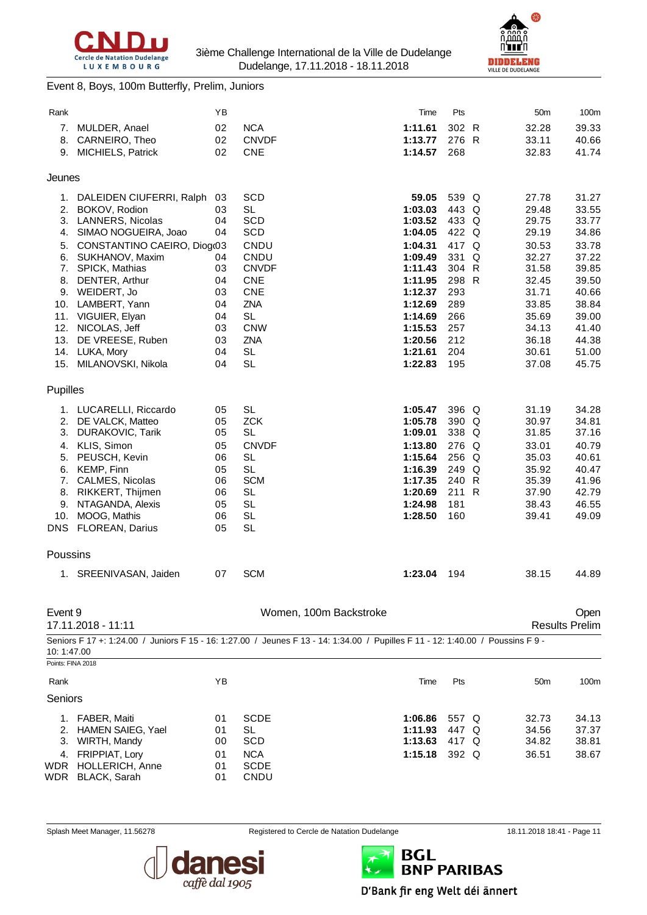



#### Event 8, Boys, 100m Butterfly, Prelim, Juniors

| Rank       |                                                 | ΥB       |                                                                                                                                 | Time               | Pts              |   | 50 <sub>m</sub> | 100m                  |
|------------|-------------------------------------------------|----------|---------------------------------------------------------------------------------------------------------------------------------|--------------------|------------------|---|-----------------|-----------------------|
| 7.         | MULDER, Anael                                   | 02       | <b>NCA</b>                                                                                                                      | 1:11.61            | 302 R            |   | 32.28           | 39.33                 |
| 8.         | CARNEIRO, Theo                                  | 02       | <b>CNVDF</b>                                                                                                                    | 1:13.77            | 276 R            |   | 33.11           | 40.66                 |
|            | 9. MICHIELS, Patrick                            | 02       | <b>CNE</b>                                                                                                                      | 1:14.57            | 268              |   | 32.83           | 41.74                 |
| Jeunes     |                                                 |          |                                                                                                                                 |                    |                  |   |                 |                       |
|            | 1. DALEIDEN CIUFERRI, Ralph                     | 03       | <b>SCD</b>                                                                                                                      | 59.05              | 539 Q            |   | 27.78           | 31.27                 |
| 2.         | BOKOV, Rodion                                   | 03       | <b>SL</b>                                                                                                                       | 1:03.03            | 443 Q            |   | 29.48           | 33.55                 |
| 3.<br>4.   | <b>LANNERS, Nicolas</b><br>SIMAO NOGUEIRA, Joao | 04<br>04 | <b>SCD</b><br><b>SCD</b>                                                                                                        | 1:03.52<br>1:04.05 | 433 Q<br>422 Q   |   | 29.75<br>29.19  | 33.77<br>34.86        |
| 5.         | CONSTANTINO CAEIRO, Diog(03                     |          | CNDU                                                                                                                            | 1:04.31            | 417 Q            |   | 30.53           | 33.78                 |
| 6.         | SUKHANOV, Maxim                                 | 04       | CNDU                                                                                                                            | 1:09.49            | 331              | Q | 32.27           | 37.22                 |
| 7.         | <b>SPICK, Mathias</b>                           | 03       | <b>CNVDF</b>                                                                                                                    | 1:11.43            | 304 R            |   | 31.58           | 39.85                 |
| 8.         | DENTER, Arthur                                  | 04       | <b>CNE</b>                                                                                                                      | 1:11.95            | 298 R            |   | 32.45           | 39.50                 |
|            | 9. WEIDERT, Jo                                  | 03       | <b>CNE</b>                                                                                                                      | 1:12.37            | 293<br>289       |   | 31.71           | 40.66                 |
| 10.<br>11. | LAMBERT, Yann<br>VIGUIER, Elyan                 | 04<br>04 | <b>ZNA</b><br><b>SL</b>                                                                                                         | 1:12.69<br>1:14.69 | 266              |   | 33.85<br>35.69  | 38.84<br>39.00        |
| 12.        | NICOLAS, Jeff                                   | 03       | <b>CNW</b>                                                                                                                      | 1:15.53            | 257              |   | 34.13           | 41.40                 |
| 13.        | DE VREESE, Ruben                                | 03       | ZNA                                                                                                                             | 1:20.56            | 212              |   | 36.18           | 44.38                 |
| 14.        | LUKA, Mory                                      | 04       | <b>SL</b>                                                                                                                       | 1:21.61            | 204              |   | 30.61           | 51.00                 |
| 15.        | MILANOVSKI, Nikola                              | 04       | <b>SL</b>                                                                                                                       | 1:22.83            | 195              |   | 37.08           | 45.75                 |
| Pupilles   |                                                 |          |                                                                                                                                 |                    |                  |   |                 |                       |
|            | 1. LUCARELLI, Riccardo                          | 05       | <b>SL</b>                                                                                                                       | 1:05.47            | 396 Q            |   | 31.19           | 34.28                 |
| 2.         | DE VALCK, Matteo                                | 05       | <b>ZCK</b>                                                                                                                      | 1:05.78            | 390 Q            |   | 30.97           | 34.81                 |
| 3.         | DURAKOVIC, Tarik                                | 05       | <b>SL</b>                                                                                                                       | 1:09.01            | 338 Q            |   | 31.85           | 37.16                 |
| 5.         | 4. KLIS, Simon<br>PEUSCH, Kevin                 | 05<br>06 | <b>CNVDF</b><br><b>SL</b>                                                                                                       | 1:13.80<br>1:15.64 | 276 Q<br>$256$ Q |   | 33.01<br>35.03  | 40.79<br>40.61        |
| 6.         | KEMP, Finn                                      | 05       | <b>SL</b>                                                                                                                       | 1:16.39            | 249 Q            |   | 35.92           | 40.47                 |
|            | 7. CALMES, Nicolas                              | 06       | <b>SCM</b>                                                                                                                      | 1:17.35            | 240 R            |   | 35.39           | 41.96                 |
| 8.         | RIKKERT, Thijmen                                | 06       | <b>SL</b>                                                                                                                       | 1:20.69            | 211 R            |   | 37.90           | 42.79                 |
| 9.         | NTAGANDA, Alexis                                | 05       | <b>SL</b>                                                                                                                       | 1:24.98            | 181              |   | 38.43           | 46.55                 |
| 10.        | MOOG, Mathis                                    | 06       | <b>SL</b>                                                                                                                       | 1:28.50            | 160              |   | 39.41           | 49.09                 |
|            | DNS FLOREAN, Darius                             | 05       | <b>SL</b>                                                                                                                       |                    |                  |   |                 |                       |
| Poussins   |                                                 |          |                                                                                                                                 |                    |                  |   |                 |                       |
|            | 1. SREENIVASAN, Jaiden                          | 07       | <b>SCM</b>                                                                                                                      | 1:23.04            | 194              |   | 38.15           | 44.89                 |
| Event 9    |                                                 |          | Women, 100m Backstroke                                                                                                          |                    |                  |   |                 | Open                  |
|            | 17.11.2018 - 11:11                              |          |                                                                                                                                 |                    |                  |   |                 | <b>Results Prelim</b> |
| 10:1:47.00 |                                                 |          | Seniors F 17 +: 1:24.00 / Juniors F 15 - 16: 1:27.00 / Jeunes F 13 - 14: 1:34.00 / Pupilles F 11 - 12: 1:40.00 / Poussins F 9 - |                    |                  |   |                 |                       |
|            | Points: FINA 2018                               |          |                                                                                                                                 |                    |                  |   |                 |                       |
| Rank       |                                                 | YB       |                                                                                                                                 | Time               | Pts              |   | 50 <sub>m</sub> | 100m                  |
| Seniors    |                                                 |          |                                                                                                                                 |                    |                  |   |                 |                       |
| 1.         | FABER, Maiti                                    | 01       | <b>SCDE</b>                                                                                                                     | 1:06.86            | 557 Q            |   | 32.73           | 34.13                 |
|            | 2. HAMEN SAIEG, Yael                            | 01       | <b>SL</b>                                                                                                                       | 1:11.93            | 447 Q            |   | 34.56           | 37.37                 |
| 3.<br>4.   | WIRTH, Mandy<br>FRIPPIAT, Lory                  | 00<br>01 | <b>SCD</b><br><b>NCA</b>                                                                                                        | 1:13.63<br>1:15.18 | 417 Q<br>392 Q   |   | 34.82<br>36.51  | 38.81<br>38.67        |
| WDR        | HOLLERICH, Anne                                 | 01       | <b>SCDE</b>                                                                                                                     |                    |                  |   |                 |                       |
| WDR        | <b>BLACK, Sarah</b>                             | 01       | CNDU                                                                                                                            |                    |                  |   |                 |                       |
|            |                                                 |          |                                                                                                                                 |                    |                  |   |                 |                       |



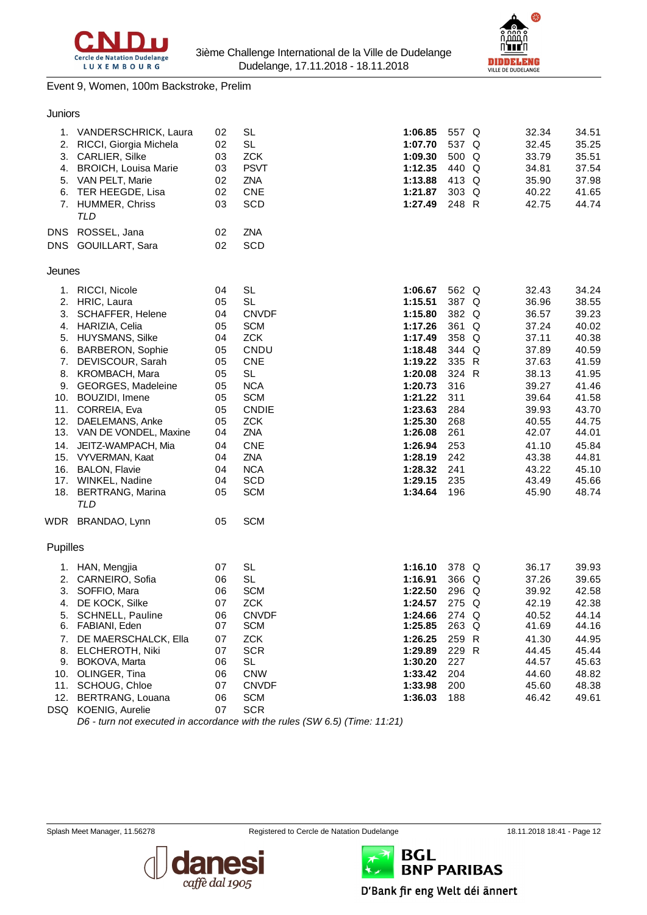



#### Event 9, Women, 100m Backstroke, Prelim

#### Juniors

| 1.       | VANDERSCHRICK, Laura                             | 02       | SL                       | 1:06.85            | 557 Q      | 32.34          | 34.51          |
|----------|--------------------------------------------------|----------|--------------------------|--------------------|------------|----------------|----------------|
| 2.       | RICCI, Giorgia Michela                           | 02       | SL                       | 1:07.70            | 537 Q      | 32.45          | 35.25          |
| 3.       | CARLIER, Silke                                   | 03       | <b>ZCK</b>               | 1:09.30            | 500 Q      | 33.79          | 35.51          |
|          | 4. BROICH, Louisa Marie                          | 03       | <b>PSVT</b>              | 1:12.35            | 440 Q      | 34.81          | 37.54          |
|          | 5. VAN PELT, Marie                               | 02       | ZNA                      | 1:13.88            | 413 Q      | 35.90          | 37.98          |
| 6.       | TER HEEGDE, Lisa                                 | 02       | <b>CNE</b>               | 1:21.87            | 303 Q      | 40.22          | 41.65          |
|          | 7. HUMMER, Chriss<br>TLD                         | 03       | <b>SCD</b>               | 1:27.49            | 248 R      | 42.75          | 44.74          |
|          | DNS ROSSEL, Jana                                 | 02       | ZNA                      |                    |            |                |                |
|          | DNS GOUILLART, Sara                              | 02       | SCD                      |                    |            |                |                |
| Jeunes   |                                                  |          |                          |                    |            |                |                |
| 1.       | RICCI, Nicole                                    | 04       | <b>SL</b>                | 1:06.67            | 562 Q      | 32.43          | 34.24          |
|          | 2. HRIC, Laura                                   | 05       | <b>SL</b>                | 1:15.51            | 387 Q      | 36.96          | 38.55          |
| 3.       | <b>SCHAFFER, Helene</b>                          | 04       | <b>CNVDF</b>             | 1:15.80            | 382 Q      | 36.57          | 39.23          |
|          | 4. HARIZIA, Celia                                | 05       | <b>SCM</b>               | 1:17.26            | 361 Q      | 37.24          | 40.02          |
|          | 5. HUYSMANS, Silke                               | 04       | <b>ZCK</b>               | 1:17.49            | 358 Q      | 37.11          | 40.38          |
| 6.       | <b>BARBERON, Sophie</b>                          | 05       | CNDU                     | 1:18.48            | 344 Q      | 37.89          | 40.59          |
| 7.       | DEVISCOUR, Sarah                                 | 05       | <b>CNE</b>               | 1:19.22            | 335 R      | 37.63          | 41.59          |
|          | 8. KROMBACH, Mara                                | 05       | <b>SL</b>                | 1:20.08            | 324 R      | 38.13          | 41.95          |
|          | 9. GEORGES, Madeleine                            | 05       | <b>NCA</b>               | 1:20.73            | 316        | 39.27          | 41.46          |
| 10.      | BOUZIDI, Imene                                   | 05       | <b>SCM</b>               | 1:21.22            | 311        | 39.64          | 41.58          |
|          | 11. CORREIA, Eva                                 | 05       | <b>CNDIE</b>             | 1:23.63            | 284        | 39.93          | 43.70          |
|          | 12. DAELEMANS, Anke<br>13. VAN DE VONDEL, Maxine | 05<br>04 | <b>ZCK</b><br>ZNA        | 1:25.30<br>1:26.08 | 268<br>261 | 40.55<br>42.07 | 44.75<br>44.01 |
|          |                                                  |          |                          |                    |            |                |                |
|          | 14. JEITZ-WAMPACH, Mia                           | 04       | <b>CNE</b>               | 1:26.94            | 253        | 41.10          | 45.84          |
|          | 15. VYVERMAN, Kaat                               | 04       | ZNA                      | 1:28.19            | 242        | 43.38          | 44.81          |
|          | 16. BALON, Flavie                                | 04<br>04 | <b>NCA</b><br><b>SCD</b> | 1:28.32<br>1:29.15 | 241<br>235 | 43.22<br>43.49 | 45.10<br>45.66 |
|          | 17. WINKEL, Nadine<br>18. BERTRANG, Marina       | 05       | <b>SCM</b>               | 1:34.64            | 196        | 45.90          | 48.74          |
|          | TLD                                              |          |                          |                    |            |                |                |
|          | WDR BRANDAO, Lynn                                | 05       | <b>SCM</b>               |                    |            |                |                |
| Pupilles |                                                  |          |                          |                    |            |                |                |
|          | 1. HAN, Mengjia                                  | 07       | <b>SL</b>                | 1:16.10            | 378 Q      | 36.17          | 39.93          |
|          | 2. CARNEIRO, Sofia                               | 06       | <b>SL</b>                | 1:16.91            | 366 Q      | 37.26          | 39.65          |
| 3.       | SOFFIO, Mara                                     | 06       | <b>SCM</b>               | 1:22.50            | 296 Q      | 39.92          | 42.58          |
| 4.       | DE KOCK, Silke                                   | 07       | <b>ZCK</b>               | 1:24.57            | 275 Q      | 42.19          | 42.38          |
| 5.       | SCHNELL, Pauline                                 | 06       | <b>CNVDF</b>             | 1:24.66            | 274 Q      | 40.52          | 44.14          |
|          | 6. FABIANI, Eden                                 | 07       | <b>SCM</b>               | 1:25.85            | 263 Q      | 41.69          | 44.16          |
| 7.       | DE MAERSCHALCK, Ella                             | 07       | <b>ZCK</b>               | 1:26.25            | 259 R      | 41.30          | 44.95          |
| 8.       | <b>ELCHEROTH, Niki</b>                           | 07       | <b>SCR</b>               | 1:29.89            | 229 R      | 44.45          | 45.44          |
|          | 9. BOKOVA, Marta                                 | 06       | SL                       | 1:30.20            | 227        | 44.57          | 45.63          |
| 10.      | OLINGER, Tina                                    | 06       | <b>CNW</b>               | 1:33.42            | 204        | 44.60          | 48.82          |
|          | 11. SCHOUG, Chloe                                | 07       | <b>CNVDF</b>             | 1:33.98            | 200        | 45.60          | 48.38          |
|          | 12. BERTRANG, Louana<br>DSQ KOENIG, Aurelie      | 06<br>07 | <b>SCM</b><br><b>SCR</b> | 1:36.03            | 188        | 46.42          | 49.61          |

*D6 - turn not executed in accordance with the rules (SW 6.5) (Time: 11:21)*





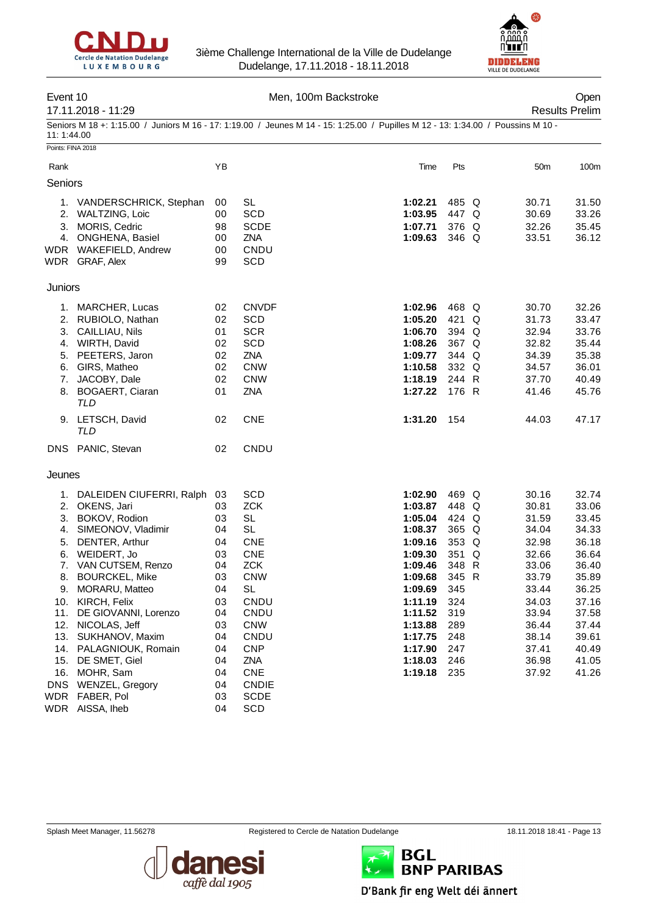



| Event 10          |                                                                                                                                  | Men, 100m Backstroke |                         |  |                    |            |  |                       | Open             |
|-------------------|----------------------------------------------------------------------------------------------------------------------------------|----------------------|-------------------------|--|--------------------|------------|--|-----------------------|------------------|
|                   | 17.11.2018 - 11:29                                                                                                               |                      |                         |  |                    |            |  | <b>Results Prelim</b> |                  |
| 11:1:44.00        | Seniors M 18 +: 1:15.00 / Juniors M 16 - 17: 1:19.00 / Jeunes M 14 - 15: 1:25.00 / Pupilles M 12 - 13: 1:34.00 / Poussins M 10 - |                      |                         |  |                    |            |  |                       |                  |
| Points: FINA 2018 |                                                                                                                                  |                      |                         |  |                    |            |  |                       |                  |
| Rank              |                                                                                                                                  | ΥB                   |                         |  | Time               | Pts        |  | 50m                   | 100 <sub>m</sub> |
| Seniors           |                                                                                                                                  |                      |                         |  |                    |            |  |                       |                  |
|                   | 1. VANDERSCHRICK, Stephan                                                                                                        | 00                   | <b>SL</b>               |  | 1:02.21            | 485 Q      |  | 30.71                 | 31.50            |
|                   | 2. WALTZING, Loic                                                                                                                | 00                   | <b>SCD</b>              |  | 1:03.95            | 447 Q      |  | 30.69                 | 33.26            |
|                   | 3. MORIS, Cedric                                                                                                                 | 98                   | <b>SCDE</b>             |  | 1:07.71            | 376 Q      |  | 32.26                 | 35.45            |
|                   | 4. ONGHENA, Basiel                                                                                                               | 00                   | <b>ZNA</b>              |  | 1:09.63            | 346 Q      |  | 33.51                 | 36.12            |
|                   | WDR WAKEFIELD, Andrew                                                                                                            | 00                   | CNDU                    |  |                    |            |  |                       |                  |
|                   | WDR GRAF, Alex                                                                                                                   | 99                   | SCD                     |  |                    |            |  |                       |                  |
| Juniors           |                                                                                                                                  |                      |                         |  |                    |            |  |                       |                  |
|                   | 1. MARCHER, Lucas                                                                                                                | 02                   | <b>CNVDF</b>            |  | 1:02.96            | 468 Q      |  | 30.70                 | 32.26            |
|                   | 2. RUBIOLO, Nathan                                                                                                               | 02                   | <b>SCD</b>              |  | 1:05.20            | 421 Q      |  | 31.73                 | 33.47            |
|                   | 3. CAILLIAU, Nils                                                                                                                | 01                   | <b>SCR</b>              |  | 1:06.70            | 394 Q      |  | 32.94                 | 33.76            |
|                   | 4. WIRTH, David                                                                                                                  | 02                   | SCD                     |  | 1:08.26            | 367 Q      |  | 32.82                 | 35.44            |
|                   | 5. PEETERS, Jaron                                                                                                                | 02                   | ZNA                     |  | 1:09.77            | 344 Q      |  | 34.39                 | 35.38            |
|                   | 6. GIRS, Matheo                                                                                                                  | 02                   | <b>CNW</b>              |  | 1:10.58            | 332 Q      |  | 34.57                 | 36.01            |
|                   | 7. JACOBY, Dale                                                                                                                  | 02                   | <b>CNW</b>              |  | 1:18.19            | 244 R      |  | 37.70                 | 40.49            |
|                   | 8. BOGAERT, Ciaran<br><b>TLD</b>                                                                                                 | 01                   | ZNA                     |  | 1:27.22            | 176 R      |  | 41.46                 | 45.76            |
|                   | 9. LETSCH, David<br><b>TLD</b>                                                                                                   | 02                   | <b>CNE</b>              |  | 1:31.20            | 154        |  | 44.03                 | 47.17            |
|                   | DNS PANIC, Stevan                                                                                                                | 02                   | CNDU                    |  |                    |            |  |                       |                  |
| Jeunes            |                                                                                                                                  |                      |                         |  |                    |            |  |                       |                  |
|                   | 1. DALEIDEN CIUFERRI, Ralph                                                                                                      | 03                   | SCD                     |  | 1:02.90            | 469 Q      |  | 30.16                 | 32.74            |
|                   | 2. OKENS, Jari                                                                                                                   | 03                   | <b>ZCK</b>              |  | 1:03.87            | 448 Q      |  | 30.81                 | 33.06            |
|                   | 3. BOKOV, Rodion                                                                                                                 | 03                   | SL                      |  | 1:05.04            | 424 Q      |  | 31.59                 | 33.45            |
|                   | 4. SIMEONOV, Vladimir                                                                                                            | 04                   | <b>SL</b>               |  | 1:08.37            | 365 Q      |  | 34.04                 | 34.33            |
|                   | 5. DENTER, Arthur                                                                                                                | 04                   | <b>CNE</b>              |  | 1:09.16            | 353 Q      |  | 32.98                 | 36.18            |
|                   | 6. WEIDERT, Jo                                                                                                                   | 03                   | <b>CNE</b>              |  | 1:09.30            | 351 Q      |  | 32.66                 | 36.64            |
|                   | 7. VAN CUTSEM, Renzo                                                                                                             | 04                   | <b>ZCK</b>              |  | 1:09.46            | 348 R      |  | 33.06                 | 36.40            |
| 8.                | <b>BOURCKEL, Mike</b>                                                                                                            | 03                   | <b>CNW</b><br><b>SL</b> |  | 1:09.68            | 345 R      |  | 33.79                 | 35.89            |
|                   | 9. MORARU, Matteo                                                                                                                | 04                   | CNDU                    |  | 1:09.69            | 345<br>324 |  | 33.44                 | 36.25            |
| 11.               | 10. KIRCH, Felix<br>DE GIOVANNI, Lorenzo                                                                                         | 03<br>04             | CNDU                    |  | 1:11.19<br>1:11.52 | 319        |  | 34.03<br>33.94        | 37.16<br>37.58   |
| 12.               | NICOLAS, Jeff                                                                                                                    | 03                   | <b>CNW</b>              |  | 1:13.88            | 289        |  | 36.44                 | 37.44            |
| 13.               | SUKHANOV, Maxim                                                                                                                  | 04                   | CNDU                    |  | 1:17.75            | 248        |  | 38.14                 | 39.61            |
|                   | 14. PALAGNIOUK, Romain                                                                                                           | 04                   | <b>CNP</b>              |  | 1:17.90            | 247        |  | 37.41                 | 40.49            |
|                   | 15. DE SMET, Giel                                                                                                                | 04                   | ZNA                     |  | 1:18.03            | 246        |  | 36.98                 | 41.05            |
| 16.               | MOHR, Sam                                                                                                                        | 04                   | <b>CNE</b>              |  | 1:19.18            | 235        |  | 37.92                 | 41.26            |
| <b>DNS</b>        | WENZEL, Gregory                                                                                                                  | 04                   | <b>CNDIE</b>            |  |                    |            |  |                       |                  |
|                   | WDR FABER, Pol                                                                                                                   | 03                   | <b>SCDE</b>             |  |                    |            |  |                       |                  |
|                   | WDR AISSA, Iheb                                                                                                                  | 04                   | SCD                     |  |                    |            |  |                       |                  |



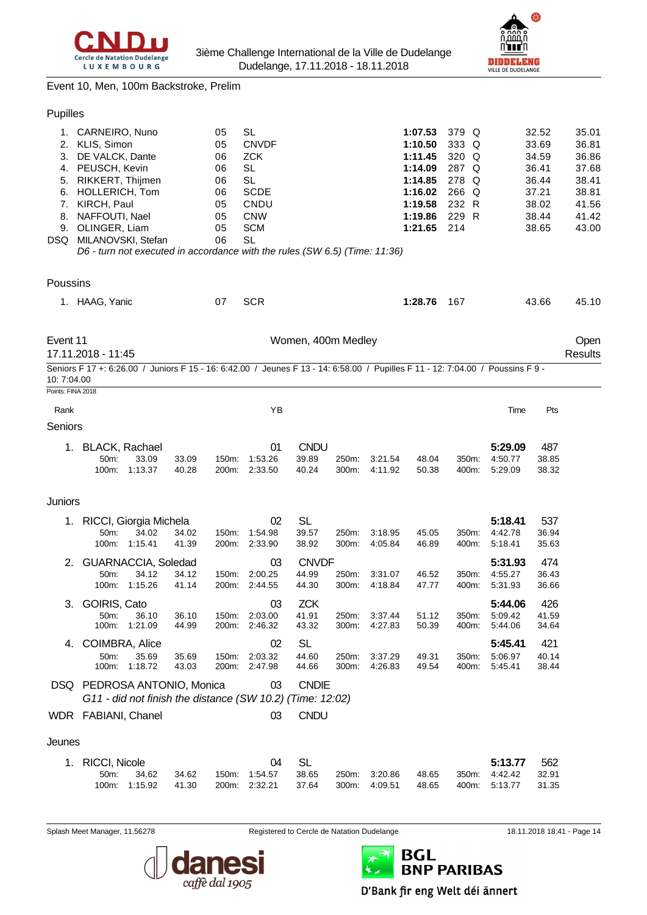



Event 10, Men, 100m Backstroke, Prelim

#### Pupilles

| 1.<br>2.<br>3.<br>4.<br>5.<br>6.<br>7.<br>8.<br>9.<br>DSQ. | CARNEIRO, Nuno<br>KLIS, Simon<br>DE VALCK, Dante<br>PEUSCH, Kevin<br>RIKKERT, Thijmen<br>HOLLERICH, Tom<br>KIRCH, Paul<br>NAFFOUTI, Nael<br>OLINGER, Liam<br>MILANOVSKI, Stefan<br>D6 - turn not executed in accordance with the rules (SW 6.5) (Time: 11:36) |                                                           |                | 05<br>05<br>06<br>06<br>06<br>06<br>05<br>05<br>05<br>06 | <b>SL</b><br><b>CNVDF</b><br>ZCK<br><b>SL</b><br><b>SL</b><br><b>SCDE</b><br>CNDU<br><b>CNW</b><br><b>SCM</b><br><b>SL</b> |                                |                |                    | 1:07.53<br>1:10.50<br>1:11.45<br>1:14.09<br>1:14.85<br>1:16.02<br>1:19.58<br>1:19.86<br>1:21.65 | 379 Q<br>333 Q<br>320<br>Q<br>287 Q<br>278<br>Q<br>266 Q<br>232 R<br>229 R<br>214 |                               | 32.52<br>33.69<br>34.59<br>36.41<br>36.44<br>37.21<br>38.02<br>38.44<br>38.65 | 35.01<br>36.81<br>36.86<br>37.68<br>38.41<br>38.81<br>41.56<br>41.42<br>43.00 |
|------------------------------------------------------------|---------------------------------------------------------------------------------------------------------------------------------------------------------------------------------------------------------------------------------------------------------------|-----------------------------------------------------------|----------------|----------------------------------------------------------|----------------------------------------------------------------------------------------------------------------------------|--------------------------------|----------------|--------------------|-------------------------------------------------------------------------------------------------|-----------------------------------------------------------------------------------|-------------------------------|-------------------------------------------------------------------------------|-------------------------------------------------------------------------------|
| Poussins                                                   |                                                                                                                                                                                                                                                               |                                                           |                |                                                          |                                                                                                                            |                                |                |                    |                                                                                                 |                                                                                   |                               |                                                                               |                                                                               |
|                                                            | 1. HAAG, Yanic                                                                                                                                                                                                                                                |                                                           |                | 07                                                       | <b>SCR</b>                                                                                                                 |                                |                |                    | 1:28.76                                                                                         | 167                                                                               |                               | 43.66                                                                         | 45.10                                                                         |
| Event 11                                                   | 17.11.2018 - 11:45                                                                                                                                                                                                                                            |                                                           |                |                                                          |                                                                                                                            | Women, 400m Medley             |                |                    |                                                                                                 |                                                                                   |                               |                                                                               | Open<br><b>Results</b>                                                        |
| 10:7:04.00                                                 | Seniors F 17 +: 6:26.00 / Juniors F 15 - 16: 6:42.00 / Jeunes F 13 - 14: 6:58.00 / Pupilles F 11 - 12: 7:04.00 / Poussins F 9 -                                                                                                                               |                                                           |                |                                                          |                                                                                                                            |                                |                |                    |                                                                                                 |                                                                                   |                               |                                                                               |                                                                               |
| Points: FINA 2018                                          |                                                                                                                                                                                                                                                               |                                                           |                |                                                          |                                                                                                                            |                                |                |                    |                                                                                                 |                                                                                   |                               |                                                                               |                                                                               |
| Rank                                                       |                                                                                                                                                                                                                                                               |                                                           |                |                                                          | YB                                                                                                                         |                                |                |                    |                                                                                                 |                                                                                   | Time                          | Pts                                                                           |                                                                               |
| Seniors                                                    |                                                                                                                                                                                                                                                               |                                                           |                |                                                          |                                                                                                                            |                                |                |                    |                                                                                                 |                                                                                   |                               |                                                                               |                                                                               |
| 1.                                                         | <b>BLACK, Rachael</b><br>50m:<br>100m:                                                                                                                                                                                                                        | 33.09<br>1:13.37                                          | 33.09<br>40.28 | 150m:<br>200m:                                           | 01<br>1:53.26<br>2:33.50                                                                                                   | <b>CNDU</b><br>39.89<br>40.24  | 250m:<br>300m: | 3:21.54<br>4:11.92 | 48.04<br>50.38                                                                                  | 350m:<br>400m:                                                                    | 5:29.09<br>4:50.77<br>5:29.09 | 487<br>38.85<br>38.32                                                         |                                                                               |
| Juniors                                                    |                                                                                                                                                                                                                                                               |                                                           |                |                                                          |                                                                                                                            |                                |                |                    |                                                                                                 |                                                                                   |                               |                                                                               |                                                                               |
| 1.                                                         |                                                                                                                                                                                                                                                               | RICCI, Giorgia Michela                                    |                |                                                          | 02                                                                                                                         | <b>SL</b>                      |                |                    |                                                                                                 |                                                                                   | 5:18.41                       | 537                                                                           |                                                                               |
|                                                            | 50m:                                                                                                                                                                                                                                                          | 34.02<br>100m: 1:15.41                                    | 34.02<br>41.39 | 150m:<br>200m:                                           | 1:54.98<br>2:33.90                                                                                                         | 39.57<br>38.92                 | 250m:<br>300m: | 3:18.95<br>4.05.84 | 45.05<br>46.89                                                                                  | 350m:<br>400m:                                                                    | 4:42.78<br>5:18.41            | 36.94<br>35.63                                                                |                                                                               |
| 2.                                                         | 50m:<br>100m:                                                                                                                                                                                                                                                 | GUARNACCIA, Soledad<br>34.12<br>1:15.26                   | 34.12<br>41.14 | 150m:<br>200m:                                           | 03<br>2:00.25<br>2:44.55                                                                                                   | <b>CNVDF</b><br>44.99<br>44.30 | 250m:<br>300m: | 3:31.07<br>4:18.84 | 46.52<br>47.77                                                                                  | 350m:<br>400m:                                                                    | 5:31.93<br>4:55.27<br>5:31.93 | 474<br>36.43<br>36.66                                                         |                                                                               |
| 3.                                                         | GOIRIS, Cato<br>50m:<br>100m:                                                                                                                                                                                                                                 | 36.10<br>1:21.09                                          | 36.10<br>44.99 | 150m:<br>200m:                                           | 03<br>2:03.00<br>2:46.32                                                                                                   | <b>ZCK</b><br>41.91<br>43.32   | 250m:<br>300m: | 3:37.44<br>4:27.83 | 51.12<br>50.39                                                                                  | 350m:<br>400m:                                                                    | 5:44.06<br>5:09.42<br>5:44.06 | 426<br>41.59<br>34.64                                                         |                                                                               |
| 4.                                                         | COIMBRA, Alice<br>50m:<br>100m:                                                                                                                                                                                                                               | 35.69<br>1:18.72                                          | 35.69<br>43.03 | 150m:                                                    | 02<br>2:03.32<br>200m: 2:47.98                                                                                             | <b>SL</b><br>44.60<br>44.66    | 250m:<br>300m: | 3:37.29<br>4:26.83 | 49.31<br>49.54                                                                                  | 350m:<br>400m:                                                                    | 5:45.41<br>5:06.97<br>5:45.41 | 421<br>40.14<br>38.44                                                         |                                                                               |
|                                                            | DSQ PEDROSA ANTONIO, Monica                                                                                                                                                                                                                                   | G11 - did not finish the distance (SW 10.2) (Time: 12:02) |                |                                                          | 03                                                                                                                         | <b>CNDIE</b>                   |                |                    |                                                                                                 |                                                                                   |                               |                                                                               |                                                                               |
|                                                            | WDR FABIANI, Chanel                                                                                                                                                                                                                                           |                                                           |                |                                                          | 03                                                                                                                         | <b>CNDU</b>                    |                |                    |                                                                                                 |                                                                                   |                               |                                                                               |                                                                               |
| Jeunes                                                     |                                                                                                                                                                                                                                                               |                                                           |                |                                                          |                                                                                                                            |                                |                |                    |                                                                                                 |                                                                                   |                               |                                                                               |                                                                               |
| 1.                                                         | <b>RICCI, Nicole</b><br>50m:<br>100m:                                                                                                                                                                                                                         | 34.62<br>1:15.92                                          | 34.62<br>41.30 | 150m:<br>200m:                                           | 04<br>1:54.57<br>2:32.21                                                                                                   | <b>SL</b><br>38.65<br>37.64    | 250m:<br>300m: | 3:20.86<br>4:09.51 | 48.65<br>48.65                                                                                  | 350m:<br>400m:                                                                    | 5:13.77<br>4:42.42<br>5:13.77 | 562<br>32.91<br>31.35                                                         |                                                                               |



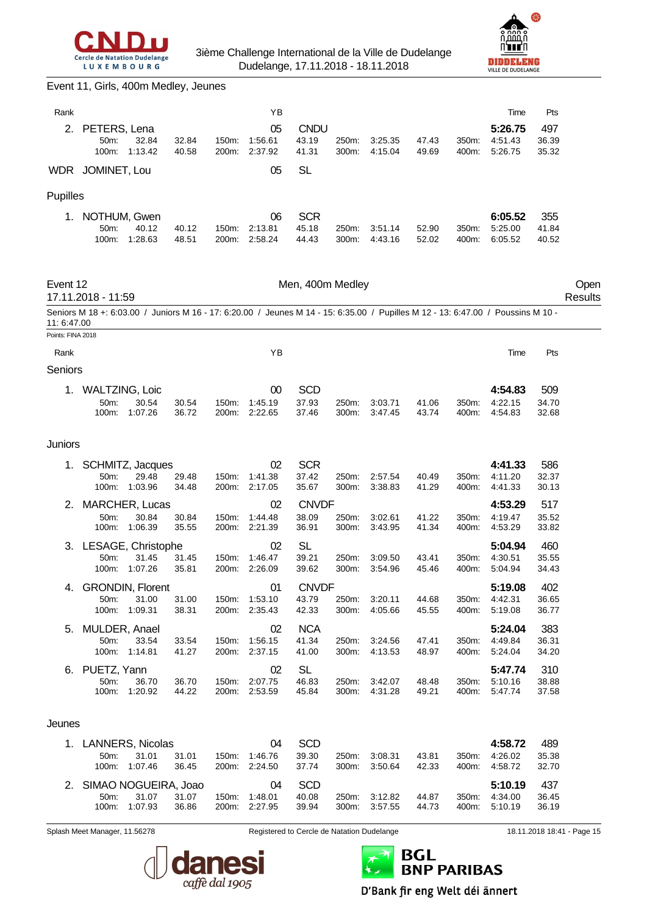



#### Event 11, Girls, 400m Medley, Jeunes

| Rank              |                                                                                                                                  |                        |                |                | ΥB                                   |                                            |                |                    |                |                | Time                          | Pts                   |                            |
|-------------------|----------------------------------------------------------------------------------------------------------------------------------|------------------------|----------------|----------------|--------------------------------------|--------------------------------------------|----------------|--------------------|----------------|----------------|-------------------------------|-----------------------|----------------------------|
| 2.                | PETERS, Lena<br>50m:<br>100m:                                                                                                    | 32.84<br>1:13.42       | 32.84<br>40.58 | 150m:          | 05<br>1:56.61<br>200m: 2:37.92       | <b>CNDU</b><br>43.19<br>41.31              | 250m:<br>300m: | 3:25.35<br>4:15.04 | 47.43<br>49.69 | 350m:<br>400m: | 5:26.75<br>4:51.43<br>5:26.75 | 497<br>36.39<br>35.32 |                            |
|                   | WDR JOMINET, Lou                                                                                                                 |                        |                |                | 05                                   | <b>SL</b>                                  |                |                    |                |                |                               |                       |                            |
| Pupilles          |                                                                                                                                  |                        |                |                |                                      |                                            |                |                    |                |                |                               |                       |                            |
|                   | 1. NOTHUM, Gwen<br>50m:<br>100m:                                                                                                 | 40.12<br>1:28.63       | 40.12<br>48.51 | 150m:          | 06<br>2:13.81<br>200m: 2:58.24       | <b>SCR</b><br>45.18<br>44.43               | 250m:<br>300m: | 3:51.14<br>4.43.16 | 52.90<br>52.02 | 350m:<br>400m: | 6:05.52<br>5:25.00<br>6:05.52 | 355<br>41.84<br>40.52 |                            |
| Event 12          | 17.11.2018 - 11:59                                                                                                               |                        |                |                |                                      | Men, 400m Medley                           |                |                    |                |                |                               |                       | Open<br>Results            |
| 11: 6:47.00       | Seniors M 18 +: 6:03.00 / Juniors M 16 - 17: 6:20.00 / Jeunes M 14 - 15: 6:35.00 / Pupilles M 12 - 13: 6:47.00 / Poussins M 10 - |                        |                |                |                                      |                                            |                |                    |                |                |                               |                       |                            |
| Points: FINA 2018 |                                                                                                                                  |                        |                |                | ΥB                                   |                                            |                |                    |                |                |                               | Pts                   |                            |
| Rank<br>Seniors   |                                                                                                                                  |                        |                |                |                                      |                                            |                |                    |                |                | Time                          |                       |                            |
| 1.                | <b>WALTZING, Loic</b><br>50m:<br>100m:                                                                                           | 30.54<br>1:07.26       | 30.54<br>36.72 | 150m:<br>200m: | 00<br>1:45.19<br>2:22.65             | <b>SCD</b><br>37.93<br>37.46               | 250m:<br>300m: | 3:03.71<br>3:47.45 | 41.06<br>43.74 | 350m:<br>400m: | 4:54.83<br>4:22.15<br>4:54.83 | 509<br>34.70<br>32.68 |                            |
| Juniors           |                                                                                                                                  |                        |                |                |                                      |                                            |                |                    |                |                |                               |                       |                            |
|                   | SCHMITZ, Jacques<br>50m:<br>100m:                                                                                                | 29.48<br>1:03.96       | 29.48<br>34.48 | 150m:          | 02<br>1:41.38<br>200m: 2:17.05       | <b>SCR</b><br>37.42<br>35.67               | 250m:<br>300m: | 2.57.54<br>3:38.83 | 40.49<br>41.29 | 350m:<br>400m: | 4:41.33<br>4:11.20<br>4:41.33 | 586<br>32.37<br>30.13 |                            |
| 2.                | MARCHER, Lucas                                                                                                                   |                        |                |                | 02                                   | <b>CNVDF</b>                               |                |                    |                |                | 4:53.29                       | 517                   |                            |
|                   | 50m:<br>100m:                                                                                                                    | 30.84<br>1:06.39       | 30.84<br>35.55 | 150m:          | 1:44.48<br>200m: 2:21.39             | 38.09<br>36.91                             | 250m:<br>300m: | 3:02.61<br>3:43.95 | 41.22<br>41.34 | 350m:<br>400m: | 4:19.47<br>4:53.29            | 35.52<br>33.82        |                            |
| 3.                | LESAGE, Christophe<br>50m:<br>100m:                                                                                              | 31.45<br>1:07.26       | 31.45<br>35.81 | 150m:<br>200m: | 02<br>1:46.47<br>2:26.09             | <b>SL</b><br>39.21<br>39.62                | 250m:<br>300m: | 3:09.50<br>3:54.96 | 43.41<br>45.46 | 350m:<br>400m: | 5:04.94<br>4:30.51<br>5:04.94 | 460<br>35.55<br>34.43 |                            |
|                   | <b>GRONDIN, Florent</b><br>50m:                                                                                                  | 31.00<br>100m: 1:09.31 | 31.00<br>38.31 |                | 01<br>150m: 1:53.10<br>200m: 2:35.43 | <b>CNVDF</b><br>43.79<br>42.33             | 250m:<br>300m: | 3:20.11<br>4:05.66 | 44.68<br>45.55 | 350m.<br>400m: | 5:19.08<br>4:42.31<br>5:19.08 | 402<br>36.65<br>36.77 |                            |
| 5.                | MULDER, Anael<br>50m:<br>100m:                                                                                                   | 33.54<br>1:14.81       | 33.54<br>41.27 | 150m:          | 02<br>1:56.15<br>200m: 2:37.15       | <b>NCA</b><br>41.34<br>41.00               | 250m:<br>300m: | 3:24.56<br>4:13.53 | 47.41<br>48.97 | 350m:<br>400m: | 5:24.04<br>4:49.84<br>5:24.04 | 383<br>36.31<br>34.20 |                            |
| 6.                | PUETZ, Yann<br>50m:<br>100m:                                                                                                     | 36.70<br>1:20.92       | 36.70<br>44.22 |                | 02<br>150m: 2:07.75<br>200m: 2:53.59 | <b>SL</b><br>46.83<br>45.84                | 250m:<br>300m: | 3:42.07<br>4:31.28 | 48.48<br>49.21 | 350m:<br>400m: | 5:47.74<br>5:10.16<br>5:47.74 | 310<br>38.88<br>37.58 |                            |
| Jeunes            |                                                                                                                                  |                        |                |                |                                      |                                            |                |                    |                |                |                               |                       |                            |
|                   | 1. LANNERS, Nicolas<br>50m:<br>100m:                                                                                             | 31.01<br>1:07.46       | 31.01<br>36.45 |                | 04<br>150m: 1:46.76<br>200m: 2:24.50 | <b>SCD</b><br>39.30<br>37.74               | 250m:<br>300m: | 3:08.31<br>3:50.64 | 43.81<br>42.33 | 350m:<br>400m: | 4:58.72<br>4:26.02<br>4:58.72 | 489<br>35.38<br>32.70 |                            |
|                   | 2. SIMAO NOGUEIRA, Joao<br>50m:<br>100m:                                                                                         | 31.07<br>1:07.93       | 31.07<br>36.86 | 150m:<br>200m: | 04<br>1:48.01<br>2:27.95             | <b>SCD</b><br>40.08<br>39.94               | 250m:<br>300m: | 3:12.82<br>3:57.55 | 44.87<br>44.73 | 350m:<br>400m: | 5:10.19<br>4:34.00<br>5:10.19 | 437<br>36.45<br>36.19 |                            |
|                   | Splash Meet Manager, 11.56278                                                                                                    |                        |                |                |                                      | Registered to Cercle de Natation Dudelange |                |                    |                |                |                               |                       | 18.11.2018 18:41 - Page 15 |





D'Bank fir eng Welt déi ännert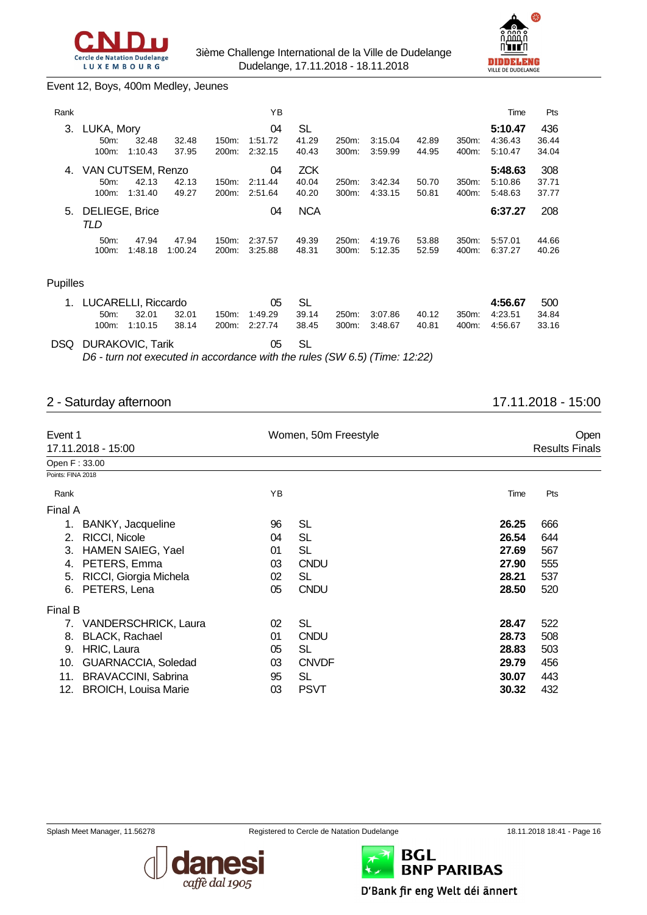



#### Event 12, Boys, 400m Medley, Jeunes

| Rank     |                                                 |                  |                  |                | ΥB                       |                              |                |                    |                |                | Time                          | Pts                   |
|----------|-------------------------------------------------|------------------|------------------|----------------|--------------------------|------------------------------|----------------|--------------------|----------------|----------------|-------------------------------|-----------------------|
| 3.       | LUKA, Mory<br>50m:<br>100m:                     | 32.48<br>1:10.43 | 32.48<br>37.95   | 150m:<br>200m: | 04<br>1:51.72<br>2:32.15 | SL<br>41.29<br>40.43         | 250m:<br>300m: | 3:15.04<br>3:59.99 | 42.89<br>44.95 | 350m:<br>400m: | 5:10.47<br>4:36.43<br>5:10.47 | 436<br>36.44<br>34.04 |
| 4.       | VAN CUTSEM, Renzo<br>50 <sub>m</sub> :<br>100m: | 42.13<br>1:31.40 | 42.13<br>49.27   | 150m:<br>200m: | 04<br>2:11.44<br>2:51.64 | <b>ZCK</b><br>40.04<br>40.20 | 250m:<br>300m: | 3:42.34<br>4:33.15 | 50.70<br>50.81 | 350m:<br>400m: | 5:48.63<br>5:10.86<br>5:48.63 | 308<br>37.71<br>37.77 |
| 5.       | <b>DELIEGE, Brice</b><br>TLD                    |                  |                  |                | 04                       | <b>NCA</b>                   |                |                    |                |                | 6:37.27                       | 208                   |
|          | 50m:<br>100m:                                   | 47.94<br>1:48.18 | 47.94<br>1:00.24 | 150m:<br>200m: | 2:37.57<br>3:25.88       | 49.39<br>48.31               | 250m:<br>300m: | 4:19.76<br>5:12.35 | 53.88<br>52.59 | 350m:<br>400m: | 5:57.01<br>6:37.27            | 44.66<br>40.26        |
| Pupilles |                                                 |                  |                  |                |                          |                              |                |                    |                |                |                               |                       |
| 1.       | LUCARELLI, Riccardo<br>50m:<br>100m:            | 32.01<br>1:10.15 | 32.01<br>38.14   | 150m:<br>200m: | 05<br>1:49.29<br>2:27.74 | SL<br>39.14<br>38.45         | 250m:<br>300m: | 3:07.86<br>3:48.67 | 40.12<br>40.81 | 350m:<br>400m: | 4:56.67<br>4:23.51<br>4:56.67 | 500<br>34.84<br>33.16 |
| DSQ      | <b>DURAKOVIC, Tarik</b>                         |                  |                  |                | 05                       | <b>SL</b>                    |                |                    |                |                |                               |                       |

*D6 - turn not executed in accordance with the rules (SW 6.5) (Time: 12:22)*

# 2 - Saturday afternoon 17.11.2018 - 15:00

| Event 1           | 17.11.2018 - 15:00          |    | Women, 50m Freestyle |       | Open<br><b>Results Finals</b> |  |  |
|-------------------|-----------------------------|----|----------------------|-------|-------------------------------|--|--|
| Open F: 33.00     |                             |    |                      |       |                               |  |  |
| Points: FINA 2018 |                             |    |                      |       |                               |  |  |
| Rank              |                             | ΥB |                      | Time  | Pts                           |  |  |
| Final A           |                             |    |                      |       |                               |  |  |
| 1.                | BANKY, Jacqueline           | 96 | <b>SL</b>            | 26.25 | 666                           |  |  |
| 2.                | RICCI, Nicole               | 04 | <b>SL</b>            | 26.54 | 644                           |  |  |
| 3.                | <b>HAMEN SAIEG, Yael</b>    | 01 | SL                   | 27.69 | 567                           |  |  |
| 4.                | PETERS, Emma                | 03 | <b>CNDU</b>          | 27.90 | 555                           |  |  |
| 5.                | RICCI, Giorgia Michela      | 02 | <b>SL</b>            | 28.21 | 537                           |  |  |
| 6.                | PETERS, Lena                | 05 | <b>CNDU</b>          | 28.50 | 520                           |  |  |
| Final B           |                             |    |                      |       |                               |  |  |
| 7.                | <b>VANDERSCHRICK, Laura</b> | 02 | <b>SL</b>            | 28.47 | 522                           |  |  |
| 8.                | <b>BLACK, Rachael</b>       | 01 | <b>CNDU</b>          | 28.73 | 508                           |  |  |
| 9.                | HRIC, Laura                 | 05 | <b>SL</b>            | 28.83 | 503                           |  |  |
| 10.               | GUARNACCIA, Soledad         | 03 | <b>CNVDF</b>         | 29.79 | 456                           |  |  |
| 11.               | <b>BRAVACCINI, Sabrina</b>  | 95 | SL                   | 30.07 | 443                           |  |  |
| 12.               | <b>BROICH, Louisa Marie</b> | 03 | <b>PSVT</b>          | 30.32 | 432                           |  |  |





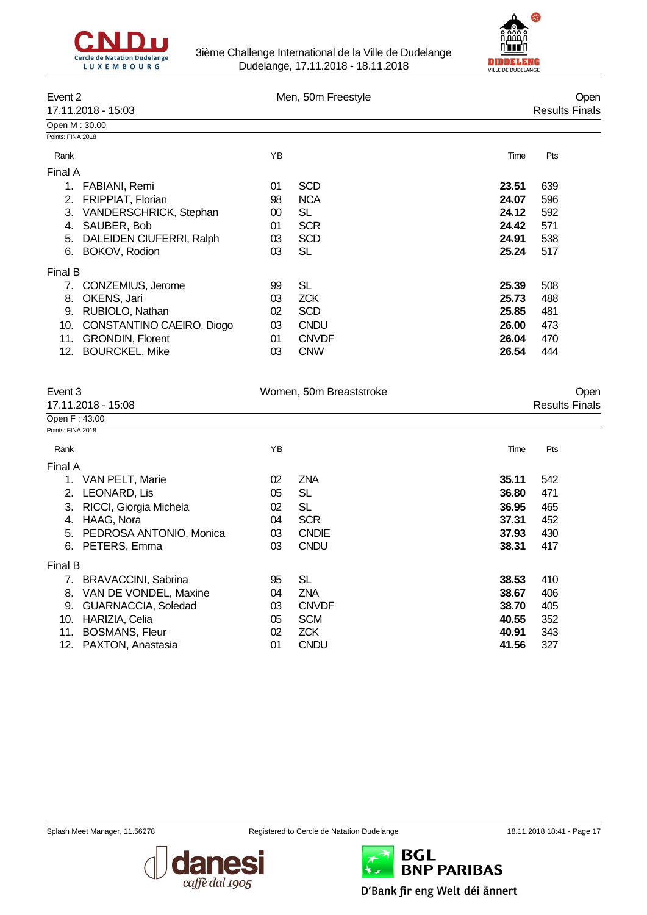



| Event 2           |                           |    | Men, 50m Freestyle |       | Open                  |  |
|-------------------|---------------------------|----|--------------------|-------|-----------------------|--|
|                   | 17.11.2018 - 15:03        |    |                    |       | <b>Results Finals</b> |  |
| Open M: 30.00     |                           |    |                    |       |                       |  |
| Points: FINA 2018 |                           |    |                    |       |                       |  |
| Rank              |                           | ΥB |                    | Time  | Pts                   |  |
| Final A           |                           |    |                    |       |                       |  |
| 1.                | FABIANI, Remi             | 01 | <b>SCD</b>         | 23.51 | 639                   |  |
| 2.                | FRIPPIAT, Florian         | 98 | <b>NCA</b>         | 24.07 | 596                   |  |
| 3.                | VANDERSCHRICK, Stephan    | 00 | SL                 | 24.12 | 592                   |  |
| 4.                | SAUBER, Bob               | 01 | <b>SCR</b>         | 24.42 | 571                   |  |
| 5.                | DALEIDEN CIUFERRI, Ralph  | 03 | <b>SCD</b>         | 24.91 | 538                   |  |
| 6.                | BOKOV, Rodion             | 03 | SL                 | 25.24 | 517                   |  |
| Final B           |                           |    |                    |       |                       |  |
| 7.                | CONZEMIUS, Jerome         | 99 | SL                 | 25.39 | 508                   |  |
| 8.                | OKENS, Jari               | 03 | <b>ZCK</b>         | 25.73 | 488                   |  |
| 9.                | RUBIOLO, Nathan           | 02 | <b>SCD</b>         | 25.85 | 481                   |  |
| 10.               | CONSTANTINO CAEIRO, Diogo | 03 | <b>CNDU</b>        | 26.00 | 473                   |  |
| 11.               | <b>GRONDIN, Florent</b>   | 01 | <b>CNVDF</b>       | 26.04 | 470                   |  |
| 12.               | <b>BOURCKEL, Mike</b>     | 03 | <b>CNW</b>         | 26.54 | 444                   |  |

| Event 3           |                         |    | Women, 50m Breaststroke |       | Open                  |
|-------------------|-------------------------|----|-------------------------|-------|-----------------------|
|                   | 17.11.2018 - 15:08      |    |                         |       | <b>Results Finals</b> |
| Open F: 43.00     |                         |    |                         |       |                       |
| Points: FINA 2018 |                         |    |                         |       |                       |
| Rank              |                         | YB |                         | Time  | Pts                   |
| Final A           |                         |    |                         |       |                       |
|                   | VAN PELT, Marie         | 02 | <b>ZNA</b>              | 35.11 | 542                   |
| 2.                | LEONARD, Lis            | 05 | <b>SL</b>               | 36.80 | 471                   |
| 3.                | RICCI, Giorgia Michela  | 02 | SL                      | 36.95 | 465                   |
| 4.                | HAAG, Nora              | 04 | <b>SCR</b>              | 37.31 | 452                   |
| 5.                | PEDROSA ANTONIO, Monica | 03 | <b>CNDIE</b>            | 37.93 | 430                   |
| 6.                | PETERS, Emma            | 03 | <b>CNDU</b>             | 38.31 | 417                   |
| Final B           |                         |    |                         |       |                       |
| 7.                | BRAVACCINI, Sabrina     | 95 | SL                      | 38.53 | 410                   |
| 8.                | VAN DE VONDEL, Maxine   | 04 | <b>ZNA</b>              | 38.67 | 406                   |
| 9.                | GUARNACCIA, Soledad     | 03 | <b>CNVDF</b>            | 38.70 | 405                   |
| 10.               | HARIZIA, Celia          | 05 | <b>SCM</b>              | 40.55 | 352                   |
| 11.               | <b>BOSMANS, Fleur</b>   | 02 | <b>ZCK</b>              | 40.91 | 343                   |
| 12.               | PAXTON, Anastasia       | 01 | <b>CNDU</b>             | 41.56 | 327                   |





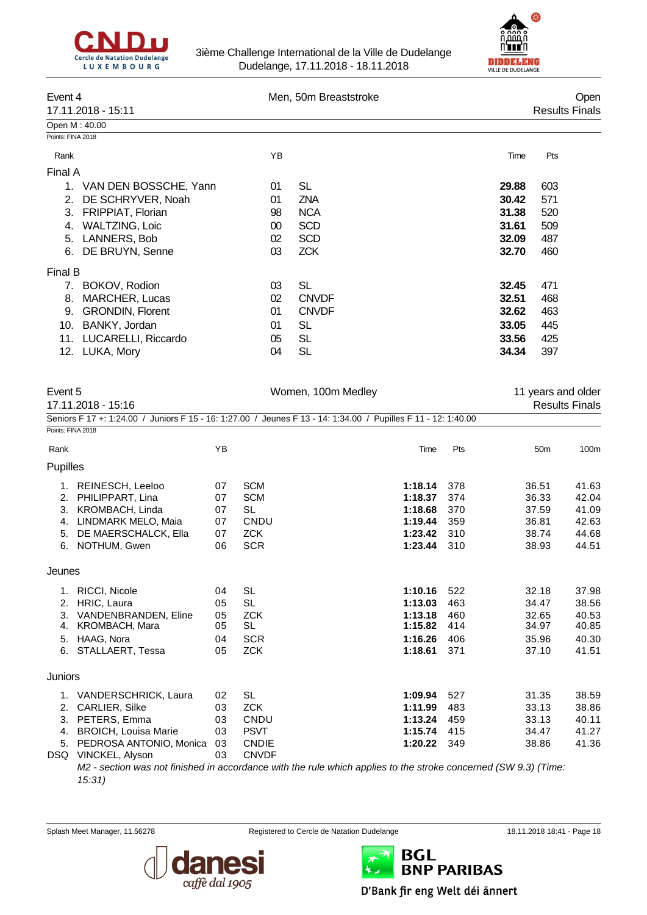



| Event 4           |                          |    | Men, 50m Breaststroke |       |                       |  |  |
|-------------------|--------------------------|----|-----------------------|-------|-----------------------|--|--|
|                   | 17.11.2018 - 15:11       |    |                       |       | <b>Results Finals</b> |  |  |
| Open M: 40.00     |                          |    |                       |       |                       |  |  |
| Points: FINA 2018 |                          |    |                       |       |                       |  |  |
| Rank              |                          | YB |                       | Time  | Pts                   |  |  |
| Final A           |                          |    |                       |       |                       |  |  |
| 1.                | VAN DEN BOSSCHE, Yann    | 01 | SL                    | 29.88 | 603                   |  |  |
| 2.                | DE SCHRYVER, Noah        | 01 | <b>ZNA</b>            | 30.42 | 571                   |  |  |
| 3.                | <b>FRIPPIAT, Florian</b> | 98 | <b>NCA</b>            | 31.38 | 520                   |  |  |
| 4.                | <b>WALTZING, Loic</b>    | 00 | <b>SCD</b>            | 31.61 | 509                   |  |  |
| 5.                | LANNERS, Bob             | 02 | <b>SCD</b>            | 32.09 | 487                   |  |  |
| 6.                | DE BRUYN, Senne          | 03 | <b>ZCK</b>            | 32.70 | 460                   |  |  |
| Final B           |                          |    |                       |       |                       |  |  |
| 7.                | BOKOV, Rodion            | 03 | <b>SL</b>             | 32.45 | 471                   |  |  |
| 8.                | MARCHER, Lucas           | 02 | <b>CNVDF</b>          | 32.51 | 468                   |  |  |
| 9.                | <b>GRONDIN, Florent</b>  | 01 | <b>CNVDF</b>          | 32.62 | 463                   |  |  |
| 10.               | BANKY, Jordan            | 01 | SL                    | 33.05 | 445                   |  |  |
| 11.               | LUCARELLI, Riccardo      | 05 | SL                    | 33.56 | 425                   |  |  |
|                   | 12. LUKA, Mory           | 04 | SL                    | 34.34 | 397                   |  |  |

| Event 5           | 17.11.2018 - 15:16          |    | Women, 100m Medley                                                                                             |         |     | 11 years and older | <b>Results Finals</b> |
|-------------------|-----------------------------|----|----------------------------------------------------------------------------------------------------------------|---------|-----|--------------------|-----------------------|
|                   |                             |    |                                                                                                                |         |     |                    |                       |
| Points: FINA 2018 |                             |    | Seniors F 17 +: 1:24.00 / Juniors F 15 - 16: 1:27.00 / Jeunes F 13 - 14: 1:34.00 / Pupilles F 11 - 12: 1:40.00 |         |     |                    |                       |
|                   |                             |    |                                                                                                                |         |     |                    |                       |
| Rank              |                             | YB |                                                                                                                | Time    | Pts | 50 <sub>m</sub>    | 100m                  |
| Pupilles          |                             |    |                                                                                                                |         |     |                    |                       |
|                   | 1. REINESCH, Leeloo         | 07 | <b>SCM</b>                                                                                                     | 1:18.14 | 378 | 36.51              | 41.63                 |
| 2.                | PHILIPPART, Lina            | 07 | <b>SCM</b>                                                                                                     | 1:18.37 | 374 | 36.33              | 42.04                 |
| 3.                | KROMBACH, Linda             | 07 | <b>SL</b>                                                                                                      | 1:18.68 | 370 | 37.59              | 41.09                 |
| 4.                | LINDMARK MELO, Maia         | 07 | CNDU                                                                                                           | 1:19.44 | 359 | 36.81              | 42.63                 |
| 5.                | DE MAERSCHALCK, Ella        | 07 | <b>ZCK</b>                                                                                                     | 1:23.42 | 310 | 38.74              | 44.68                 |
| 6.                | NOTHUM, Gwen                | 06 | <b>SCR</b>                                                                                                     | 1:23.44 | 310 | 38.93              | 44.51                 |
| Jeunes            |                             |    |                                                                                                                |         |     |                    |                       |
| 1.                | RICCI, Nicole               | 04 | <b>SL</b>                                                                                                      | 1:10.16 | 522 | 32.18              | 37.98                 |
| 2.                | HRIC, Laura                 | 05 | <b>SL</b>                                                                                                      | 1:13.03 | 463 | 34.47              | 38.56                 |
| 3.                | VANDENBRANDEN, Eline        | 05 | <b>ZCK</b>                                                                                                     | 1:13.18 | 460 | 32.65              | 40.53                 |
| 4.                | KROMBACH, Mara              | 05 | <b>SL</b>                                                                                                      | 1:15.82 | 414 | 34.97              | 40.85                 |
| 5.                | HAAG, Nora                  | 04 | <b>SCR</b>                                                                                                     | 1:16.26 | 406 | 35.96              | 40.30                 |
| 6.                | STALLAERT, Tessa            | 05 | <b>ZCK</b>                                                                                                     | 1:18.61 | 371 | 37.10              | 41.51                 |
| Juniors           |                             |    |                                                                                                                |         |     |                    |                       |
|                   | 1. VANDERSCHRICK, Laura     | 02 | <b>SL</b>                                                                                                      | 1:09.94 | 527 | 31.35              | 38.59                 |
| 2.                | CARLIER, Silke              | 03 | <b>ZCK</b>                                                                                                     | 1:11.99 | 483 | 33.13              | 38.86                 |
| 3.                | PETERS, Emma                | 03 | CNDU                                                                                                           | 1:13.24 | 459 | 33.13              | 40.11                 |
| 4.                | <b>BROICH, Louisa Marie</b> | 03 | <b>PSVT</b>                                                                                                    | 1:15.74 | 415 | 34.47              | 41.27                 |
| 5.                | PEDROSA ANTONIO, Monica     | 03 | <b>CNDIE</b>                                                                                                   | 1:20.22 | 349 | 38.86              | 41.36                 |
| DSQ               | VINCKEL, Alyson             | 03 | <b>CNVDF</b>                                                                                                   |         |     |                    |                       |

*M2 - section was not finished in accordance with the rule which applies to the stroke concerned (SW 9.3) (Time: 15:31)*

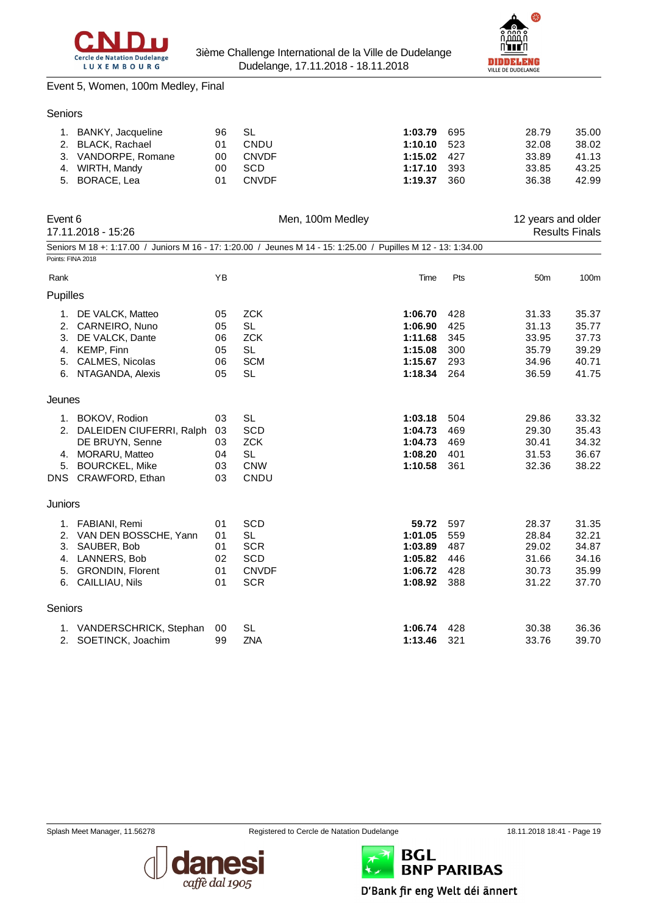



### Event 5, Women, 100m Medley, Final

|  | 1. BANKY, Jacqueline | 96 SL |              | 1:03.79 695   | 28.79 | 35.00 |
|--|----------------------|-------|--------------|---------------|-------|-------|
|  | 2. BLACK, Rachael    | 01    | CNDU         | $1:10.10$ 523 | 32.08 | 38.02 |
|  | 3. VANDORPE, Romane  | 00.   | CNVDF        | $1:15.02$ 427 | 33.89 | 41.13 |
|  | 4. WIRTH, Mandy      | 00    | <b>SCD</b>   | $1:17.10$ 393 | 33.85 | 43.25 |
|  | 5. BORACE, Lea       | 01    | <b>CNVDF</b> | 1:19.37 360   | 36.38 | 42.99 |
|  |                      |       |              |               |       |       |

| Event 6           | 17.11.2018 - 15:26          |           | Men, 100m Medley                                                                                               |         |     | 12 years and older | <b>Results Finals</b> |
|-------------------|-----------------------------|-----------|----------------------------------------------------------------------------------------------------------------|---------|-----|--------------------|-----------------------|
|                   |                             |           | Seniors M 18 +: 1:17.00 / Juniors M 16 - 17: 1:20.00 / Jeunes M 14 - 15: 1:25.00 / Pupilles M 12 - 13: 1:34.00 |         |     |                    |                       |
| Points: FINA 2018 |                             |           |                                                                                                                |         |     |                    |                       |
| Rank              |                             | <b>YB</b> |                                                                                                                | Time    | Pts | 50 <sub>m</sub>    | 100m                  |
| Pupilles          |                             |           |                                                                                                                |         |     |                    |                       |
|                   | 1. DE VALCK, Matteo         | 05        | <b>ZCK</b>                                                                                                     | 1:06.70 | 428 | 31.33              | 35.37                 |
|                   | 2. CARNEIRO, Nuno           | 05        | <b>SL</b>                                                                                                      | 1:06.90 | 425 | 31.13              | 35.77                 |
| 3.                | DE VALCK, Dante             | 06        | <b>ZCK</b>                                                                                                     | 1:11.68 | 345 | 33.95              | 37.73                 |
| 4.                | KEMP, Finn                  | 05        | <b>SL</b>                                                                                                      | 1:15.08 | 300 | 35.79              | 39.29                 |
|                   | 5. CALMES, Nicolas          | 06        | <b>SCM</b>                                                                                                     | 1:15.67 | 293 | 34.96              | 40.71                 |
|                   | 6. NTAGANDA, Alexis         | 05        | <b>SL</b>                                                                                                      | 1:18.34 | 264 | 36.59              | 41.75                 |
| Jeunes            |                             |           |                                                                                                                |         |     |                    |                       |
|                   | 1. BOKOV, Rodion            | 03        | <b>SL</b>                                                                                                      | 1:03.18 | 504 | 29.86              | 33.32                 |
|                   | 2. DALEIDEN CIUFERRI, Ralph | 03        | <b>SCD</b>                                                                                                     | 1:04.73 | 469 | 29.30              | 35.43                 |
|                   | DE BRUYN, Senne             | 03        | <b>ZCK</b>                                                                                                     | 1:04.73 | 469 | 30.41              | 34.32                 |
|                   | 4. MORARU, Matteo           | 04        | <b>SL</b>                                                                                                      | 1:08.20 | 401 | 31.53              | 36.67                 |
| 5.                | <b>BOURCKEL, Mike</b>       | 03        | <b>CNW</b>                                                                                                     | 1:10.58 | 361 | 32.36              | 38.22                 |
|                   | DNS CRAWFORD, Ethan         | 03        | CNDU                                                                                                           |         |     |                    |                       |
| Juniors           |                             |           |                                                                                                                |         |     |                    |                       |
|                   | 1. FABIANI, Remi            | 01        | <b>SCD</b>                                                                                                     | 59.72   | 597 | 28.37              | 31.35                 |
|                   | 2. VAN DEN BOSSCHE, Yann    | 01        | <b>SL</b>                                                                                                      | 1:01.05 | 559 | 28.84              | 32.21                 |
| 3.                | SAUBER, Bob                 | 01        | <b>SCR</b>                                                                                                     | 1:03.89 | 487 | 29.02              | 34.87                 |
|                   | 4. LANNERS, Bob             | 02        | SCD                                                                                                            | 1:05.82 | 446 | 31.66              | 34.16                 |
|                   | 5. GRONDIN, Florent         | 01        | <b>CNVDF</b>                                                                                                   | 1:06.72 | 428 | 30.73              | 35.99                 |
|                   | 6. CAILLIAU, Nils           | 01        | <b>SCR</b>                                                                                                     | 1:08.92 | 388 | 31.22              | 37.70                 |
| Seniors           |                             |           |                                                                                                                |         |     |                    |                       |
|                   | 1. VANDERSCHRICK, Stephan   | 00        | <b>SL</b>                                                                                                      | 1:06.74 | 428 | 30.38              | 36.36                 |
| 2.                | SOETINCK, Joachim           | 99        | <b>ZNA</b>                                                                                                     | 1:13.46 | 321 | 33.76              | 39.70                 |





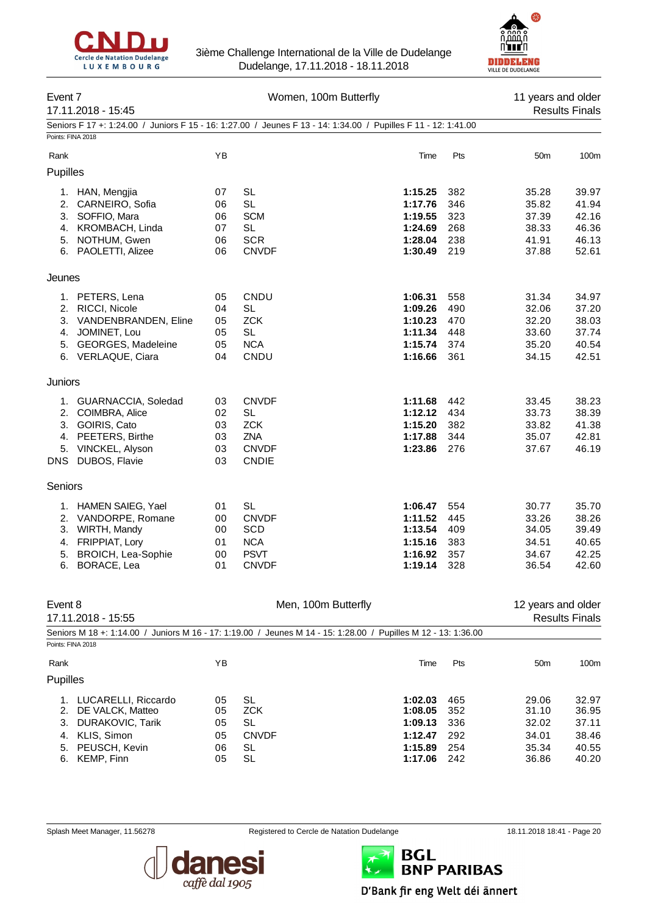



| Event <sub>7</sub> | 17.11.2018 - 15:45                  |          | Women, 100m Butterfly                                                                                          |                    |            | 11 years and older | <b>Results Finals</b> |
|--------------------|-------------------------------------|----------|----------------------------------------------------------------------------------------------------------------|--------------------|------------|--------------------|-----------------------|
|                    |                                     |          | Seniors F 17 +: 1:24.00 / Juniors F 15 - 16: 1:27.00 / Jeunes F 13 - 14: 1:34.00 / Pupilles F 11 - 12: 1:41.00 |                    |            |                    |                       |
| Points: FINA 2018  |                                     |          |                                                                                                                |                    |            |                    |                       |
| Rank               |                                     | YB       |                                                                                                                | Time               | Pts        | 50 <sub>m</sub>    | 100m                  |
| Pupilles           |                                     |          |                                                                                                                |                    |            |                    |                       |
|                    | 1. HAN, Mengjia                     | 07       | <b>SL</b>                                                                                                      | 1:15.25            | 382        | 35.28              | 39.97                 |
| 2.                 | CARNEIRO, Sofia                     | 06       | <b>SL</b>                                                                                                      | 1:17.76            | 346        | 35.82              | 41.94                 |
|                    | 3. SOFFIO, Mara                     | 06       | <b>SCM</b>                                                                                                     | 1:19.55            | 323        | 37.39              | 42.16                 |
| 4.                 | KROMBACH, Linda                     | 07       | <b>SL</b>                                                                                                      | 1:24.69            | 268        | 38.33              | 46.36                 |
| 5.                 | NOTHUM, Gwen<br>6. PAOLETTI, Alizee | 06<br>06 | <b>SCR</b><br><b>CNVDF</b>                                                                                     | 1:28.04<br>1:30.49 | 238<br>219 | 41.91<br>37.88     | 46.13<br>52.61        |
|                    |                                     |          |                                                                                                                |                    |            |                    |                       |
| Jeunes             |                                     |          |                                                                                                                |                    |            |                    |                       |
|                    | 1. PETERS, Lena                     | 05       | CNDU                                                                                                           | 1:06.31            | 558        | 31.34              | 34.97                 |
|                    | 2. RICCI, Nicole                    | 04       | <b>SL</b>                                                                                                      | 1:09.26            | 490        | 32.06              | 37.20                 |
| 3.                 | VANDENBRANDEN, Eline                | 05       | <b>ZCK</b>                                                                                                     | 1:10.23            | 470        | 32.20              | 38.03                 |
| 4.                 | JOMINET, Lou                        | 05       | <b>SL</b>                                                                                                      | 1:11.34            | 448        | 33.60              | 37.74                 |
| 5.                 | <b>GEORGES, Madeleine</b>           | 05<br>04 | <b>NCA</b><br>CNDU                                                                                             | 1:15.74<br>1:16.66 | 374<br>361 | 35.20              | 40.54<br>42.51        |
|                    | 6. VERLAQUE, Ciara                  |          |                                                                                                                |                    |            | 34.15              |                       |
| Juniors            |                                     |          |                                                                                                                |                    |            |                    |                       |
|                    | 1. GUARNACCIA, Soledad              | 03       | <b>CNVDF</b>                                                                                                   | 1:11.68            | 442        | 33.45              | 38.23                 |
|                    | 2. COIMBRA, Alice                   | 02       | <b>SL</b>                                                                                                      | 1:12.12            | 434        | 33.73              | 38.39                 |
|                    | 3. GOIRIS, Cato                     | 03       | <b>ZCK</b>                                                                                                     | 1:15.20            | 382        | 33.82              | 41.38                 |
|                    | 4. PEETERS, Birthe                  | 03       | ZNA                                                                                                            | 1:17.88            | 344        | 35.07              | 42.81                 |
| 5.                 | VINCKEL, Alyson                     | 03       | <b>CNVDF</b>                                                                                                   | 1:23.86            | 276        | 37.67              | 46.19                 |
| DNS                | DUBOS, Flavie                       | 03       | <b>CNDIE</b>                                                                                                   |                    |            |                    |                       |
| Seniors            |                                     |          |                                                                                                                |                    |            |                    |                       |
| 1.                 | HAMEN SAIEG, Yael                   | 01       | <b>SL</b>                                                                                                      | 1:06.47            | 554        | 30.77              | 35.70                 |
| 2.                 | VANDORPE, Romane                    | 00       | <b>CNVDF</b>                                                                                                   | 1:11.52            | 445        | 33.26              | 38.26                 |
| 3.                 | WIRTH, Mandy                        | 00       | <b>SCD</b>                                                                                                     | 1:13.54            | 409        | 34.05              | 39.49                 |
| 4.                 | FRIPPIAT, Lory                      | 01       | <b>NCA</b>                                                                                                     | 1:15.16            | 383        | 34.51              | 40.65                 |
| 5.                 | <b>BROICH, Lea-Sophie</b>           | 00       | <b>PSVT</b>                                                                                                    | 1:16.92            | 357        | 34.67<br>36.54     | 42.25                 |
| 6.                 | BORACE, Lea                         | 01       | <b>CNVDF</b>                                                                                                   | 1:19.14            | 328        |                    | 42.60                 |
| Event 8            |                                     |          | Men, 100m Butterfly                                                                                            |                    |            | 12 years and older |                       |
|                    | 17.11.2018 - 15:55                  |          |                                                                                                                |                    |            |                    | <b>Results Finals</b> |
|                    |                                     |          | Seniors M 18 +: 1:14.00 / Juniors M 16 - 17: 1:19.00 / Jeunes M 14 - 15: 1:28.00 / Pupilles M 12 - 13: 1:36.00 |                    |            |                    |                       |
| Points: FINA 2018  |                                     |          |                                                                                                                |                    |            |                    |                       |
| Rank               |                                     | YB       |                                                                                                                | Time               | Pts        | 50 <sub>m</sub>    | 100m                  |
| Pupilles           |                                     |          |                                                                                                                |                    |            |                    |                       |
| 1.                 | LUCARELLI, Riccardo                 | 05       | <b>SL</b>                                                                                                      | 1:02.03            | 465        | 29.06              | 32.97                 |
| 2.                 | DE VALCK, Matteo                    | 05       | <b>ZCK</b>                                                                                                     | 1:08.05            | 352        | 31.10              | 36.95                 |
| 3.                 | DURAKOVIC, Tarik                    | 05       | <b>SL</b>                                                                                                      | 1:09.13            | 336        | 32.02              | 37.11                 |
| 4.                 | KLIS, Simon                         | 05       | <b>CNVDF</b>                                                                                                   | 1:12.47            | 292        | 34.01              | 38.46                 |
| 5.                 | PEUSCH, Kevin                       | 06       | <b>SL</b>                                                                                                      | 1:15.89            | 254        | 35.34              | 40.55                 |
| 6.                 | KEMP, Finn                          | 05       | <b>SL</b>                                                                                                      | 1:17.06            | 242        | 36.86              | 40.20                 |



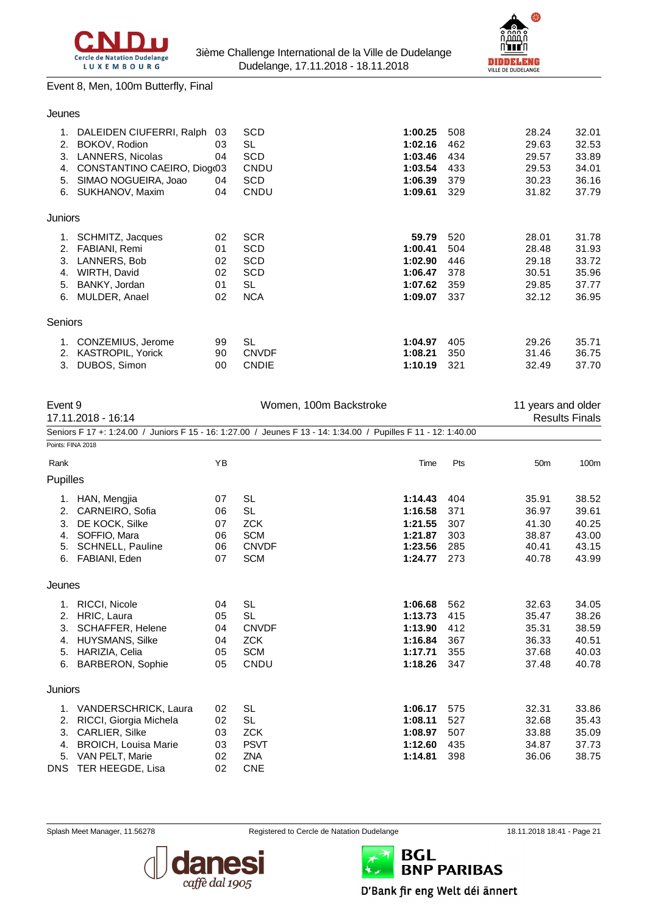



#### Event 8, Men, 100m Butterfly, Final

#### Jeunes

|         | DALEIDEN CIUFERRI, Ralph    | 03 | SCD          | 1:00.25 | 508 | 28.24 | 32.01 |
|---------|-----------------------------|----|--------------|---------|-----|-------|-------|
| 2.      | BOKOV, Rodion               | 03 | SL           | 1:02.16 | 462 | 29.63 | 32.53 |
| 3.      | <b>LANNERS, Nicolas</b>     | 04 | SCD          | 1:03.46 | 434 | 29.57 | 33.89 |
| 4.      | CONSTANTINO CAEIRO, Diogr03 |    | CNDU         | 1:03.54 | 433 | 29.53 | 34.01 |
| 5.      | SIMAO NOGUEIRA, Joao        | 04 | SCD          | 1:06.39 | 379 | 30.23 | 36.16 |
| 6.      | SUKHANOV, Maxim             | 04 | <b>CNDU</b>  | 1:09.61 | 329 | 31.82 | 37.79 |
| Juniors |                             |    |              |         |     |       |       |
| 1.      | SCHMITZ, Jacques            | 02 | <b>SCR</b>   | 59.79   | 520 | 28.01 | 31.78 |
| 2.      | FABIANI, Remi               | 01 | SCD          | 1:00.41 | 504 | 28.48 | 31.93 |
| 3.      | LANNERS, Bob                | 02 | <b>SCD</b>   | 1:02.90 | 446 | 29.18 | 33.72 |
| 4.      | WIRTH, David                | 02 | <b>SCD</b>   | 1:06.47 | 378 | 30.51 | 35.96 |
| 5.      | BANKY, Jordan               | 01 | SL           | 1:07.62 | 359 | 29.85 | 37.77 |
| 6.      | MULDER, Anael               | 02 | <b>NCA</b>   | 1:09.07 | 337 | 32.12 | 36.95 |
| Seniors |                             |    |              |         |     |       |       |
| 1.      | CONZEMIUS, Jerome           | 99 | <b>SL</b>    | 1:04.97 | 405 | 29.26 | 35.71 |
| 2.      | <b>KASTROPIL, Yorick</b>    | 90 | <b>CNVDF</b> | 1:08.21 | 350 | 31.46 | 36.75 |
| 3.      | DUBOS, Simon                | 00 | <b>CNDIE</b> | 1:10.19 | 321 | 32.49 | 37.70 |
|         |                             |    |              |         |     |       |       |

| Event 9           |                             |    | Women, 100m Backstroke                                                               |         |     |                 | 11 years and older    |  |
|-------------------|-----------------------------|----|--------------------------------------------------------------------------------------|---------|-----|-----------------|-----------------------|--|
|                   | 17.11.2018 - 16:14          |    |                                                                                      |         |     |                 | <b>Results Finals</b> |  |
|                   | Seniors F 17 +: 1:24.00 /   |    | Juniors F 15 - 16: 1:27.00 / Jeunes F 13 - 14: 1:34.00 / Pupilles F 11 - 12: 1:40.00 |         |     |                 |                       |  |
| Points: FINA 2018 |                             |    |                                                                                      |         |     |                 |                       |  |
| Rank              |                             | YB |                                                                                      | Time    | Pts | 50 <sub>m</sub> | 100m                  |  |
| Pupilles          |                             |    |                                                                                      |         |     |                 |                       |  |
|                   | 1. HAN, Mengjia             | 07 | <b>SL</b>                                                                            | 1:14.43 | 404 | 35.91           | 38.52                 |  |
| 2.                | CARNEIRO, Sofia             | 06 | <b>SL</b>                                                                            | 1:16.58 | 371 | 36.97           | 39.61                 |  |
| 3.                | DE KOCK, Silke              | 07 | <b>ZCK</b>                                                                           | 1:21.55 | 307 | 41.30           | 40.25                 |  |
| 4.                | SOFFIO, Mara                | 06 | <b>SCM</b>                                                                           | 1:21.87 | 303 | 38.87           | 43.00                 |  |
| 5.                | <b>SCHNELL, Pauline</b>     | 06 | <b>CNVDF</b>                                                                         | 1:23.56 | 285 | 40.41           | 43.15                 |  |
| 6.                | FABIANI, Eden               | 07 | <b>SCM</b>                                                                           | 1:24.77 | 273 | 40.78           | 43.99                 |  |
| Jeunes            |                             |    |                                                                                      |         |     |                 |                       |  |
| 1.                | RICCI, Nicole               | 04 | <b>SL</b>                                                                            | 1:06.68 | 562 | 32.63           | 34.05                 |  |
| 2.                | HRIC, Laura                 | 05 | <b>SL</b>                                                                            | 1:13.73 | 415 | 35.47           | 38.26                 |  |
| 3.                | SCHAFFER, Helene            | 04 | <b>CNVDF</b>                                                                         | 1:13.90 | 412 | 35.31           | 38.59                 |  |
| 4.                | <b>HUYSMANS, Silke</b>      | 04 | <b>ZCK</b>                                                                           | 1:16.84 | 367 | 36.33           | 40.51                 |  |
| 5.                | HARIZIA, Celia              | 05 | <b>SCM</b>                                                                           | 1:17.71 | 355 | 37.68           | 40.03                 |  |
| 6.                | <b>BARBERON, Sophie</b>     | 05 | CNDU                                                                                 | 1:18.26 | 347 | 37.48           | 40.78                 |  |
| Juniors           |                             |    |                                                                                      |         |     |                 |                       |  |
|                   | 1. VANDERSCHRICK, Laura     | 02 | <b>SL</b>                                                                            | 1:06.17 | 575 | 32.31           | 33.86                 |  |
| 2.                | RICCI, Giorgia Michela      | 02 | <b>SL</b>                                                                            | 1:08.11 | 527 | 32.68           | 35.43                 |  |
| 3.                | <b>CARLIER, Silke</b>       | 03 | <b>ZCK</b>                                                                           | 1:08.97 | 507 | 33.88           | 35.09                 |  |
| 4.                | <b>BROICH, Louisa Marie</b> | 03 | <b>PSVT</b>                                                                          | 1:12.60 | 435 | 34.87           | 37.73                 |  |
| 5.                | VAN PELT, Marie             | 02 | <b>ZNA</b>                                                                           | 1:14.81 | 398 | 36.06           | 38.75                 |  |
|                   | DNS TER HEEGDE, Lisa        | 02 | <b>CNE</b>                                                                           |         |     |                 |                       |  |



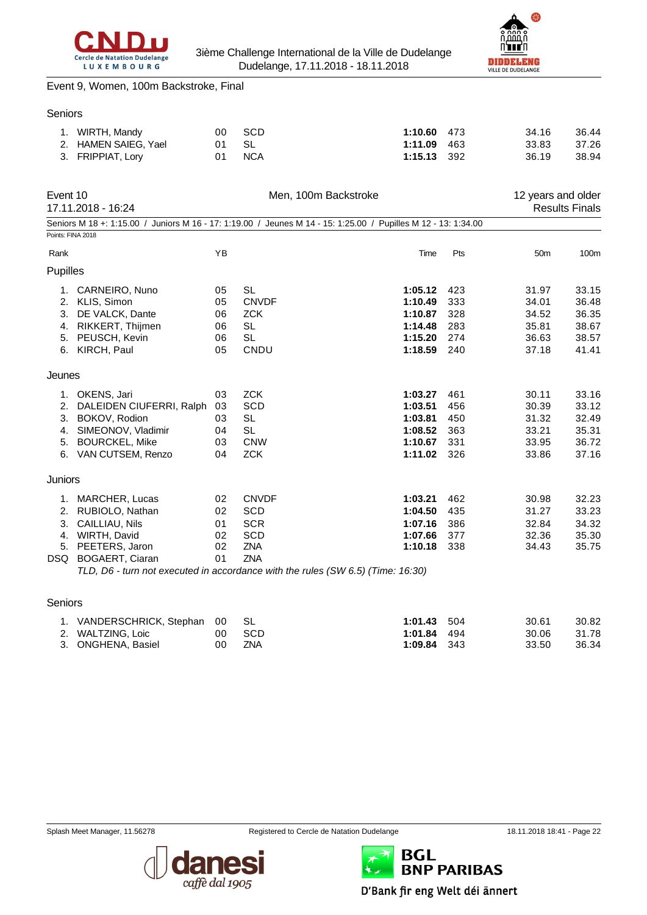



#### Event 9, Women, 100m Backstroke, Final

#### Seniors

| 1. WIRTH, Mandy      | 00 SCD | $1:10.60$ 473 | 36.44<br>34.16 |
|----------------------|--------|---------------|----------------|
| 2. HAMEN SAIEG, Yael | 01 SL  | $1:11.09$ 463 | 37.26<br>33.83 |
| 3. FRIPPIAT, Lory    | 01 NCA | $1:15.13$ 392 | 38.94<br>36.19 |

| Event 10          | 17.11.2018 - 16:24                                                                                             |    | Men, 100m Backstroke |         |     | 12 years and older | <b>Results Finals</b> |
|-------------------|----------------------------------------------------------------------------------------------------------------|----|----------------------|---------|-----|--------------------|-----------------------|
|                   | Seniors M 18 +: 1:15.00 / Juniors M 16 - 17: 1:19.00 / Jeunes M 14 - 15: 1:25.00 / Pupilles M 12 - 13: 1:34.00 |    |                      |         |     |                    |                       |
| Points: FINA 2018 |                                                                                                                |    |                      |         |     |                    |                       |
| Rank              |                                                                                                                | YB |                      | Time    | Pts | 50 <sub>m</sub>    | 100m                  |
| Pupilles          |                                                                                                                |    |                      |         |     |                    |                       |
| 1.                | CARNEIRO, Nuno                                                                                                 | 05 | <b>SL</b>            | 1:05.12 | 423 | 31.97              | 33.15                 |
| 2.                | KLIS, Simon                                                                                                    | 05 | <b>CNVDF</b>         | 1:10.49 | 333 | 34.01              | 36.48                 |
| 3.                | DE VALCK, Dante                                                                                                | 06 | <b>ZCK</b>           | 1:10.87 | 328 | 34.52              | 36.35                 |
| 4.                | RIKKERT, Thijmen                                                                                               | 06 | <b>SL</b>            | 1:14.48 | 283 | 35.81              | 38.67                 |
| 5.                | PEUSCH, Kevin                                                                                                  | 06 | <b>SL</b>            | 1:15.20 | 274 | 36.63              | 38.57                 |
| 6.                | KIRCH, Paul                                                                                                    | 05 | CNDU                 | 1:18.59 | 240 | 37.18              | 41.41                 |
| Jeunes            |                                                                                                                |    |                      |         |     |                    |                       |
| 1.                | OKENS, Jari                                                                                                    | 03 | <b>ZCK</b>           | 1:03.27 | 461 | 30.11              | 33.16                 |
| 2.                | DALEIDEN CIUFERRI, Ralph                                                                                       | 03 | <b>SCD</b>           | 1:03.51 | 456 | 30.39              | 33.12                 |
| 3.                | BOKOV, Rodion                                                                                                  | 03 | <b>SL</b>            | 1:03.81 | 450 | 31.32              | 32.49                 |
| 4.                | SIMEONOV, Vladimir                                                                                             | 04 | <b>SL</b>            | 1:08.52 | 363 | 33.21              | 35.31                 |
| 5.                | <b>BOURCKEL, Mike</b>                                                                                          | 03 | <b>CNW</b>           | 1:10.67 | 331 | 33.95              | 36.72                 |
|                   | 6. VAN CUTSEM, Renzo                                                                                           | 04 | <b>ZCK</b>           | 1:11.02 | 326 | 33.86              | 37.16                 |
| <b>Juniors</b>    |                                                                                                                |    |                      |         |     |                    |                       |
| 1.                | MARCHER, Lucas                                                                                                 | 02 | <b>CNVDF</b>         | 1:03.21 | 462 | 30.98              | 32.23                 |
| 2.                | RUBIOLO, Nathan                                                                                                | 02 | <b>SCD</b>           | 1:04.50 | 435 | 31.27              | 33.23                 |
| 3.                | CAILLIAU, Nils                                                                                                 | 01 | <b>SCR</b>           | 1:07.16 | 386 | 32.84              | 34.32                 |
| 4.                | WIRTH, David                                                                                                   | 02 | <b>SCD</b>           | 1:07.66 | 377 | 32.36              | 35.30                 |
| 5.                | PEETERS, Jaron                                                                                                 | 02 | <b>ZNA</b>           | 1:10.18 | 338 | 34.43              | 35.75                 |
| DSQ               | <b>BOGAERT, Ciaran</b>                                                                                         | 01 | <b>ZNA</b>           |         |     |                    |                       |
|                   | TLD, D6 - turn not executed in accordance with the rules (SW 6.5) (Time: 16:30)                                |    |                      |         |     |                    |                       |
| Seniors           |                                                                                                                |    |                      |         |     |                    |                       |

| 1. VANDERSCHRICK, Stephan 00 SL |        | $1:01.43$ 504 | 30.61 | 30.82 |
|---------------------------------|--------|---------------|-------|-------|
| 2. WALTZING. Loic               | 00 SCD | $1:01.84$ 494 | 30.06 | 31.78 |
| 3. ONGHENA, Basiel              | 00 ZNA | $1:09.84$ 343 | 33.50 | 36.34 |





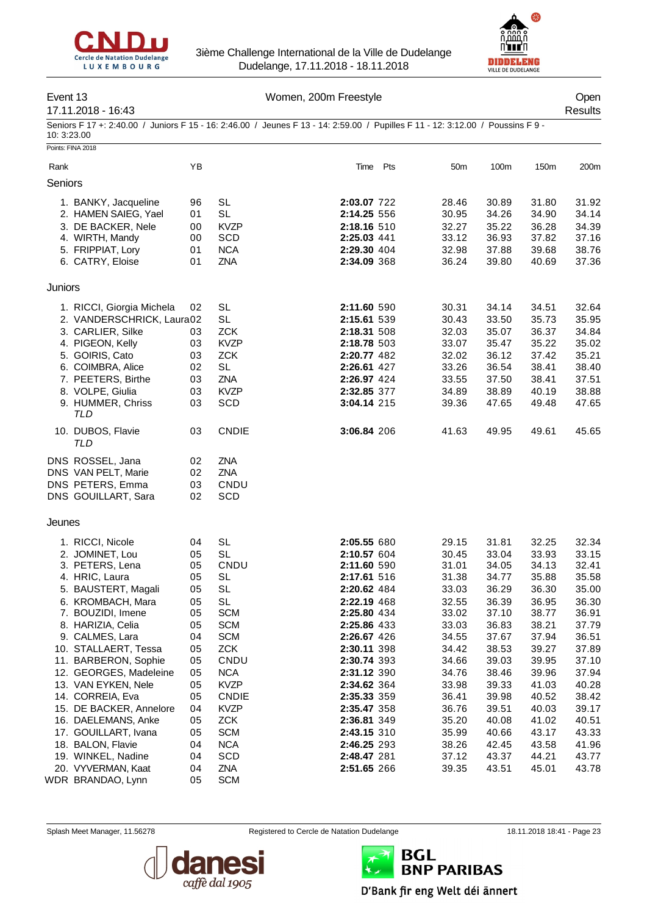



## Event 13 Communication of the UV Women, 200m Freestyle Communication of the Open

# 17.11.2018 - 16:43 Results

Seniors F 17 +: 2:40.00 / Juniors F 15 - 16: 2:46.00 / Jeunes F 13 - 14: 2:59.00 / Pupilles F 11 - 12: 3:12.00 / Poussins F 9 - 10: 3:23.00

|         | Points: FINA 2018                                                                                                                                                                                                                                                                                                                                                                                                           |                                                                                                                |                                                                                                                                                                                                                                                           |                                                                                                                                                                                                                                                                                           |     |                                                                                                                                                                         |                                                                                                                                                                         |                                                                                                                                                                         |                                                                                                                                                                         |
|---------|-----------------------------------------------------------------------------------------------------------------------------------------------------------------------------------------------------------------------------------------------------------------------------------------------------------------------------------------------------------------------------------------------------------------------------|----------------------------------------------------------------------------------------------------------------|-----------------------------------------------------------------------------------------------------------------------------------------------------------------------------------------------------------------------------------------------------------|-------------------------------------------------------------------------------------------------------------------------------------------------------------------------------------------------------------------------------------------------------------------------------------------|-----|-------------------------------------------------------------------------------------------------------------------------------------------------------------------------|-------------------------------------------------------------------------------------------------------------------------------------------------------------------------|-------------------------------------------------------------------------------------------------------------------------------------------------------------------------|-------------------------------------------------------------------------------------------------------------------------------------------------------------------------|
| Rank    |                                                                                                                                                                                                                                                                                                                                                                                                                             | YB                                                                                                             |                                                                                                                                                                                                                                                           | Time                                                                                                                                                                                                                                                                                      | Pts | 50m                                                                                                                                                                     | 100m                                                                                                                                                                    | 150m                                                                                                                                                                    | 200m                                                                                                                                                                    |
| Seniors |                                                                                                                                                                                                                                                                                                                                                                                                                             |                                                                                                                |                                                                                                                                                                                                                                                           |                                                                                                                                                                                                                                                                                           |     |                                                                                                                                                                         |                                                                                                                                                                         |                                                                                                                                                                         |                                                                                                                                                                         |
|         | 1. BANKY, Jacqueline<br>2. HAMEN SAIEG, Yael<br>3. DE BACKER, Nele<br>4. WIRTH, Mandy<br>5. FRIPPIAT, Lory<br>6. CATRY, Eloise                                                                                                                                                                                                                                                                                              | 96<br>01<br>00<br>00<br>01<br>01                                                                               | <b>SL</b><br><b>SL</b><br><b>KVZP</b><br><b>SCD</b><br><b>NCA</b><br>ZNA                                                                                                                                                                                  | 2:03.07 722<br>2:14.25 556<br>2:18.16 510<br>2:25.03 441<br>2:29.30 404<br>2:34.09 368                                                                                                                                                                                                    |     | 28.46<br>30.95<br>32.27<br>33.12<br>32.98<br>36.24                                                                                                                      | 30.89<br>34.26<br>35.22<br>36.93<br>37.88<br>39.80                                                                                                                      | 31.80<br>34.90<br>36.28<br>37.82<br>39.68<br>40.69                                                                                                                      | 31.92<br>34.14<br>34.39<br>37.16<br>38.76<br>37.36                                                                                                                      |
| Juniors |                                                                                                                                                                                                                                                                                                                                                                                                                             |                                                                                                                |                                                                                                                                                                                                                                                           |                                                                                                                                                                                                                                                                                           |     |                                                                                                                                                                         |                                                                                                                                                                         |                                                                                                                                                                         |                                                                                                                                                                         |
|         | 1. RICCI, Giorgia Michela<br>2. VANDERSCHRICK, Laura02<br>3. CARLIER, Silke<br>4. PIGEON, Kelly<br>5. GOIRIS, Cato<br>6. COIMBRA, Alice<br>7. PEETERS, Birthe<br>8. VOLPE, Giulia<br>9. HUMMER, Chriss<br>TLD                                                                                                                                                                                                               | 02<br>03<br>03<br>03<br>02<br>03<br>03<br>03                                                                   | <b>SL</b><br><b>SL</b><br><b>ZCK</b><br><b>KVZP</b><br><b>ZCK</b><br><b>SL</b><br>ZNA<br><b>KVZP</b><br>SCD                                                                                                                                               | 2:11.60 590<br>2:15.61 539<br>2:18.31 508<br>2:18.78 503<br>2:20.77 482<br>2:26.61 427<br>2:26.97 424<br>2:32.85 377<br>3:04.14 215                                                                                                                                                       |     | 30.31<br>30.43<br>32.03<br>33.07<br>32.02<br>33.26<br>33.55<br>34.89<br>39.36                                                                                           | 34.14<br>33.50<br>35.07<br>35.47<br>36.12<br>36.54<br>37.50<br>38.89<br>47.65                                                                                           | 34.51<br>35.73<br>36.37<br>35.22<br>37.42<br>38.41<br>38.41<br>40.19<br>49.48                                                                                           | 32.64<br>35.95<br>34.84<br>35.02<br>35.21<br>38.40<br>37.51<br>38.88<br>47.65                                                                                           |
|         | 10. DUBOS, Flavie<br>TLD                                                                                                                                                                                                                                                                                                                                                                                                    | 03                                                                                                             | <b>CNDIE</b>                                                                                                                                                                                                                                              | 3:06.84 206                                                                                                                                                                                                                                                                               |     | 41.63                                                                                                                                                                   | 49.95                                                                                                                                                                   | 49.61                                                                                                                                                                   | 45.65                                                                                                                                                                   |
|         | DNS ROSSEL, Jana<br>DNS VAN PELT, Marie<br>DNS PETERS, Emma<br>DNS GOUILLART, Sara                                                                                                                                                                                                                                                                                                                                          | 02<br>02<br>03<br>02                                                                                           | ZNA<br><b>ZNA</b><br>CNDU<br>SCD                                                                                                                                                                                                                          |                                                                                                                                                                                                                                                                                           |     |                                                                                                                                                                         |                                                                                                                                                                         |                                                                                                                                                                         |                                                                                                                                                                         |
| Jeunes  |                                                                                                                                                                                                                                                                                                                                                                                                                             |                                                                                                                |                                                                                                                                                                                                                                                           |                                                                                                                                                                                                                                                                                           |     |                                                                                                                                                                         |                                                                                                                                                                         |                                                                                                                                                                         |                                                                                                                                                                         |
|         | 1. RICCI, Nicole<br>2. JOMINET, Lou<br>3. PETERS, Lena<br>4. HRIC, Laura<br>5. BAUSTERT, Magali<br>6. KROMBACH, Mara<br>7. BOUZIDI, Imene<br>8. HARIZIA, Celia<br>9. CALMES, Lara<br>10. STALLAERT, Tessa<br>11. BARBERON, Sophie<br>12. GEORGES, Madeleine<br>13. VAN EYKEN, Nele<br>14. CORREIA, Eva<br>15. DE BACKER, Annelore<br>16. DAELEMANS, Anke<br>17. GOUILLART, Ivana<br>18. BALON, Flavie<br>19. WINKEL, Nadine | 04<br>05<br>05<br>05<br>05<br>05<br>05<br>05<br>04<br>05<br>05<br>05<br>05<br>05<br>04<br>05<br>05<br>04<br>04 | <b>SL</b><br><b>SL</b><br><b>CNDU</b><br><b>SL</b><br><b>SL</b><br><b>SL</b><br><b>SCM</b><br><b>SCM</b><br><b>SCM</b><br><b>ZCK</b><br>CNDU<br><b>NCA</b><br><b>KVZP</b><br><b>CNDIE</b><br><b>KVZP</b><br><b>ZCK</b><br><b>SCM</b><br><b>NCA</b><br>SCD | 2:05.55 680<br>2:10.57 604<br>2:11.60 590<br>2:17.61 516<br>2:20.62 484<br>2:22.19 468<br>2:25.80 434<br>2:25.86 433<br>2:26.67 426<br>2:30.11 398<br>2:30.74 393<br>2:31.12 390<br>2:34.62 364<br>2:35.33 359<br>2:35.47 358<br>2:36.81 349<br>2:43.15 310<br>2:46.25 293<br>2:48.47 281 |     | 29.15<br>30.45<br>31.01<br>31.38<br>33.03<br>32.55<br>33.02<br>33.03<br>34.55<br>34.42<br>34.66<br>34.76<br>33.98<br>36.41<br>36.76<br>35.20<br>35.99<br>38.26<br>37.12 | 31.81<br>33.04<br>34.05<br>34.77<br>36.29<br>36.39<br>37.10<br>36.83<br>37.67<br>38.53<br>39.03<br>38.46<br>39.33<br>39.98<br>39.51<br>40.08<br>40.66<br>42.45<br>43.37 | 32.25<br>33.93<br>34.13<br>35.88<br>36.30<br>36.95<br>38.77<br>38.21<br>37.94<br>39.27<br>39.95<br>39.96<br>41.03<br>40.52<br>40.03<br>41.02<br>43.17<br>43.58<br>44.21 | 32.34<br>33.15<br>32.41<br>35.58<br>35.00<br>36.30<br>36.91<br>37.79<br>36.51<br>37.89<br>37.10<br>37.94<br>40.28<br>38.42<br>39.17<br>40.51<br>43.33<br>41.96<br>43.77 |
|         | 20. VYVERMAN, Kaat<br>WDR BRANDAO, Lynn                                                                                                                                                                                                                                                                                                                                                                                     | 04<br>05                                                                                                       | ZNA<br><b>SCM</b>                                                                                                                                                                                                                                         | 2:51.65 266                                                                                                                                                                                                                                                                               |     | 39.35                                                                                                                                                                   | 43.51                                                                                                                                                                   | 45.01                                                                                                                                                                   | 43.78                                                                                                                                                                   |



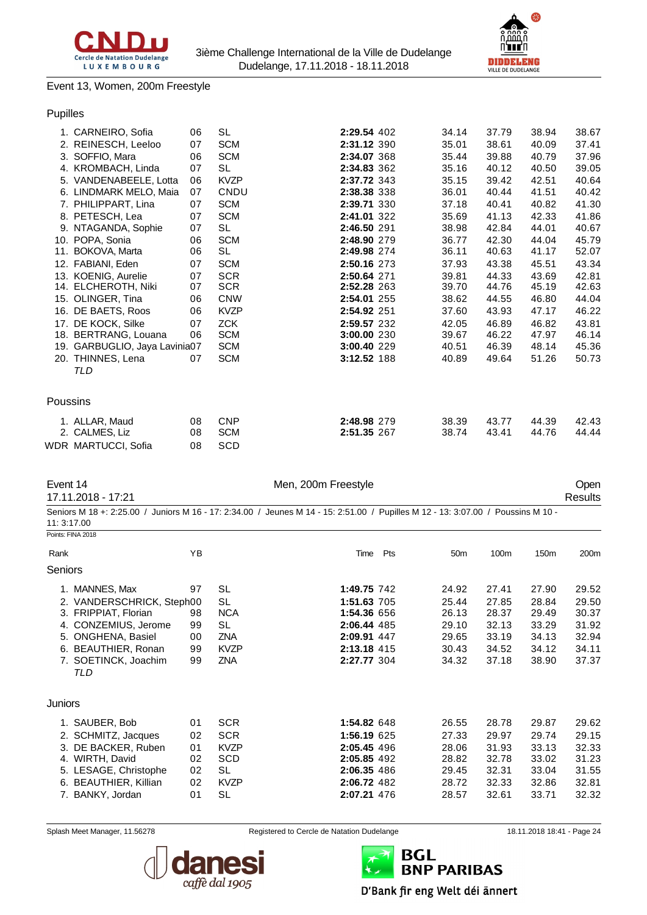



#### Event 13, Women, 200m Freestyle

## Pupilles

|          | 1. CARNEIRO, Sofia            | 06 | <b>SL</b>   | 2:29.54 402 | 34.14 | 37.79 | 38.94 | 38.67 |
|----------|-------------------------------|----|-------------|-------------|-------|-------|-------|-------|
|          | 2. REINESCH, Leeloo           | 07 | <b>SCM</b>  | 2:31.12 390 | 35.01 | 38.61 | 40.09 | 37.41 |
|          | 3. SOFFIO, Mara               | 06 | <b>SCM</b>  | 2:34.07 368 | 35.44 | 39.88 | 40.79 | 37.96 |
|          | 4. KROMBACH, Linda            | 07 | <b>SL</b>   | 2:34.83 362 | 35.16 | 40.12 | 40.50 | 39.05 |
|          | 5. VANDENABEELE, Lotta        | 06 | <b>KVZP</b> | 2:37.72 343 | 35.15 | 39.42 | 42.51 | 40.64 |
|          | 6. LINDMARK MELO, Maia        | 07 | CNDU        | 2:38.38 338 | 36.01 | 40.44 | 41.51 | 40.42 |
|          | 7. PHILIPPART, Lina           | 07 | <b>SCM</b>  | 2:39.71 330 | 37.18 | 40.41 | 40.82 | 41.30 |
|          | 8. PETESCH, Lea               | 07 | <b>SCM</b>  | 2:41.01 322 | 35.69 | 41.13 | 42.33 | 41.86 |
|          | 9. NTAGANDA, Sophie           | 07 | <b>SL</b>   | 2:46.50 291 | 38.98 | 42.84 | 44.01 | 40.67 |
|          | 10. POPA, Sonia               | 06 | <b>SCM</b>  | 2:48.90 279 | 36.77 | 42.30 | 44.04 | 45.79 |
|          | 11. BOKOVA, Marta             | 06 | <b>SL</b>   | 2:49.98 274 | 36.11 | 40.63 | 41.17 | 52.07 |
|          | 12. FABIANI, Eden             | 07 | <b>SCM</b>  | 2:50.16 273 | 37.93 | 43.38 | 45.51 | 43.34 |
|          | 13. KOENIG, Aurelie           | 07 | <b>SCR</b>  | 2:50.64 271 | 39.81 | 44.33 | 43.69 | 42.81 |
|          | 14. ELCHEROTH, Niki           | 07 | <b>SCR</b>  | 2:52.28 263 | 39.70 | 44.76 | 45.19 | 42.63 |
|          | 15. OLINGER, Tina             | 06 | <b>CNW</b>  | 2:54.01 255 | 38.62 | 44.55 | 46.80 | 44.04 |
|          | 16. DE BAETS, Roos            | 06 | <b>KVZP</b> | 2:54.92 251 | 37.60 | 43.93 | 47.17 | 46.22 |
|          | 17. DE KOCK, Silke            | 07 | <b>ZCK</b>  | 2:59.57 232 | 42.05 | 46.89 | 46.82 | 43.81 |
|          | 18. BERTRANG, Louana          | 06 | <b>SCM</b>  | 3:00.00 230 | 39.67 | 46.22 | 47.97 | 46.14 |
|          | 19. GARBUGLIO, Jaya Lavinia07 |    | <b>SCM</b>  | 3:00.40 229 | 40.51 | 46.39 | 48.14 | 45.36 |
|          | 20. THINNES, Lena             | 07 | <b>SCM</b>  | 3:12.52 188 | 40.89 | 49.64 | 51.26 | 50.73 |
|          | TLD                           |    |             |             |       |       |       |       |
| Poussins |                               |    |             |             |       |       |       |       |
|          | 1. ALLAR, Maud                | 08 | <b>CNP</b>  | 2:48.98 279 | 38.39 | 43.77 | 44.39 | 42.43 |
|          | 2. CALMES, Liz                | 08 | <b>SCM</b>  | 2:51.35 267 | 38.74 | 43.41 | 44.76 | 44.44 |
|          | WDR MARTUCCI, Sofia           | 08 | <b>SCD</b>  |             |       |       |       |       |

|             | Event 14<br>17.11.2018 - 17:21                                                                                                                               |                                        |                                                                                         | Men, 200m Freestyle                                                                                                              |     |                                                             |                                                             |                                                             | Open<br><b>Results</b>                                      |
|-------------|--------------------------------------------------------------------------------------------------------------------------------------------------------------|----------------------------------------|-----------------------------------------------------------------------------------------|----------------------------------------------------------------------------------------------------------------------------------|-----|-------------------------------------------------------------|-------------------------------------------------------------|-------------------------------------------------------------|-------------------------------------------------------------|
| 11: 3:17.00 |                                                                                                                                                              |                                        |                                                                                         | Seniors M 18 +: 2:25.00 / Juniors M 16 - 17: 2:34.00 / Jeunes M 14 - 15: 2:51.00 / Pupilles M 12 - 13: 3:07.00 / Poussins M 10 - |     |                                                             |                                                             |                                                             |                                                             |
|             | Points: FINA 2018                                                                                                                                            |                                        |                                                                                         |                                                                                                                                  |     |                                                             |                                                             |                                                             |                                                             |
| Rank        |                                                                                                                                                              | YB                                     |                                                                                         | Time                                                                                                                             | Pts | 50 <sub>m</sub>                                             | 100m                                                        | 150m                                                        | 200m                                                        |
| Seniors     |                                                                                                                                                              |                                        |                                                                                         |                                                                                                                                  |     |                                                             |                                                             |                                                             |                                                             |
|             | 1. MANNES, Max                                                                                                                                               | 97                                     | SL                                                                                      | 1:49.75 742                                                                                                                      |     | 24.92                                                       | 27.41                                                       | 27.90                                                       | 29.52                                                       |
|             | 2. VANDERSCHRICK, Steph00<br>3. FRIPPIAT, Florian<br>4. CONZEMIUS, Jerome<br>5. ONGHENA, Basiel<br>6. BEAUTHIER, Ronan<br>7. SOETINCK, Joachim<br><b>TLD</b> | 98<br>99<br>00<br>99<br>99             | <b>SL</b><br><b>NCA</b><br>SL<br><b>ZNA</b><br><b>KVZP</b><br><b>ZNA</b>                | 1:51.63 705<br>1:54.36 656<br>2:06.44 485<br>2:09.91 447<br>2:13.18 415<br>2:27.77 304                                           |     | 25.44<br>26.13<br>29.10<br>29.65<br>30.43<br>34.32          | 27.85<br>28.37<br>32.13<br>33.19<br>34.52<br>37.18          | 28.84<br>29.49<br>33.29<br>34.13<br>34.12<br>38.90          | 29.50<br>30.37<br>31.92<br>32.94<br>34.11<br>37.37          |
| Juniors     |                                                                                                                                                              |                                        |                                                                                         |                                                                                                                                  |     |                                                             |                                                             |                                                             |                                                             |
|             | 1. SAUBER, Bob<br>2. SCHMITZ, Jacques<br>3. DE BACKER, Ruben<br>4. WIRTH, David<br>5. LESAGE, Christophe<br>6. BEAUTHIER, Killian<br>7. BANKY, Jordan        | 01<br>02<br>01<br>02<br>02<br>02<br>01 | <b>SCR</b><br><b>SCR</b><br><b>KVZP</b><br>SCD<br><b>SL</b><br><b>KVZP</b><br><b>SL</b> | 1:54.82 648<br>1:56.19 625<br>2:05.45 496<br>2:05.85 492<br>2:06.35 486<br>2:06.72 482<br>2:07.21 476                            |     | 26.55<br>27.33<br>28.06<br>28.82<br>29.45<br>28.72<br>28.57 | 28.78<br>29.97<br>31.93<br>32.78<br>32.31<br>32.33<br>32.61 | 29.87<br>29.74<br>33.13<br>33.02<br>33.04<br>32.86<br>33.71 | 29.62<br>29.15<br>32.33<br>31.23<br>31.55<br>32.81<br>32.32 |



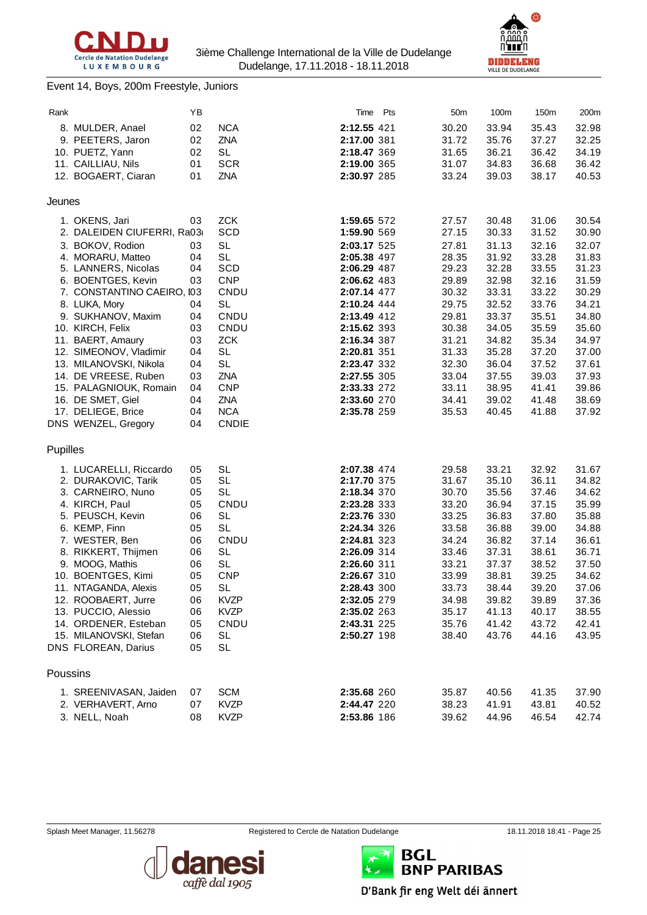

#### Event 14, Boys, 200m Freestyle, Juniors



| Rank     |                            | ΥB |              | Time        | Pts | 50m   | 100m  | 150m  | 200m  |
|----------|----------------------------|----|--------------|-------------|-----|-------|-------|-------|-------|
|          | 8. MULDER, Anael           | 02 | <b>NCA</b>   | 2:12.55 421 |     | 30.20 | 33.94 | 35.43 | 32.98 |
|          | 9. PEETERS, Jaron          | 02 | ZNA          | 2:17.00 381 |     | 31.72 | 35.76 | 37.27 | 32.25 |
|          | 10. PUETZ, Yann            | 02 | <b>SL</b>    | 2:18.47 369 |     | 31.65 | 36.21 | 36.42 | 34.19 |
|          | 11. CAILLIAU, Nils         | 01 | <b>SCR</b>   | 2:19.00 365 |     | 31.07 | 34.83 | 36.68 | 36.42 |
|          | 12. BOGAERT, Ciaran        | 01 | ZNA          | 2:30.97 285 |     | 33.24 | 39.03 | 38.17 | 40.53 |
|          |                            |    |              |             |     |       |       |       |       |
| Jeunes   |                            |    |              |             |     |       |       |       |       |
|          | 1. OKENS, Jari             | 03 | <b>ZCK</b>   | 1:59.65 572 |     | 27.57 | 30.48 | 31.06 | 30.54 |
|          | 2. DALEIDEN CIUFERRI, Ra03 |    | <b>SCD</b>   | 1:59.90 569 |     | 27.15 | 30.33 | 31.52 | 30.90 |
|          | 3. BOKOV, Rodion           | 03 | <b>SL</b>    | 2:03.17 525 |     | 27.81 | 31.13 | 32.16 | 32.07 |
|          | 4. MORARU, Matteo          | 04 | <b>SL</b>    | 2:05.38 497 |     | 28.35 | 31.92 | 33.28 | 31.83 |
|          | 5. LANNERS, Nicolas        | 04 | SCD          | 2:06.29 487 |     | 29.23 | 32.28 | 33.55 | 31.23 |
|          | 6. BOENTGES, Kevin         | 03 | <b>CNP</b>   | 2:06.62 483 |     | 29.89 | 32.98 | 32.16 | 31.59 |
|          | 7. CONSTANTINO CAEIRO, 103 |    | CNDU         | 2:07.14 477 |     | 30.32 | 33.31 | 33.22 | 30.29 |
|          | 8. LUKA, Mory              | 04 | <b>SL</b>    | 2:10.24 444 |     | 29.75 | 32.52 | 33.76 | 34.21 |
|          | 9. SUKHANOV, Maxim         | 04 | CNDU         | 2:13.49 412 |     | 29.81 | 33.37 | 35.51 | 34.80 |
|          | 10. KIRCH, Felix           | 03 | CNDU         | 2:15.62 393 |     | 30.38 | 34.05 | 35.59 | 35.60 |
|          | 11. BAERT, Amaury          | 03 | <b>ZCK</b>   | 2:16.34 387 |     | 31.21 | 34.82 | 35.34 | 34.97 |
|          | 12. SIMEONOV, Vladimir     | 04 | <b>SL</b>    | 2:20.81 351 |     | 31.33 | 35.28 | 37.20 | 37.00 |
|          | 13. MILANOVSKI, Nikola     | 04 | <b>SL</b>    | 2:23.47 332 |     | 32.30 | 36.04 | 37.52 | 37.61 |
|          | 14. DE VREESE, Ruben       | 03 | ZNA          | 2:27.55 305 |     | 33.04 | 37.55 | 39.03 | 37.93 |
|          | 15. PALAGNIOUK, Romain     | 04 | <b>CNP</b>   | 2:33.33 272 |     | 33.11 | 38.95 | 41.41 | 39.86 |
|          | 16. DE SMET, Giel          | 04 | ZNA          | 2:33.60 270 |     | 34.41 | 39.02 | 41.48 | 38.69 |
|          | 17. DELIEGE, Brice         | 04 | <b>NCA</b>   | 2:35.78 259 |     | 35.53 | 40.45 | 41.88 | 37.92 |
|          | DNS WENZEL, Gregory        | 04 | <b>CNDIE</b> |             |     |       |       |       |       |
| Pupilles |                            |    |              |             |     |       |       |       |       |
|          | 1. LUCARELLI, Riccardo     | 05 | <b>SL</b>    | 2:07.38 474 |     | 29.58 | 33.21 | 32.92 | 31.67 |
|          | 2. DURAKOVIC, Tarik        | 05 | <b>SL</b>    | 2:17.70 375 |     | 31.67 | 35.10 | 36.11 | 34.82 |
|          | 3. CARNEIRO, Nuno          | 05 | <b>SL</b>    | 2:18.34 370 |     | 30.70 | 35.56 | 37.46 | 34.62 |
|          | 4. KIRCH, Paul             | 05 | CNDU         | 2:23.28 333 |     | 33.20 | 36.94 | 37.15 | 35.99 |
|          | 5. PEUSCH, Kevin           | 06 | <b>SL</b>    | 2:23.76 330 |     | 33.25 | 36.83 | 37.80 | 35.88 |
|          | 6. KEMP, Finn              | 05 | <b>SL</b>    | 2:24.34 326 |     | 33.58 | 36.88 | 39.00 | 34.88 |
|          | 7. WESTER, Ben             | 06 | CNDU         | 2:24.81 323 |     | 34.24 | 36.82 | 37.14 | 36.61 |
|          | 8. RIKKERT, Thijmen        | 06 | <b>SL</b>    | 2:26.09 314 |     | 33.46 | 37.31 | 38.61 | 36.71 |
|          | 9. MOOG, Mathis            | 06 | <b>SL</b>    | 2:26.60 311 |     | 33.21 | 37.37 | 38.52 | 37.50 |
|          | 10. BOENTGES, Kimi         | 05 | <b>CNP</b>   | 2:26.67 310 |     | 33.99 | 38.81 | 39.25 | 34.62 |
| 11.      | NTAGANDA, Alexis           | 05 | <b>SL</b>    | 2:28.43 300 |     | 33.73 | 38.44 | 39.20 | 37.06 |
|          | 12. ROOBAERT, Jurre        | 06 | <b>KVZP</b>  | 2:32.05 279 |     | 34.98 | 39.82 | 39.89 | 37.36 |
|          | 13. PUCCIO, Alessio        | 06 | <b>KVZP</b>  | 2:35.02 263 |     | 35.17 | 41.13 | 40.17 | 38.55 |
|          | 14. ORDENER, Esteban       | 05 | CNDU         | 2:43.31 225 |     | 35.76 | 41.42 | 43.72 | 42.41 |
|          | 15. MILANOVSKI, Stefan     | 06 | SL           | 2:50.27 198 |     | 38.40 | 43.76 | 44.16 | 43.95 |
|          | DNS FLOREAN, Darius        | 05 | <b>SL</b>    |             |     |       |       |       |       |
| Poussins |                            |    |              |             |     |       |       |       |       |
|          | 1. SREENIVASAN, Jaiden     | 07 | <b>SCM</b>   | 2:35.68 260 |     | 35.87 | 40.56 | 41.35 | 37.90 |
|          | 2. VERHAVERT, Arno         | 07 | <b>KVZP</b>  | 2:44.47 220 |     | 38.23 | 41.91 | 43.81 | 40.52 |
|          |                            |    |              |             |     |       |       |       |       |

3. NELL, Noah 08 KVZP **2:53.86** 186 39.62 44.96 46.54 42.74





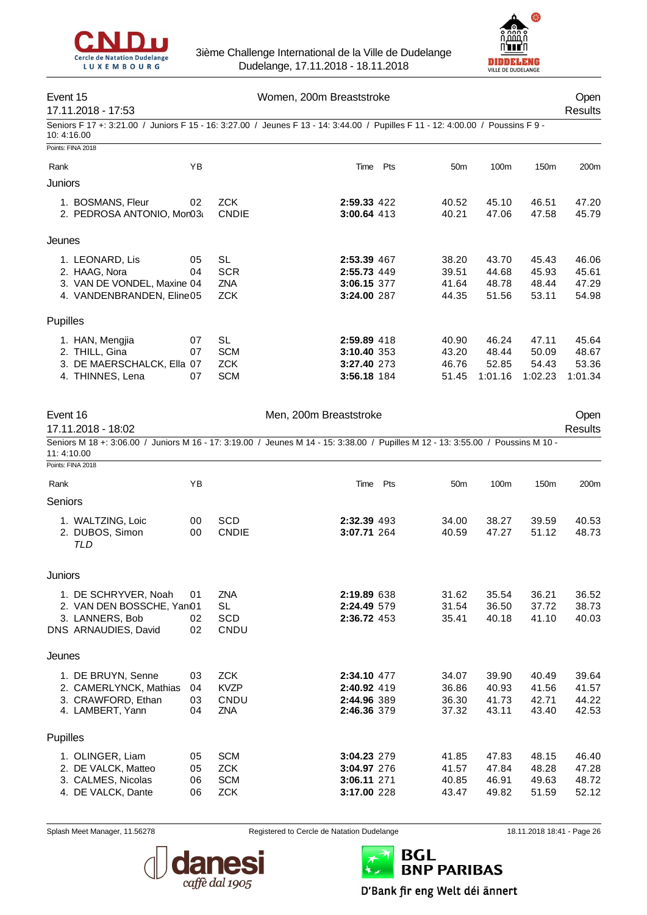



| Event 15<br>17.11.2018 - 17:53               |          |              | Women, 200m Breaststroke                                                                                                         |                 |                |                | Open<br>Results |
|----------------------------------------------|----------|--------------|----------------------------------------------------------------------------------------------------------------------------------|-----------------|----------------|----------------|-----------------|
| 10:4:16.00                                   |          |              | Seniors F 17 +: 3:21.00 / Juniors F 15 - 16: 3:27.00 / Jeunes F 13 - 14: 3:44.00 / Pupilles F 11 - 12: 4:00.00 / Poussins F 9 -  |                 |                |                |                 |
| Points: FINA 2018                            |          |              |                                                                                                                                  |                 |                |                |                 |
| Rank                                         | YB       |              | Time Pts                                                                                                                         | 50 <sub>m</sub> | 100m           | 150m           | 200m            |
| Juniors                                      |          |              |                                                                                                                                  |                 |                |                |                 |
| 1. BOSMANS, Fleur                            | 02       | <b>ZCK</b>   | 2:59.33 422                                                                                                                      | 40.52           | 45.10          | 46.51          | 47.20           |
| 2. PEDROSA ANTONIO, Mor03i                   |          | <b>CNDIE</b> | 3:00.64 413                                                                                                                      | 40.21           | 47.06          | 47.58          | 45.79           |
|                                              |          |              |                                                                                                                                  |                 |                |                |                 |
| Jeunes                                       |          |              |                                                                                                                                  |                 |                |                |                 |
| 1. LEONARD, Lis                              | 05       | <b>SL</b>    | 2:53.39 467                                                                                                                      | 38.20           | 43.70          | 45.43          | 46.06           |
| 2. HAAG, Nora                                | 04       | <b>SCR</b>   | 2:55.73 449                                                                                                                      | 39.51           | 44.68          | 45.93          | 45.61           |
| 3. VAN DE VONDEL, Maxine 04                  |          | ZNA          | 3:06.15 377                                                                                                                      | 41.64           | 48.78          | 48.44          | 47.29           |
| 4. VANDENBRANDEN, Eline05                    |          | <b>ZCK</b>   | 3:24.00 287                                                                                                                      | 44.35           | 51.56          | 53.11          | 54.98           |
| Pupilles                                     |          |              |                                                                                                                                  |                 |                |                |                 |
| 1. HAN, Mengjia                              | 07       | <b>SL</b>    | 2:59.89 418                                                                                                                      | 40.90           | 46.24          | 47.11          | 45.64           |
| 2. THILL, Gina                               | 07       | <b>SCM</b>   | 3:10.40 353                                                                                                                      | 43.20           | 48.44          | 50.09          | 48.67           |
| 3. DE MAERSCHALCK, Ella 07                   |          | <b>ZCK</b>   | 3:27.40 273                                                                                                                      | 46.76           | 52.85          | 54.43          | 53.36           |
| 4. THINNES, Lena                             | 07       | <b>SCM</b>   | 3:56.18 184                                                                                                                      | 51.45           | 1:01.16        | 1:02.23        | 1:01.34         |
|                                              |          |              |                                                                                                                                  |                 |                |                |                 |
| Event 16                                     |          |              | Men, 200m Breaststroke                                                                                                           |                 |                |                |                 |
| 17.11.2018 - 18:02                           |          |              |                                                                                                                                  |                 |                |                | Open<br>Results |
|                                              |          |              | Seniors M 18 +: 3:06.00 / Juniors M 16 - 17: 3:19.00 / Jeunes M 14 - 15: 3:38.00 / Pupilles M 12 - 13: 3:55.00 / Poussins M 10 - |                 |                |                |                 |
| 11:4:10.00                                   |          |              |                                                                                                                                  |                 |                |                |                 |
| Points: FINA 2018                            |          |              |                                                                                                                                  |                 |                |                |                 |
| Rank                                         | YB       |              | Time Pts                                                                                                                         | 50 <sub>m</sub> | 100m           | 150m           | 200m            |
| Seniors                                      |          |              |                                                                                                                                  |                 |                |                |                 |
| 1. WALTZING, Loic                            | 00       | <b>SCD</b>   | 2:32.39 493                                                                                                                      | 34.00           | 38.27          | 39.59          | 40.53           |
| 2. DUBOS, Simon                              | 00       | <b>CNDIE</b> | 3:07.71 264                                                                                                                      | 40.59           | 47.27          | 51.12          | 48.73           |
| TLD                                          |          |              |                                                                                                                                  |                 |                |                |                 |
|                                              |          |              |                                                                                                                                  |                 |                |                |                 |
| Juniors                                      |          |              |                                                                                                                                  |                 |                |                |                 |
| 1. DE SCHRYVER, Noah                         | 01       | ZNA          | 2:19.89 638                                                                                                                      | 31.62           | 35.54          | 36.21          | 36.52           |
| 2. VAN DEN BOSSCHE, Yan01                    |          | <b>SL</b>    | 2:24.49 579                                                                                                                      | 31.54           | 36.50          | 37.72          | 38.73           |
| 3. LANNERS, Bob                              | 02       | SCD          | 2:36.72 453                                                                                                                      | 35.41           | 40.18          | 41.10          | 40.03           |
| DNS ARNAUDIES, David                         | 02       | CNDU         |                                                                                                                                  |                 |                |                |                 |
| Jeunes                                       |          |              |                                                                                                                                  |                 |                |                |                 |
|                                              |          | <b>ZCK</b>   | 2:34.10 477                                                                                                                      |                 |                |                |                 |
| 1. DE BRUYN, Senne<br>2. CAMERLYNCK, Mathias | 03<br>04 | <b>KVZP</b>  | 2:40.92 419                                                                                                                      | 34.07<br>36.86  | 39.90<br>40.93 | 40.49<br>41.56 | 39.64<br>41.57  |
| 3. CRAWFORD, Ethan                           | 03       | CNDU         | 2:44.96 389                                                                                                                      | 36.30           | 41.73          | 42.71          | 44.22           |
| 4. LAMBERT, Yann                             | 04       | ZNA          | 2:46.36 379                                                                                                                      | 37.32           | 43.11          | 43.40          | 42.53           |
| Pupilles                                     |          |              |                                                                                                                                  |                 |                |                |                 |
| 1. OLINGER, Liam                             | 05       | <b>SCM</b>   | 3:04.23 279                                                                                                                      | 41.85           | 47.83          | 48.15          | 46.40           |
| 2. DE VALCK, Matteo                          | 05       | <b>ZCK</b>   | 3:04.97 276                                                                                                                      | 41.57           | 47.84          | 48.28          | 47.28           |
| 3. CALMES, Nicolas                           | 06       | <b>SCM</b>   | 3:06.11 271                                                                                                                      | 40.85           | 46.91          | 49.63          | 48.72           |
| 4. DE VALCK, Dante                           | 06       | <b>ZCK</b>   | 3:17.00 228                                                                                                                      | 43.47           | 49.82          | 51.59          | 52.12           |



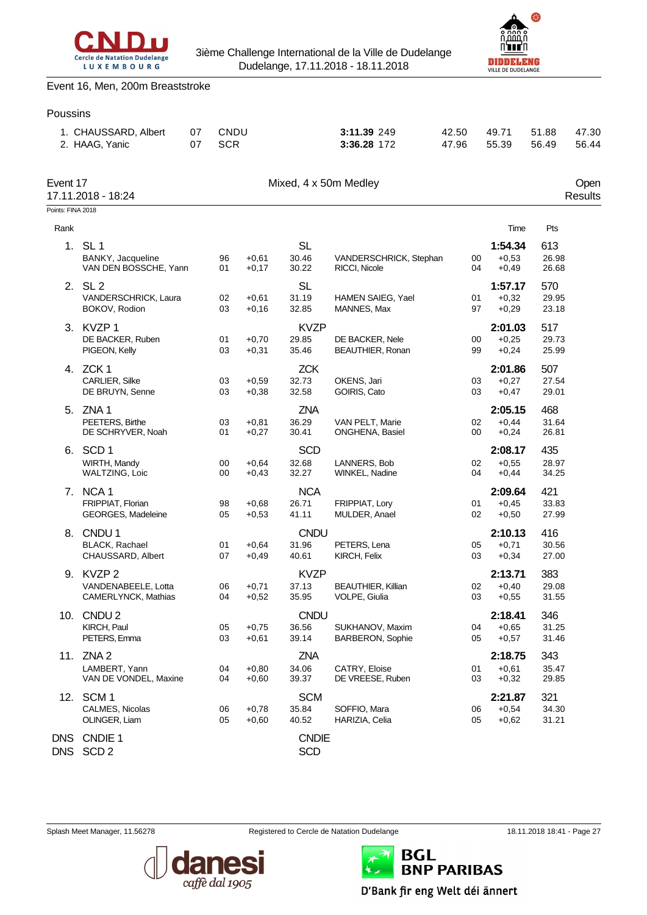



#### Event 16, Men, 200m Breaststroke

# Poussins 1. CHAUSSARD, Albert 07 CNDU **3:11.39** 249 42.50 49.71 51.88 47.30 2. HAAG, Yanic 07 SCR **3:36.28** 172 47.96 55.39 56.49 56.44 Event 17 Communication of the Mixed, 4 x 50m Medley Communication of the Communication of the Open 17.11.2018 - 18:24 Results Points: FINA 2018 Rank **Time Pts** 1. SL 1 SL **1:54.34** 613 BANKY, Jacqueline 96 +0,61 30.46 VANDERSCHRICK, Stephan 00 +0,53 26.98 VAN DEN BOSSCHE, Yann 2. SL 2 SL **1:57.17** 570 VANDERSCHRICK, Laura 02 +0,61 31.19 HAMEN SAIEG, Yael 01 +0,32 29.95 BOKOV, Rodion 03 +0,16 32.85 MANNES, Max 97 +0,29 23.18 3. KVZP 1 KVZP **2:01.03** 517 DE BACKER, Ruben 01 +0,70 29.85 DE BACKER, Nele 00 +0,25 29.73 PIGEON, Kelly 03 +0,31 35.46 BEAUTHIER, Ronan 99 +0,24 25.99

| 4.                       | ZCK 1<br>CARLIER, Silke                                         | 03       | $+0,59$            | <b>ZCK</b><br>32.73           | OKENS, Jari                                       | 03       | 2:01.86<br>$+0,27$            | 507<br>27.54          |
|--------------------------|-----------------------------------------------------------------|----------|--------------------|-------------------------------|---------------------------------------------------|----------|-------------------------------|-----------------------|
|                          | DE BRUYN, Senne                                                 | 03       | $+0,38$            | 32.58                         | GOIRIS, Cato                                      | 03       | $+0.47$                       | 29.01                 |
| 5.                       | ZNA <sub>1</sub><br>PEETERS, Birthe<br>DE SCHRYVER, Noah        | 03<br>01 | $+0.81$<br>$+0.27$ | <b>ZNA</b><br>36.29<br>30.41  | VAN PELT, Marie<br><b>ONGHENA, Basiel</b>         | 02<br>00 | 2:05.15<br>$+0,44$<br>$+0,24$ | 468<br>31.64<br>26.81 |
| 6.                       | SCD <sub>1</sub><br>WIRTH, Mandy<br><b>WALTZING, Loic</b>       | 00<br>00 | $+0.64$<br>$+0,43$ | <b>SCD</b><br>32.68<br>32.27  | LANNERS, Bob<br>WINKEL, Nadine                    | 02<br>04 | 2:08.17<br>$+0.55$<br>$+0,44$ | 435<br>28.97<br>34.25 |
|                          | 7. NCA 1<br>FRIPPIAT, Florian<br>GEORGES, Madeleine             | 98<br>05 | $+0.68$<br>$+0.53$ | <b>NCA</b><br>26.71<br>41.11  | FRIPPIAT, Lory<br>MULDER, Anael                   | 01<br>02 | 2:09.64<br>$+0.45$<br>$+0,50$ | 421<br>33.83<br>27.99 |
| 8.                       | CNDU <sub>1</sub><br><b>BLACK, Rachael</b><br>CHAUSSARD, Albert | 01<br>07 | $+0.64$<br>$+0.49$ | <b>CNDU</b><br>31.96<br>40.61 | PETERS, Lena<br>KIRCH, Felix                      | 05<br>03 | 2:10.13<br>$+0,71$<br>$+0,34$ | 416<br>30.56<br>27.00 |
|                          | 9. KVZP 2<br>VANDENABEELE, Lotta<br>CAMERLYNCK, Mathias         | 06<br>04 | $+0,71$<br>$+0.52$ | <b>KVZP</b><br>37.13<br>35.95 | <b>BEAUTHIER, Killian</b><br><b>VOLPE.</b> Giulia | 02<br>03 | 2:13.71<br>$+0,40$<br>$+0,55$ | 383<br>29.08<br>31.55 |
| 10.                      | CNDU <sub>2</sub><br>KIRCH, Paul<br>PETERS, Emma                | 05<br>03 | $+0.75$<br>$+0,61$ | <b>CNDU</b><br>36.56<br>39.14 | SUKHANOV, Maxim<br><b>BARBERON, Sophie</b>        | 04<br>05 | 2:18.41<br>$+0.65$<br>$+0,57$ | 346<br>31.25<br>31.46 |
| 11.                      | ZNA <sub>2</sub><br>LAMBERT, Yann<br>VAN DE VONDEL, Maxine      | 04<br>04 | $+0.80$<br>$+0.60$ | <b>ZNA</b><br>34.06<br>39.37  | CATRY, Eloise<br>DE VREESE, Ruben                 | 01<br>03 | 2:18.75<br>$+0.61$<br>$+0,32$ | 343<br>35.47<br>29.85 |
| 12.                      | SCM <sub>1</sub><br>CALMES, Nicolas<br>OLINGER, Liam            | 06<br>05 | $+0,78$<br>$+0.60$ | <b>SCM</b><br>35.84<br>40.52  | SOFFIO, Mara<br>HARIZIA, Celia                    | 06<br>05 | 2:21.87<br>$+0.54$<br>$+0,62$ | 321<br>34.30<br>31.21 |
| <b>DNS</b><br><b>DNS</b> | CNDIE 1<br>SCD <sub>2</sub>                                     |          |                    | <b>CNDIE</b><br><b>SCD</b>    |                                                   |          |                               |                       |





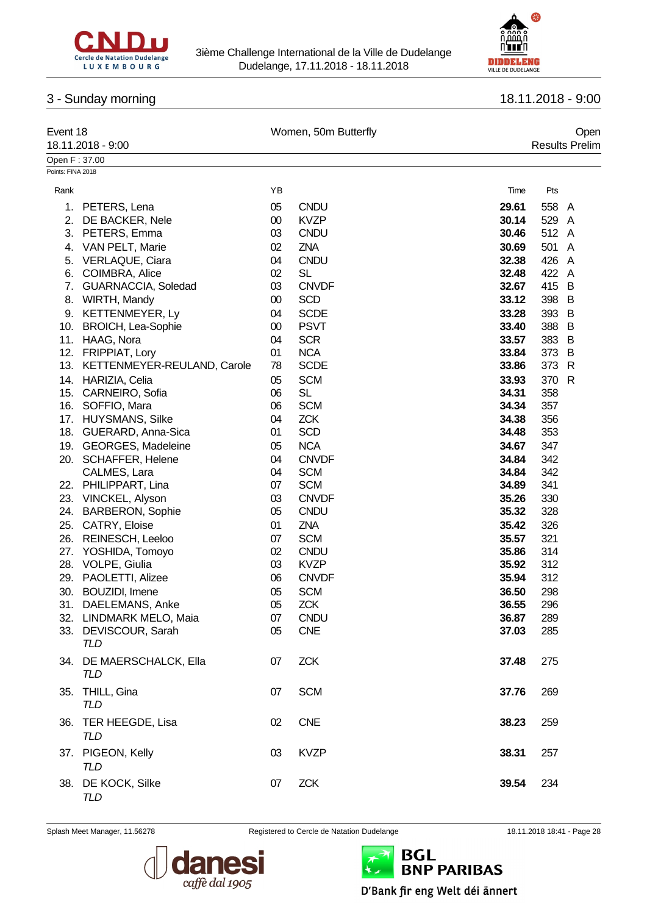



# 3 - Sunday morning 18.11.2018 - 9:00

| Event 18          | 18.11.2018 - 9:00                      |        | Women, 50m Butterfly |       | Open<br><b>Results Prelim</b> |  |  |
|-------------------|----------------------------------------|--------|----------------------|-------|-------------------------------|--|--|
| Open F: 37.00     |                                        |        |                      |       |                               |  |  |
| Points: FINA 2018 |                                        |        |                      |       |                               |  |  |
| Rank              |                                        | YB     |                      | Time  | Pts                           |  |  |
| 1.                | PETERS, Lena                           | 05     | <b>CNDU</b>          | 29.61 | 558 A                         |  |  |
| 2.                | DE BACKER, Nele                        | $00\,$ | <b>KVZP</b>          | 30.14 | 529 A                         |  |  |
| 3.                | PETERS, Emma                           | 03     | <b>CNDU</b>          | 30.46 | 512 A                         |  |  |
| 4.                | VAN PELT, Marie                        | 02     | ZNA                  | 30.69 | 501<br>$\mathsf{A}$           |  |  |
| 5.                | VERLAQUE, Ciara                        | 04     | <b>CNDU</b>          | 32.38 | 426<br>$\mathsf{A}$           |  |  |
| 6.                | COIMBRA, Alice                         | 02     | <b>SL</b>            | 32.48 | 422<br>A                      |  |  |
| 7.                | GUARNACCIA, Soledad                    | 03     | <b>CNVDF</b>         | 32.67 | 415<br>B                      |  |  |
| 8.                | WIRTH, Mandy                           | $00\,$ | <b>SCD</b>           | 33.12 | 398 B                         |  |  |
|                   | 9. KETTENMEYER, Ly                     | 04     | <b>SCDE</b>          | 33.28 | 393 B                         |  |  |
|                   | 10. BROICH, Lea-Sophie                 | $00\,$ | <b>PSVT</b>          | 33.40 | 388 B                         |  |  |
|                   | 11. HAAG, Nora                         | 04     | <b>SCR</b>           | 33.57 | 383 B                         |  |  |
|                   | 12. FRIPPIAT, Lory                     | 01     | <b>NCA</b>           | 33.84 | 373 B                         |  |  |
|                   | 13. KETTENMEYER-REULAND, Carole        | 78     | <b>SCDE</b>          | 33.86 | 373 R                         |  |  |
|                   | 14. HARIZIA, Celia                     | 05     | <b>SCM</b>           | 33.93 | 370<br>$\mathsf{R}$           |  |  |
|                   | 15. CARNEIRO, Sofia                    | 06     | <b>SL</b>            | 34.31 | 358                           |  |  |
|                   | 16. SOFFIO, Mara                       | 06     | <b>SCM</b>           | 34.34 | 357                           |  |  |
|                   | 17. HUYSMANS, Silke                    | 04     | <b>ZCK</b>           | 34.38 | 356                           |  |  |
|                   | 18. GUERARD, Anna-Sica                 | 01     | <b>SCD</b>           | 34.48 | 353                           |  |  |
|                   | 19. GEORGES, Madeleine                 | 05     | <b>NCA</b>           | 34.67 | 347                           |  |  |
|                   | 20. SCHAFFER, Helene                   | 04     | <b>CNVDF</b>         | 34.84 | 342                           |  |  |
|                   | CALMES, Lara                           | 04     | <b>SCM</b>           | 34.84 | 342                           |  |  |
|                   | 22. PHILIPPART, Lina                   | 07     | <b>SCM</b>           | 34.89 | 341                           |  |  |
|                   | 23. VINCKEL, Alyson                    | 03     | <b>CNVDF</b>         | 35.26 | 330                           |  |  |
| 24.               | <b>BARBERON, Sophie</b>                | 05     | <b>CNDU</b>          | 35.32 | 328                           |  |  |
| 25.               | CATRY, Eloise                          | 01     | <b>ZNA</b>           | 35.42 | 326                           |  |  |
| 26.               | REINESCH, Leeloo                       | 07     | <b>SCM</b>           | 35.57 | 321                           |  |  |
| 27.               | YOSHIDA, Tomoyo                        | 02     | <b>CNDU</b>          | 35.86 | 314                           |  |  |
|                   | 28. VOLPE, Giulia                      | 03     | <b>KVZP</b>          | 35.92 | 312                           |  |  |
| 29.               | PAOLETTI, Alizee                       | 06     | <b>CNVDF</b>         | 35.94 | 312                           |  |  |
| 30.               | <b>BOUZIDI, Imene</b>                  | 05     | <b>SCM</b>           | 36.50 | 298                           |  |  |
| 31.               | DAELEMANS, Anke                        | 05     | <b>ZCK</b>           | 36.55 | 296                           |  |  |
|                   | 32. LINDMARK MELO, Maia                | $07$   | <b>CNDU</b>          | 36.87 | 289                           |  |  |
|                   | 33. DEVISCOUR, Sarah<br><b>TLD</b>     | 05     | <b>CNE</b>           | 37.03 | 285                           |  |  |
|                   | 34. DE MAERSCHALCK, Ella<br><b>TLD</b> | 07     | <b>ZCK</b>           | 37.48 | 275                           |  |  |
|                   | 35. THILL, Gina<br>TLD                 | 07     | <b>SCM</b>           | 37.76 | 269                           |  |  |
|                   | 36. TER HEEGDE, Lisa<br><b>TLD</b>     | 02     | <b>CNE</b>           | 38.23 | 259                           |  |  |
|                   | 37. PIGEON, Kelly<br><b>TLD</b>        | 03     | <b>KVZP</b>          | 38.31 | 257                           |  |  |
|                   | 38. DE KOCK, Silke<br><b>TLD</b>       | 07     | <b>ZCK</b>           | 39.54 | 234                           |  |  |





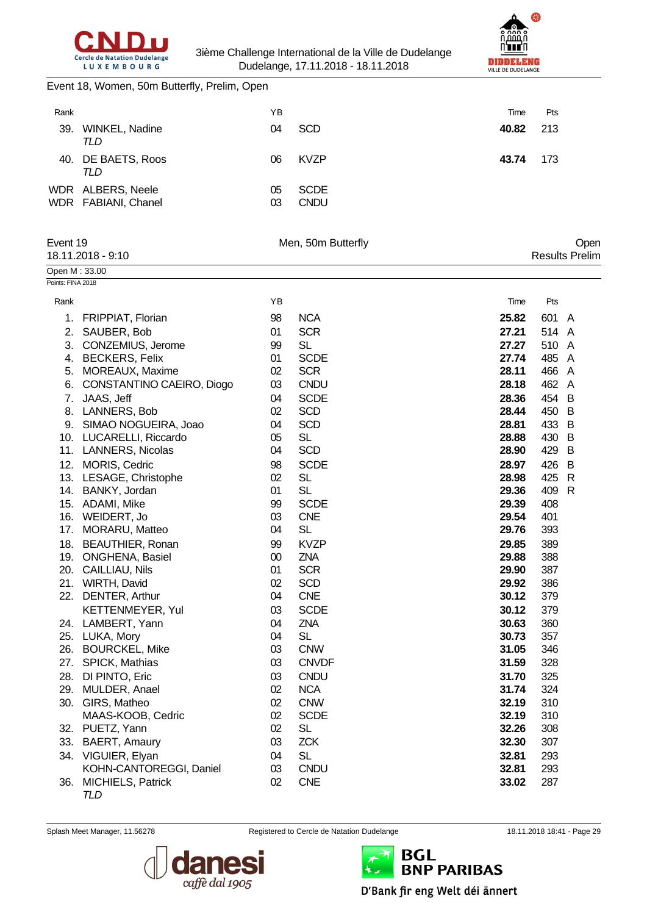



Event 18, Women, 50m Butterfly, Prelim, Open

| Rank |                                          | YΒ       |                            | Time  | Pts |
|------|------------------------------------------|----------|----------------------------|-------|-----|
| 39.  | <b>WINKEL, Nadine</b><br>TLD             | 04       | <b>SCD</b>                 | 40.82 | 213 |
|      | 40. DE BAETS, Roos<br>TLD                | 06       | <b>KVZP</b>                | 43.74 | 173 |
|      | WDR ALBERS, Neele<br>WDR FABIANI, Chanel | 05<br>03 | <b>SCDE</b><br><b>CNDU</b> |       |     |

| Event 19          |                                                     |          | Men, 50m Butterfly       | Open           |            |                       |  |
|-------------------|-----------------------------------------------------|----------|--------------------------|----------------|------------|-----------------------|--|
|                   | 18.11.2018 - 9:10                                   |          |                          |                |            | <b>Results Prelim</b> |  |
| Open M: 33.00     |                                                     |          |                          |                |            |                       |  |
| Points: FINA 2018 |                                                     |          |                          |                |            |                       |  |
| Rank              |                                                     | YB       |                          | Time           | Pts        |                       |  |
| 1.                | FRIPPIAT, Florian                                   | 98       | <b>NCA</b>               | 25.82          | 601 A      |                       |  |
| 2.                | SAUBER, Bob                                         | 01       | <b>SCR</b>               | 27.21          | 514 A      |                       |  |
|                   | 3. CONZEMIUS, Jerome                                | 99       | <b>SL</b>                | 27.27          | 510 A      |                       |  |
|                   | 4. BECKERS, Felix                                   | 01       | <b>SCDE</b>              | 27.74          | 485        | A                     |  |
|                   | 5. MOREAUX, Maxime                                  | 02       | <b>SCR</b>               | 28.11          | 466 A      |                       |  |
|                   | 6. CONSTANTINO CAEIRO, Diogo                        | 03       | <b>CNDU</b>              | 28.18          | 462 A      |                       |  |
| 7.                | JAAS, Jeff                                          | 04       | <b>SCDE</b>              | 28.36          | 454        | B                     |  |
|                   | 8. LANNERS, Bob                                     | 02       | <b>SCD</b>               | 28.44          | 450        | $\overline{B}$        |  |
|                   | 9. SIMAO NOGUEIRA, Joao                             | 04       | <b>SCD</b>               | 28.81          | 433 B      |                       |  |
|                   | 10. LUCARELLI, Riccardo                             | 05       | <b>SL</b>                | 28.88          | 430 B      |                       |  |
|                   | 11. LANNERS, Nicolas                                | 04       | <b>SCD</b>               | 28.90          | 429 B      |                       |  |
|                   | 12. MORIS, Cedric                                   | 98       | <b>SCDE</b>              | 28.97          | 426        | $\overline{B}$        |  |
|                   | 13. LESAGE, Christophe                              | 02       | <b>SL</b>                | 28.98          | 425        | $\mathsf{R}$          |  |
|                   | 14. BANKY, Jordan                                   | 01       | <b>SL</b>                | 29.36          | 409        | R                     |  |
|                   | 15. ADAMI, Mike                                     | 99       | <b>SCDE</b>              | 29.39          | 408        |                       |  |
|                   | 16. WEIDERT, Jo                                     | 03       | <b>CNE</b>               | 29.54          | 401        |                       |  |
|                   | 17. MORARU, Matteo                                  | 04       | <b>SL</b>                | 29.76          | 393        |                       |  |
|                   | 18. BEAUTHIER, Ronan                                | 99       | <b>KVZP</b>              | 29.85          | 389        |                       |  |
|                   | 19. ONGHENA, Basiel                                 | 00       | ZNA                      | 29.88          | 388        |                       |  |
|                   | 20. CAILLIAU, Nils                                  | 01       | <b>SCR</b>               | 29.90          | 387        |                       |  |
|                   | 21. WIRTH, David                                    | 02       | <b>SCD</b>               | 29.92          | 386        |                       |  |
|                   | 22. DENTER, Arthur                                  | 04       | <b>CNE</b>               | 30.12          | 379        |                       |  |
|                   | KETTENMEYER, Yul                                    | 03       | <b>SCDE</b>              | 30.12          | 379        |                       |  |
|                   | 24. LAMBERT, Yann                                   | 04       | ZNA                      | 30.63          | 360        |                       |  |
|                   | 25. LUKA, Mory                                      | 04       | <b>SL</b>                | 30.73          | 357        |                       |  |
|                   | 26. BOURCKEL, Mike                                  | 03       | <b>CNW</b>               | 31.05          | 346        |                       |  |
|                   | 27. SPICK, Mathias                                  | 03       | <b>CNVDF</b>             | 31.59          | 328        |                       |  |
|                   | 28. DI PINTO, Eric                                  | 03       | <b>CNDU</b>              | 31.70          | 325        |                       |  |
|                   | 29. MULDER, Anael                                   | 02       | <b>NCA</b>               | 31.74          | 324        |                       |  |
|                   | 30. GIRS, Matheo                                    | 02       | <b>CNW</b>               | 32.19          | 310        |                       |  |
|                   | MAAS-KOOB, Cedric                                   | 02<br>02 | <b>SCDE</b><br><b>SL</b> | 32.19<br>32.26 | 310<br>308 |                       |  |
|                   | 32. PUETZ, Yann                                     | 03       | <b>ZCK</b>               | 32.30          |            |                       |  |
|                   | 33. BAERT, Amaury                                   |          |                          |                | 307        |                       |  |
|                   | 34. VIGUIER, Elyan                                  | 04       | <b>SL</b><br><b>CNDU</b> | 32.81          | 293        |                       |  |
| 36.               | KOHN-CANTOREGGI, Daniel<br><b>MICHIELS, Patrick</b> | 03<br>02 | <b>CNE</b>               | 32.81<br>33.02 | 293<br>287 |                       |  |
|                   | TLD                                                 |          |                          |                |            |                       |  |



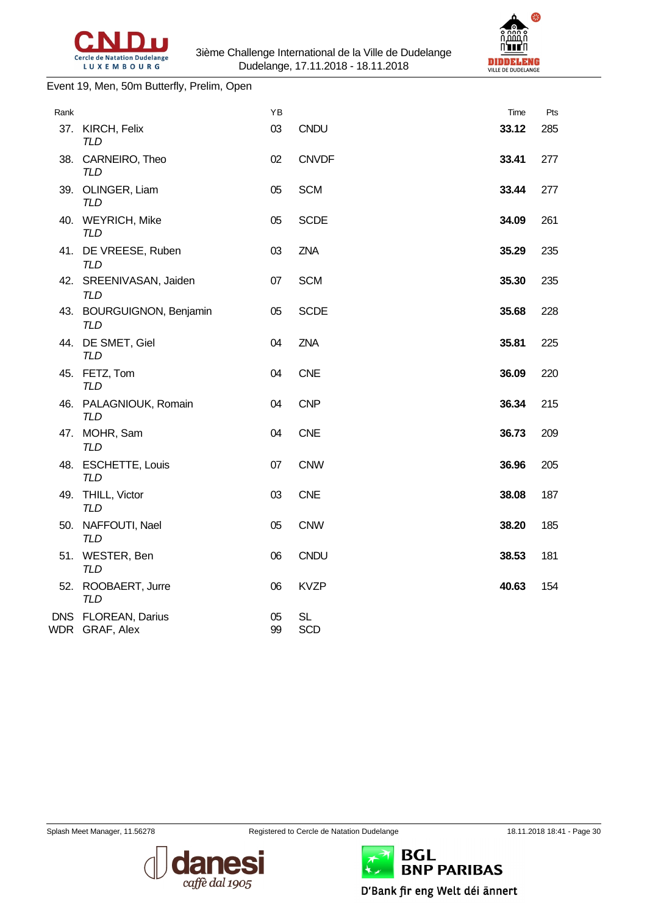

#### Event 19, Men, 50m Butterfly, Prelim, Open

| Rank |                                         | ΥB       |                         | Time  | Pts |
|------|-----------------------------------------|----------|-------------------------|-------|-----|
|      | 37. KIRCH, Felix<br><b>TLD</b>          | 03       | <b>CNDU</b>             | 33.12 | 285 |
|      | 38. CARNEIRO, Theo<br><b>TLD</b>        | 02       | <b>CNVDF</b>            | 33.41 | 277 |
|      | 39. OLINGER, Liam<br><b>TLD</b>         | 05       | <b>SCM</b>              | 33.44 | 277 |
|      | 40. WEYRICH, Mike<br><b>TLD</b>         | 05       | <b>SCDE</b>             | 34.09 | 261 |
|      | 41. DE VREESE, Ruben<br><b>TLD</b>      | 03       | <b>ZNA</b>              | 35.29 | 235 |
|      | 42. SREENIVASAN, Jaiden<br><b>TLD</b>   | 07       | <b>SCM</b>              | 35.30 | 235 |
|      | 43. BOURGUIGNON, Benjamin<br><b>TLD</b> | 05       | <b>SCDE</b>             | 35.68 | 228 |
|      | 44. DE SMET, Giel<br><b>TLD</b>         | 04       | <b>ZNA</b>              | 35.81 | 225 |
|      | 45. FETZ, Tom<br><b>TLD</b>             | 04       | <b>CNE</b>              | 36.09 | 220 |
|      | 46. PALAGNIOUK, Romain<br><b>TLD</b>    | 04       | <b>CNP</b>              | 36.34 | 215 |
|      | 47. MOHR, Sam<br><b>TLD</b>             | 04       | <b>CNE</b>              | 36.73 | 209 |
|      | 48. ESCHETTE, Louis<br><b>TLD</b>       | 07       | <b>CNW</b>              | 36.96 | 205 |
|      | 49. THILL, Victor<br><b>TLD</b>         | 03       | <b>CNE</b>              | 38.08 | 187 |
|      | 50. NAFFOUTI, Nael<br><b>TLD</b>        | 05       | <b>CNW</b>              | 38.20 | 185 |
|      | 51. WESTER, Ben<br><b>TLD</b>           | 06       | CNDU                    | 38.53 | 181 |
|      | 52. ROOBAERT, Jurre<br><b>TLD</b>       | 06       | <b>KVZP</b>             | 40.63 | 154 |
|      | DNS FLOREAN, Darius<br>WDR GRAF, Alex   | 05<br>99 | <b>SL</b><br><b>SCD</b> |       |     |
|      |                                         |          |                         |       |     |





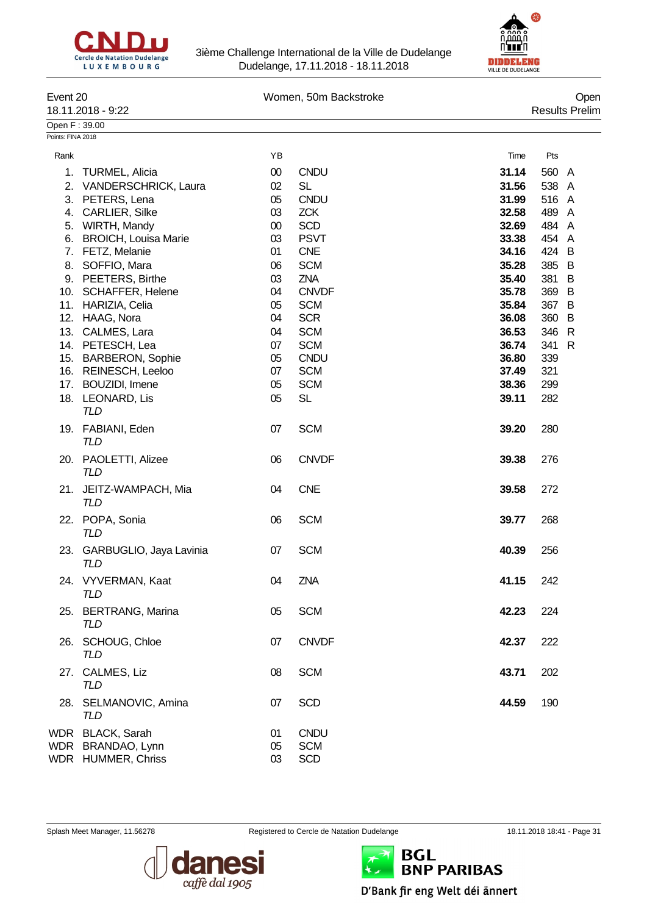



| Event 20          |                                    |        | Women, 50m Backstroke |       | Open                  |  |  |  |
|-------------------|------------------------------------|--------|-----------------------|-------|-----------------------|--|--|--|
|                   | 18.11.2018 - 9:22                  |        |                       |       | <b>Results Prelim</b> |  |  |  |
| Open F: 39.00     |                                    |        |                       |       |                       |  |  |  |
| Points: FINA 2018 |                                    |        |                       |       |                       |  |  |  |
| Rank              |                                    | YB     |                       | Time  | Pts                   |  |  |  |
| 1.                | <b>TURMEL, Alicia</b>              | $00\,$ | <b>CNDU</b>           | 31.14 | 560 A                 |  |  |  |
| 2.                | <b>VANDERSCHRICK, Laura</b>        | 02     | <b>SL</b>             | 31.56 | 538 A                 |  |  |  |
|                   | 3. PETERS, Lena                    | 05     | <b>CNDU</b>           | 31.99 | 516 A                 |  |  |  |
|                   | 4. CARLIER, Silke                  | 03     | <b>ZCK</b>            | 32.58 | 489 A                 |  |  |  |
|                   | 5. WIRTH, Mandy                    | $00\,$ | <b>SCD</b>            | 32.69 | 484 A                 |  |  |  |
|                   | 6. BROICH, Louisa Marie            | 03     | <b>PSVT</b>           | 33.38 | 454 A                 |  |  |  |
|                   | 7. FETZ, Melanie                   | 01     | <b>CNE</b>            | 34.16 | 424 B                 |  |  |  |
|                   | 8. SOFFIO, Mara                    | 06     | <b>SCM</b>            | 35.28 | 385 B                 |  |  |  |
|                   | 9. PEETERS, Birthe                 | 03     | <b>ZNA</b>            | 35.40 | 381<br>B              |  |  |  |
|                   | 10. SCHAFFER, Helene               | 04     | <b>CNVDF</b>          | 35.78 | 369 B                 |  |  |  |
|                   | 11. HARIZIA, Celia                 | 05     | <b>SCM</b>            | 35.84 | 367 B                 |  |  |  |
|                   |                                    | 04     | <b>SCR</b>            | 36.08 | 360<br>$\overline{B}$ |  |  |  |
|                   | 12. HAAG, Nora                     |        |                       |       |                       |  |  |  |
|                   | 13. CALMES, Lara                   | 04     | <b>SCM</b>            | 36.53 | 346 R                 |  |  |  |
|                   | 14. PETESCH, Lea                   | 07     | <b>SCM</b>            | 36.74 | 341<br>R              |  |  |  |
|                   | 15. BARBERON, Sophie               | 05     | <b>CNDU</b>           | 36.80 | 339                   |  |  |  |
|                   | 16. REINESCH, Leeloo               | 07     | <b>SCM</b>            | 37.49 | 321                   |  |  |  |
|                   | 17. BOUZIDI, Imene                 | 05     | <b>SCM</b>            | 38.36 | 299                   |  |  |  |
|                   | 18. LEONARD, Lis                   | 05     | <b>SL</b>             | 39.11 | 282                   |  |  |  |
|                   | <b>TLD</b>                         |        |                       |       |                       |  |  |  |
|                   | 19. FABIANI, Eden                  | 07     | <b>SCM</b>            | 39.20 | 280                   |  |  |  |
|                   | <b>TLD</b>                         |        |                       |       |                       |  |  |  |
|                   |                                    | 06     | <b>CNVDF</b>          | 39.38 | 276                   |  |  |  |
|                   | 20. PAOLETTI, Alizee<br><b>TLD</b> |        |                       |       |                       |  |  |  |
|                   |                                    |        |                       |       |                       |  |  |  |
| 21.               | JEITZ-WAMPACH, Mia                 | 04     | <b>CNE</b>            | 39.58 | 272                   |  |  |  |
|                   | <b>TLD</b>                         |        |                       |       |                       |  |  |  |
|                   | 22. POPA, Sonia                    | 06     | <b>SCM</b>            | 39.77 | 268                   |  |  |  |
|                   | <b>TLD</b>                         |        |                       |       |                       |  |  |  |
|                   |                                    |        |                       |       |                       |  |  |  |
|                   | 23. GARBUGLIO, Jaya Lavinia        | 07     | <b>SCM</b>            | 40.39 | 256                   |  |  |  |
|                   | <b>TLD</b>                         |        |                       |       |                       |  |  |  |
|                   | 24. VYVERMAN, Kaat                 | 04     | ZNA                   | 41.15 | 242                   |  |  |  |
|                   | TLD                                |        |                       |       |                       |  |  |  |
|                   | 25. BERTRANG, Marina               | 05     | <b>SCM</b>            | 42.23 | 224                   |  |  |  |
|                   | <b>TLD</b>                         |        |                       |       |                       |  |  |  |
|                   |                                    |        |                       |       |                       |  |  |  |
|                   | 26. SCHOUG, Chloe                  | 07     | <b>CNVDF</b>          | 42.37 | 222                   |  |  |  |
|                   | TLD                                |        |                       |       |                       |  |  |  |
|                   | 27. CALMES, Liz                    | 08     | <b>SCM</b>            | 43.71 | 202                   |  |  |  |
|                   | TLD                                |        |                       |       |                       |  |  |  |
|                   | 28. SELMANOVIC, Amina              | 07     | <b>SCD</b>            | 44.59 | 190                   |  |  |  |
|                   | <b>TLD</b>                         |        |                       |       |                       |  |  |  |
|                   |                                    |        |                       |       |                       |  |  |  |
|                   | WDR BLACK, Sarah                   | 01     | <b>CNDU</b>           |       |                       |  |  |  |
|                   | WDR BRANDAO, Lynn                  | 05     | <b>SCM</b>            |       |                       |  |  |  |
|                   | WDR HUMMER, Chriss                 | 03     | <b>SCD</b>            |       |                       |  |  |  |



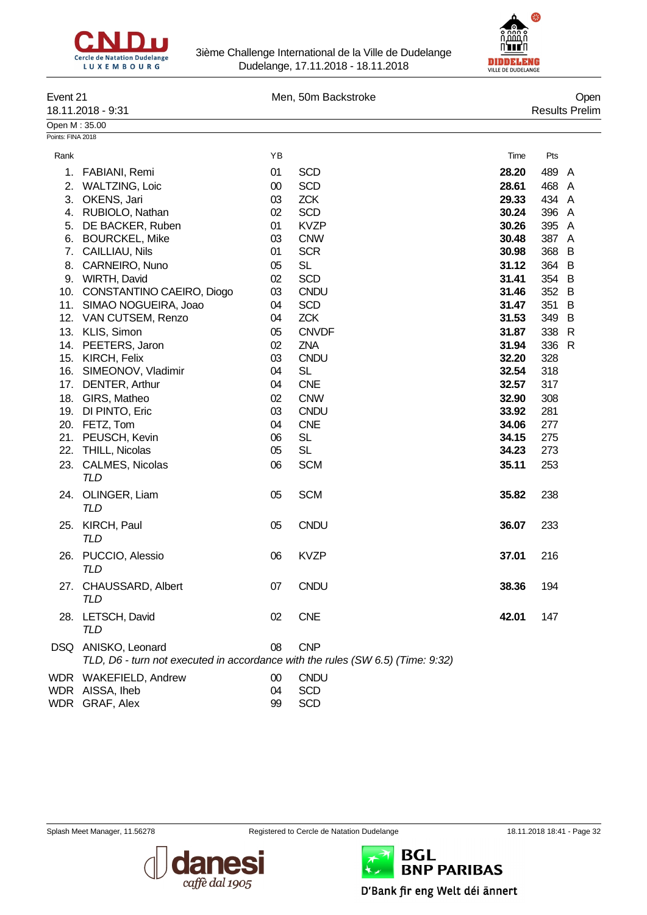



| Event 21          | 18.11.2018 - 9:31                                                              |          | Men, 50m Backstroke    |                |            | Open<br><b>Results Prelim</b> |
|-------------------|--------------------------------------------------------------------------------|----------|------------------------|----------------|------------|-------------------------------|
| Open M: 35.00     |                                                                                |          |                        |                |            |                               |
| Points: FINA 2018 |                                                                                |          |                        |                |            |                               |
| Rank              |                                                                                | YB       |                        | Time           | Pts        |                               |
| 1.                | FABIANI, Remi                                                                  | 01       | <b>SCD</b>             | 28.20          | 489 A      |                               |
| 2.                | <b>WALTZING, Loic</b>                                                          | 00       | <b>SCD</b>             | 28.61          | 468 A      |                               |
| 3.                | OKENS, Jari                                                                    | 03       | <b>ZCK</b>             | 29.33          | 434 A      |                               |
|                   | 4. RUBIOLO, Nathan                                                             | 02       | <b>SCD</b>             | 30.24          | 396 A      |                               |
| 5.                | DE BACKER, Ruben                                                               | 01       | <b>KVZP</b>            | 30.26          | 395 A      |                               |
| 6.                | <b>BOURCKEL, Mike</b>                                                          | 03       | <b>CNW</b>             | 30.48          | 387 A      |                               |
| 7.                | CAILLIAU, Nils                                                                 | 01       | <b>SCR</b>             | 30.98          | 368        | B                             |
| 8.                | CARNEIRO, Nuno                                                                 | 05       | <b>SL</b>              | 31.12          | 364 B      |                               |
|                   | 9. WIRTH, David                                                                | 02       | <b>SCD</b>             | 31.41          | 354 B      |                               |
|                   | 10. CONSTANTINO CAEIRO, Diogo                                                  | 03       | <b>CNDU</b>            | 31.46          | 352 B      |                               |
|                   | 11. SIMAO NOGUEIRA, Joao                                                       | 04       | <b>SCD</b>             | 31.47          | 351        | B                             |
|                   | 12. VAN CUTSEM, Renzo                                                          | 04       | <b>ZCK</b>             | 31.53          | 349        | B                             |
|                   | 13. KLIS, Simon                                                                | 05       | <b>CNVDF</b>           | 31.87          | 338        | $\mathsf{R}$                  |
|                   | 14. PEETERS, Jaron                                                             | 02       | <b>ZNA</b>             | 31.94          | 336        | $\mathsf{R}$                  |
|                   | 15. KIRCH, Felix                                                               | 03       | <b>CNDU</b>            | 32.20          | 328        |                               |
|                   | 16. SIMEONOV, Vladimir                                                         | 04       | <b>SL</b>              | 32.54          | 318        |                               |
|                   | 17. DENTER, Arthur                                                             | 04       | <b>CNE</b>             | 32.57          | 317        |                               |
|                   | 18. GIRS, Matheo                                                               | 02       | <b>CNW</b>             | 32.90          | 308        |                               |
|                   | 19. DI PINTO, Eric                                                             | 03       | <b>CNDU</b>            | 33.92          | 281        |                               |
|                   | 20. FETZ, Tom                                                                  | 04       | <b>CNE</b>             | 34.06          | 277        |                               |
|                   | 21. PEUSCH, Kevin<br>22. THILL, Nicolas                                        | 06<br>05 | <b>SL</b><br><b>SL</b> | 34.15<br>34.23 | 275<br>273 |                               |
|                   | 23. CALMES, Nicolas                                                            |          |                        |                | 253        |                               |
|                   | <b>TLD</b>                                                                     | 06       | <b>SCM</b>             | 35.11          |            |                               |
|                   | 24. OLINGER, Liam<br><b>TLD</b>                                                | 05       | <b>SCM</b>             | 35.82          | 238        |                               |
|                   | 25. KIRCH, Paul<br>TLD                                                         | 05       | <b>CNDU</b>            | 36.07          | 233        |                               |
|                   | 26. PUCCIO, Alessio<br><b>TLD</b>                                              | 06       | <b>KVZP</b>            | 37.01          | 216        |                               |
|                   | 27. CHAUSSARD, Albert<br><b>TLD</b>                                            | 07       | <b>CNDU</b>            | 38.36          | 194        |                               |
|                   | 28. LETSCH, David<br>TLD                                                       | 02       | <b>CNE</b>             | 42.01          | 147        |                               |
|                   | DSQ ANISKO, Leonard                                                            | 08       | <b>CNP</b>             |                |            |                               |
|                   | TLD, D6 - turn not executed in accordance with the rules (SW 6.5) (Time: 9:32) |          |                        |                |            |                               |
|                   | WDR WAKEFIELD, Andrew                                                          | $00\,$   | <b>CNDU</b>            |                |            |                               |
|                   | WDR AISSA, Iheb                                                                | 04       | <b>SCD</b>             |                |            |                               |
|                   | WDR GRAF, Alex                                                                 | 99       | <b>SCD</b>             |                |            |                               |





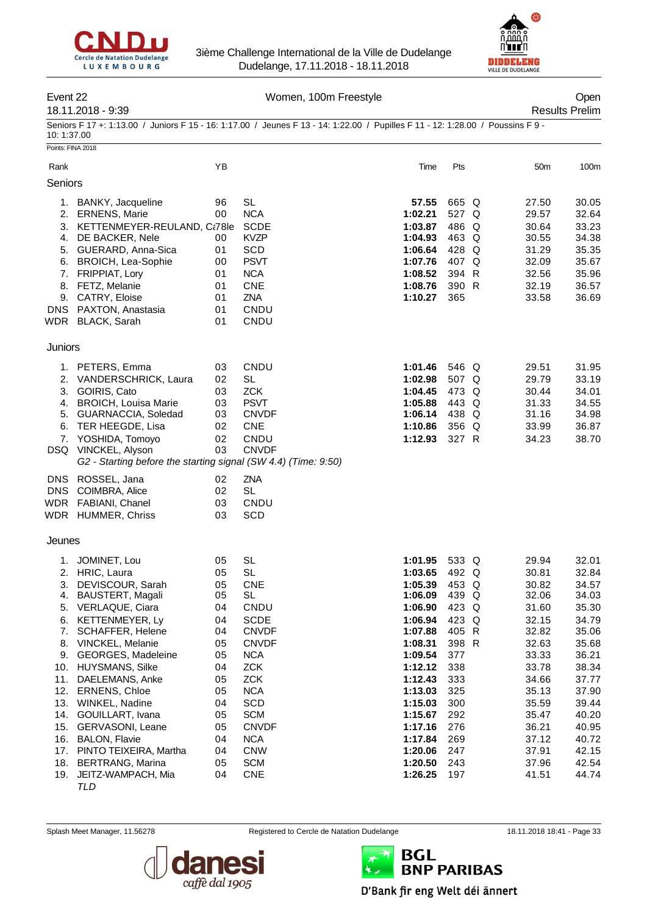



#### Event 22 Channel Communication Communication Communication Communication Communication Communication Communication Communication Communication Communication Communication Communication Communication Communication Communica

## 18.11.2018 - 9:39 Results Prelim

Seniors F 17 +: 1:13.00 / Juniors F 15 - 16: 1:17.00 / Jeunes F 13 - 14: 1:22.00 / Pupilles F 11 - 12: 1:28.00 / Poussins F 9 - 10: 1:37.00

| Points: FINA 2018 |                                                                |          |                  |                    |                |                |                |
|-------------------|----------------------------------------------------------------|----------|------------------|--------------------|----------------|----------------|----------------|
| Rank              |                                                                | YB       |                  | Time               | Pts            | 50m            | 100m           |
| Seniors           |                                                                |          |                  |                    |                |                |                |
|                   |                                                                |          |                  |                    |                |                |                |
| 1.                | BANKY, Jacqueline                                              | 96       | <b>SL</b>        | 57.55              | 665 Q          | 27.50          | 30.05          |
| 2.                | <b>ERNENS, Marie</b>                                           | 00       | <b>NCA</b>       | 1:02.21            | 527 Q          | 29.57          | 32.64          |
| 3.                | KETTENMEYER-REULAND, Ct78le                                    |          | <b>SCDE</b>      | 1:03.87            | 486 Q          | 30.64          | 33.23          |
| 4.                | DE BACKER, Nele                                                | 00       | <b>KVZP</b>      | 1:04.93            | 463 Q          | 30.55          | 34.38          |
|                   | 5. GUERARD, Anna-Sica                                          | 01       | <b>SCD</b>       | 1:06.64            | 428 Q          | 31.29          | 35.35          |
|                   | 6. BROICH, Lea-Sophie                                          | 00       | <b>PSVT</b>      | 1:07.76            | 407 Q          | 32.09          | 35.67          |
|                   | 7. FRIPPIAT, Lory                                              | 01       | <b>NCA</b>       | 1:08.52            | 394 R          | 32.56          | 35.96          |
|                   | 8. FETZ, Melanie                                               | 01       | <b>CNE</b>       | 1:08.76            | 390 R          | 32.19          | 36.57          |
| 9.                | <b>CATRY, Eloise</b>                                           | 01       | ZNA              | 1:10.27            | 365            | 33.58          | 36.69          |
| <b>DNS</b>        | PAXTON, Anastasia                                              | 01       | CNDU             |                    |                |                |                |
|                   | WDR BLACK, Sarah                                               | 01       | CNDU             |                    |                |                |                |
| Juniors           |                                                                |          |                  |                    |                |                |                |
|                   | 1. PETERS, Emma                                                | 03       | CNDU             | 1:01.46            | 546 Q          | 29.51          | 31.95          |
|                   | 2. VANDERSCHRICK, Laura                                        | 02       | <b>SL</b>        | 1:02.98            | 507 Q          | 29.79          | 33.19          |
| 3.                | GOIRIS, Cato                                                   | 03       | <b>ZCK</b>       | 1:04.45            | 473 Q          | 30.44          | 34.01          |
| 4.                | <b>BROICH, Louisa Marie</b>                                    | 03       | <b>PSVT</b>      | 1:05.88            | 443 Q          | 31.33          | 34.55          |
| 5.                | GUARNACCIA, Soledad                                            | 03       | <b>CNVDF</b>     | 1:06.14            | 438 Q          | 31.16          | 34.98          |
| 6.                | TER HEEGDE, Lisa                                               | 02       | <b>CNE</b>       | 1:10.86            | 356 Q          | 33.99          | 36.87          |
| 7.                | YOSHIDA, Tomoyo                                                | 02       | CNDU             | 1:12.93            | 327 R          | 34.23          | 38.70          |
|                   | DSQ VINCKEL, Alyson                                            | 03       | <b>CNVDF</b>     |                    |                |                |                |
|                   | G2 - Starting before the starting signal (SW 4.4) (Time: 9:50) |          |                  |                    |                |                |                |
| <b>DNS</b>        | ROSSEL, Jana                                                   | 02       | ZNA              |                    |                |                |                |
| <b>DNS</b>        | COIMBRA, Alice                                                 | 02       | <b>SL</b>        |                    |                |                |                |
|                   | WDR FABIANI, Chanel                                            | 03       | CNDU             |                    |                |                |                |
|                   | WDR HUMMER, Chriss                                             | 03       | <b>SCD</b>       |                    |                |                |                |
| Jeunes            |                                                                |          |                  |                    |                |                |                |
|                   |                                                                |          |                  |                    |                |                |                |
| 1.                | JOMINET, Lou                                                   | 05       | <b>SL</b>        | 1:01.95            | 533 Q          | 29.94          | 32.01          |
| 2.                | HRIC, Laura                                                    | 05       | <b>SL</b>        | 1:03.65            | 492 Q<br>453 Q | 30.81          | 32.84          |
| 3.<br>4.          | DEVISCOUR, Sarah<br>BAUSTERT, Magali                           | 05<br>05 | <b>CNE</b><br>SL | 1:05.39<br>1:06.09 | 439 Q          | 30.82<br>32.06 | 34.57<br>34.03 |
| 5.                | VERLAQUE, Ciara                                                | 04       | CNDU             | 1:06.90            | 423 Q          | 31.60          | 35.30          |
| 6.                | KETTENMEYER, Ly                                                | 04       | <b>SCDE</b>      | 1:06.94            | 423 Q          | 32.15          | 34.79          |
| 7.                | SCHAFFER, Helene                                               | 04       | <b>CNVDF</b>     | 1:07.88            | 405 R          | 32.82          | 35.06          |
|                   | 8. VINCKEL, Melanie                                            | 05       | <b>CNVDF</b>     | 1:08.31            | 398 R          | 32.63          | 35.68          |
| 9.                | GEORGES, Madeleine                                             | 05       | <b>NCA</b>       | 1:09.54            | 377            | 33.33          | 36.21          |
|                   | 10. HUYSMANS, Silke                                            | 04       | <b>ZCK</b>       | 1:12.12            | 338            | 33.78          | 38.34          |
| 11.               | DAELEMANS, Anke                                                | 05       | <b>ZCK</b>       | 1:12.43            | 333            | 34.66          | 37.77          |
|                   | 12. ERNENS, Chloe                                              | 05       | <b>NCA</b>       | 1:13.03            | 325            | 35.13          | 37.90          |
| 13.               | WINKEL, Nadine                                                 | 04       | SCD              | 1:15.03            | 300            | 35.59          | 39.44          |
| 14.               | GOUILLART, Ivana                                               | 05       | <b>SCM</b>       | 1:15.67            | 292            | 35.47          | 40.20          |
| 15.               | GERVASONI, Leane                                               | 05       | <b>CNVDF</b>     | 1:17.16            | 276            | 36.21          | 40.95          |
|                   | 16. BALON, Flavie                                              | 04       | <b>NCA</b>       | 1:17.84            | 269            | 37.12          | 40.72          |
|                   | 17. PINTO TEIXEIRA, Martha                                     | 04       | <b>CNW</b>       | 1:20.06            | 247            | 37.91          | 42.15          |
|                   | 18. BERTRANG, Marina                                           | 05       | <b>SCM</b>       | 1:20.50            | 243            | 37.96          | 42.54          |
|                   | 19. JEITZ-WAMPACH, Mia                                         | 04       | <b>CNE</b>       | 1:26.25            | 197            | 41.51          | 44.74          |
|                   | TLD                                                            |          |                  |                    |                |                |                |



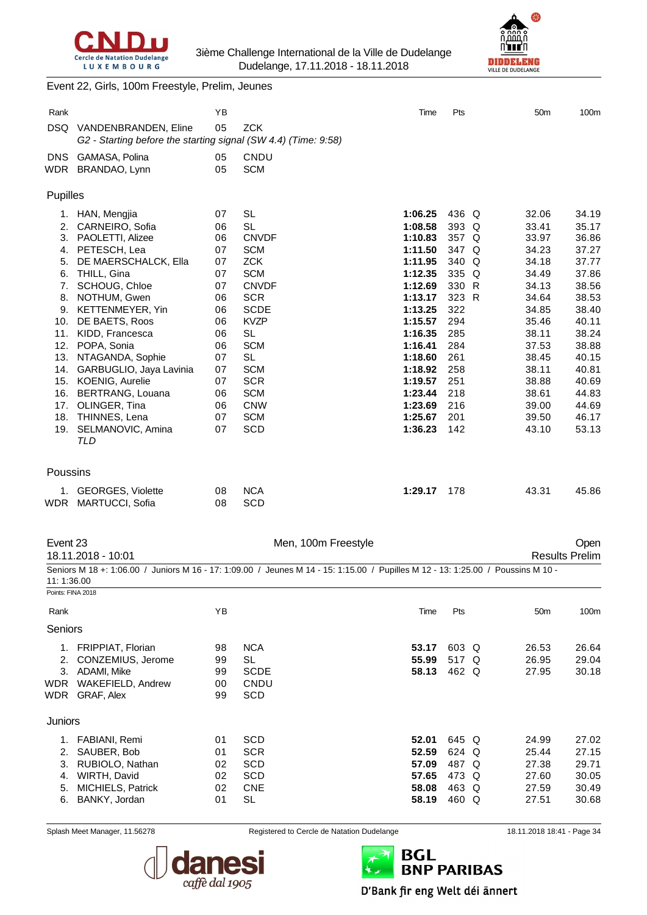



#### Event 22, Girls, 100m Freestyle, Prelim, Jeunes

| Rank              |                                                                | ΥB       |                                                                                                                                  | Time               | Pts        | 50 <sub>m</sub> | 100m                  |
|-------------------|----------------------------------------------------------------|----------|----------------------------------------------------------------------------------------------------------------------------------|--------------------|------------|-----------------|-----------------------|
| DSQ.              | VANDENBRANDEN, Eline                                           | 05       | <b>ZCK</b>                                                                                                                       |                    |            |                 |                       |
|                   | G2 - Starting before the starting signal (SW 4.4) (Time: 9:58) |          |                                                                                                                                  |                    |            |                 |                       |
| DNS.              | GAMASA, Polina                                                 | 05       | CNDU                                                                                                                             |                    |            |                 |                       |
|                   | WDR BRANDAO, Lynn                                              | 05       | <b>SCM</b>                                                                                                                       |                    |            |                 |                       |
| Pupilles          |                                                                |          |                                                                                                                                  |                    |            |                 |                       |
| 1.                | HAN, Mengjia                                                   | 07       | SL                                                                                                                               | 1:06.25            | 436 Q      | 32.06           | 34.19                 |
| 2.                | CARNEIRO, Sofia                                                | 06       | <b>SL</b>                                                                                                                        | 1:08.58            | 393 Q      | 33.41           | 35.17                 |
|                   | 3. PAOLETTI, Alizee                                            | 06       | <b>CNVDF</b>                                                                                                                     | 1:10.83            | 357 Q      | 33.97           | 36.86                 |
| 4.                | PETESCH, Lea                                                   | 07       | <b>SCM</b>                                                                                                                       | 1:11.50            | 347 Q      | 34.23           | 37.27                 |
| 5.                | DE MAERSCHALCK, Ella                                           | 07       | <b>ZCK</b>                                                                                                                       | 1:11.95            | 340 Q      | 34.18           | 37.77                 |
| 6.                | THILL, Gina                                                    | 07       | <b>SCM</b>                                                                                                                       | 1:12.35            | 335 Q      | 34.49           | 37.86                 |
| 7.                | SCHOUG, Chloe                                                  | 07       | <b>CNVDF</b>                                                                                                                     | 1:12.69            | 330 R      | 34.13           | 38.56                 |
| 8.                | NOTHUM, Gwen                                                   | 06       | <b>SCR</b>                                                                                                                       | 1:13.17            | 323 R      | 34.64           | 38.53                 |
|                   | 9. KETTENMEYER, Yin                                            | 06       | <b>SCDE</b><br><b>KVZP</b>                                                                                                       | 1:13.25            | 322<br>294 | 34.85           | 38.40<br>40.11        |
| 10.<br>11.        | DE BAETS, Roos<br>KIDD, Francesca                              | 06<br>06 | <b>SL</b>                                                                                                                        | 1:15.57<br>1:16.35 | 285        | 35.46<br>38.11  | 38.24                 |
| 12.               | POPA, Sonia                                                    | 06       | <b>SCM</b>                                                                                                                       | 1:16.41            | 284        | 37.53           | 38.88                 |
|                   | 13. NTAGANDA, Sophie                                           | 07       | <b>SL</b>                                                                                                                        | 1:18.60            | 261        | 38.45           | 40.15                 |
|                   | 14. GARBUGLIO, Jaya Lavinia                                    | 07       | <b>SCM</b>                                                                                                                       | 1:18.92            | 258        | 38.11           | 40.81                 |
|                   | 15. KOENIG, Aurelie                                            | 07       | <b>SCR</b>                                                                                                                       | 1:19.57            | 251        | 38.88           | 40.69                 |
| 16.               | <b>BERTRANG, Louana</b>                                        | 06       | <b>SCM</b>                                                                                                                       | 1:23.44            | 218        | 38.61           | 44.83                 |
|                   | 17. OLINGER, Tina                                              | 06       | <b>CNW</b>                                                                                                                       | 1:23.69            | 216        | 39.00           | 44.69                 |
| 18.               | THINNES, Lena                                                  | 07       | <b>SCM</b>                                                                                                                       | 1:25.67            | 201        | 39.50           | 46.17                 |
| 19.               | SELMANOVIC, Amina                                              | 07       | <b>SCD</b>                                                                                                                       | 1:36.23            | 142        | 43.10           | 53.13                 |
|                   | <b>TLD</b>                                                     |          |                                                                                                                                  |                    |            |                 |                       |
| Poussins          |                                                                |          |                                                                                                                                  |                    |            |                 |                       |
| 1.                | <b>GEORGES, Violette</b>                                       | 08       | <b>NCA</b>                                                                                                                       | 1:29.17            | 178        | 43.31           | 45.86                 |
| WDR               | MARTUCCI, Sofia                                                | 08       | <b>SCD</b>                                                                                                                       |                    |            |                 |                       |
|                   |                                                                |          |                                                                                                                                  |                    |            |                 |                       |
| Event 23          |                                                                |          | Men, 100m Freestyle                                                                                                              |                    |            |                 | Open                  |
|                   | 18.11.2018 - 10:01                                             |          |                                                                                                                                  |                    |            |                 | <b>Results Prelim</b> |
|                   |                                                                |          | Seniors M 18 +: 1:06.00 / Juniors M 16 - 17: 1:09.00 / Jeunes M 14 - 15: 1:15.00 / Pupilles M 12 - 13: 1:25.00 / Poussins M 10 - |                    |            |                 |                       |
| 11:1:36.00        |                                                                |          |                                                                                                                                  |                    |            |                 |                       |
| Points: FINA 2018 |                                                                |          |                                                                                                                                  |                    |            |                 |                       |
| Rank              |                                                                | YB       |                                                                                                                                  | Time               | Pts        | 50m             | 100m                  |
| Seniors           |                                                                |          |                                                                                                                                  |                    |            |                 |                       |
|                   | 1. FRIPPIAT, Florian                                           | 98       | <b>NCA</b>                                                                                                                       | 53.17              | 603 Q      | 26.53           | 26.64                 |
|                   | 2. CONZEMIUS, Jerome                                           | 99       | <b>SL</b>                                                                                                                        | 55.99              | 517 Q      | 26.95           | 29.04                 |
|                   | 3. ADAMI, Mike                                                 | 99       | <b>SCDE</b>                                                                                                                      | 58.13              | 462 Q      | 27.95           | 30.18                 |
| <b>WDR</b>        | WAKEFIELD, Andrew                                              | 00       | CNDU                                                                                                                             |                    |            |                 |                       |
|                   | WDR GRAF, Alex                                                 | 99       | SCD                                                                                                                              |                    |            |                 |                       |
| Juniors           |                                                                |          |                                                                                                                                  |                    |            |                 |                       |
|                   | 1. FABIANI, Remi                                               | 01       | <b>SCD</b>                                                                                                                       | 52.01              | 645 Q      | 24.99           | 27.02                 |
| 2.                | SAUBER, Bob                                                    | 01       | <b>SCR</b>                                                                                                                       | 52.59              | 624 Q      | 25.44           | 27.15                 |
| 3.                | RUBIOLO, Nathan                                                | 02       | SCD                                                                                                                              | 57.09              | 487 Q      | 27.38           | 29.71                 |
| 4.                | WIRTH, David                                                   | 02       | SCD                                                                                                                              | 57.65              | 473 Q      | 27.60           | 30.05                 |
| 5.                | MICHIELS, Patrick                                              | 02       | <b>CNE</b>                                                                                                                       | 58.08              | 463 Q      | 27.59           | 30.49                 |
| 6.                | BANKY, Jordan                                                  | 01       | <b>SL</b>                                                                                                                        | 58.19              | 460 Q      | 27.51           | 30.68                 |
|                   |                                                                |          |                                                                                                                                  |                    |            |                 |                       |



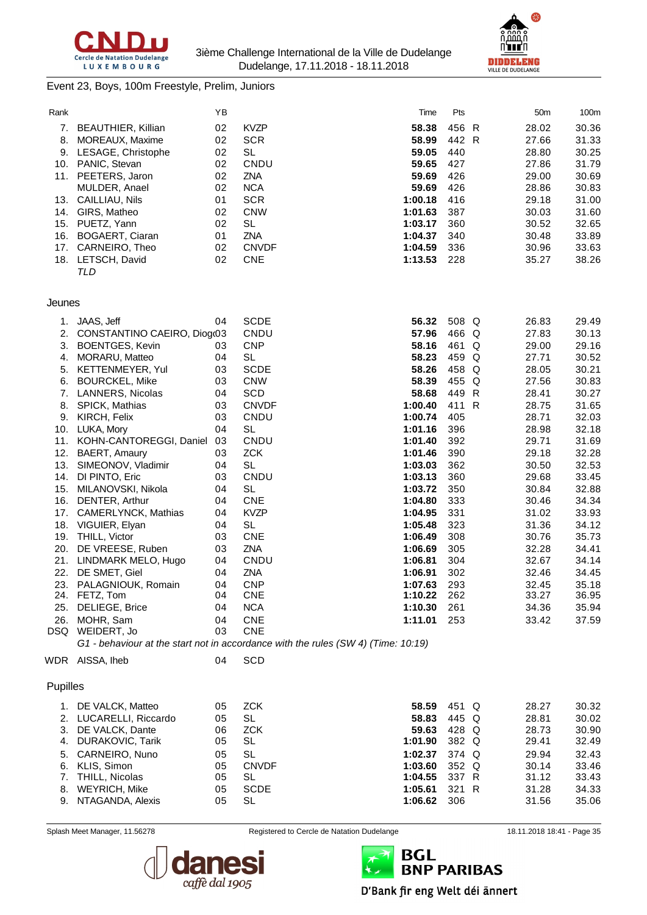



#### Event 23, Boys, 100m Freestyle, Prelim, Juniors

| Rank       |                                             | ΥB       |                                                                                   | Time               | Pts          | 50m            | 100m           |
|------------|---------------------------------------------|----------|-----------------------------------------------------------------------------------|--------------------|--------------|----------------|----------------|
| 7.         | BEAUTHIER, Killian                          | 02       | <b>KVZP</b>                                                                       | 58.38              | 456 R        | 28.02          | 30.36          |
| 8.         | MOREAUX, Maxime                             | 02       | <b>SCR</b>                                                                        | 58.99              | 442 R        | 27.66          | 31.33          |
| 9.         | LESAGE, Christophe                          | 02       | <b>SL</b>                                                                         | 59.05              | 440          | 28.80          | 30.25          |
|            | 10. PANIC, Stevan                           | 02       | CNDU                                                                              | 59.65              | 427          | 27.86          | 31.79          |
|            | 11. PEETERS, Jaron                          | 02       | <b>ZNA</b>                                                                        | 59.69              | 426          | 29.00          | 30.69          |
|            | MULDER, Anael                               | 02       | <b>NCA</b>                                                                        | 59.69              | 426          | 28.86          | 30.83          |
|            | 13. CAILLIAU, Nils                          | 01       | <b>SCR</b>                                                                        | 1:00.18            | 416          | 29.18          | 31.00          |
|            | 14. GIRS, Matheo                            | 02       | <b>CNW</b>                                                                        | 1:01.63            | 387          | 30.03          | 31.60          |
|            | 15. PUETZ, Yann                             | 02       | <b>SL</b>                                                                         | 1:03.17            | 360          | 30.52          | 32.65          |
|            | 16. BOGAERT, Ciaran                         | 01       | <b>ZNA</b>                                                                        | 1:04.37            | 340          | 30.48          | 33.89          |
| 17.        | CARNEIRO, Theo                              | 02       | <b>CNVDF</b>                                                                      | 1:04.59            | 336          | 30.96          | 33.63          |
|            | 18. LETSCH, David                           | 02       | <b>CNE</b>                                                                        | 1:13.53            | 228          | 35.27          | 38.26          |
|            | TLD                                         |          |                                                                                   |                    |              |                |                |
| Jeunes     |                                             |          |                                                                                   |                    |              |                |                |
| 1.         | JAAS, Jeff                                  | 04       | <b>SCDE</b>                                                                       | 56.32              | 508 Q        | 26.83          | 29.49          |
| 2.         | CONSTANTINO CAEIRO, Diog(03                 |          | CNDU                                                                              | 57.96              | 466 Q        | 27.83          | 30.13          |
| 3.         | <b>BOENTGES, Kevin</b>                      | 03       | <b>CNP</b>                                                                        | 58.16              | 461 Q        | 29.00          | 29.16          |
| 4.         | MORARU, Matteo                              | 04       | <b>SL</b>                                                                         | 58.23              | 459 Q        | 27.71          | 30.52          |
| 5.         | KETTENMEYER, Yul                            | 03       | <b>SCDE</b>                                                                       | 58.26              | 458 Q        | 28.05          | 30.21          |
| 6.         | <b>BOURCKEL, Mike</b>                       | 03       | <b>CNW</b>                                                                        | 58.39              | 455 Q        | 27.56          | 30.83          |
| 7.         | LANNERS, Nicolas                            | 04       | <b>SCD</b>                                                                        | 58.68              | 449 R        | 28.41          | 30.27          |
| 8.         | SPICK, Mathias                              | 03       | <b>CNVDF</b>                                                                      | 1:00.40            | 411 R        | 28.75          | 31.65          |
| 9.         | KIRCH, Felix                                | 03       | CNDU                                                                              | 1:00.74            | 405          | 28.71          | 32.03          |
| 10.        | LUKA, Mory                                  | 04       | <b>SL</b>                                                                         | 1:01.16            | 396          | 28.98          | 32.18          |
| 11.        | KOHN-CANTOREGGI, Daniel                     | 03       | CNDU                                                                              | 1:01.40            | 392          | 29.71          | 31.69          |
| 12.        | BAERT, Amaury                               | 03       | <b>ZCK</b>                                                                        | 1:01.46            | 390          | 29.18          | 32.28          |
| 13.        | SIMEONOV, Vladimir                          | 04       | <b>SL</b>                                                                         | 1:03.03            | 362          | 30.50          | 32.53          |
| 14.        | DI PINTO, Eric                              | 03       | CNDU                                                                              | 1:03.13            | 360          | 29.68          | 33.45          |
| 15.<br>16. | MILANOVSKI, Nikola<br>DENTER, Arthur        | 04<br>04 | <b>SL</b><br><b>CNE</b>                                                           | 1:03.72<br>1:04.80 | 350<br>333   | 30.84<br>30.46 | 32.88<br>34.34 |
| 17.        | CAMERLYNCK, Mathias                         | 04       | <b>KVZP</b>                                                                       | 1:04.95            | 331          | 31.02          | 33.93          |
| 18.        | VIGUIER, Elyan                              | 04       | <b>SL</b>                                                                         | 1:05.48            | 323          | 31.36          | 34.12          |
| 19.        | THILL, Victor                               | 03       | <b>CNE</b>                                                                        | 1:06.49            | 308          | 30.76          | 35.73          |
| 20.        | DE VREESE, Ruben                            | 03       | ZNA                                                                               | 1:06.69            | 305          | 32.28          | 34.41          |
| 21.        | LINDMARK MELO, Hugo                         | 04       | CNDU                                                                              | 1:06.81            | 304          | 32.67          | 34.14          |
| 22.        | DE SMET, Giel                               | 04       | <b>ZNA</b>                                                                        | 1:06.91            | 302          | 32.46          | 34.45          |
|            | 23. PALAGNIOUK, Romain                      | 04       | <b>CNP</b>                                                                        | 1:07.63            | 293          | 32.45          | 35.18          |
|            | 24. FETZ, Tom                               | 04       | <b>CNE</b>                                                                        | 1:10.22            | 262          | 33.27          | 36.95          |
| 25.        | DELIEGE, Brice                              | 04       | <b>NCA</b>                                                                        | 1:10.30            | 261          | 34.36          | 35.94          |
| 26.        | MOHR, Sam                                   | 04       | <b>CNE</b>                                                                        | 1:11.01            | 253          | 33.42          | 37.59          |
|            | DSQ WEIDERT, Jo                             | 03       | <b>CNE</b>                                                                        |                    |              |                |                |
|            |                                             |          | G1 - behaviour at the start not in accordance with the rules (SW 4) (Time: 10:19) |                    |              |                |                |
|            | WDR AISSA, Iheb                             | 04       | <b>SCD</b>                                                                        |                    |              |                |                |
| Pupilles   |                                             |          |                                                                                   |                    |              |                |                |
| 1.         | DE VALCK, Matteo                            | 05       | <b>ZCK</b>                                                                        | 58.59              | 451 Q        | 28.27          | 30.32          |
|            | 2. LUCARELLI, Riccardo                      | 05       | <b>SL</b>                                                                         | 58.83              | 445 Q        | 28.81          | 30.02          |
| 3.         | DE VALCK, Dante                             | 06       | <b>ZCK</b>                                                                        | 59.63              | 428 Q        | 28.73          | 30.90          |
| 4.         | DURAKOVIC, Tarik                            | 05       | SL                                                                                | 1:01.90            | 382 Q        | 29.41          | 32.49          |
| 5.         | CARNEIRO, Nuno                              | 05       | <b>SL</b>                                                                         | 1:02.37            | 374 Q        | 29.94          | 32.43          |
| 6.         | KLIS, Simon                                 | 05       | <b>CNVDF</b>                                                                      | 1:03.60            | 352 Q        | 30.14          | 33.46          |
| 7.         | THILL, Nicolas                              | 05       | SL                                                                                | 1:04.55            | 337 R        | 31.12          | 33.43          |
| 8.         | <b>WEYRICH, Mike</b><br>9. NTAGANDA, Alexis | 05<br>05 | <b>SCDE</b><br><b>SL</b>                                                          | 1:05.61            | 321 R<br>306 | 31.28<br>31.56 | 34.33          |
|            |                                             |          |                                                                                   | 1:06.62            |              |                | 35.06          |



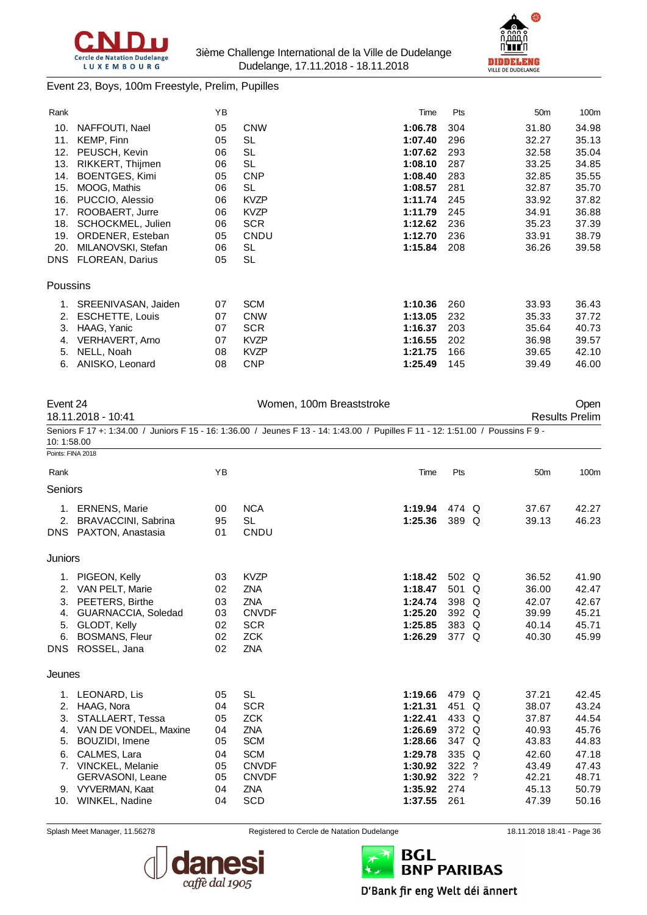



#### Event 23, Boys, 100m Freestyle, Prelim, Pupilles

| Rank       |                        | YB |             | Time    | Pts | 50 <sub>m</sub> | 100m  |
|------------|------------------------|----|-------------|---------|-----|-----------------|-------|
| 10.        | NAFFOUTI, Nael         | 05 | <b>CNW</b>  | 1:06.78 | 304 | 31.80           | 34.98 |
| 11.        | KEMP, Finn             | 05 | <b>SL</b>   | 1:07.40 | 296 | 32.27           | 35.13 |
| 12.        | PEUSCH, Kevin          | 06 | <b>SL</b>   | 1:07.62 | 293 | 32.58           | 35.04 |
| 13.        | RIKKERT, Thijmen       | 06 | SL          | 1:08.10 | 287 | 33.25           | 34.85 |
| 14.        | <b>BOENTGES, Kimi</b>  | 05 | <b>CNP</b>  | 1:08.40 | 283 | 32.85           | 35.55 |
| 15.        | MOOG, Mathis           | 06 | SL          | 1:08.57 | 281 | 32.87           | 35.70 |
| 16.        | PUCCIO, Alessio        | 06 | <b>KVZP</b> | 1:11.74 | 245 | 33.92           | 37.82 |
| 17.        | ROOBAERT, Jurre        | 06 | <b>KVZP</b> | 1:11.79 | 245 | 34.91           | 36.88 |
| 18.        | SCHOCKMEL, Julien      | 06 | <b>SCR</b>  | 1:12.62 | 236 | 35.23           | 37.39 |
| 19.        | ORDENER, Esteban       | 05 | CNDU        | 1:12.70 | 236 | 33.91           | 38.79 |
| 20.        | MILANOVSKI, Stefan     | 06 | SL          | 1:15.84 | 208 | 36.26           | 39.58 |
| <b>DNS</b> | <b>FLOREAN, Darius</b> | 05 | <b>SL</b>   |         |     |                 |       |
| Poussins   |                        |    |             |         |     |                 |       |
| 1.         | SREENIVASAN, Jaiden    | 07 | <b>SCM</b>  | 1:10.36 | 260 | 33.93           | 36.43 |
| 2.         | <b>ESCHETTE, Louis</b> | 07 | <b>CNW</b>  | 1:13.05 | 232 | 35.33           | 37.72 |
| 3.         | HAAG, Yanic            | 07 | <b>SCR</b>  | 1:16.37 | 203 | 35.64           | 40.73 |
| 4.         | VERHAVERT, Arno        | 07 | <b>KVZP</b> | 1:16.55 | 202 | 36.98           | 39.57 |
| 5.         | NELL, Noah             | 08 | <b>KVZP</b> | 1:21.75 | 166 | 39.65           | 42.10 |
| 6.         | ANISKO, Leonard        | 08 | <b>CNP</b>  | 1:25.49 | 145 | 39.49           | 46.00 |

| Event 24           |                                                                                                                                 |          | Women, 100m Breaststroke |         |         |   | Open<br><b>Results Prelim</b> |       |  |
|--------------------|---------------------------------------------------------------------------------------------------------------------------------|----------|--------------------------|---------|---------|---|-------------------------------|-------|--|
| 18.11.2018 - 10:41 |                                                                                                                                 |          |                          |         |         |   |                               |       |  |
| 10:1:58.00         | Seniors F 17 +: 1:34.00 / Juniors F 15 - 16: 1:36.00 / Jeunes F 13 - 14: 1:43.00 / Pupilles F 11 - 12: 1:51.00 / Poussins F 9 - |          |                          |         |         |   |                               |       |  |
| Points: FINA 2018  |                                                                                                                                 |          |                          |         |         |   |                               |       |  |
| Rank               |                                                                                                                                 | YB       |                          | Time    | Pts     |   | 50 <sub>m</sub>               | 100m  |  |
| <b>Seniors</b>     |                                                                                                                                 |          |                          |         |         |   |                               |       |  |
|                    | 1. ERNENS, Marie                                                                                                                | 00       | <b>NCA</b>               | 1:19.94 | 474 Q   |   | 37.67                         | 42.27 |  |
| 2.                 | BRAVACCINI, Sabrina<br>DNS PAXTON, Anastasia                                                                                    | 95<br>01 | <b>SL</b><br>CNDU        | 1:25.36 | 389 Q   |   | 39.13                         | 46.23 |  |
| Juniors            |                                                                                                                                 |          |                          |         |         |   |                               |       |  |
|                    | 1. PIGEON, Kelly                                                                                                                | 03       | <b>KVZP</b>              | 1:18.42 | 502 Q   |   | 36.52                         | 41.90 |  |
| 2.                 | VAN PELT, Marie                                                                                                                 | 02       | <b>ZNA</b>               | 1:18.47 | 501     | Q | 36.00                         | 42.47 |  |
| 3.                 | PEETERS, Birthe                                                                                                                 | 03       | <b>ZNA</b>               | 1:24.74 | 398 Q   |   | 42.07                         | 42.67 |  |
| 4.                 | GUARNACCIA, Soledad                                                                                                             | 03       | <b>CNVDF</b>             | 1:25.20 | 392 Q   |   | 39.99                         | 45.21 |  |
| 5.                 | GLODT, Kelly                                                                                                                    | 02       | <b>SCR</b>               | 1:25.85 | 383 Q   |   | 40.14                         | 45.71 |  |
| 6.                 | <b>BOSMANS, Fleur</b>                                                                                                           | 02       | <b>ZCK</b>               | 1:26.29 | 377 Q   |   | 40.30                         | 45.99 |  |
|                    | DNS ROSSEL, Jana                                                                                                                | 02       | <b>ZNA</b>               |         |         |   |                               |       |  |
| Jeunes             |                                                                                                                                 |          |                          |         |         |   |                               |       |  |
|                    | 1. LEONARD, Lis                                                                                                                 | 05       | <b>SL</b>                | 1:19.66 | 479 Q   |   | 37.21                         | 42.45 |  |
| 2.                 | HAAG, Nora                                                                                                                      | 04       | <b>SCR</b>               | 1:21.31 | 451     | Q | 38.07                         | 43.24 |  |
| 3.                 | STALLAERT, Tessa                                                                                                                | 05       | <b>ZCK</b>               | 1:22.41 | 433 Q   |   | 37.87                         | 44.54 |  |
| 4.                 | VAN DE VONDEL, Maxine                                                                                                           | 04       | <b>ZNA</b>               | 1:26.69 | 372 Q   |   | 40.93                         | 45.76 |  |
| 5.                 | BOUZIDI, Imene                                                                                                                  | 05       | <b>SCM</b>               | 1:28.66 | 347 Q   |   | 43.83                         | 44.83 |  |
| 6.                 | CALMES, Lara                                                                                                                    | 04       | <b>SCM</b>               | 1:29.78 | 335 Q   |   | 42.60                         | 47.18 |  |
|                    | 7. VINCKEL, Melanie                                                                                                             | 05       | <b>CNVDF</b>             | 1:30.92 | 322 ?   |   | 43.49                         | 47.43 |  |
|                    | GERVASONI, Leane                                                                                                                | 05       | <b>CNVDF</b>             | 1:30.92 | $322$ ? |   | 42.21                         | 48.71 |  |
|                    | 9. VYVERMAN, Kaat                                                                                                               | 04       | ZNA                      | 1:35.92 | 274     |   | 45.13                         | 50.79 |  |
|                    | 10. WINKEL, Nadine                                                                                                              | 04       | <b>SCD</b>               | 1:37.55 | 261     |   | 47.39                         | 50.16 |  |



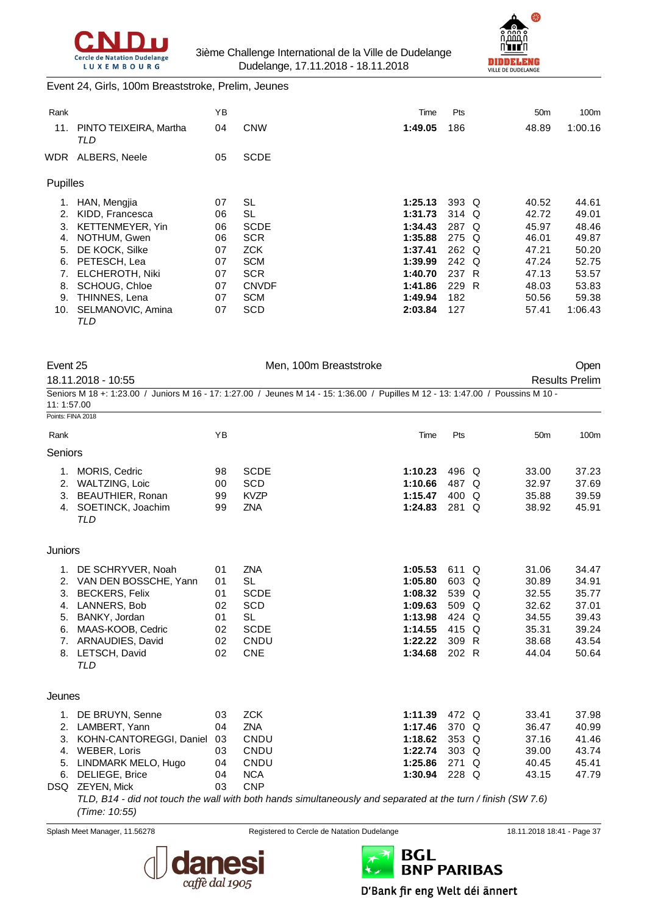



### Event 24, Girls, 100m Breaststroke, Prelim, Jeunes

|                               | YB       |              | Time    | Pts | 50 <sub>m</sub> | 100 <sub>m</sub>                                                                  |
|-------------------------------|----------|--------------|---------|-----|-----------------|-----------------------------------------------------------------------------------|
| PINTO TEIXEIRA, Martha<br>TLD | 04       | <b>CNW</b>   | 1:49.05 | 186 | 48.89           | 1:00.16                                                                           |
| ALBERS, Neele                 | 05       | <b>SCDE</b>  |         |     |                 |                                                                                   |
|                               |          |              |         |     |                 |                                                                                   |
| HAN, Mengjia                  | 07       | SL           | 1:25.13 |     | 40.52           | 44.61                                                                             |
| KIDD, Francesca               | 06       | SL           | 1:31.73 |     | 42.72           | 49.01                                                                             |
| <b>KETTENMEYER, Yin</b>       | 06       | <b>SCDE</b>  | 1:34.43 |     | 45.97           | 48.46                                                                             |
| NOTHUM, Gwen                  | 06       | <b>SCR</b>   | 1:35.88 |     | 46.01           | 49.87                                                                             |
| DE KOCK, Silke                | 07       | <b>ZCK</b>   | 1:37.41 |     | 47.21           | 50.20                                                                             |
| PETESCH, Lea                  | 07       | <b>SCM</b>   | 1:39.99 |     | 47.24           | 52.75                                                                             |
| <b>ELCHEROTH, Niki</b>        | 07       | <b>SCR</b>   | 1:40.70 |     | 47.13           | 53.57                                                                             |
| <b>SCHOUG, Chloe</b>          | 07       | <b>CNVDF</b> | 1:41.86 |     | 48.03           | 53.83                                                                             |
| THINNES, Lena                 | 07       | <b>SCM</b>   | 1:49.94 | 182 | 50.56           | 59.38                                                                             |
| SELMANOVIC, Amina<br>TLD      | 07       | SCD          | 2:03.84 | 127 | 57.41           | 1:06.43                                                                           |
|                               | Pupilles |              |         |     |                 | $393\quadOmega$<br>314 Q<br>287<br>O<br>275 Q<br>262 Q<br>242 Q<br>237 R<br>229 R |

Men, 100m Breaststroke **Open** 

| 18.11.2018 - 10:55                                                                                                               | <b>Results Prelim</b> |
|----------------------------------------------------------------------------------------------------------------------------------|-----------------------|
| Seniors M 18 +: 1:23.00 / Juniors M 16 - 17: 1:27.00 / Jeunes M 14 - 15: 1:36.00 / Pupilles M 12 - 13: 1:47.00 / Poussins M 10 - |                       |
| 11: 1:57.00                                                                                                                      |                       |
| Points: FINA 2018                                                                                                                |                       |

| Rank                                         |                                                                                                                                                                       | YB                                           |                                                                                                 | Time                                                                                 | Pts                                                                |     | 50 <sub>m</sub>                                                      | 100m                                                                 |
|----------------------------------------------|-----------------------------------------------------------------------------------------------------------------------------------------------------------------------|----------------------------------------------|-------------------------------------------------------------------------------------------------|--------------------------------------------------------------------------------------|--------------------------------------------------------------------|-----|----------------------------------------------------------------------|----------------------------------------------------------------------|
| Seniors                                      |                                                                                                                                                                       |                                              |                                                                                                 |                                                                                      |                                                                    |     |                                                                      |                                                                      |
| 1.<br>2.<br>3.<br>4.                         | MORIS, Cedric<br>WALTZING, Loic<br>BEAUTHIER, Ronan<br>SOETINCK, Joachim                                                                                              | 98<br>00<br>99<br>99                         | <b>SCDE</b><br>SCD<br><b>KVZP</b><br><b>ZNA</b>                                                 | 1:10.23<br>1:10.66<br>1:15.47<br>1:24.83                                             | 496 Q<br>487<br>400 Q<br>281 Q                                     | O   | 33.00<br>32.97<br>35.88<br>38.92                                     | 37.23<br>37.69<br>39.59<br>45.91                                     |
| Juniors                                      | TLD                                                                                                                                                                   |                                              |                                                                                                 |                                                                                      |                                                                    |     |                                                                      |                                                                      |
| 1.<br>2.<br>3.<br>4.<br>5.<br>6.<br>7.<br>8. | DE SCHRYVER, Noah<br>VAN DEN BOSSCHE, Yann<br><b>BECKERS, Felix</b><br>LANNERS, Bob<br>BANKY, Jordan<br>MAAS-KOOB, Cedric<br>ARNAUDIES, David<br>LETSCH, David<br>TLD | 01<br>01<br>01<br>02<br>01<br>02<br>02<br>02 | <b>ZNA</b><br><b>SL</b><br><b>SCDE</b><br>SCD<br><b>SL</b><br><b>SCDE</b><br>CNDU<br><b>CNE</b> | 1:05.53<br>1:05.80<br>1:08.32<br>1:09.63<br>1:13.98<br>1:14.55<br>1:22.22<br>1:34.68 | 611 Q<br>603 Q<br>539 Q<br>509 Q<br>424 Q<br>415 Q<br>309<br>202 R | - R | 31.06<br>30.89<br>32.55<br>32.62<br>34.55<br>35.31<br>38.68<br>44.04 | 34.47<br>34.91<br>35.77<br>37.01<br>39.43<br>39.24<br>43.54<br>50.64 |
| Jeunes                                       |                                                                                                                                                                       |                                              |                                                                                                 |                                                                                      |                                                                    |     |                                                                      |                                                                      |
| 1.<br>2.<br>3.                               | DE BRUYN, Senne<br>LAMBERT, Yann<br>KOHN-CANTOREGGI, Daniel                                                                                                           | 03<br>04<br>03                               | <b>ZCK</b><br>ZNA<br><b>CNDU</b>                                                                | 1:11.39<br>1:17.46<br>1:18.62                                                        | 472 Q<br>370 Q<br>353                                              | Q   | 33.41<br>36.47<br>37.16                                              | 37.98<br>40.99<br>41.46                                              |

5. LINDMARK MELO, Hugo 04 CNDU **1:25.86** 271 Q 40.45 45.41 6. DELIEGE, Brice 04 NCA **1:30.94** 228 Q 43.15 47.79 DSQ ZEYEN, Mick 03 CNP *TLD, B14 - did not touch the wall with both hands simultaneously and separated at the turn / finish (SW 7.6) (Time: 10:55)*

Splash Meet Manager, 11.56278 Registered to Cercle de Natation Dudelange 18.11.2018 18:41 - Page 37

4. WEBER, Loris 03 CNDU **1:22.74** 303 Q 39.00 43.74





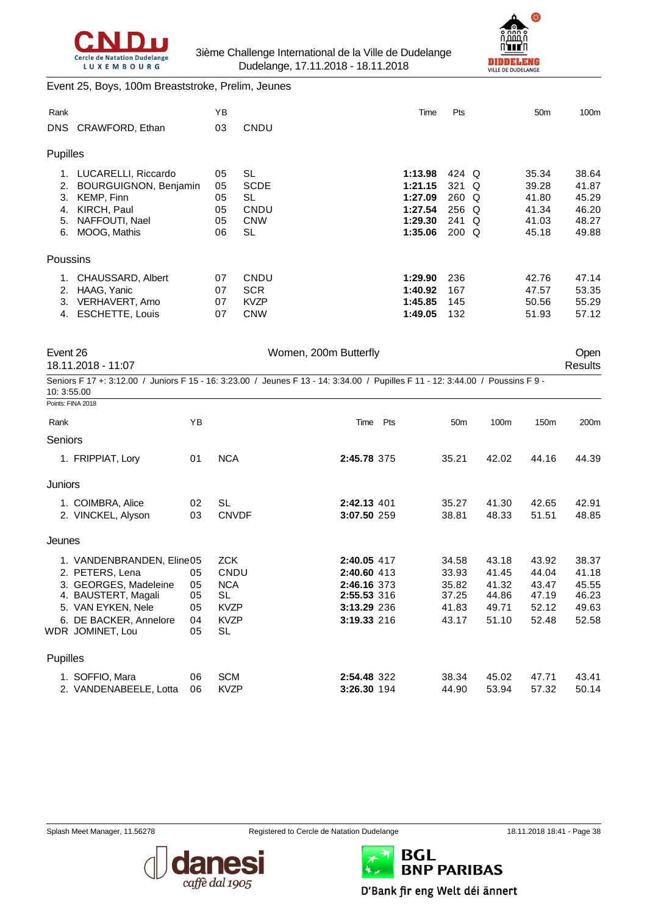



#### Event 25, Boys, 100m Breaststroke, Prelim, Jeunes

| Rank     |                              | YB |             | Time    | Pts      | 50 <sub>m</sub> | 100m  |
|----------|------------------------------|----|-------------|---------|----------|-----------------|-------|
| DNS.     | CRAWFORD, Ethan              | 03 | CNDU        |         |          |                 |       |
| Pupilles |                              |    |             |         |          |                 |       |
| 1.       | LUCARELLI, Riccardo          | 05 | <b>SL</b>   | 1:13.98 | 424 Q    | 35.34           | 38.64 |
| 2.       | <b>BOURGUIGNON, Benjamin</b> | 05 | <b>SCDE</b> | 1:21.15 | 321<br>Q | 39.28           | 41.87 |
| 3.       | <b>KEMP, Finn</b>            | 05 | SL          | 1:27.09 | $260$ Q  | 41.80           | 45.29 |
| 4.       | KIRCH, Paul                  | 05 | CNDU        | 1:27.54 | $256$ Q  | 41.34           | 46.20 |
| 5.       | NAFFOUTI, Nael               | 05 | <b>CNW</b>  | 1:29.30 | 241<br>Q | 41.03           | 48.27 |
| 6.       | MOOG, Mathis                 | 06 | SL          | 1:35.06 | $200$ Q  | 45.18           | 49.88 |
| Poussins |                              |    |             |         |          |                 |       |
| 1.       | CHAUSSARD, Albert            | 07 | CNDU        | 1:29.90 | 236      | 42.76           | 47.14 |
| 2.       | HAAG, Yanic                  | 07 | <b>SCR</b>  | 1:40.92 | 167      | 47.57           | 53.35 |
| 3.       | VERHAVERT, Arno              | 07 | <b>KVZP</b> | 1:45.85 | 145      | 50.56           | 55.29 |
| 4.       | <b>ESCHETTE, Louis</b>       | 07 | <b>CNW</b>  | 1:49.05 | 132      | 51.93           | 57.12 |

Event 26 Communication of the UV Women, 200m Butterfly Communication of the UV Open

18.11.2018 - 11:07 Results

Seniors F 17 +: 3:12.00 / Juniors F 15 - 16: 3:23.00 / Jeunes F 13 - 14: 3:34.00 / Pupilles F 11 - 12: 3:44.00 / Poussins F 9 - 10: 3:55.00

| Points: FINA 2018                                                                                                                                                |                                  |                                                                                   |                                                                                        |     |                                                    |                                                    |                                                    |                                                    |
|------------------------------------------------------------------------------------------------------------------------------------------------------------------|----------------------------------|-----------------------------------------------------------------------------------|----------------------------------------------------------------------------------------|-----|----------------------------------------------------|----------------------------------------------------|----------------------------------------------------|----------------------------------------------------|
| Rank                                                                                                                                                             | ΥB                               |                                                                                   | Time                                                                                   | Pts | 50 <sub>m</sub>                                    | 100m                                               | 150 <sub>m</sub>                                   | 200 <sub>m</sub>                                   |
| Seniors                                                                                                                                                          |                                  |                                                                                   |                                                                                        |     |                                                    |                                                    |                                                    |                                                    |
| 1. FRIPPIAT, Lory                                                                                                                                                | 01                               | <b>NCA</b>                                                                        | 2:45.78 375                                                                            |     | 35.21                                              | 42.02                                              | 44.16                                              | 44.39                                              |
| Juniors                                                                                                                                                          |                                  |                                                                                   |                                                                                        |     |                                                    |                                                    |                                                    |                                                    |
| 1. COIMBRA, Alice<br>2. VINCKEL, Alyson                                                                                                                          | 02<br>03                         | <b>SL</b><br><b>CNVDF</b>                                                         | 2:42.13 401<br>3:07.50 259                                                             |     | 35.27<br>38.81                                     | 41.30<br>48.33                                     | 42.65<br>51.51                                     | 42.91<br>48.85                                     |
| Jeunes                                                                                                                                                           |                                  |                                                                                   |                                                                                        |     |                                                    |                                                    |                                                    |                                                    |
| 1. VANDENBRANDEN, Eline05<br>2. PETERS, Lena<br>3. GEORGES, Madeleine<br>4. BAUSTERT, Magali<br>5. VAN EYKEN, Nele<br>6. DE BACKER, Annelore<br>WDR JOMINET, Lou | 05<br>05<br>05<br>05<br>04<br>05 | <b>ZCK</b><br>CNDU<br><b>NCA</b><br>SL<br><b>KVZP</b><br><b>KVZP</b><br><b>SL</b> | 2:40.05 417<br>2:40.60 413<br>2:46.16 373<br>2:55.53 316<br>3:13.29 236<br>3:19.33 216 |     | 34.58<br>33.93<br>35.82<br>37.25<br>41.83<br>43.17 | 43.18<br>41.45<br>41.32<br>44.86<br>49.71<br>51.10 | 43.92<br>44.04<br>43.47<br>47.19<br>52.12<br>52.48 | 38.37<br>41.18<br>45.55<br>46.23<br>49.63<br>52.58 |
| <b>Pupilles</b>                                                                                                                                                  |                                  |                                                                                   |                                                                                        |     |                                                    |                                                    |                                                    |                                                    |
| 1. SOFFIO, Mara<br>2. VANDENABEELE, Lotta                                                                                                                        | 06<br>06                         | <b>SCM</b><br><b>KVZP</b>                                                         | 2:54.48 322<br>3:26.30 194                                                             |     | 38.34<br>44.90                                     | 45.02<br>53.94                                     | 47.71<br>57.32                                     | 43.41<br>50.14                                     |





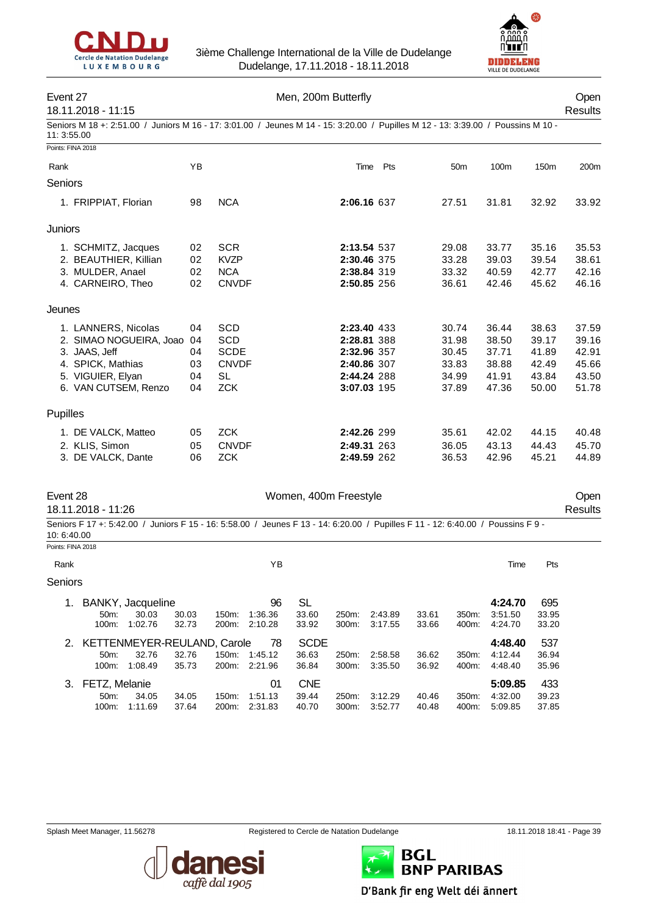



## Event 27 Channel Men, 200m Butterfly Channel Men, 200m Butterfly

# 18.11.2018 - 11:15 Results

Seniors M 18 +: 2:51.00 / Juniors M 16 - 17: 3:01.00 / Jeunes M 14 - 15: 3:20.00 / Pupilles M 12 - 13: 3:39.00 / Poussins M 10 - 11: 3:55.00

| Points: FINA 2018                                                                                                                             |                            |                                                                             |                                                                                        |     |                                                    |                                                    |                                                    |                                                    |
|-----------------------------------------------------------------------------------------------------------------------------------------------|----------------------------|-----------------------------------------------------------------------------|----------------------------------------------------------------------------------------|-----|----------------------------------------------------|----------------------------------------------------|----------------------------------------------------|----------------------------------------------------|
| Rank                                                                                                                                          | YB                         |                                                                             | Time                                                                                   | Pts | 50 <sub>m</sub>                                    | 100m                                               | 150m                                               | 200m                                               |
| Seniors                                                                                                                                       |                            |                                                                             |                                                                                        |     |                                                    |                                                    |                                                    |                                                    |
| 1. FRIPPIAT, Florian                                                                                                                          | 98                         | <b>NCA</b>                                                                  | 2:06.16 637                                                                            |     | 27.51                                              | 31.81                                              | 32.92                                              | 33.92                                              |
| Juniors                                                                                                                                       |                            |                                                                             |                                                                                        |     |                                                    |                                                    |                                                    |                                                    |
| 1. SCHMITZ, Jacques<br>2. BEAUTHIER, Killian<br>3. MULDER, Anael<br>4. CARNEIRO, Theo                                                         | 02<br>02<br>02<br>02       | <b>SCR</b><br><b>KVZP</b><br><b>NCA</b><br><b>CNVDF</b>                     | 2:13.54 537<br>2:30.46 375<br>2:38.84 319<br>2:50.85 256                               |     | 29.08<br>33.28<br>33.32<br>36.61                   | 33.77<br>39.03<br>40.59<br>42.46                   | 35.16<br>39.54<br>42.77<br>45.62                   | 35.53<br>38.61<br>42.16<br>46.16                   |
| Jeunes                                                                                                                                        |                            |                                                                             |                                                                                        |     |                                                    |                                                    |                                                    |                                                    |
| 1. LANNERS, Nicolas<br>2. SIMAO NOGUEIRA, Joao 04<br>3. JAAS, Jeff<br>4. SPICK, Mathias<br>5. VIGUIER, Elyan<br>6. VAN CUTSEM, Renzo          | 04<br>04<br>03<br>04<br>04 | <b>SCD</b><br>SCD<br><b>SCDE</b><br><b>CNVDF</b><br><b>SL</b><br><b>ZCK</b> | 2:23.40 433<br>2:28.81 388<br>2:32.96 357<br>2:40.86 307<br>2:44.24 288<br>3:07.03 195 |     | 30.74<br>31.98<br>30.45<br>33.83<br>34.99<br>37.89 | 36.44<br>38.50<br>37.71<br>38.88<br>41.91<br>47.36 | 38.63<br>39.17<br>41.89<br>42.49<br>43.84<br>50.00 | 37.59<br>39.16<br>42.91<br>45.66<br>43.50<br>51.78 |
| Pupilles                                                                                                                                      |                            |                                                                             |                                                                                        |     |                                                    |                                                    |                                                    |                                                    |
| 1. DE VALCK, Matteo<br>2. KLIS, Simon<br>3. DE VALCK, Dante                                                                                   | 05<br>05<br>06             | <b>ZCK</b><br><b>CNVDF</b><br><b>ZCK</b>                                    | 2:42.26 299<br>2:49.31 263<br>2:49.59 262                                              |     | 35.61<br>36.05<br>36.53                            | 42.02<br>43.13<br>42.96                            | 44.15<br>44.43<br>45.21                            | 40.48<br>45.70<br>44.89                            |
| Event 28<br>18.11.2018 - 11:26                                                                                                                |                            |                                                                             | Women, 400m Freestyle                                                                  |     |                                                    |                                                    |                                                    | Open<br><b>Results</b>                             |
| Seniors F 17 +: 5:42.00 / Juniors F 15 - 16: 5:58.00 / Jeunes F 13 - 14: 6:20.00 / Pupilles F 11 - 12: 6:40.00 / Poussins F 9 -<br>10:6:40.00 |                            |                                                                             |                                                                                        |     |                                                    |                                                    |                                                    |                                                    |
| Points: FINA 2018                                                                                                                             |                            |                                                                             |                                                                                        |     |                                                    |                                                    |                                                    |                                                    |
| Rank                                                                                                                                          |                            |                                                                             | YB                                                                                     |     |                                                    | Time                                               | Pts                                                |                                                    |
| Seniors                                                                                                                                       |                            |                                                                             |                                                                                        |     |                                                    |                                                    |                                                    |                                                    |

| $1_{-}$ | BANKY, Jacqueline<br>$50m$ :<br>100m: | 30.03<br>1:02.76 | 30.03<br>32.73 | 150m:<br>200 <sub>m</sub> | 96<br>1.36.36<br>2:10.28 | SL<br>33.60<br>33.92 | 250m:<br>$300m$ : | 2:43.89<br>3:17.55 | 33.61<br>33.66 | 350 <sub>m</sub><br>400m: | 4:24.70<br>3:51.50<br>4:24.70 | 695<br>33.95<br>33.20 |
|---------|---------------------------------------|------------------|----------------|---------------------------|--------------------------|----------------------|-------------------|--------------------|----------------|---------------------------|-------------------------------|-----------------------|
| 2.      | KETTENMEYER-REULAND, Carole           |                  |                |                           | 78                       | <b>SCDE</b>          |                   |                    |                |                           | 4:48.40                       | 537                   |
|         | 50 <sub>m</sub> :                     | 32.76            | 32.76          | 150m:                     | 1:45.12                  | 36.63                | 250m:             | 2:58.58            | 36.62          | $350m$ :                  | 4:12.44                       | 36.94                 |
|         | $100m$ :                              | 1:08.49          | 35.73          | 200m:                     | 2:21.96                  | 36.84                | $300m$ :          | 3:35.50            | 36.92          | 400m:                     | 4:48.40                       | 35.96                 |
|         | 3. FETZ, Melanie                      |                  |                |                           | 01                       | <b>CNE</b>           |                   |                    |                |                           | 5:09.85                       | 433                   |
|         | 50 <sub>m</sub> :                     | 34.05            | 34.05          | 150m:                     | 1:51.13                  | 39.44                | 250m:             | 3:12.29            | 40.46          | 350m:                     | 4:32.00                       | 39.23                 |
|         | $100m$ :                              | 1:11.69          | 37.64          | 200 <sub>m</sub> :        | 2:31.83                  | 40.70                | $300m$ :          | 3:52.77            | 40.48          | 400m:                     | 5:09.85                       | 37.85                 |





BGL **BNP PARIBAS** D'Bank fir eng Welt déi ännert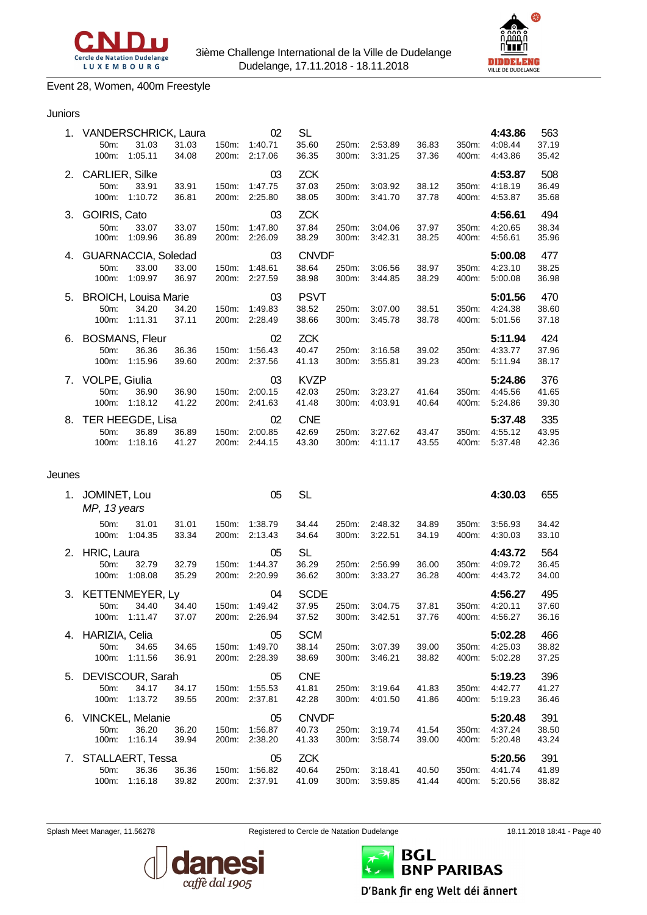



#### Event 28, Women, 400m Freestyle

#### Juniors

| 1. | <b>VANDERSCHRICK, Laura</b><br>50m:<br>100m: | 31.03<br>1:05.11                     | 31.03<br>34.08 | 150m:<br>200m: | 02<br>1:40.71<br>2:17.06 | <b>SL</b><br>35.60<br>36.35    | 250m:<br>300m: | 2:53.89<br>3:31.25 | 36.83<br>37.36 | 350m:<br>400m: | 4:43.86<br>4:08.44<br>4:43.86 | 563<br>37.19<br>35.42 |
|----|----------------------------------------------|--------------------------------------|----------------|----------------|--------------------------|--------------------------------|----------------|--------------------|----------------|----------------|-------------------------------|-----------------------|
| 2. | <b>CARLIER, Silke</b><br>50m:<br>100m:       | 33.91<br>1:10.72                     | 33.91<br>36.81 | 150m:<br>200m: | 03<br>1:47.75<br>2:25.80 | <b>ZCK</b><br>37.03<br>38.05   | 250m:<br>300m: | 3:03.92<br>3:41.70 | 38.12<br>37.78 | 350m:<br>400m: | 4:53.87<br>4:18.19<br>4:53.87 | 508<br>36.49<br>35.68 |
| 3. | GOIRIS, Cato<br>50m:<br>100m:                | 33.07<br>1:09.96                     | 33.07<br>36.89 | 150m:<br>200m: | 03<br>1:47.80<br>2:26.09 | <b>ZCK</b><br>37.84<br>38.29   | 250m:<br>300m: | 3:04.06<br>3:42.31 | 37.97<br>38.25 | 350m:<br>400m: | 4:56.61<br>4:20.65<br>4:56.61 | 494<br>38.34<br>35.96 |
| 4. | <b>GUARNACCIA, Soledad</b><br>50m:<br>100m:  | 33.00<br>1:09.97                     | 33.00<br>36.97 | 150m:<br>200m: | 03<br>1:48.61<br>2:27.59 | <b>CNVDF</b><br>38.64<br>38.98 | 250m:<br>300m: | 3:06.56<br>3:44.85 | 38.97<br>38.29 | 350m:<br>400m: | 5:00.08<br>4:23.10<br>5:00.08 | 477<br>38.25<br>36.98 |
| 5. | <b>BROICH, Louisa Marie</b><br>50m:<br>100m: | 34.20<br>1:11.31                     | 34.20<br>37.11 | 150m:<br>200m: | 03<br>1:49.83<br>2:28.49 | <b>PSVT</b><br>38.52<br>38.66  | 250m:<br>300m: | 3:07.00<br>3:45.78 | 38.51<br>38.78 | 350m:<br>400m: | 5:01.56<br>4:24.38<br>5:01.56 | 470<br>38.60<br>37.18 |
| 6. | <b>BOSMANS, Fleur</b><br>50m:<br>100m:       | 36.36<br>1:15.96                     | 36.36<br>39.60 | 150m:<br>200m: | 02<br>1:56.43<br>2:37.56 | <b>ZCK</b><br>40.47<br>41.13   | 250m:<br>300m: | 3:16.58<br>3:55.81 | 39.02<br>39.23 | 350m:<br>400m: | 5:11.94<br>4:33.77<br>5.11.94 | 424<br>37.96<br>38.17 |
| 7. | VOLPE, Giulia<br>50m:<br>100m:               | 36.90<br>1:18.12                     | 36.90<br>41.22 | 150m:<br>200m: | 03<br>2:00.15<br>2:41.63 | <b>KVZP</b><br>42.03<br>41.48  | 250m:<br>300m: | 3:23.27<br>4:03.91 | 41.64<br>40.64 | 350m:<br>400m: | 5:24.86<br>4:45.56<br>5:24.86 | 376<br>41.65<br>39.30 |
| 8. | 50m:<br>100m:                                | TER HEEGDE, Lisa<br>36.89<br>1:18.16 | 36.89<br>41.27 | 150m:<br>200m: | 02<br>2:00.85<br>2:44.15 | <b>CNE</b><br>42.69<br>43.30   | 250m:<br>300m: | 3:27.62<br>4:11.17 | 43.47<br>43.55 | 350m:<br>400m: | 5:37.48<br>4:55.12<br>5.37.48 | 335<br>43.95<br>42.36 |
|    |                                              |                                      |                |                |                          |                                |                |                    |                |                |                               |                       |

#### Jeunes

| 1. | JOMINET, Lou<br>MP, 13 years            |                                             |                |                | 05                       | <b>SL</b>                      |                |                    |                |                | 4:30.03                       | 655                   |
|----|-----------------------------------------|---------------------------------------------|----------------|----------------|--------------------------|--------------------------------|----------------|--------------------|----------------|----------------|-------------------------------|-----------------------|
|    | 50 <sub>m</sub> :<br>100m:              | 31.01<br>1:04.35                            | 31.01<br>33.34 | 150m:<br>200m: | 1:38.79<br>2:13.43       | 34.44<br>34.64                 | 250m:<br>300m: | 2:48.32<br>3:22.51 | 34.89<br>34.19 | 350m:<br>400m: | 3:56.93<br>4:30.03            | 34.42<br>33.10        |
| 2. | HRIC, Laura<br>$50m$ :<br>100m:         | 32.79<br>1:08.08                            | 32.79<br>35.29 | 150m:<br>200m: | 05<br>1:44.37<br>2:20.99 | <b>SL</b><br>36.29<br>36.62    | 250m:<br>300m: | 2:56.99<br>3:33.27 | 36.00<br>36.28 | 350m:<br>400m: | 4:43.72<br>4:09.72<br>4:43.72 | 564<br>36.45<br>34.00 |
| 3. | <b>KETTENMEYER, Ly</b><br>50m:<br>100m: | 34.40<br>1:11.47                            | 34.40<br>37.07 | 150m.<br>200m: | 04<br>1:49.42<br>2:26.94 | <b>SCDE</b><br>37.95<br>37.52  | 250m:<br>300m: | 3:04.75<br>3:42.51 | 37.81<br>37.76 | 350m:<br>400m: | 4:56.27<br>4:20.11<br>4:56.27 | 495<br>37.60<br>36.16 |
| 4. | HARIZIA, Celia<br>50m:<br>100m:         | 34.65<br>1:11.56                            | 34.65<br>36.91 | 150m:<br>200m: | 05<br>1:49.70<br>2:28.39 | <b>SCM</b><br>38.14<br>38.69   | 250m:<br>300m: | 3:07.39<br>3:46.21 | 39.00<br>38.82 | 350m:<br>400m: | 5:02.28<br>4:25.03<br>5:02.28 | 466<br>38.82<br>37.25 |
| 5. | 50 <sub>m</sub> :<br>100m:              | DEVISCOUR, Sarah<br>34.17<br>1:13.72        | 34.17<br>39.55 | 150m:<br>200m: | 05<br>1:55.53<br>2:37.81 | <b>CNE</b><br>41.81<br>42.28   | 250m:<br>300m: | 3:19.64<br>4:01.50 | 41.83<br>41.86 | 350m:<br>400m: | 5:19.23<br>4:42.77<br>5:19.23 | 396<br>41.27<br>36.46 |
| 6. | $50m$ :<br>100m:                        | <b>VINCKEL, Melanie</b><br>36.20<br>1:16.14 | 36.20<br>39.94 | 150m:<br>200m: | 05<br>1:56.87<br>2:38.20 | <b>CNVDF</b><br>40.73<br>41.33 | 250m:<br>300m: | 3:19.74<br>3:58.74 | 41.54<br>39.00 | 350m:<br>400m: | 5:20.48<br>4:37.24<br>5:20.48 | 391<br>38.50<br>43.24 |
| 7. | 50 <sub>m</sub> :<br>100m:              | STALLAERT, Tessa<br>36.36<br>1:16.18        | 36.36<br>39.82 | 150m:<br>200m: | 05<br>1:56.82<br>2:37.91 | <b>ZCK</b><br>40.64<br>41.09   | 250m:<br>300m: | 3:18.41<br>3:59.85 | 40.50<br>41.44 | 350m:<br>400m: | 5:20.56<br>4:41.74<br>5:20.56 | 391<br>41.89<br>38.82 |



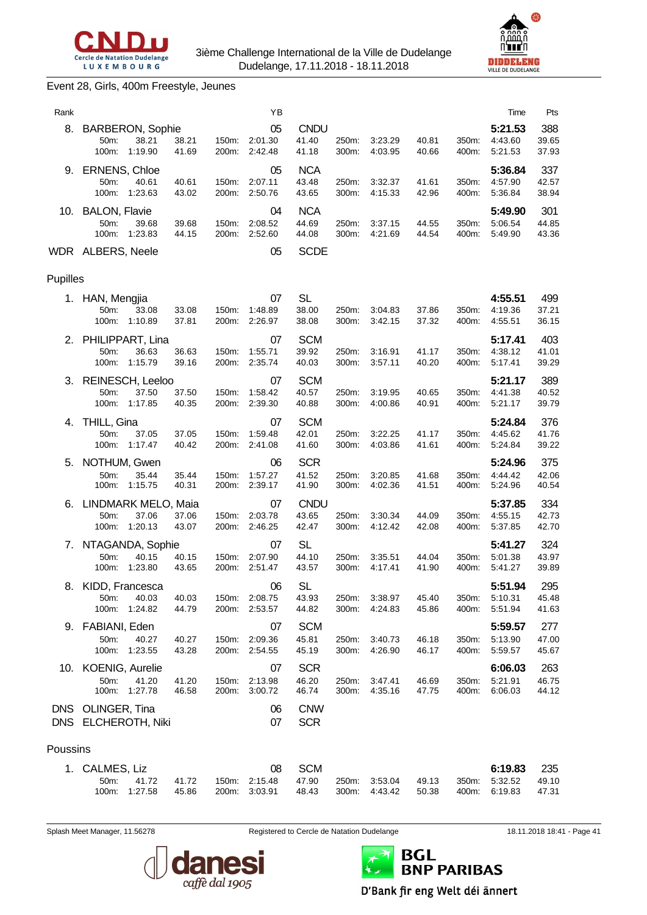



#### Event 28, Girls, 400m Freestyle, Jeunes

| Rank     |                                                              |                |                | ΥB                       |                               |                |                    |                |                | Time                          | Pts                   |
|----------|--------------------------------------------------------------|----------------|----------------|--------------------------|-------------------------------|----------------|--------------------|----------------|----------------|-------------------------------|-----------------------|
| 8.       | <b>BARBERON, Sophie</b><br>50m:<br>38.21<br>100m:<br>1:19.90 | 38.21<br>41.69 | 150m:<br>200m: | 05<br>2:01.30<br>2:42.48 | <b>CNDU</b><br>41.40<br>41.18 | 250m:<br>300m: | 3:23.29<br>4:03.95 | 40.81<br>40.66 | 350m:<br>400m: | 5:21.53<br>4:43.60<br>5:21.53 | 388<br>39.65<br>37.93 |
| 9.       | <b>ERNENS, Chloe</b><br>50m:<br>40.61<br>100m:<br>1:23.63    | 40.61<br>43.02 | 150m:<br>200m: | 05<br>2:07.11<br>2:50.76 | <b>NCA</b><br>43.48<br>43.65  | 250m:<br>300m: | 3:32.37<br>4:15.33 | 41.61<br>42.96 | 350m:<br>400m: | 5:36.84<br>4:57.90<br>5:36.84 | 337<br>42.57<br>38.94 |
|          | 10. BALON, Flavie<br>50m:<br>39.68<br>1:23.83<br>100m:       | 39.68<br>44.15 | 150m:<br>200m: | 04<br>2:08.52<br>2:52.60 | <b>NCA</b><br>44.69<br>44.08  | 250m:<br>300m: | 3:37.15<br>4:21.69 | 44.55<br>44.54 | 350m:<br>400m: | 5:49.90<br>5:06.54<br>5:49.90 | 301<br>44.85<br>43.36 |
|          | WDR ALBERS, Neele                                            |                |                | 05                       | <b>SCDE</b>                   |                |                    |                |                |                               |                       |
| Pupilles |                                                              |                |                |                          |                               |                |                    |                |                |                               |                       |
|          | 1. HAN, Mengjia<br>50m:<br>33.08<br>100m:<br>1:10.89         | 33.08<br>37.81 | 150m:<br>200m: | 07<br>1:48.89<br>2:26.97 | <b>SL</b><br>38.00<br>38.08   | 250m:<br>300m: | 3:04.83<br>3:42.15 | 37.86<br>37.32 | 350m:<br>400m: | 4:55.51<br>4:19.36<br>4:55.51 | 499<br>37.21<br>36.15 |
|          | 2. PHILIPPART, Lina<br>50m:<br>36.63<br>100m:<br>1:15.79     | 36.63<br>39.16 | 150m:<br>200m: | 07<br>1:55.71<br>2:35.74 | <b>SCM</b><br>39.92<br>40.03  | 250m:<br>300m: | 3:16.91<br>3:57.11 | 41.17<br>40.20 | 350m:<br>400m: | 5:17.41<br>4:38.12<br>5.17.41 | 403<br>41.01<br>39.29 |
| 3.       | REINESCH, Leeloo<br>50m:<br>37.50<br>1:17.85<br>100m:        | 37.50<br>40.35 | 150m:<br>200m: | 07<br>1:58.42<br>2:39.30 | <b>SCM</b><br>40.57<br>40.88  | 250m:<br>300m: | 3:19.95<br>4:00.86 | 40.65<br>40.91 | 350m:<br>400m: | 5:21.17<br>4:41.38<br>5:21.17 | 389<br>40.52<br>39.79 |
| 4.       | THILL, Gina<br>50m:<br>37.05<br>100m:<br>1:17.47             | 37.05<br>40.42 | 150m:<br>200m: | 07<br>1:59.48<br>2:41.08 | <b>SCM</b><br>42.01<br>41.60  | 250m:<br>300m: | 3:22.25<br>4:03.86 | 41.17<br>41.61 | 350m:<br>400m: | 5:24.84<br>4:45.62<br>5:24.84 | 376<br>41.76<br>39.22 |
| 5.       | NOTHUM, Gwen<br>50m:<br>35.44<br>100m:<br>1:15.75            | 35.44<br>40.31 | 150m:<br>200m: | 06<br>1:57.27<br>2:39.17 | <b>SCR</b><br>41.52<br>41.90  | 250m:<br>300m: | 3:20.85<br>4:02.36 | 41.68<br>41.51 | 350m:<br>400m: | 5:24.96<br>4:44.42<br>5:24.96 | 375<br>42.06<br>40.54 |
| 6.       | LINDMARK MELO, Maia<br>50m:<br>37.06<br>100m:<br>1:20.13     | 37.06<br>43.07 | 150m:<br>200m: | 07<br>2:03.78<br>2:46.25 | <b>CNDU</b><br>43.65<br>42.47 | 250m:<br>300m: | 3:30.34<br>4:12.42 | 44.09<br>42.08 | 350m:<br>400m: | 5:37.85<br>4:55.15<br>5:37.85 | 334<br>42.73<br>42.70 |
| 7.       | NTAGANDA, Sophie<br>50m:<br>40.15<br>100m:<br>1:23.80        | 40.15<br>43.65 | 150m:<br>200m: | 07<br>2:07.90<br>2:51.47 | <b>SL</b><br>44.10<br>43.57   | 250m:<br>300m: | 3:35.51<br>4:17.41 | 44.04<br>41.90 | 350m:<br>400m: | 5:41.27<br>5:01.38<br>5:41.27 | 324<br>43.97<br>39.89 |
|          | 8. KIDD, Francesca<br>40.03<br>50m:<br>100m:<br>1:24.82      | 40.03<br>44.79 | 150m:<br>200m: | 06<br>2:08.75<br>2:53.57 | <b>SL</b><br>43.93<br>44.82   | 250m:<br>300m: | 3:38.97<br>4:24.83 | 45.40<br>45.86 | 350m:<br>400m: | 5:51.94<br>5:10.31<br>5:51.94 | 295<br>45.48<br>41.63 |
| 9.       | FABIANI, Eden<br>50m:<br>40.27<br>100m:<br>1:23.55           | 40.27<br>43.28 | 150m:<br>200m: | 07<br>2:09.36<br>2:54.55 | <b>SCM</b><br>45.81<br>45.19  | 250m:<br>300m: | 3:40.73<br>4:26.90 | 46.18<br>46.17 | 350m:<br>400m: | 5:59.57<br>5:13.90<br>5:59.57 | 277<br>47.00<br>45.67 |
|          | 10. KOENIG, Aurelie<br>50m:<br>41.20<br>100m:<br>1.27.78     | 41.20<br>46.58 | 150m:<br>200m: | 07<br>2:13.98<br>3:00.72 | <b>SCR</b><br>46.20<br>46.74  | 250m:<br>300m: | 3:47.41<br>4:35.16 | 46.69<br>47.75 | 350m:<br>400m: | 6:06.03<br>5:21.91<br>6:06.03 | 263<br>46.75<br>44.12 |
|          | DNS OLINGER, Tina<br>DNS ELCHEROTH, Niki                     |                |                | 06<br>07                 | <b>CNW</b><br><b>SCR</b>      |                |                    |                |                |                               |                       |
| Poussins |                                                              |                |                |                          |                               |                |                    |                |                |                               |                       |
| 1.       | CALMES, Liz<br>50m:<br>41.72<br>100m:<br>1:27.58             | 41.72<br>45.86 | 150m:<br>200m: | 08<br>2:15.48<br>3:03.91 | <b>SCM</b><br>47.90<br>48.43  | 250m:<br>300m: | 3:53.04<br>4:43.42 | 49.13<br>50.38 | 350m:<br>400m: | 6:19.83<br>5:32.52<br>6:19.83 | 235<br>49.10<br>47.31 |

Splash Meet Manager, 11.56278 **Registered to Cercle de Natation Dudelange** 18.11.2018 18:41 - Page 41





D'Bank fir eng Welt déi ännert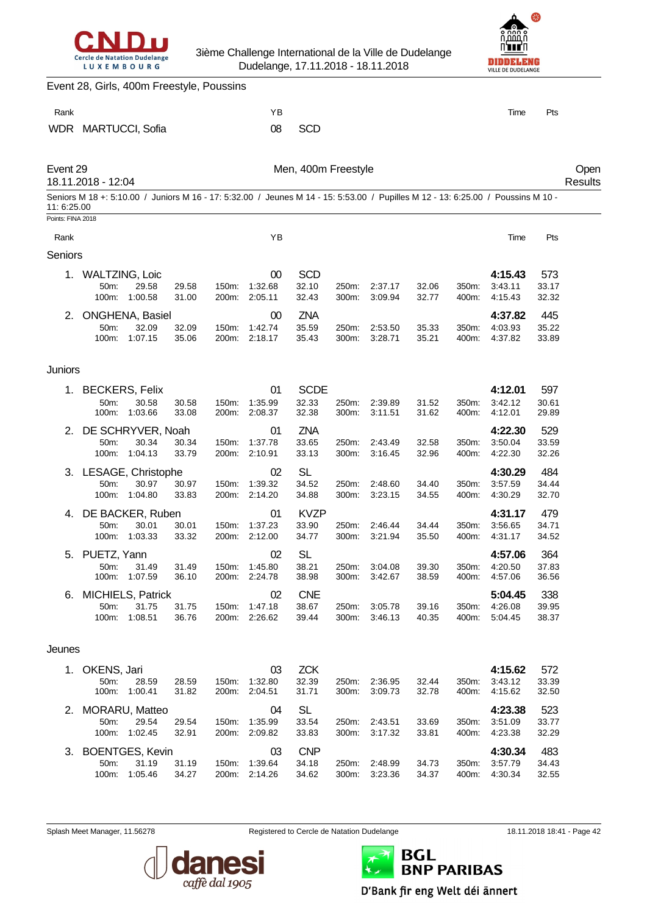



|                   | Event 28, Girls, 400m Freestyle, Poussins |                                                    |                |                |                                      |                               |                |                    |                |                |                                                                                                                                  |                       |                 |
|-------------------|-------------------------------------------|----------------------------------------------------|----------------|----------------|--------------------------------------|-------------------------------|----------------|--------------------|----------------|----------------|----------------------------------------------------------------------------------------------------------------------------------|-----------------------|-----------------|
| Rank              |                                           |                                                    |                |                | ΥB                                   |                               |                |                    |                |                | Time                                                                                                                             | Pts                   |                 |
| WDR               |                                           | <b>MARTUCCI, Sofia</b>                             |                |                | 08                                   | <b>SCD</b>                    |                |                    |                |                |                                                                                                                                  |                       |                 |
| Event 29          | 18.11.2018 - 12:04                        |                                                    |                |                |                                      | Men, 400m Freestyle           |                |                    |                |                |                                                                                                                                  |                       | Open<br>Results |
| 11: 6:25.00       |                                           |                                                    |                |                |                                      |                               |                |                    |                |                | Seniors M 18 +: 5:10.00 / Juniors M 16 - 17: 5:32.00 / Jeunes M 14 - 15: 5:53.00 / Pupilles M 12 - 13: 6:25.00 / Poussins M 10 - |                       |                 |
| Points: FINA 2018 |                                           |                                                    |                |                |                                      |                               |                |                    |                |                |                                                                                                                                  |                       |                 |
| Rank              |                                           |                                                    |                |                | YB                                   |                               |                |                    |                |                | Time                                                                                                                             | Pts                   |                 |
| Seniors           |                                           |                                                    |                |                |                                      |                               |                |                    |                |                |                                                                                                                                  |                       |                 |
| 1.                | <b>WALTZING, Loic</b><br>50m:<br>100m:    | 29.58<br>1:00.58                                   | 29.58<br>31.00 | 150m:<br>200m: | 00<br>1:32.68<br>2:05.11             | <b>SCD</b><br>32.10<br>32.43  | 250m:<br>300m: | 2:37.17<br>3:09.94 | 32.06<br>32.77 | 350m:<br>400m: | 4:15.43<br>3:43.11<br>4:15.43                                                                                                    | 573<br>33.17<br>32.32 |                 |
| 2.                | 50m:<br>100m:                             | <b>ONGHENA, Basiel</b><br>32.09<br>1:07.15         | 32.09<br>35.06 | 150m:<br>200m: | 00<br>1:42.74<br>2:18.17             | <b>ZNA</b><br>35.59<br>35.43  | 250m:<br>300m: | 2:53.50<br>3:28.71 | 35.33<br>35.21 | 350m:<br>400m: | 4:37.82<br>4:03.93<br>4:37.82                                                                                                    | 445<br>35.22<br>33.89 |                 |
| Juniors           |                                           |                                                    |                |                |                                      |                               |                |                    |                |                |                                                                                                                                  |                       |                 |
| 1.                | 50m:<br>100m:                             | <b>BECKERS, Felix</b><br>30.58<br>1:03.66          | 30.58<br>33.08 | 150m:<br>200m: | 01<br>1:35.99<br>2:08.37             | <b>SCDE</b><br>32.33<br>32.38 | 250m:<br>300m: | 2:39.89<br>3:11.51 | 31.52<br>31.62 | 350m:<br>400m: | 4:12.01<br>3:42.12<br>4:12.01                                                                                                    | 597<br>30.61<br>29.89 |                 |
| 2.                | 50m:<br>100m:                             | DE SCHRYVER, Noah<br>30.34<br>1:04.13              | 30.34<br>33.79 | 150m:<br>200m: | 01<br>1:37.78<br>2:10.91             | <b>ZNA</b><br>33.65<br>33.13  | 250m:<br>300m: | 2:43.49<br>3:16.45 | 32.58<br>32.96 | 350m:<br>400m: | 4:22.30<br>3:50.04<br>4:22.30                                                                                                    | 529<br>33.59<br>32.26 |                 |
| 3.                | 50m:<br>100m:                             | LESAGE, Christophe<br>30.97<br>1:04.80             | 30.97<br>33.83 | 150m:<br>200m: | 02<br>1:39.32<br>2:14.20             | <b>SL</b><br>34.52<br>34.88   | 250m:<br>300m: | 2:48.60<br>3:23.15 | 34.40<br>34.55 | 350m:<br>400m: | 4:30.29<br>3:57.59<br>4:30.29                                                                                                    | 484<br>34.44<br>32.70 |                 |
| 4.                | 50m:                                      | DE BACKER, Ruben<br>30.01<br>100m: 1:03.33         | 30.01<br>33.32 | 150m:<br>200m: | 01<br>1:37.23<br>2:12.00             | <b>KVZP</b><br>33.90<br>34.77 | 250m:<br>300m: | 2:46.44<br>3:21.94 | 34.44<br>35.50 | 350m:<br>400m: | 4:31.17<br>3:56.65<br>4:31.17                                                                                                    | 479<br>34.71<br>34.52 |                 |
| 5.                | PUETZ, Yann<br>50m:                       | 31.49<br>100m: 1:07.59                             | 31.49<br>36.10 |                | 02<br>150m: 1:45.80<br>200m: 2:24.78 | <b>SL</b><br>38.21<br>38.98   | 250m:<br>300m: | 3:04.08<br>3:42.67 | 39.30<br>38.59 | 350m:<br>400m: | 4:57.06<br>4:20.50<br>4:57.06                                                                                                    | 364<br>37.83<br>36.56 |                 |
| 6.                | 50m:                                      | <b>MICHIELS, Patrick</b><br>31.75<br>100m: 1:08.51 | 31.75<br>36.76 | 150m:          | 02<br>1:47.18<br>200m: 2:26.62       | <b>CNE</b><br>38.67<br>39.44  | 250m:<br>300m: | 3:05.78<br>3:46.13 | 39.16<br>40.35 | 350m:<br>400m: | 5:04.45<br>4:26.08<br>5.04.45                                                                                                    | 338<br>39.95<br>38.37 |                 |
| Jeunes            |                                           |                                                    |                |                |                                      |                               |                |                    |                |                |                                                                                                                                  |                       |                 |
| 1.                | OKENS, Jari<br>50m:                       | 28.59<br>100m: 1:00.41                             | 28.59<br>31.82 |                | 03<br>150m: 1:32.80<br>200m: 2:04.51 | <b>ZCK</b><br>32.39<br>31.71  | 250m:<br>300m: | 2:36.95<br>3:09.73 | 32.44<br>32.78 | 350m:<br>400m: | 4:15.62<br>3:43.12<br>4:15.62                                                                                                    | 572<br>33.39<br>32.50 |                 |
| 2.                | 50m:                                      | <b>MORARU, Matteo</b><br>29.54<br>100m: 1:02.45    | 29.54<br>32.91 | 150m:          | 04<br>1:35.99<br>200m: 2:09.82       | <b>SL</b><br>33.54<br>33.83   | 250m:<br>300m: | 2:43.51<br>3:17.32 | 33.69<br>33.81 | 350m:<br>400m: | 4:23.38<br>3:51.09<br>4:23.38                                                                                                    | 523<br>33.77<br>32.29 |                 |
| 3.                | 50m:                                      | <b>BOENTGES, Kevin</b><br>31.19<br>100m: 1:05.46   | 31.19<br>34.27 | 150m:          | 03<br>1:39.64<br>200m: 2:14.26       | <b>CNP</b><br>34.18<br>34.62  | 250m:<br>300m: | 2:48.99<br>3:23.36 | 34.73<br>34.37 | 350m:<br>400m: | 4:30.34<br>3:57.79<br>4:30.34                                                                                                    | 483<br>34.43<br>32.55 |                 |



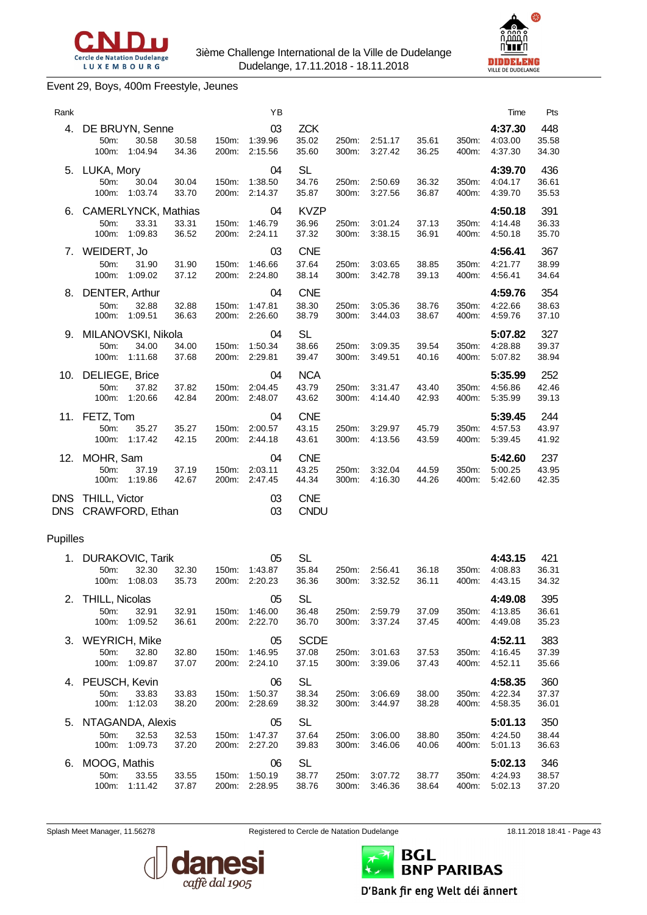



#### Event 29, Boys, 400m Freestyle, Jeunes

| Rank                     |                                                                 |                |                | ΥB                       |                               |                |                    |                |                | Time                          | Pts                   |
|--------------------------|-----------------------------------------------------------------|----------------|----------------|--------------------------|-------------------------------|----------------|--------------------|----------------|----------------|-------------------------------|-----------------------|
| 4.                       | DE BRUYN, Senne<br>50m:<br>30.58<br>100m:<br>1:04.94            | 30.58<br>34.36 | 150m:<br>200m: | 03<br>1:39.96<br>2:15.56 | <b>ZCK</b><br>35.02<br>35.60  | 250m:<br>300m: | 2:51.17<br>3:27.42 | 35.61<br>36.25 | 350m:<br>400m: | 4:37.30<br>4:03.00<br>4:37.30 | 448<br>35.58<br>34.30 |
| 5.                       | LUKA, Mory<br>50m:<br>30.04<br>100m: 1:03.74                    | 30.04<br>33.70 | 150m:<br>200m: | 04<br>1:38.50<br>2:14.37 | <b>SL</b><br>34.76<br>35.87   | 250m:<br>300m: | 2:50.69<br>3:27.56 | 36.32<br>36.87 | 350m:<br>400m: | 4:39.70<br>4:04.17<br>4:39.70 | 436<br>36.61<br>35.53 |
| 6.                       | <b>CAMERLYNCK, Mathias</b><br>33.31<br>50m:<br>1:09.83<br>100m: | 33.31<br>36.52 | 150m:<br>200m: | 04<br>1:46.79<br>2:24.11 | <b>KVZP</b><br>36.96<br>37.32 | 250m:<br>300m: | 3:01.24<br>3:38.15 | 37.13<br>36.91 | 350m:<br>400m: | 4:50.18<br>4:14.48<br>4:50.18 | 391<br>36.33<br>35.70 |
| 7.                       | WEIDERT, Jo<br>50m:<br>31.90<br>1:09.02<br>100m:                | 31.90<br>37.12 | 150m:<br>200m: | 03<br>1:46.66<br>2:24.80 | <b>CNE</b><br>37.64<br>38.14  | 250m:<br>300m: | 3:03.65<br>3:42.78 | 38.85<br>39.13 | 350m:<br>400m: | 4:56.41<br>4:21.77<br>4:56.41 | 367<br>38.99<br>34.64 |
| 8.                       | DENTER, Arthur<br>50m:<br>32.88<br>100m:<br>1:09.51             | 32.88<br>36.63 | 150m:<br>200m: | 04<br>1:47.81<br>2:26.60 | <b>CNE</b><br>38.30<br>38.79  | 250m:<br>300m: | 3:05.36<br>3:44.03 | 38.76<br>38.67 | 350m:<br>400m: | 4:59.76<br>4:22.66<br>4:59.76 | 354<br>38.63<br>37.10 |
| 9.                       | MILANOVSKI, Nikola<br>50m:<br>34.00<br>1:11.68<br>100m:         | 34.00<br>37.68 | 150m:<br>200m: | 04<br>1:50.34<br>2:29.81 | <b>SL</b><br>38.66<br>39.47   | 250m:<br>300m: | 3:09.35<br>3:49.51 | 39.54<br>40.16 | 350m:<br>400m: | 5:07.82<br>4:28.88<br>5:07.82 | 327<br>39.37<br>38.94 |
| 10.                      | DELIEGE, Brice<br>50m:<br>37.82<br>100m:<br>1:20.66             | 37.82<br>42.84 | 150m:<br>200m: | 04<br>2:04.45<br>2:48.07 | <b>NCA</b><br>43.79<br>43.62  | 250m:<br>300m: | 3:31.47<br>4:14.40 | 43.40<br>42.93 | 350m:<br>400m: | 5:35.99<br>4:56.86<br>5:35.99 | 252<br>42.46<br>39.13 |
|                          | 11. FETZ, Tom<br>50m:<br>35.27<br>100m:<br>1:17.42              | 35.27<br>42.15 | 150m:<br>200m: | 04<br>2:00.57<br>2:44.18 | <b>CNE</b><br>43.15<br>43.61  | 250m:<br>300m: | 3:29.97<br>4:13.56 | 45.79<br>43.59 | 350m:<br>400m: | 5:39.45<br>4:57.53<br>5:39.45 | 244<br>43.97<br>41.92 |
| 12.                      | MOHR, Sam<br>50m:<br>37.19<br>1:19.86<br>100m:                  | 37.19<br>42.67 | 150m:<br>200m: | 04<br>2:03.11<br>2:47.45 | <b>CNE</b><br>43.25<br>44.34  | 250m:<br>300m: | 3:32.04<br>4:16.30 | 44.59<br>44.26 | 350m:<br>400m: | 5:42.60<br>5:00.25<br>5:42.60 | 237<br>43.95<br>42.35 |
| <b>DNS</b><br><b>DNS</b> | <b>THILL, Victor</b><br>CRAWFORD, Ethan                         |                |                | 03<br>03                 | <b>CNE</b><br><b>CNDU</b>     |                |                    |                |                |                               |                       |
| Pupilles                 |                                                                 |                |                |                          |                               |                |                    |                |                |                               |                       |
| 1.                       | <b>DURAKOVIC, Tarik</b><br>32.30<br>50m:<br>1:08.03<br>100m:    | 32.30<br>35.73 | 150m:<br>200m: | 05<br>1:43.87<br>2:20.23 | <b>SL</b><br>35.84<br>36.36   | 250m:<br>300m: | 2:56.41<br>3:32.52 | 36.18<br>36.11 | 350m:<br>400m: | 4:43.15<br>4:08.83<br>4:43.15 | 421<br>36.31<br>34.32 |
| 2.                       | <b>THILL, Nicolas</b><br>50m:<br>32.91<br>100m: 1:09.52         | 32.91<br>36.61 | 150m:<br>200m: | 05<br>1:46.00<br>2:22.70 | <b>SL</b><br>36.48<br>36.70   | 250m:<br>300m: | 2:59.79<br>3:37.24 | 37.09<br>37.45 | 350m:<br>400m: | 4:49.08<br>4:13.85<br>4:49.08 | 395<br>36.61<br>35.23 |
| 3.                       | <b>WEYRICH, Mike</b><br>50m:<br>32.80<br>1:09.87<br>100m:       | 32.80<br>37.07 | 150m:<br>200m: | 05<br>1.46.95<br>2:24.10 | <b>SCDE</b><br>37.08<br>37.15 | 250m:<br>300m: | 3:01.63<br>3:39.06 | 37.53<br>37.43 | 350m:<br>400m: | 4:52.11<br>4:16.45<br>4:52.11 | 383<br>37.39<br>35.66 |
| 4.                       | PEUSCH, Kevin<br>50m:<br>33.83<br>100m:<br>1:12.03              | 33.83<br>38.20 | 150m:<br>200m: | 06<br>1:50.37<br>2:28.69 | <b>SL</b><br>38.34<br>38.32   | 250m:<br>300m: | 3:06.69<br>3:44.97 | 38.00<br>38.28 | 350m:<br>400m: | 4:58.35<br>4:22.34<br>4:58.35 | 360<br>37.37<br>36.01 |
| 5.                       | NTAGANDA, Alexis<br>32.53<br>50m:<br>1:09.73<br>100m:           | 32.53<br>37.20 | 150m:<br>200m: | 05<br>1:47.37<br>2:27.20 | <b>SL</b><br>37.64<br>39.83   | 250m:<br>300m: | 3:06.00<br>3:46.06 | 38.80<br>40.06 | 350m:<br>400m: | 5:01.13<br>4:24.50<br>5:01.13 | 350<br>38.44<br>36.63 |

Splash Meet Manager, 11.56278 **Registered to Cercle de Natation Dudelange** 18.11.2018 18:41 - Page 43







D'Bank fir eng Welt déi ännert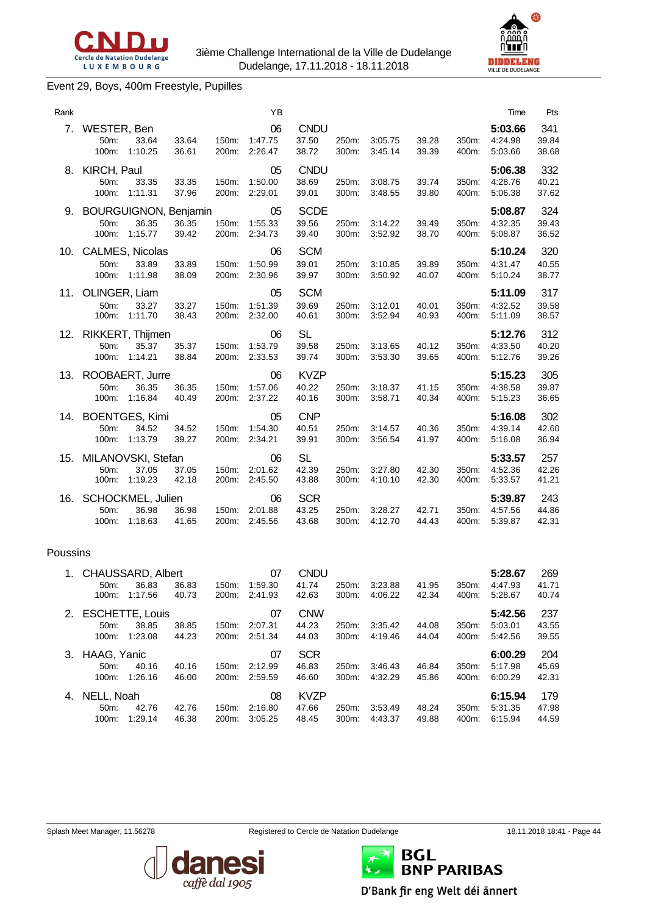



#### Event 29, Boys, 400m Freestyle, Pupilles

|                                                    |                                     |                                                                                                                                                                           | YB                           |                               |                |                    |                |                | Time                          | Pts                   |
|----------------------------------------------------|-------------------------------------|---------------------------------------------------------------------------------------------------------------------------------------------------------------------------|------------------------------|-------------------------------|----------------|--------------------|----------------|----------------|-------------------------------|-----------------------|
| WESTER, Ben<br>33.64<br>50m:<br>100m:<br>1:10.25   | 33.64<br>36.61                      | 150m:                                                                                                                                                                     | 06<br>1:47.75                | <b>CNDU</b><br>37.50<br>38.72 | 250m:<br>300m: | 3:05.75<br>3:45.14 | 39.28<br>39.39 | 350m:<br>400m: | 5:03.66<br>4:24.98<br>5:03.66 | 341<br>39.84<br>38.68 |
| KIRCH, Paul<br>50m:<br>33.35<br>100m:<br>1:11.31   | 33.35<br>37.96                      | 150m:<br>200m:                                                                                                                                                            | 05<br>1:50.00<br>2:29.01     | <b>CNDU</b><br>38.69<br>39.01 | 250m:<br>300m: | 3:08.75<br>3:48.55 | 39.74<br>39.80 | 350m:<br>400m: | 5:06.38<br>4:28.76<br>5:06.38 | 332<br>40.21<br>37.62 |
| 50m:<br>36.35<br>1:15.77<br>100m:                  | 36.35<br>39.42                      | 150m:<br>200m:                                                                                                                                                            | 05<br>1:55.33<br>2:34.73     | <b>SCDE</b><br>39.56<br>39.40 | 250m:<br>300m: | 3:14.22<br>3:52.92 | 39.49<br>38.70 | 350m:<br>400m: | 5:08.87<br>4:32.35<br>5:08.87 | 324<br>39.43<br>36.52 |
| 33.89<br>50m:<br>100m: 1:11.98                     | 33.89<br>38.09                      | 150m:<br>200m:                                                                                                                                                            | 06<br>1:50.99<br>2:30.96     | <b>SCM</b><br>39.01<br>39.97  | 250m:<br>300m: | 3:10.85<br>3:50.92 | 39.89<br>40.07 | 350m:<br>400m: | 5:10.24<br>4:31.47<br>5:10.24 | 320<br>40.55<br>38.77 |
| OLINGER, Liam<br>50m:<br>33.27<br>100m:<br>1:11.70 | 33.27<br>38.43                      | 150m:<br>200m:                                                                                                                                                            | 05<br>1:51.39<br>2:32.00     | <b>SCM</b><br>39.69<br>40.61  | 250m:<br>300m: | 3:12.01<br>3:52.94 | 40.01<br>40.93 | 350m:<br>400m: | 5:11.09<br>4:32.52<br>5:11.09 | 317<br>39.58<br>38.57 |
| 50m:<br>35.37<br>100m:<br>1:14.21                  | 35.37<br>38.84                      | 150m:<br>200m:                                                                                                                                                            | 06<br>1:53.79<br>2:33.53     | <b>SL</b><br>39.58<br>39.74   | 250m:<br>300m: | 3:13.65<br>3:53.30 | 40.12<br>39.65 | 350m:<br>400m: | 5:12.76<br>4:33.50<br>5:12.76 | 312<br>40.20<br>39.26 |
| 36.35<br>50m:<br>100m:<br>1:16.84                  | 36.35<br>40.49                      | 150m:                                                                                                                                                                     | 06<br>1:57.06<br>2:37.22     | <b>KVZP</b><br>40.22<br>40.16 | 250m:<br>300m: | 3:18.37<br>3:58.71 | 41.15<br>40.34 | 350m:<br>400m: | 5:15.23<br>4:38.58<br>5:15.23 | 305<br>39.87<br>36.65 |
| 34.52<br>50m:<br>1:13.79<br>100m:                  | 34.52<br>39.27                      | 150m:<br>200m:                                                                                                                                                            | 05<br>1:54.30<br>2:34.21     | <b>CNP</b><br>40.51<br>39.91  | 250m:<br>300m: | 3:14.57<br>3:56.54 | 40.36<br>41.97 | 350m:<br>400m: | 5:16.08<br>4:39.14<br>5:16.08 | 302<br>42.60<br>36.94 |
| 50m:<br>37.05<br>1:19.23<br>100m:                  | 37.05<br>42.18                      | 150m:<br>200m:                                                                                                                                                            | 06<br>2:01.62<br>2:45.50     | <b>SL</b><br>42.39<br>43.88   | 250m:<br>300m: | 3:27.80<br>4:10.10 | 42.30<br>42.30 | 350m:<br>400m: | 5:33.57<br>4:52.36<br>5:33.57 | 257<br>42.26<br>41.21 |
| 36.98<br>50m:<br>100m:<br>1:18.63                  | 36.98<br>41.65                      | 150m:<br>200m:                                                                                                                                                            | 06<br>2:01.88<br>2:45.56     | <b>SCR</b><br>43.25<br>43.68  | 250m:<br>300m: | 3:28.27<br>4:12.70 | 42.71<br>44.43 | 350m:<br>400m: | 5:39.87<br>4:57.56<br>5:39.87 | 243<br>44.86<br>42.31 |
|                                                    |                                     |                                                                                                                                                                           |                              |                               |                |                    |                |                |                               |                       |
| 36.83<br>50 <sub>m</sub> :<br>1:17.56<br>100m:     | 36.83<br>40.73                      | 150m:<br>200m:                                                                                                                                                            | 07<br>1:59.30<br>2:41.93     | <b>CNDU</b><br>41.74<br>42.63 | 250m:<br>300m: | 3:23.88<br>4:06.22 | 41.95<br>42.34 | 350m:<br>400m: | 5:28.67<br>4:47.93<br>5:28.67 | 269<br>41.71<br>40.74 |
| 50m:<br>38.85<br>100m:<br>1:23.08                  | 38.85<br>44.23                      | 150m:<br>200m:                                                                                                                                                            | 07<br>2:07.31<br>2:51.34     | <b>CNW</b><br>44.23<br>44.03  | 250m:<br>300m: | 3:35.42<br>4:19.46 | 44.08<br>44.04 | 350m:<br>400m: | 5:42.56<br>5:03.01<br>5:42.56 | 237<br>43.55<br>39.55 |
| 12.<br>16.                                         | 7.<br>10.<br>11.<br>13.<br>Poussins | CALMES, Nicolas<br>RIKKERT, Thijmen<br>ROOBAERT, Jurre<br><b>BOENTGES, Kimi</b><br>MILANOVSKI, Stefan<br>SCHOCKMEL, Julien<br>CHAUSSARD, Albert<br><b>ESCHETTE, Louis</b> | <b>BOURGUIGNON, Benjamin</b> | 200m: 2:26.47<br>200m:        |                |                    |                |                |                               |                       |

| 3. HAAG, Yanic |         |       |       | 07      | <b>SCR</b>  |       |               |       |       | 6:00.29       | 204   |
|----------------|---------|-------|-------|---------|-------------|-------|---------------|-------|-------|---------------|-------|
| 50m            | 40.16   | 40.16 | 150m: | 2:12.99 | 46.83       | 250m: | 3:46.43       | 46.84 |       | 350m: 5:17.98 | 45.69 |
| 100m:          | 1:26.16 | 46.00 | 200m: | 2:59.59 | 46.60       |       | 300m: 4:32.29 | 45.86 |       | 400m: 6:00.29 | 42.31 |
|                |         |       |       |         |             |       |               |       |       |               |       |
| 4. NELL, Noah  |         |       |       | 08      | <b>KVZP</b> |       |               |       |       | 6:15.94       | 179   |
| 50m            | 42.76   | 42.76 | 150m: | 2:16.80 | 47.66       |       | 250m: 3:53.49 | 48.24 | 350m: | 5:31.35       | 47.98 |





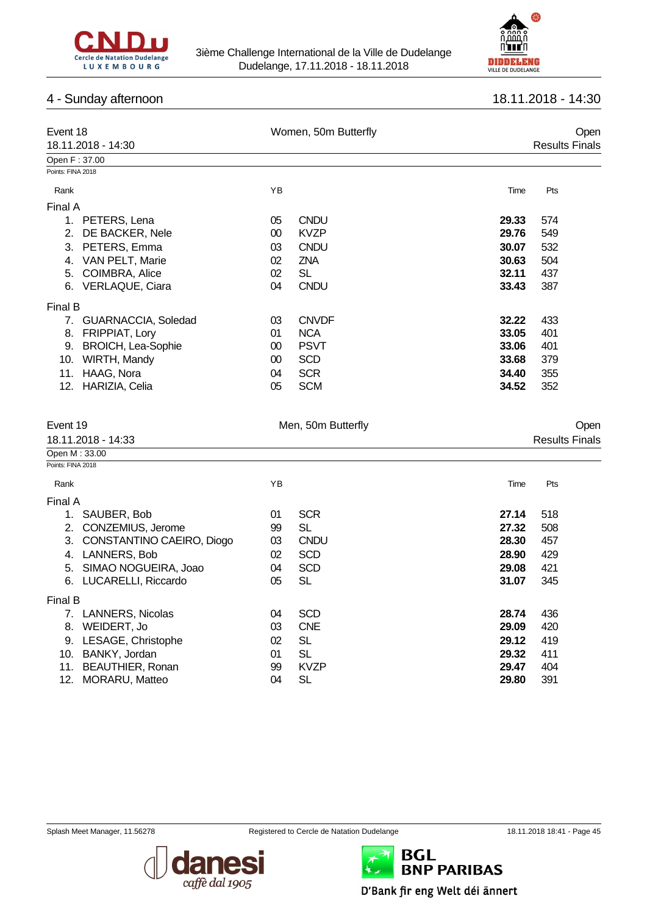



# 4 - Sunday afternoon 18.11.2018 - 14:30

| Event 18<br>18.11.2018 - 14:30     |    | Women, 50m Butterfly  | <b>Results Finals</b> | Open |
|------------------------------------|----|-----------------------|-----------------------|------|
| Open F: 37.00                      |    |                       |                       |      |
| Points: FINA 2018                  |    |                       |                       |      |
| Rank                               | ΥB | Time                  | Pts                   |      |
| Final A                            |    |                       |                       |      |
| 1. PETERS, Lena                    | 05 | <b>CNDU</b><br>29.33  | 574                   |      |
| 2. DE BACKER, Nele                 | 00 | <b>KVZP</b><br>29.76  | 549                   |      |
| 3. PETERS, Emma                    | 03 | <b>CNDU</b><br>30.07  | 532                   |      |
| 4. VAN PELT, Marie                 | 02 | ZNA<br>30.63          | 504                   |      |
| 5. COIMBRA, Alice                  | 02 | <b>SL</b><br>32.11    | 437                   |      |
| 6. VERLAQUE, Ciara                 | 04 | <b>CNDU</b><br>33.43  | 387                   |      |
| <b>Final B</b>                     |    |                       |                       |      |
| 7. GUARNACCIA, Soledad             | 03 | <b>CNVDF</b><br>32.22 | 433                   |      |
| 8. FRIPPIAT, Lory                  | 01 | <b>NCA</b><br>33.05   | 401                   |      |
| 9. BROICH, Lea-Sophie              | 00 | <b>PSVT</b><br>33.06  | 401                   |      |
| 10. WIRTH, Mandy                   | 00 | <b>SCD</b><br>33.68   | 379                   |      |
| 11. HAAG, Nora                     | 04 | <b>SCR</b><br>34.40   | 355                   |      |
| 12. HARIZIA, Celia                 | 05 | <b>SCM</b><br>34.52   | 352                   |      |
| Event 19<br>18.11.2018 - 14:33     |    | Men, 50m Butterfly    | <b>Results Finals</b> | Open |
| Open M: 33.00<br>Points: FINA 2018 |    |                       |                       |      |
|                                    |    |                       |                       |      |
| Rank                               | YB | Time                  | Pts                   |      |
| Final A                            |    |                       |                       |      |
| 1. SAUBER, Bob                     | 01 | <b>SCR</b><br>27.14   | 518                   |      |
| 2. CONZEMIUS, Jerome               | 99 | <b>SL</b><br>27.32    | 508                   |      |
| 3. CONSTANTINO CAEIRO, Diogo       | 03 | CNDU<br>28.30         | 457                   |      |
| 4. LANNERS, Bob                    | 02 | <b>SCD</b><br>28.90   | 429                   |      |
| 5. SIMAO NOGUEIRA, Joao            | 04 | <b>SCD</b><br>29.08   | 421                   |      |
| 6. LUCARELLI, Riccardo             | 05 | <b>SL</b><br>31.07    | 345                   |      |
| Final B                            |    |                       |                       |      |
| 7. LANNERS, Nicolas                | 04 | <b>SCD</b><br>28.74   | 436                   |      |
| 8. WEIDERT, Jo                     | 03 | <b>CNE</b><br>29.09   | 420                   |      |
| 9. LESAGE, Christophe              | 02 | <b>SL</b><br>29.12    | 419                   |      |
| 10. BANKY, Jordan                  | 01 | <b>SL</b><br>29.32    | 411                   |      |
| 11. BEAUTHIER, Ronan               | 99 | <b>KVZP</b><br>29.47  | 404                   |      |
| 12. MORARU, Matteo                 | 04 | <b>SL</b><br>29.80    | 391                   |      |





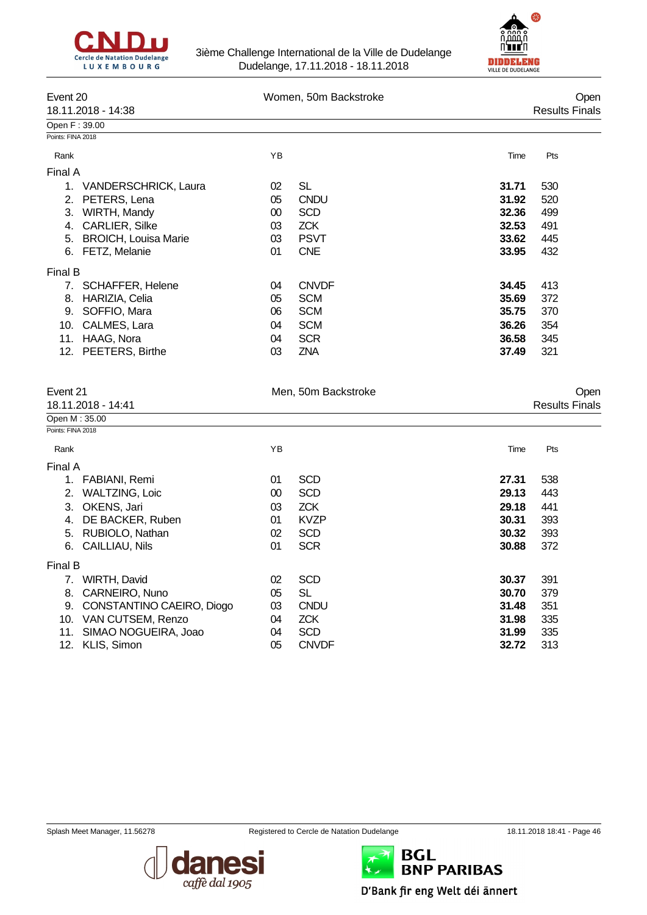



| Event 20<br>18.11.2018 - 14:38 |                             | Women, 50m Backstroke | Open<br><b>Results Finals</b> |       |     |
|--------------------------------|-----------------------------|-----------------------|-------------------------------|-------|-----|
| Open F: 39.00                  |                             |                       |                               |       |     |
| Points: FINA 2018              |                             |                       |                               |       |     |
| Rank                           |                             | YB                    |                               | Time  | Pts |
| Final A                        |                             |                       |                               |       |     |
| 1.                             | VANDERSCHRICK, Laura        | 02                    | <b>SL</b>                     | 31.71 | 530 |
| 2.                             | PETERS, Lena                | 05                    | <b>CNDU</b>                   | 31.92 | 520 |
| 3.                             | WIRTH, Mandy                | 00                    | <b>SCD</b>                    | 32.36 | 499 |
| 4.                             | <b>CARLIER, Silke</b>       | 03                    | <b>ZCK</b>                    | 32.53 | 491 |
| 5.                             | <b>BROICH, Louisa Marie</b> | 03                    | <b>PSVT</b>                   | 33.62 | 445 |
|                                | 6. FETZ, Melanie            | 01                    | <b>CNE</b>                    | 33.95 | 432 |
| Final B                        |                             |                       |                               |       |     |
| 7.                             | SCHAFFER, Helene            | 04                    | <b>CNVDF</b>                  | 34.45 | 413 |
| 8.                             | HARIZIA, Celia              | 05                    | <b>SCM</b>                    | 35.69 | 372 |
| 9.                             | SOFFIO, Mara                | 06                    | <b>SCM</b>                    | 35.75 | 370 |
| 10.                            | CALMES, Lara                | 04                    | <b>SCM</b>                    | 36.26 | 354 |
| 11.                            | HAAG, Nora                  | 04                    | <b>SCR</b>                    | 36.58 | 345 |
|                                | 12. PEETERS, Birthe         | 03                    | <b>ZNA</b>                    | 37.49 | 321 |

| Event 21                        |    | Men, 50m Backstroke |       | Open                  |
|---------------------------------|----|---------------------|-------|-----------------------|
| 18.11.2018 - 14:41              |    |                     |       | <b>Results Finals</b> |
| Open M: 35.00                   |    |                     |       |                       |
| Points: FINA 2018               |    |                     |       |                       |
| Rank                            | ΥB |                     | Time  | Pts                   |
| Final A                         |    |                     |       |                       |
| FABIANI, Remi<br>1.             | 01 | <b>SCD</b>          | 27.31 | 538                   |
| WALTZING, Loic<br>2.            | 00 | <b>SCD</b>          | 29.13 | 443                   |
| OKENS, Jari<br>3.               | 03 | <b>ZCK</b>          | 29.18 | 441                   |
| DE BACKER, Ruben<br>4.          | 01 | <b>KVZP</b>         | 30.31 | 393                   |
| RUBIOLO, Nathan<br>5.           | 02 | <b>SCD</b>          | 30.32 | 393                   |
| CAILLIAU, Nils<br>6.            | 01 | <b>SCR</b>          | 30.88 | 372                   |
| Final B                         |    |                     |       |                       |
| WIRTH, David<br>7.              | 02 | <b>SCD</b>          | 30.37 | 391                   |
| CARNEIRO, Nuno<br>8.            | 05 | SL                  | 30.70 | 379                   |
| CONSTANTINO CAEIRO, Diogo<br>9. | 03 | <b>CNDU</b>         | 31.48 | 351                   |
| VAN CUTSEM, Renzo<br>10.        | 04 | <b>ZCK</b>          | 31.98 | 335                   |
| SIMAO NOGUEIRA, Joao<br>11.     | 04 | <b>SCD</b>          | 31.99 | 335                   |
| KLIS, Simon<br>12.              | 05 | <b>CNVDF</b>        | 32.72 | 313                   |





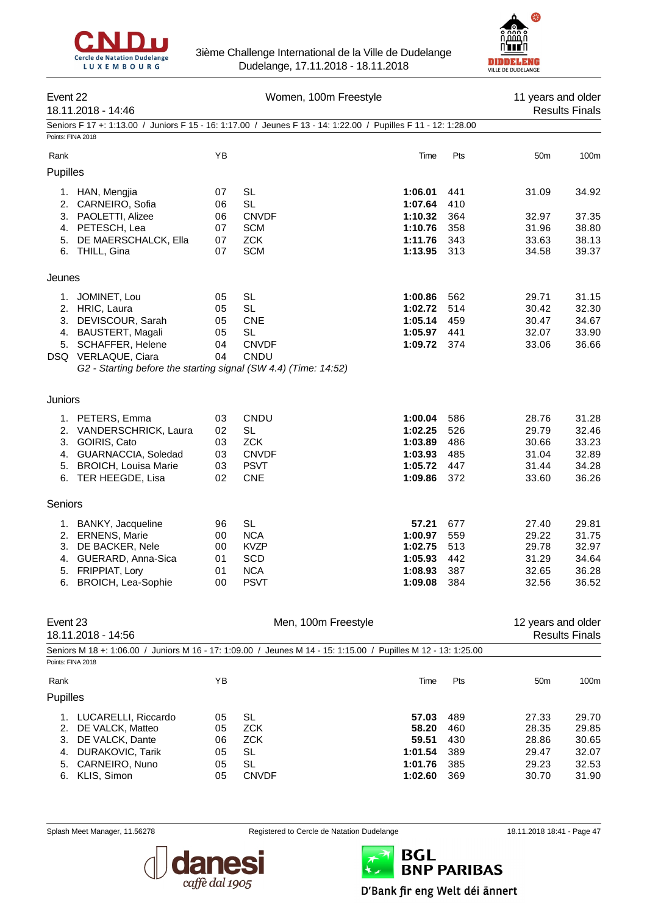



| Event 22<br>18.11.2018 - 14:46 |                                                                                        |          | Women, 100m Freestyle                                                                                          | 11 years and older<br><b>Results Finals</b> |            |                    |                       |
|--------------------------------|----------------------------------------------------------------------------------------|----------|----------------------------------------------------------------------------------------------------------------|---------------------------------------------|------------|--------------------|-----------------------|
|                                |                                                                                        |          | Seniors F 17 +: 1:13.00 / Juniors F 15 - 16: 1:17.00 / Jeunes F 13 - 14: 1:22.00 / Pupilles F 11 - 12: 1:28.00 |                                             |            |                    |                       |
| Points: FINA 2018              |                                                                                        |          |                                                                                                                |                                             |            |                    |                       |
| Rank                           |                                                                                        | ΥB       |                                                                                                                | Time                                        | Pts        | 50 <sub>m</sub>    | 100m                  |
| Pupilles                       |                                                                                        |          |                                                                                                                |                                             |            |                    |                       |
| 1.                             | HAN, Mengjia                                                                           | 07       | <b>SL</b>                                                                                                      | 1:06.01                                     | 441        | 31.09              | 34.92                 |
| 2.                             | CARNEIRO, Sofia                                                                        | 06       | <b>SL</b>                                                                                                      | 1:07.64                                     | 410        |                    |                       |
|                                | 3. PAOLETTI, Alizee                                                                    | 06       | <b>CNVDF</b>                                                                                                   | 1:10.32                                     | 364        | 32.97              | 37.35                 |
|                                | 4. PETESCH, Lea                                                                        | 07       | <b>SCM</b>                                                                                                     | 1:10.76                                     | 358        | 31.96              | 38.80                 |
| 5.                             | DE MAERSCHALCK, Ella<br>6. THILL, Gina                                                 | 07<br>07 | <b>ZCK</b><br><b>SCM</b>                                                                                       | 1:11.76<br>1:13.95                          | 343<br>313 | 33.63<br>34.58     | 38.13<br>39.37        |
|                                |                                                                                        |          |                                                                                                                |                                             |            |                    |                       |
| Jeunes                         |                                                                                        |          |                                                                                                                |                                             |            |                    |                       |
| 1.                             | JOMINET, Lou                                                                           | 05       | <b>SL</b>                                                                                                      | 1:00.86                                     | 562        | 29.71              | 31.15                 |
| 2.                             | HRIC, Laura                                                                            | 05       | <b>SL</b>                                                                                                      | 1:02.72                                     | 514        | 30.42              | 32.30                 |
| 3.                             | DEVISCOUR, Sarah                                                                       | 05       | <b>CNE</b>                                                                                                     | 1:05.14                                     | 459        | 30.47              | 34.67                 |
| 4.                             | BAUSTERT, Magali                                                                       | 05       | <b>SL</b>                                                                                                      | 1:05.97                                     | 441        | 32.07              | 33.90                 |
|                                | 5. SCHAFFER, Helene                                                                    | 04       | <b>CNVDF</b>                                                                                                   | 1:09.72                                     | 374        | 33.06              | 36.66                 |
|                                | DSQ VERLAQUE, Ciara<br>G2 - Starting before the starting signal (SW 4.4) (Time: 14:52) | 04       | CNDU                                                                                                           |                                             |            |                    |                       |
|                                |                                                                                        |          |                                                                                                                |                                             |            |                    |                       |
| <b>Juniors</b>                 |                                                                                        |          |                                                                                                                |                                             |            |                    |                       |
|                                | 1. PETERS, Emma                                                                        | 03       | CNDU                                                                                                           | 1:00.04                                     | 586        | 28.76              | 31.28                 |
|                                | 2. VANDERSCHRICK, Laura                                                                | 02       | SL                                                                                                             | 1:02.25                                     | 526        | 29.79              | 32.46                 |
| 3.                             | GOIRIS, Cato                                                                           | 03       | <b>ZCK</b>                                                                                                     | 1:03.89                                     | 486        | 30.66              | 33.23                 |
|                                | 4. GUARNACCIA, Soledad                                                                 | 03       | <b>CNVDF</b>                                                                                                   | 1:03.93                                     | 485        | 31.04              | 32.89                 |
| 5.                             | <b>BROICH, Louisa Marie</b>                                                            | 03       | <b>PSVT</b>                                                                                                    | 1:05.72                                     | 447        | 31.44              | 34.28                 |
|                                | 6. TER HEEGDE, Lisa                                                                    | 02       | <b>CNE</b>                                                                                                     | 1:09.86                                     | 372        | 33.60              | 36.26                 |
| Seniors                        |                                                                                        |          |                                                                                                                |                                             |            |                    |                       |
|                                | 1. BANKY, Jacqueline                                                                   | 96       | <b>SL</b>                                                                                                      | 57.21                                       | 677        | 27.40              | 29.81                 |
|                                | 2. ERNENS, Marie                                                                       | 00       | <b>NCA</b>                                                                                                     | 1:00.97                                     | 559        | 29.22              | 31.75                 |
| 3.                             | DE BACKER, Nele                                                                        | 00       | <b>KVZP</b>                                                                                                    | 1:02.75                                     | 513        | 29.78              | 32.97                 |
|                                | 4. GUERARD, Anna-Sica                                                                  | 01       | <b>SCD</b>                                                                                                     | 1:05.93                                     | 442        | 31.29              | 34.64                 |
|                                | 5. FRIPPIAT, Lory                                                                      | 01       | <b>NCA</b>                                                                                                     | 1:08.93                                     | 387        | 32.65              | 36.28                 |
|                                | 6. BROICH, Lea-Sophie                                                                  | 00       | <b>PSVT</b>                                                                                                    | 1:09.08 384                                 |            | 32.56              | 36.52                 |
|                                |                                                                                        |          |                                                                                                                |                                             |            |                    |                       |
| Event 23                       | 18.11.2018 - 14:56                                                                     |          | Men, 100m Freestyle                                                                                            |                                             |            | 12 years and older | <b>Results Finals</b> |
|                                |                                                                                        |          | Seniors M 18 +: 1:06.00 / Juniors M 16 - 17: 1:09.00 / Jeunes M 14 - 15: 1:15.00 / Pupilles M 12 - 13: 1:25.00 |                                             |            |                    |                       |
| Points: FINA 2018              |                                                                                        |          |                                                                                                                |                                             |            |                    |                       |
| Rank                           |                                                                                        | YB       |                                                                                                                | Time                                        | Pts        | 50m                | 100m                  |
| Pupilles                       |                                                                                        |          |                                                                                                                |                                             |            |                    |                       |
|                                | 1. LUCARELLI, Riccardo                                                                 | 05       | SL                                                                                                             | 57.03                                       | 489        | 27.33              | 29.70                 |
| 2.                             | DE VALCK, Matteo                                                                       | 05       | <b>ZCK</b>                                                                                                     | 58.20                                       | 460        | 28.35              | 29.85                 |
| 3.                             | DE VALCK, Dante                                                                        | 06       | <b>ZCK</b>                                                                                                     | 59.51                                       | 430        | 28.86              | 30.65                 |
| 4.                             | DURAKOVIC, Tarik                                                                       | 05       | <b>SL</b>                                                                                                      | 1:01.54                                     | 389        | 29.47              | 32.07                 |
| 5.                             | CARNEIRO, Nuno                                                                         | 05       | SL                                                                                                             | 1:01.76                                     | 385        | 29.23              | 32.53                 |
|                                | 6. KLIS, Simon                                                                         | 05       | <b>CNVDF</b>                                                                                                   | 1:02.60                                     | 369        | 30.70              | 31.90                 |



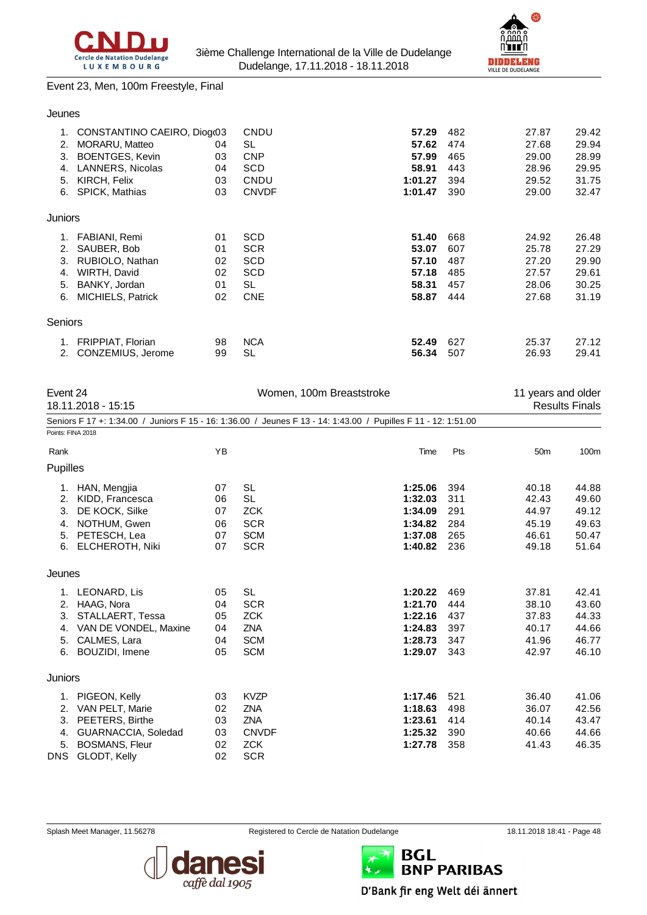



#### Event 23, Men, 100m Freestyle, Final

#### Jeunes

| 1.<br>2.<br>3.<br>4. | CONSTANTINO CAEIRO, Diogr03<br><b>MORARU, Matteo</b><br><b>BOENTGES, Kevin</b><br><b>LANNERS, Nicolas</b> | 04<br>03<br>04 | CNDU<br>SL<br><b>CNP</b><br>SCD | 57.29<br>57.62<br>57.99<br>58.91 | 482<br>474<br>465<br>443 | 27.87<br>27.68<br>29.00<br>28.96 | 29.42<br>29.94<br>28.99<br>29.95 |
|----------------------|-----------------------------------------------------------------------------------------------------------|----------------|---------------------------------|----------------------------------|--------------------------|----------------------------------|----------------------------------|
| 5.                   | KIRCH, Felix                                                                                              | 03             | CNDU                            | 1:01.27                          | 394                      | 29.52                            | 31.75                            |
| 6.                   | <b>SPICK, Mathias</b>                                                                                     | 03             | <b>CNVDF</b>                    | 1:01.47                          | 390                      | 29.00                            | 32.47                            |
| Juniors              |                                                                                                           |                |                                 |                                  |                          |                                  |                                  |
| 1.                   | FABIANI, Remi                                                                                             | 01             | SCD                             | 51.40                            | 668                      | 24.92                            | 26.48                            |
| 2.                   | SAUBER, Bob                                                                                               | 01             | <b>SCR</b>                      | 53.07                            | 607                      | 25.78                            | 27.29                            |
| 3.                   | RUBIOLO, Nathan                                                                                           | 02             | <b>SCD</b>                      | 57.10                            | 487                      | 27.20                            | 29.90                            |
| 4.                   | WIRTH, David                                                                                              | 02             | <b>SCD</b>                      | 57.18                            | 485                      | 27.57                            | 29.61                            |
| 5.                   | BANKY, Jordan                                                                                             | 01             | SL                              | 58.31                            | 457                      | 28.06                            | 30.25                            |
| 6.                   | MICHIELS, Patrick                                                                                         | 02             | <b>CNE</b>                      | 58.87                            | 444                      | 27.68                            | 31.19                            |
| Seniors              |                                                                                                           |                |                                 |                                  |                          |                                  |                                  |
| 1.                   | <b>FRIPPIAT, Florian</b>                                                                                  | 98             | <b>NCA</b>                      | 52.49                            | 627                      | 25.37                            | 27.12                            |
| 2.                   | CONZEMIUS, Jerome                                                                                         | 99             | SL                              | 56.34                            | 507                      | 26.93                            | 29.41                            |

|                                   | Event 24<br>18.11.2018 - 15:15<br>Seniors F 17 +: 1:34.00 / Juniors F 15 - 16: 1:36.00 / Jeunes F 13 - 14: 1:43.00 / Pupilles F 11 - 12: 1:51.00 |                                  | Women, 100m Breaststroke                                                            | 11 years and older                                             | <b>Results Finals</b>                  |                                                    |                                                    |
|-----------------------------------|--------------------------------------------------------------------------------------------------------------------------------------------------|----------------------------------|-------------------------------------------------------------------------------------|----------------------------------------------------------------|----------------------------------------|----------------------------------------------------|----------------------------------------------------|
|                                   |                                                                                                                                                  |                                  |                                                                                     |                                                                |                                        |                                                    |                                                    |
| Points: FINA 2018                 |                                                                                                                                                  |                                  |                                                                                     |                                                                |                                        |                                                    |                                                    |
| Rank                              |                                                                                                                                                  | YB                               |                                                                                     | Time                                                           | Pts                                    | 50 <sub>m</sub>                                    | 100m                                               |
| Pupilles                          |                                                                                                                                                  |                                  |                                                                                     |                                                                |                                        |                                                    |                                                    |
| 2.<br>3.<br>4.<br>5.<br>6.        | 1. HAN, Mengjia<br>KIDD, Francesca<br>DE KOCK, Silke<br>NOTHUM, Gwen<br>PETESCH, Lea<br><b>ELCHEROTH, Niki</b>                                   | 07<br>06<br>07<br>06<br>07<br>07 | <b>SL</b><br><b>SL</b><br><b>ZCK</b><br><b>SCR</b><br><b>SCM</b><br><b>SCR</b>      | 1:25.06<br>1:32.03<br>1:34.09<br>1:34.82<br>1:37.08<br>1:40.82 | 394<br>311<br>291<br>284<br>265<br>236 | 40.18<br>42.43<br>44.97<br>45.19<br>46.61<br>49.18 | 44.88<br>49.60<br>49.12<br>49.63<br>50.47<br>51.64 |
| Jeunes                            |                                                                                                                                                  |                                  |                                                                                     |                                                                |                                        |                                                    |                                                    |
| 1.<br>2.<br>3.<br>4.<br>5.<br>6.  | LEONARD, Lis<br>HAAG, Nora<br>STALLAERT, Tessa<br>VAN DE VONDEL, Maxine<br>CALMES, Lara<br>BOUZIDI, Imene                                        | 05<br>04<br>05<br>04<br>04<br>05 | <b>SL</b><br><b>SCR</b><br><b>ZCK</b><br><b>ZNA</b><br><b>SCM</b><br><b>SCM</b>     | 1:20.22<br>1:21.70<br>1:22.16<br>1:24.83<br>1:28.73<br>1:29.07 | 469<br>444<br>437<br>397<br>347<br>343 | 37.81<br>38.10<br>37.83<br>40.17<br>41.96<br>42.97 | 42.41<br>43.60<br>44.33<br>44.66<br>46.77<br>46.10 |
| Juniors                           |                                                                                                                                                  |                                  |                                                                                     |                                                                |                                        |                                                    |                                                    |
| 1.<br>2.<br>3.<br>4.<br>5.<br>DNS | PIGEON, Kelly<br>VAN PELT, Marie<br>PEETERS, Birthe<br>GUARNACCIA, Soledad<br><b>BOSMANS, Fleur</b><br>GLODT, Kelly                              | 03<br>02<br>03<br>03<br>02<br>02 | <b>KVZP</b><br><b>ZNA</b><br><b>ZNA</b><br><b>CNVDF</b><br><b>ZCK</b><br><b>SCR</b> | 1:17.46<br>1:18.63<br>1:23.61<br>1:25.32<br>1:27.78            | 521<br>498<br>414<br>390<br>358        | 36.40<br>36.07<br>40.14<br>40.66<br>41.43          | 41.06<br>42.56<br>43.47<br>44.66<br>46.35          |



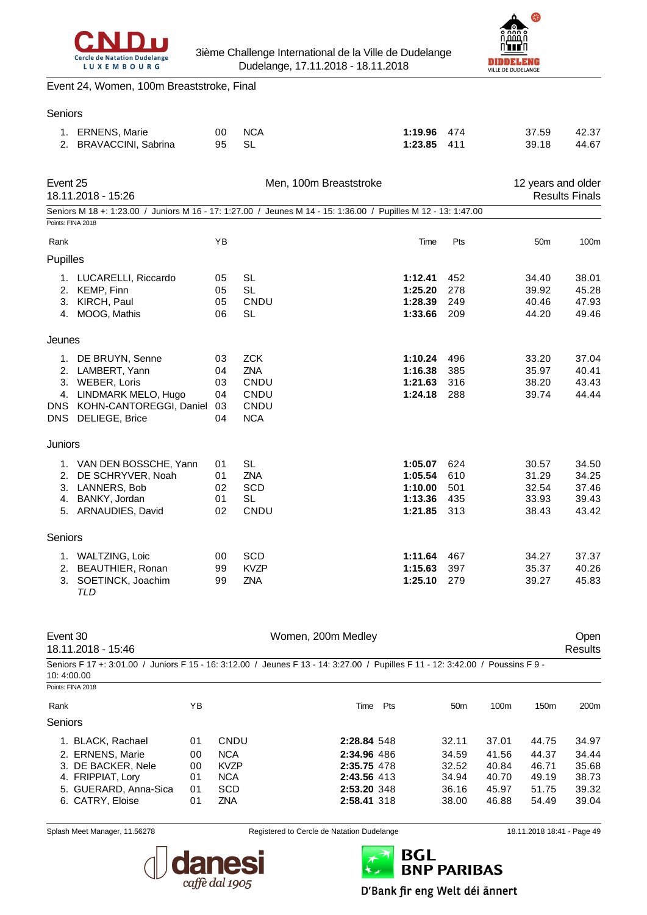



#### Event 24, Women, 100m Breaststroke, Final

#### Seniors

|                        | 1. ERNENS, Marie<br>2. BRAVACCINI, Sabrina                                                                                               | 00<br>95                         | <b>NCA</b><br><b>SL</b>                                                                                                                               | 1:19.96<br>1:23.85                                  | 474<br>411                      | 37.59<br>39.18                            | 42.37<br>44.67                            |
|------------------------|------------------------------------------------------------------------------------------------------------------------------------------|----------------------------------|-------------------------------------------------------------------------------------------------------------------------------------------------------|-----------------------------------------------------|---------------------------------|-------------------------------------------|-------------------------------------------|
| Event 25               | 18.11.2018 - 15:26                                                                                                                       |                                  | Men, 100m Breaststroke                                                                                                                                |                                                     |                                 | 12 years and older                        | <b>Results Finals</b>                     |
|                        | Points: FINA 2018                                                                                                                        |                                  | Seniors M 18 +: 1:23.00 / Juniors M 16 - 17: 1:27.00 / Jeunes M 14 - 15: 1:36.00 / Pupilles M 12 - 13: 1:47.00                                        |                                                     |                                 |                                           |                                           |
| Rank                   |                                                                                                                                          | YB                               |                                                                                                                                                       | Time                                                | Pts                             | 50 <sub>m</sub>                           | 100m                                      |
| Pupilles               |                                                                                                                                          |                                  |                                                                                                                                                       |                                                     |                                 |                                           |                                           |
| 4.                     | 1. LUCARELLI, Riccardo<br>2. KEMP, Finn<br>3. KIRCH, Paul<br>MOOG, Mathis                                                                | 05<br>05<br>05<br>06             | <b>SL</b><br><b>SL</b><br>CNDU<br><b>SL</b>                                                                                                           | 1:12.41<br>1:25.20<br>1:28.39<br>1:33.66            | 452<br>278<br>249<br>209        | 34.40<br>39.92<br>40.46<br>44.20          | 38.01<br>45.28<br>47.93<br>49.46          |
| Jeunes                 |                                                                                                                                          |                                  |                                                                                                                                                       |                                                     |                                 |                                           |                                           |
|                        | 1. DE BRUYN, Senne<br>2. LAMBERT, Yann<br>3. WEBER, Loris<br>4. LINDMARK MELO, Hugo<br>DNS KOHN-CANTOREGGI, Daniel<br>DNS DELIEGE, Brice | 03<br>04<br>03<br>04<br>03<br>04 | <b>ZCK</b><br>ZNA<br>CNDU<br>CNDU<br>CNDU<br><b>NCA</b>                                                                                               | 1:10.24<br>1:16.38<br>1:21.63<br>1:24.18            | 496<br>385<br>316<br>288        | 33.20<br>35.97<br>38.20<br>39.74          | 37.04<br>40.41<br>43.43<br>44.44          |
| Juniors                |                                                                                                                                          |                                  |                                                                                                                                                       |                                                     |                                 |                                           |                                           |
|                        | 1. VAN DEN BOSSCHE, Yann<br>2. DE SCHRYVER, Noah<br>3. LANNERS, Bob<br>4. BANKY, Jordan<br>5. ARNAUDIES, David                           | 01<br>01<br>02<br>01<br>02       | <b>SL</b><br>ZNA<br>SCD<br><b>SL</b><br>CNDU                                                                                                          | 1:05.07<br>1:05.54<br>1:10.00<br>1:13.36<br>1:21.85 | 624<br>610<br>501<br>435<br>313 | 30.57<br>31.29<br>32.54<br>33.93<br>38.43 | 34.50<br>34.25<br>37.46<br>39.43<br>43.42 |
| Seniors                |                                                                                                                                          |                                  |                                                                                                                                                       |                                                     |                                 |                                           |                                           |
| 3.                     | 1. WALTZING, Loic<br>2. BEAUTHIER, Ronan<br>SOETINCK, Joachim<br><b>TLD</b>                                                              | 00<br>99<br>99                   | SCD<br><b>KVZP</b><br>ZNA                                                                                                                             | 1:11.64<br>1:15.63<br>1:25.10                       | 467<br>397<br>279               | 34.27<br>35.37<br>39.27                   | 37.37<br>40.26<br>45.83                   |
| Event 30<br>10:4:00.00 | 18.11.2018 - 15:46                                                                                                                       |                                  | Women, 200m Medley<br>Seniors F 17 +: 3:01.00 / Juniors F 15 - 16: 3:12.00 / Jeunes F 13 - 14: 3:27.00 / Pupilles F 11 - 12: 3:42.00 / Poussins F 9 - |                                                     |                                 |                                           | Open<br><b>Results</b>                    |
| Points: FINA 2018      |                                                                                                                                          |                                  |                                                                                                                                                       |                                                     |                                 |                                           |                                           |

| Points: FINA 2018     |    |             |             |     |                 |       |                  |       |
|-----------------------|----|-------------|-------------|-----|-----------------|-------|------------------|-------|
| Rank                  | ΥB |             | Time        | Pts | 50 <sub>m</sub> | 100m  | 150 <sub>m</sub> | 200m  |
| <b>Seniors</b>        |    |             |             |     |                 |       |                  |       |
| 1. BLACK, Rachael     | 01 | CNDU        | 2:28.84 548 |     | 32.11           | 37.01 | 44.75            | 34.97 |
| 2. ERNENS, Marie      | 00 | <b>NCA</b>  | 2:34.96 486 |     | 34.59           | 41.56 | 44.37            | 34.44 |
| 3. DE BACKER, Nele    | 00 | <b>KVZP</b> | 2:35.75 478 |     | 32.52           | 40.84 | 46.71            | 35.68 |
| 4. FRIPPIAT, Lory     | 01 | <b>NCA</b>  | 2:43.56 413 |     | 34.94           | 40.70 | 49.19            | 38.73 |
| 5. GUERARD, Anna-Sica | 01 | <b>SCD</b>  | 2:53.20 348 |     | 36.16           | 45.97 | 51.75            | 39.32 |
| 6. CATRY, Eloise      | 01 | ZNA         | 2:58.41 318 |     | 38.00           | 46.88 | 54.49            | 39.04 |
|                       |    |             |             |     |                 |       |                  |       |

Splash Meet Manager, 11.56278 **Registered to Cercle de Natation Dudelange** 18.11.2018 18:41 - Page 49





D'Bank fir eng Welt déi ännert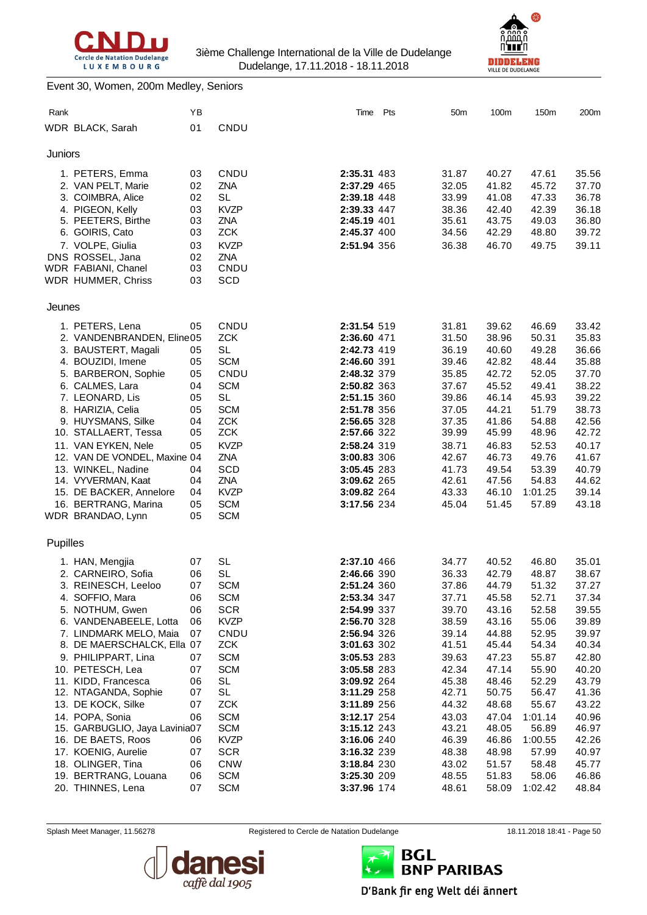



#### Event 30, Women, 200m Medley, Seniors

| Rank     |                                                     | YB |                           | Time Pts                   | 50m            | 100m           | 150m           | 200m           |
|----------|-----------------------------------------------------|----|---------------------------|----------------------------|----------------|----------------|----------------|----------------|
|          | WDR BLACK, Sarah                                    | 01 | CNDU                      |                            |                |                |                |                |
| Juniors  |                                                     |    |                           |                            |                |                |                |                |
|          | 1. PETERS, Emma                                     | 03 | CNDU                      | 2:35.31 483                | 31.87          | 40.27          | 47.61          | 35.56          |
|          | 2. VAN PELT, Marie                                  | 02 | ZNA                       | 2:37.29 465                | 32.05          | 41.82          | 45.72          | 37.70          |
|          | 3. COIMBRA, Alice                                   | 02 | <b>SL</b>                 | 2:39.18 448                | 33.99          | 41.08          | 47.33          | 36.78          |
|          | 4. PIGEON, Kelly                                    | 03 | <b>KVZP</b>               | 2:39.33 447                | 38.36          | 42.40          | 42.39          | 36.18          |
|          | 5. PEETERS, Birthe                                  | 03 | ZNA                       | 2:45.19 401                | 35.61          | 43.75          | 49.03          | 36.80          |
|          | 6. GOIRIS, Cato                                     | 03 | <b>ZCK</b>                | 2:45.37 400                | 34.56          | 42.29          | 48.80          | 39.72          |
|          | 7. VOLPE, Giulia                                    | 03 | <b>KVZP</b>               | 2:51.94 356                | 36.38          | 46.70          | 49.75          | 39.11          |
|          | DNS ROSSEL, Jana                                    | 02 | <b>ZNA</b>                |                            |                |                |                |                |
|          | WDR FABIANI, Chanel                                 | 03 | CNDU                      |                            |                |                |                |                |
|          | WDR HUMMER, Chriss                                  | 03 | SCD                       |                            |                |                |                |                |
| Jeunes   |                                                     |    |                           |                            |                |                |                |                |
|          | 1. PETERS, Lena                                     | 05 | CNDU                      | 2:31.54 519                | 31.81          | 39.62          | 46.69          | 33.42          |
|          | 2. VANDENBRANDEN, Eline05                           |    | <b>ZCK</b>                | 2:36.60 471                | 31.50          | 38.96          | 50.31          | 35.83          |
|          | 3. BAUSTERT, Magali                                 | 05 | <b>SL</b>                 | 2:42.73 419                | 36.19          | 40.60          | 49.28          | 36.66          |
|          | 4. BOUZIDI, Imene                                   | 05 | <b>SCM</b>                | 2:46.60 391                | 39.46          | 42.82          | 48.44          | 35.88          |
|          | 5. BARBERON, Sophie                                 | 05 | CNDU                      | 2:48.32 379                | 35.85          | 42.72          | 52.05          | 37.70          |
|          | 6. CALMES, Lara                                     | 04 | <b>SCM</b>                | 2:50.82 363                | 37.67          | 45.52          | 49.41          | 38.22          |
|          | 7. LEONARD, Lis                                     | 05 | <b>SL</b>                 | 2:51.15 360                | 39.86          | 46.14          | 45.93          | 39.22          |
|          | 8. HARIZIA, Celia                                   | 05 | <b>SCM</b>                | 2:51.78 356                | 37.05          | 44.21          | 51.79          | 38.73          |
|          | 9. HUYSMANS, Silke                                  | 04 | <b>ZCK</b>                | 2:56.65 328                | 37.35          | 41.86          | 54.88          | 42.56          |
|          | 10. STALLAERT, Tessa                                | 05 | <b>ZCK</b><br><b>KVZP</b> | 2:57.66 322                | 39.99          | 45.99          | 48.96          | 42.72          |
|          | 11. VAN EYKEN, Nele<br>12. VAN DE VONDEL, Maxine 04 | 05 | ZNA                       | 2:58.24 319<br>3:00.83 306 | 38.71<br>42.67 | 46.83<br>46.73 | 52.53<br>49.76 | 40.17<br>41.67 |
|          | 13. WINKEL, Nadine                                  | 04 | SCD                       | 3:05.45 283                | 41.73          | 49.54          | 53.39          | 40.79          |
|          | 14. VYVERMAN, Kaat                                  | 04 | <b>ZNA</b>                | 3:09.62 265                | 42.61          | 47.56          | 54.83          | 44.62          |
|          | 15. DE BACKER, Annelore                             | 04 | <b>KVZP</b>               | 3:09.82 264                | 43.33          | 46.10          | 1:01.25        | 39.14          |
|          | 16. BERTRANG, Marina                                | 05 | <b>SCM</b>                | 3:17.56 234                | 45.04          | 51.45          | 57.89          | 43.18          |
|          | WDR BRANDAO, Lynn                                   | 05 | <b>SCM</b>                |                            |                |                |                |                |
| Pupilles |                                                     |    |                           |                            |                |                |                |                |
|          | 1. HAN, Mengjia                                     | 07 | <b>SL</b>                 | 2:37.10 466                | 34.77          | 40.52          | 46.80          | 35.01          |
|          | 2. CARNEIRO, Sofia                                  | 06 | <b>SL</b>                 | 2:46.66 390                | 36.33          | 42.79          | 48.87          | 38.67          |
|          | 3. REINESCH, Leeloo                                 | 07 | <b>SCM</b>                | 2:51.24 360                | 37.86          | 44.79          | 51.32          | 37.27          |
|          | 4. SOFFIO, Mara                                     | 06 | <b>SCM</b>                | 2:53.34 347                | 37.71          | 45.58          | 52.71          | 37.34          |
|          | 5. NOTHUM, Gwen                                     | 06 | <b>SCR</b>                | 2:54.99 337                | 39.70          | 43.16          | 52.58          | 39.55          |
|          | 6. VANDENABEELE, Lotta                              | 06 | <b>KVZP</b>               | 2:56.70 328                | 38.59          | 43.16          | 55.06          | 39.89          |
|          | 7. LINDMARK MELO, Maia                              | 07 | CNDU                      | 2:56.94 326                | 39.14          | 44.88          | 52.95          | 39.97          |
|          | 8. DE MAERSCHALCK, Ella 07                          |    | <b>ZCK</b>                | 3:01.63 302                | 41.51          | 45.44          | 54.34          | 40.34          |
|          | 9. PHILIPPART, Lina                                 | 07 | <b>SCM</b>                | 3:05.53 283                | 39.63          | 47.23          | 55.87          | 42.80          |
|          | 10. PETESCH, Lea                                    | 07 | <b>SCM</b>                | 3:05.58 283                | 42.34          | 47.14          | 55.90          | 40.20          |
|          | 11. KIDD, Francesca                                 | 06 | <b>SL</b>                 | 3:09.92 264                | 45.38          | 48.46          | 52.29          | 43.79          |
|          | 12. NTAGANDA, Sophie                                | 07 | <b>SL</b>                 | 3:11.29 258                | 42.71          | 50.75          | 56.47          | 41.36          |
|          | 13. DE KOCK, Silke                                  | 07 | <b>ZCK</b>                | 3:11.89 256                | 44.32          | 48.68          | 55.67          | 43.22          |
|          | 14. POPA, Sonia                                     | 06 | <b>SCM</b>                | 3:12.17 254                | 43.03          | 47.04          | 1:01.14        | 40.96          |
|          | 15. GARBUGLIO, Jaya Lavinia07                       |    | <b>SCM</b>                | 3:15.12 243                | 43.21          | 48.05          | 56.89          | 46.97          |
|          | 16. DE BAETS, Roos                                  | 06 | <b>KVZP</b>               | 3:16.06 240                | 46.39          | 46.86          | 1:00.55        | 42.26          |
|          | 17. KOENIG, Aurelie                                 | 07 | <b>SCR</b>                | 3:16.32 239                | 48.38          | 48.98          | 57.99          | 40.97          |
|          | 18. OLINGER, Tina                                   | 06 | <b>CNW</b>                | 3:18.84 230                | 43.02          | 51.57          | 58.48          | 45.77          |
|          | 19. BERTRANG, Louana                                | 06 | <b>SCM</b>                | 3:25.30 209                | 48.55          | 51.83          | 58.06          | 46.86          |
|          | 20. THINNES, Lena                                   | 07 | <b>SCM</b>                | 3:37.96 174                | 48.61          | 58.09          | 1:02.42        | 48.84          |



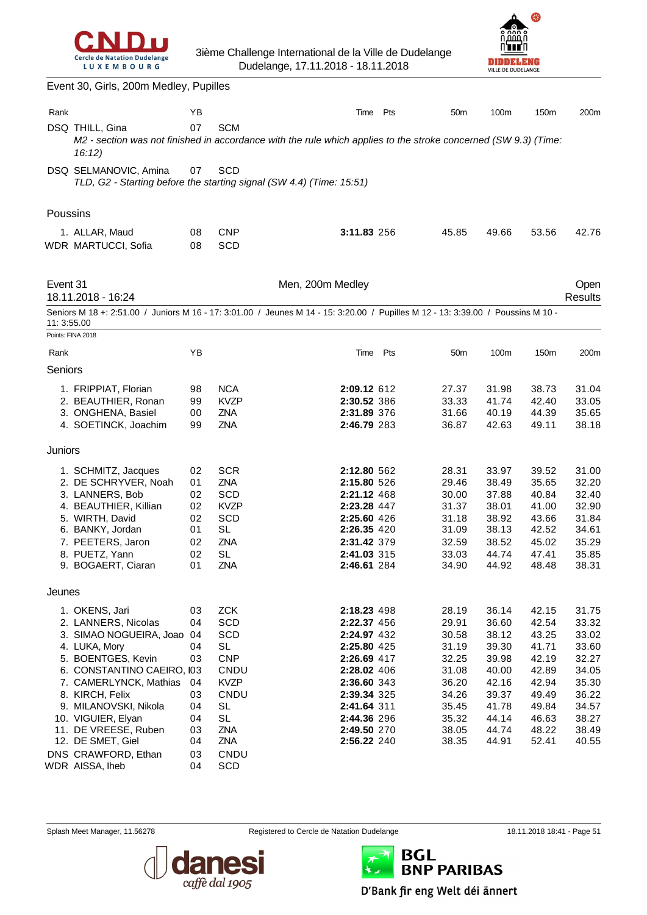



|             | Event 30, Girls, 200m Medley, Pupilles                                                                                                                                                                                                                                                                   |                                                                |                                                                                                                                    |                                                                                                                                                                                  |     |                                                                                                          |                                                                                                          |                                                                                                          |                                                                                                          |
|-------------|----------------------------------------------------------------------------------------------------------------------------------------------------------------------------------------------------------------------------------------------------------------------------------------------------------|----------------------------------------------------------------|------------------------------------------------------------------------------------------------------------------------------------|----------------------------------------------------------------------------------------------------------------------------------------------------------------------------------|-----|----------------------------------------------------------------------------------------------------------|----------------------------------------------------------------------------------------------------------|----------------------------------------------------------------------------------------------------------|----------------------------------------------------------------------------------------------------------|
| Rank        |                                                                                                                                                                                                                                                                                                          | ΥB                                                             |                                                                                                                                    | Time                                                                                                                                                                             | Pts | 50 <sub>m</sub>                                                                                          | 100m                                                                                                     | 150m                                                                                                     | 200m                                                                                                     |
|             | DSQ THILL, Gina<br>M2 - section was not finished in accordance with the rule which applies to the stroke concerned (SW 9.3) (Time:<br>16:12)                                                                                                                                                             | 07                                                             | <b>SCM</b>                                                                                                                         |                                                                                                                                                                                  |     |                                                                                                          |                                                                                                          |                                                                                                          |                                                                                                          |
|             | DSQ SELMANOVIC, Amina<br>TLD, G2 - Starting before the starting signal (SW 4.4) (Time: 15:51)                                                                                                                                                                                                            | 07                                                             | <b>SCD</b>                                                                                                                         |                                                                                                                                                                                  |     |                                                                                                          |                                                                                                          |                                                                                                          |                                                                                                          |
| Poussins    |                                                                                                                                                                                                                                                                                                          |                                                                |                                                                                                                                    |                                                                                                                                                                                  |     |                                                                                                          |                                                                                                          |                                                                                                          |                                                                                                          |
|             | 1. ALLAR, Maud<br>WDR MARTUCCI, Sofia                                                                                                                                                                                                                                                                    | 08<br>08                                                       | <b>CNP</b><br>SCD                                                                                                                  | 3:11.83 256                                                                                                                                                                      |     | 45.85                                                                                                    | 49.66                                                                                                    | 53.56                                                                                                    | 42.76                                                                                                    |
| Event 31    | 18.11.2018 - 16:24                                                                                                                                                                                                                                                                                       |                                                                |                                                                                                                                    | Men, 200m Medley                                                                                                                                                                 |     |                                                                                                          |                                                                                                          |                                                                                                          | Open<br><b>Results</b>                                                                                   |
| 11: 3:55.00 | Seniors M 18 +: 2:51.00 / Juniors M 16 - 17: 3:01.00 / Jeunes M 14 - 15: 3:20.00 / Pupilles M 12 - 13: 3:39.00 / Poussins M 10 -                                                                                                                                                                         |                                                                |                                                                                                                                    |                                                                                                                                                                                  |     |                                                                                                          |                                                                                                          |                                                                                                          |                                                                                                          |
| Rank        | Points: FINA 2018                                                                                                                                                                                                                                                                                        | YB                                                             |                                                                                                                                    | Time                                                                                                                                                                             | Pts | 50 <sub>m</sub>                                                                                          | 100m                                                                                                     | 150m                                                                                                     | 200m                                                                                                     |
| Seniors     |                                                                                                                                                                                                                                                                                                          |                                                                |                                                                                                                                    |                                                                                                                                                                                  |     |                                                                                                          |                                                                                                          |                                                                                                          |                                                                                                          |
|             | 1. FRIPPIAT, Florian<br>2. BEAUTHIER, Ronan<br>3. ONGHENA, Basiel<br>4. SOETINCK, Joachim                                                                                                                                                                                                                | 98<br>99<br>00<br>99                                           | <b>NCA</b><br><b>KVZP</b><br>ZNA<br>ZNA                                                                                            | 2:09.12 612<br>2:30.52 386<br>2:31.89 376<br>2:46.79 283                                                                                                                         |     | 27.37<br>33.33<br>31.66<br>36.87                                                                         | 31.98<br>41.74<br>40.19<br>42.63                                                                         | 38.73<br>42.40<br>44.39<br>49.11                                                                         | 31.04<br>33.05<br>35.65<br>38.18                                                                         |
| Juniors     |                                                                                                                                                                                                                                                                                                          |                                                                |                                                                                                                                    |                                                                                                                                                                                  |     |                                                                                                          |                                                                                                          |                                                                                                          |                                                                                                          |
|             | 1. SCHMITZ, Jacques<br>2. DE SCHRYVER, Noah<br>3. LANNERS, Bob<br>4. BEAUTHIER, Killian<br>5. WIRTH, David<br>6. BANKY, Jordan<br>7. PEETERS, Jaron<br>8. PUETZ, Yann<br>9. BOGAERT, Ciaran                                                                                                              | 02<br>01<br>02<br>02<br>02<br>01<br>02<br>02<br>01             | <b>SCR</b><br>ZNA<br>SCD<br><b>KVZP</b><br>SCD<br>SL<br>ZNA<br><b>SL</b><br>ZNA                                                    | 2:12.80 562<br>2:15.80 526<br>2:21.12 468<br>2:23.28 447<br>2:25.60 426<br>2:26.35 420<br>2:31.42 379<br>2:41.03 315<br>2:46.61 284                                              |     | 28.31<br>29.46<br>30.00<br>31.37<br>31.18<br>31.09<br>32.59<br>33.03<br>34.90                            | 33.97<br>38.49<br>37.88<br>38.01<br>38.92<br>38.13<br>38.52<br>44.74<br>44.92                            | 39.52<br>35.65<br>40.84<br>41.00<br>43.66<br>42.52<br>45.02<br>47.41<br>48.48                            | 31.00<br>32.20<br>32.40<br>32.90<br>31.84<br>34.61<br>35.29<br>35.85<br>38.31                            |
| Jeunes      |                                                                                                                                                                                                                                                                                                          |                                                                |                                                                                                                                    |                                                                                                                                                                                  |     |                                                                                                          |                                                                                                          |                                                                                                          |                                                                                                          |
|             | 1. OKENS, Jari<br>2. LANNERS, Nicolas<br>3. SIMAO NOGUEIRA, Joao 04<br>4. LUKA, Mory<br>5. BOENTGES, Kevin<br>6. CONSTANTINO CAEIRO, I03<br>7. CAMERLYNCK, Mathias<br>8. KIRCH, Felix<br>9. MILANOVSKI, Nikola<br>10. VIGUIER, Elyan<br>11. DE VREESE, Ruben<br>12. DE SMET, Giel<br>DNS CRAWFORD, Ethan | 03<br>04<br>04<br>03<br>04<br>03<br>04<br>04<br>03<br>04<br>03 | <b>ZCK</b><br>SCD<br>SCD<br><b>SL</b><br><b>CNP</b><br>CNDU<br><b>KVZP</b><br>CNDU<br><b>SL</b><br><b>SL</b><br>ZNA<br>ZNA<br>CNDU | 2:18.23 498<br>2:22.37 456<br>2:24.97 432<br>2:25.80 425<br>2:26.69 417<br>2:28.02 406<br>2:36.60 343<br>2:39.34 325<br>2:41.64 311<br>2:44.36 296<br>2:49.50 270<br>2:56.22 240 |     | 28.19<br>29.91<br>30.58<br>31.19<br>32.25<br>31.08<br>36.20<br>34.26<br>35.45<br>35.32<br>38.05<br>38.35 | 36.14<br>36.60<br>38.12<br>39.30<br>39.98<br>40.00<br>42.16<br>39.37<br>41.78<br>44.14<br>44.74<br>44.91 | 42.15<br>42.54<br>43.25<br>41.71<br>42.19<br>42.89<br>42.94<br>49.49<br>49.84<br>46.63<br>48.22<br>52.41 | 31.75<br>33.32<br>33.02<br>33.60<br>32.27<br>34.05<br>35.30<br>36.22<br>34.57<br>38.27<br>38.49<br>40.55 |
|             | WDR AISSA, Iheb                                                                                                                                                                                                                                                                                          | 04                                                             | SCD                                                                                                                                |                                                                                                                                                                                  |     |                                                                                                          |                                                                                                          |                                                                                                          |                                                                                                          |



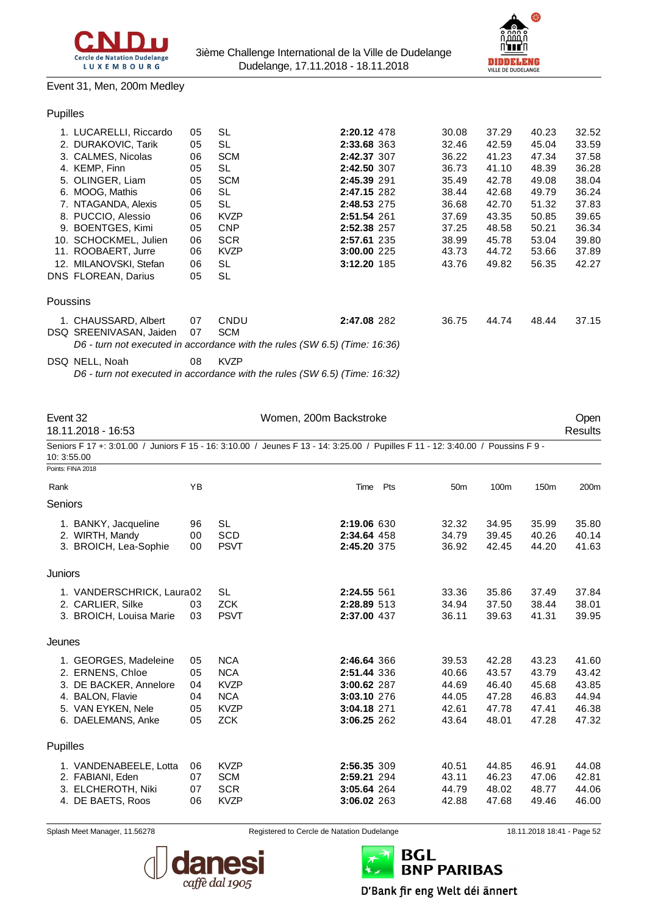



#### Event 31, Men, 200m Medley

#### Pupilles

|          | 1. LUCARELLI, Riccardo     | 05 | <b>SL</b>                                                                  | 2:20.12 478 | 30.08 | 37.29 | 40.23 | 32.52 |
|----------|----------------------------|----|----------------------------------------------------------------------------|-------------|-------|-------|-------|-------|
|          | 2. DURAKOVIC, Tarik        | 05 | <b>SL</b>                                                                  | 2:33.68 363 | 32.46 | 42.59 | 45.04 | 33.59 |
|          | 3. CALMES, Nicolas         | 06 | <b>SCM</b>                                                                 | 2:42.37 307 | 36.22 | 41.23 | 47.34 | 37.58 |
|          | 4. KEMP, Finn              | 05 | SL                                                                         | 2:42.50 307 | 36.73 | 41.10 | 48.39 | 36.28 |
|          | 5. OLINGER, Liam           | 05 | <b>SCM</b>                                                                 | 2:45.39 291 | 35.49 | 42.78 | 49.08 | 38.04 |
|          | 6. MOOG, Mathis            | 06 | <b>SL</b>                                                                  | 2:47.15 282 | 38.44 | 42.68 | 49.79 | 36.24 |
|          | 7. NTAGANDA, Alexis        | 05 | SL                                                                         | 2:48.53 275 | 36.68 | 42.70 | 51.32 | 37.83 |
|          | 8. PUCCIO, Alessio         | 06 | <b>KVZP</b>                                                                | 2:51.54 261 | 37.69 | 43.35 | 50.85 | 39.65 |
| 9.       | <b>BOENTGES, Kimi</b>      | 05 | <b>CNP</b>                                                                 | 2:52.38 257 | 37.25 | 48.58 | 50.21 | 36.34 |
|          | 10. SCHOCKMEL, Julien      | 06 | <b>SCR</b>                                                                 | 2:57.61 235 | 38.99 | 45.78 | 53.04 | 39.80 |
|          | 11. ROOBAERT, Jurre        | 06 | <b>KVZP</b>                                                                | 3:00.00 225 | 43.73 | 44.72 | 53.66 | 37.89 |
|          | 12. MILANOVSKI, Stefan     | 06 | <b>SL</b>                                                                  | 3:12.20 185 | 43.76 | 49.82 | 56.35 | 42.27 |
|          | <b>DNS FLOREAN, Darius</b> | 05 | <b>SL</b>                                                                  |             |       |       |       |       |
| Poussins |                            |    |                                                                            |             |       |       |       |       |
|          | 1. CHAUSSARD, Albert       | 07 | CNDU                                                                       | 2:47.08 282 | 36.75 | 44.74 | 48.44 | 37.15 |
|          | DSQ SREENIVASAN, Jaiden    | 07 | <b>SCM</b>                                                                 |             |       |       |       |       |
|          |                            |    | D6 - turn not executed in accordance with the rules (SW 6.5) (Time: 16:36) |             |       |       |       |       |
|          |                            |    |                                                                            |             |       |       |       |       |

DSQ NELL, Noah 08 KVZP

*D6 - turn not executed in accordance with the rules (SW 6.5) (Time: 16:32)*

| Event 32    | 18.11.2018 - 16:53                                                                                                              |          |                           | Women, 200m Backstroke     |     |                 |                |                  | Open<br><b>Results</b> |
|-------------|---------------------------------------------------------------------------------------------------------------------------------|----------|---------------------------|----------------------------|-----|-----------------|----------------|------------------|------------------------|
| 10: 3:55.00 | Seniors F 17 +: 3:01.00 / Juniors F 15 - 16: 3:10.00 / Jeunes F 13 - 14: 3:25.00 / Pupilles F 11 - 12: 3:40.00 / Poussins F 9 - |          |                           |                            |     |                 |                |                  |                        |
|             | Points: FINA 2018                                                                                                               |          |                           |                            |     |                 |                |                  |                        |
| Rank        |                                                                                                                                 | YB       |                           | Time                       | Pts | 50 <sub>m</sub> | 100m           | 150 <sub>m</sub> | 200m                   |
| Seniors     |                                                                                                                                 |          |                           |                            |     |                 |                |                  |                        |
|             | 1. BANKY, Jacqueline                                                                                                            | 96       | SL                        | 2:19.06 630                |     | 32.32           | 34.95          | 35.99            | 35.80                  |
|             | 2. WIRTH, Mandy<br>3. BROICH, Lea-Sophie                                                                                        | 00<br>00 | <b>SCD</b><br><b>PSVT</b> | 2:34.64 458<br>2:45.20 375 |     | 34.79<br>36.92  | 39.45<br>42.45 | 40.26<br>44.20   | 40.14<br>41.63         |
| Juniors     |                                                                                                                                 |          |                           |                            |     |                 |                |                  |                        |
|             | 1. VANDERSCHRICK, Laura02                                                                                                       |          | <b>SL</b>                 | 2:24.55 561                |     | 33.36           | 35.86          | 37.49            | 37.84                  |
|             | 2. CARLIER, Silke                                                                                                               | 03       | <b>ZCK</b>                | 2:28.89 513                |     | 34.94           | 37.50          | 38.44            | 38.01                  |
|             | 3. BROICH, Louisa Marie                                                                                                         | 03       | <b>PSVT</b>               | 2:37.00 437                |     | 36.11           | 39.63          | 41.31            | 39.95                  |
| Jeunes      |                                                                                                                                 |          |                           |                            |     |                 |                |                  |                        |
|             | 1. GEORGES, Madeleine                                                                                                           | 05       | <b>NCA</b>                | 2:46.64 366                |     | 39.53           | 42.28          | 43.23            | 41.60                  |
|             | 2. ERNENS, Chloe                                                                                                                | 05       | <b>NCA</b>                | 2:51.44 336                |     | 40.66           | 43.57          | 43.79            | 43.42                  |
|             | 3. DE BACKER, Annelore                                                                                                          | 04       | <b>KVZP</b>               | 3:00.62 287                |     | 44.69           | 46.40          | 45.68            | 43.85                  |
|             | 4. BALON, Flavie                                                                                                                | 04       | <b>NCA</b>                | 3:03.10 276                |     | 44.05           | 47.28          | 46.83            | 44.94                  |
|             | 5. VAN EYKEN, Nele                                                                                                              | 05       | <b>KVZP</b>               | 3:04.18 271                |     | 42.61           | 47.78          | 47.41            | 46.38                  |
|             | 6. DAELEMANS, Anke                                                                                                              | 05       | <b>ZCK</b>                | 3:06.25 262                |     | 43.64           | 48.01          | 47.28            | 47.32                  |
| Pupilles    |                                                                                                                                 |          |                           |                            |     |                 |                |                  |                        |
|             | 1. VANDENABEELE, Lotta                                                                                                          | 06       | <b>KVZP</b>               | 2:56.35 309                |     | 40.51           | 44.85          | 46.91            | 44.08                  |
|             | 2. FABIANI, Eden                                                                                                                | 07       | <b>SCM</b>                | 2:59.21 294                |     | 43.11           | 46.23          | 47.06            | 42.81                  |
|             | 3. ELCHEROTH, Niki                                                                                                              | 07       | <b>SCR</b>                | 3:05.64 264                |     | 44.79           | 48.02          | 48.77            | 44.06                  |
|             | 4. DE BAETS, Roos                                                                                                               | 06       | <b>KVZP</b>               | 3:06.02 263                |     | 42.88           | 47.68          | 49.46            | 46.00                  |



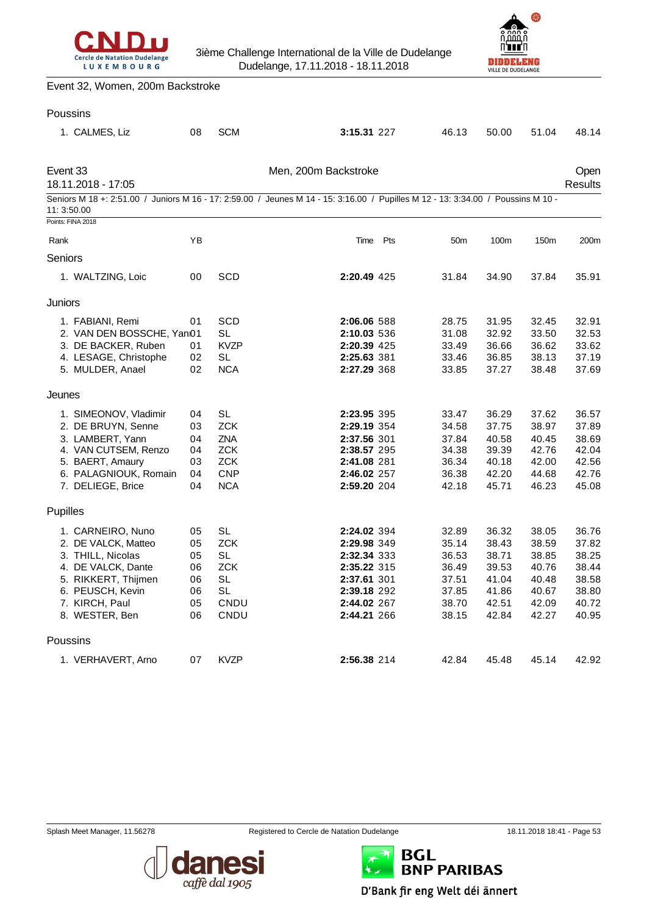



Event 32, Women, 200m Backstroke

#### Poussins

|          | 1. CALMES, Liz                                                                                                                                                     | 08                                           | <b>SCM</b>                                                                             | 3:15.31 227                                                                                                                      |     | 46.13                                                                | 50.00                                                                | 51.04                                                                | 48.14                                                                |
|----------|--------------------------------------------------------------------------------------------------------------------------------------------------------------------|----------------------------------------------|----------------------------------------------------------------------------------------|----------------------------------------------------------------------------------------------------------------------------------|-----|----------------------------------------------------------------------|----------------------------------------------------------------------|----------------------------------------------------------------------|----------------------------------------------------------------------|
| Event 33 | 18.11.2018 - 17:05                                                                                                                                                 |                                              |                                                                                        | Men, 200m Backstroke                                                                                                             |     |                                                                      |                                                                      |                                                                      | Open<br><b>Results</b>                                               |
|          | 11:3:50.00                                                                                                                                                         |                                              |                                                                                        | Seniors M 18 +: 2:51.00 / Juniors M 16 - 17: 2:59.00 / Jeunes M 14 - 15: 3:16.00 / Pupilles M 12 - 13: 3:34.00 / Poussins M 10 - |     |                                                                      |                                                                      |                                                                      |                                                                      |
|          | Points: FINA 2018                                                                                                                                                  |                                              |                                                                                        |                                                                                                                                  |     |                                                                      |                                                                      |                                                                      |                                                                      |
| Rank     |                                                                                                                                                                    | YB                                           |                                                                                        | Time                                                                                                                             | Pts | 50 <sub>m</sub>                                                      | 100m                                                                 | 150m                                                                 | 200m                                                                 |
| Seniors  |                                                                                                                                                                    |                                              |                                                                                        |                                                                                                                                  |     |                                                                      |                                                                      |                                                                      |                                                                      |
|          | 1. WALTZING, Loic                                                                                                                                                  | 00                                           | SCD                                                                                    | 2:20.49 425                                                                                                                      |     | 31.84                                                                | 34.90                                                                | 37.84                                                                | 35.91                                                                |
| Juniors  |                                                                                                                                                                    |                                              |                                                                                        |                                                                                                                                  |     |                                                                      |                                                                      |                                                                      |                                                                      |
|          | 1. FABIANI, Remi<br>2. VAN DEN BOSSCHE, Yan01<br>3. DE BACKER, Ruben<br>4. LESAGE, Christophe<br>5. MULDER, Anael                                                  | 01<br>01<br>02<br>02                         | SCD<br>SL<br><b>KVZP</b><br>SL<br><b>NCA</b>                                           | 2:06.06 588<br>2:10.03 536<br>2:20.39 425<br>2:25.63 381<br>2:27.29 368                                                          |     | 28.75<br>31.08<br>33.49<br>33.46<br>33.85                            | 31.95<br>32.92<br>36.66<br>36.85<br>37.27                            | 32.45<br>33.50<br>36.62<br>38.13<br>38.48                            | 32.91<br>32.53<br>33.62<br>37.19<br>37.69                            |
| Jeunes   |                                                                                                                                                                    |                                              |                                                                                        |                                                                                                                                  |     |                                                                      |                                                                      |                                                                      |                                                                      |
|          | 1. SIMEONOV, Vladimir<br>2. DE BRUYN, Senne<br>3. LAMBERT, Yann<br>4. VAN CUTSEM, Renzo<br>5. BAERT, Amaury<br>6. PALAGNIOUK, Romain<br>7. DELIEGE, Brice          | 04<br>03<br>04<br>04<br>03<br>04<br>04       | SL<br><b>ZCK</b><br><b>ZNA</b><br><b>ZCK</b><br><b>ZCK</b><br><b>CNP</b><br><b>NCA</b> | 2:23.95 395<br>2:29.19 354<br>2:37.56 301<br>2:38.57 295<br>2:41.08 281<br>2:46.02 257<br>2:59.20 204                            |     | 33.47<br>34.58<br>37.84<br>34.38<br>36.34<br>36.38<br>42.18          | 36.29<br>37.75<br>40.58<br>39.39<br>40.18<br>42.20<br>45.71          | 37.62<br>38.97<br>40.45<br>42.76<br>42.00<br>44.68<br>46.23          | 36.57<br>37.89<br>38.69<br>42.04<br>42.56<br>42.76<br>45.08          |
| Pupilles |                                                                                                                                                                    |                                              |                                                                                        |                                                                                                                                  |     |                                                                      |                                                                      |                                                                      |                                                                      |
|          | 1. CARNEIRO, Nuno<br>2. DE VALCK, Matteo<br>3. THILL, Nicolas<br>4. DE VALCK, Dante<br>5. RIKKERT, Thijmen<br>6. PEUSCH, Kevin<br>7. KIRCH, Paul<br>8. WESTER, Ben | 05<br>05<br>05<br>06<br>06<br>06<br>05<br>06 | <b>SL</b><br><b>ZCK</b><br><b>SL</b><br><b>ZCK</b><br>SL<br><b>SL</b><br>CNDU<br>CNDU  | 2:24.02 394<br>2:29.98 349<br>2:32.34 333<br>2:35.22 315<br>2:37.61 301<br>2:39.18 292<br>2:44.02 267<br>2:44.21 266             |     | 32.89<br>35.14<br>36.53<br>36.49<br>37.51<br>37.85<br>38.70<br>38.15 | 36.32<br>38.43<br>38.71<br>39.53<br>41.04<br>41.86<br>42.51<br>42.84 | 38.05<br>38.59<br>38.85<br>40.76<br>40.48<br>40.67<br>42.09<br>42.27 | 36.76<br>37.82<br>38.25<br>38.44<br>38.58<br>38.80<br>40.72<br>40.95 |
| Poussins |                                                                                                                                                                    |                                              |                                                                                        |                                                                                                                                  |     |                                                                      |                                                                      |                                                                      |                                                                      |
|          | 1. VERHAVERT, Arno                                                                                                                                                 | 07                                           | <b>KVZP</b>                                                                            | 2:56.38 214                                                                                                                      |     | 42.84                                                                | 45.48                                                                | 45.14                                                                | 42.92                                                                |